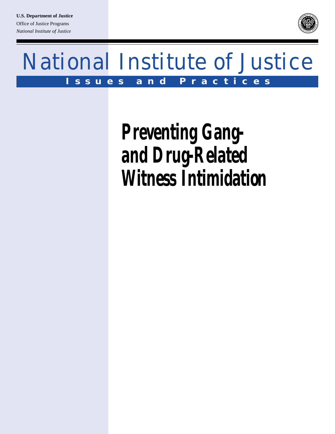

## National Institute of Justice **Issues and Practices**

# *Preventing Gangand Drug-Related Witness Intimidation*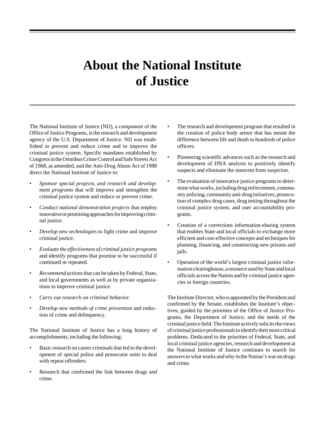## **About the National Institute of Justice**

The National Institute of Justice (NIJ), a component of the Office of Justice Programs, is the research and development agency of the U.S. Department of Justice. NIJ was established to prevent and reduce crime and to improve the criminal justice system. Specific mandates established by Congress in the Omnibus Crime Control and Safe Streets Act of 1968, as amended, and the Anti-Drug Abuse Act of 1988 direct the National Institute of Justice to:

- *Sponsor special projects, and research and development programs* that will improve and strengthen the criminal justice system and reduce or prevent crime.
- *Conduct national demonstration projects* that employ innovative or promising approaches for improving criminal justice.
- *Develop new technologies* to fight crime and improve criminal justice.
- *Evaluate the effectiveness of criminal justice programs* and identify programs that promise to be successful if continued or repeated.
- *Recommend actions* that can be taken by Federal, State, and local governments as well as by private organizations to improve criminal justice.
- *Carry out research on criminal behavior.*
- *Develop new methods of crime prevention* and reduction of crime and delinquency.

The National Institute of Justice has a long history of accomplishments, including the following:

- Basic research on career criminals that led to the development of special police and prosecutor units to deal with repeat offenders.
- Research that confirmed the link between drugs and crime.
- The research and development program that resulted in the creation of police body armor that has meant the difference between life and death to hundreds of police officers.
- Pioneering scientific advances such as the research and development of DNA analysis to positively identify suspects and eliminate the innocent from suspicion.
- The evaluation of innovative justice programs to determine what works, including drug enforcement, community policing, community anti-drug initiatives, prosecution of complex drug cases, drug testing throughout the criminal justice system, and user accountability programs.
- Creation of a corrections information-sharing system that enables State and local officials to exchange more efficient and cost-effective concepts and techniques for planning, financing, and constructing new prisons and jails.
- Operation of the world's largest criminal justice information clearinghouse, a resource used by State and local officials across the Nation and by criminal justice agencies in foreign countries.

The Institute Director, who is appointed by the President and confirmed by the Senate, establishes the Institute's objectives, guided by the priorities of the Office of Justice Programs, the Department of Justice, and the needs of the criminal justice field. The Institute actively solicits the views of criminal justice professionals to identify their most critical problems. Dedicated to the priorities of Federal, State, and local criminal justice agencies, research and development at the National Institute of Justice continues to search for answers to what works and why in the Nation's war on drugs and crime.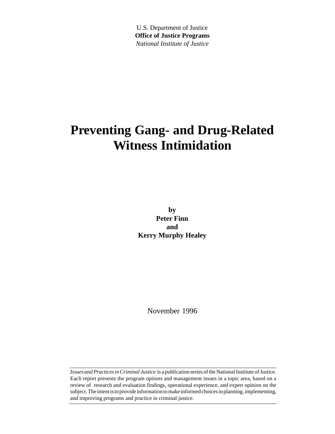U.S. Department of Justice **Office of Justice Programs** *National Institute of Justice*

## **Preventing Gang- and Drug-Related Witness Intimidation**

**by Peter Finn and Kerry Murphy Healey**

November 1996

*Issues and Practices in Criminal Justice* is a publication series of the National Institute of Justice. Each report presents the program options and management issues in a topic area, based on a review of research and evaluation findings, operational experience, and expert opinion on the subject. The intent is to provide information to make informed choices in planning, implementing, and improving programs and practice in criminal justice.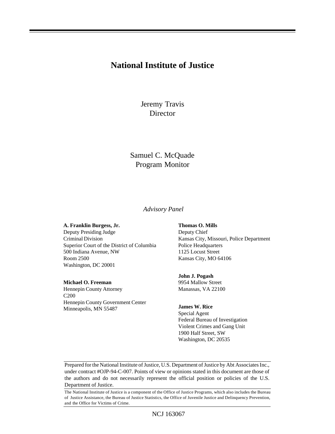## **National Institute of Justice**

Jeremy Travis **Director** 

### Samuel C. McQuade Program Monitor

#### *Advisory Panel*

#### **A. Franklin Burgess, Jr.**

Deputy Presiding Judge Criminal Division Superior Court of the District of Columbia 500 Indiana Avenue, NW Room 2500 Washington, DC 20001

#### **Michael O. Freeman**

Hennepin County Attorney C200 Hennepin County Government Center Minneapolis, MN 55487

#### **Thomas O. Mills** Deputy Chief Kansas City, Missouri, Police Department Police Headquarters 1125 Locust Street Kansas City, MO 64106

**John J. Pogash** 9954 Mallow Street Manassas, VA 22100

#### **James W. Rice**

Special Agent Federal Bureau of Investigation Violent Crimes and Gang Unit 1900 Half Street, SW Washington, DC 20535

Prepared for the National Institute of Justice, U.S. Department of Justice by Abt Associates Inc., under contract #OJP-94-C-007. Points of view or opinions stated in this document are those of the authors and do not necessarily represent the official position or policies of the U.S. Department of Justice.

The National Institute of Justice is a component of the Office of Justice Programs, which also includes the Bureau of Justice Assistance, the Bureau of Justice Statistics, the Office of Juvenile Justice and Delinquency Prevention, and the Office for Victims of Crime.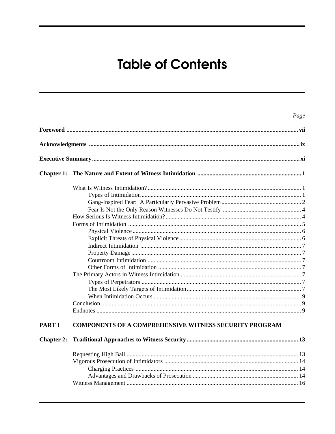## **Table of Contents**

| <b>Chapter 1:</b> |                                                               |  |
|-------------------|---------------------------------------------------------------|--|
|                   |                                                               |  |
|                   |                                                               |  |
|                   |                                                               |  |
|                   |                                                               |  |
|                   |                                                               |  |
|                   |                                                               |  |
|                   |                                                               |  |
|                   |                                                               |  |
|                   |                                                               |  |
|                   |                                                               |  |
|                   |                                                               |  |
|                   |                                                               |  |
|                   |                                                               |  |
|                   |                                                               |  |
|                   |                                                               |  |
|                   |                                                               |  |
|                   |                                                               |  |
|                   |                                                               |  |
| <b>PARTI</b>      | <b>COMPONENTS OF A COMPREHENSIVE WITNESS SECURITY PROGRAM</b> |  |
| <b>Chapter 2:</b> |                                                               |  |
|                   |                                                               |  |
|                   |                                                               |  |
|                   |                                                               |  |
|                   |                                                               |  |
|                   |                                                               |  |
|                   |                                                               |  |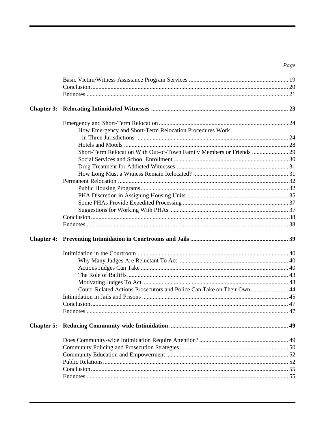#### Page

| How Emergency and Short-Term Relocation Procedures Work               |  |
|-----------------------------------------------------------------------|--|
|                                                                       |  |
|                                                                       |  |
| Short-Term Relocation With Out-of-Town Family Members or Friends  29  |  |
|                                                                       |  |
|                                                                       |  |
|                                                                       |  |
|                                                                       |  |
|                                                                       |  |
|                                                                       |  |
|                                                                       |  |
|                                                                       |  |
|                                                                       |  |
|                                                                       |  |
|                                                                       |  |
|                                                                       |  |
|                                                                       |  |
|                                                                       |  |
|                                                                       |  |
|                                                                       |  |
| Court–Related Actions Prosecutors and Police Can Take on Their Own 44 |  |
|                                                                       |  |
|                                                                       |  |
|                                                                       |  |
|                                                                       |  |
|                                                                       |  |
|                                                                       |  |
|                                                                       |  |
|                                                                       |  |
|                                                                       |  |
|                                                                       |  |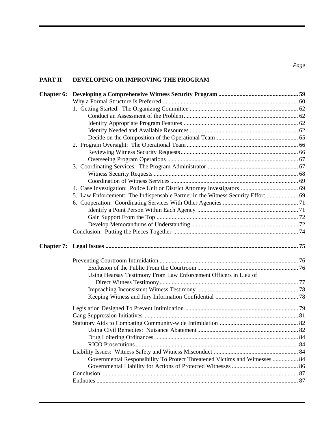#### **PART II DEVELOPING OR IMPROVING THE PROGRAM**

| 5. Law Enforcement: The Indispensable Partner in the Witness Security Effort  69 |  |
|----------------------------------------------------------------------------------|--|
|                                                                                  |  |
|                                                                                  |  |
|                                                                                  |  |
|                                                                                  |  |
|                                                                                  |  |
|                                                                                  |  |
|                                                                                  |  |
|                                                                                  |  |
|                                                                                  |  |
|                                                                                  |  |
| Using Hearsay Testimony From Law Enforcement Officers in Lieu of                 |  |
|                                                                                  |  |
|                                                                                  |  |
|                                                                                  |  |
|                                                                                  |  |
|                                                                                  |  |
|                                                                                  |  |
|                                                                                  |  |
|                                                                                  |  |
|                                                                                  |  |
| Governmental Responsibility To Protect Threatened Victims and Witnesses  84      |  |
|                                                                                  |  |
|                                                                                  |  |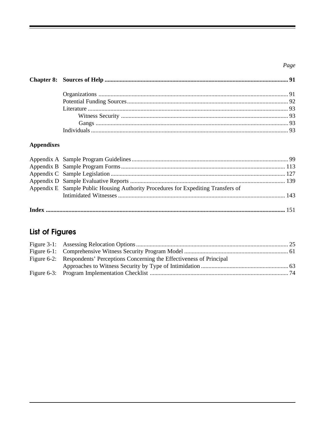#### Page

#### **Appendixes**

| Appendix E Sample Public Housing Authority Procedures for Expediting Transfers of |  |
|-----------------------------------------------------------------------------------|--|
|                                                                                   |  |
|                                                                                   |  |
|                                                                                   |  |

## List of Figures

| Figure 6-2: Respondents' Perceptions Concerning the Effectiveness of Principal |  |
|--------------------------------------------------------------------------------|--|
|                                                                                |  |
|                                                                                |  |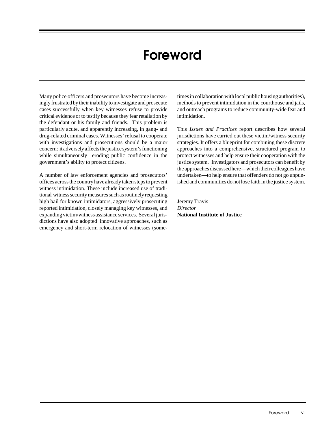## **Foreword**

Many police officers and prosecutors have become increasingly frustrated by their inability to investigate and prosecute cases successfully when key witnesses refuse to provide critical evidence or to testify because they fear retaliation by the defendant or his family and friends. This problem is particularly acute, and apparently increasing, in gang- and drug-related criminal cases. Witnesses' refusal to cooperate with investigations and prosecutions should be a major concern: it adversely affects the justice system's functioning while simultaneously eroding public confidence in the government's ability to protect citizens.

A number of law enforcement agencies and prosecutors' offices across the country have already taken steps to prevent witness intimidation. These include increased use of traditional witness security measures such as routinely requesting high bail for known intimidators, aggressively prosecuting reported intimidation, closely managing key witnesses, and expanding victim/witness assistance services. Several jurisdictions have also adopted innovative approaches, such as emergency and short-term relocation of witnesses (sometimes in collaboration with local public housing authorities), methods to prevent intimidation in the courthouse and jails, and outreach programs to reduce community-wide fear and intimidation.

This *Issues and Practices* report describes how several jurisdictions have carried out these victim/witness security strategies. It offers a blueprint for combining these discrete approaches into a comprehensive, structured program to protect witnesses and help ensure their cooperation with the justice system. Investigators and prosecutors can benefit by the approaches discussed here—which their colleagues have undertaken—to help ensure that offenders do not go unpunished and communities do not lose faith in the justice system.

Jeremy Travis *Director* **National Institute of Justice**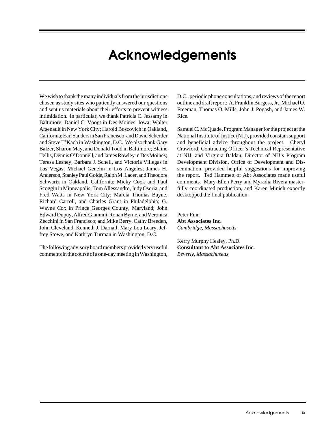## **Acknowledgements**

We wish to thank the many individuals from the jurisdictions chosen as study sites who patiently answered our questions and sent us materials about their efforts to prevent witness intimidation. In particular, we thank Patricia C. Jessamy in Baltimore; Daniel C. Voogt in Des Moines, Iowa; Walter Arsenault in New York City; Harold Boscovich in Oakland, California; Earl Sanders in San Francisco; and David Schertler and Steve T'Kach in Washington, D.C. We also thank Gary Balzer, Sharon May, and Donald Todd in Baltimore; Blaine Tellis, Dennis O'Donnell, and James Rowley in Des Moines; Teresa Lesney, Barbara J. Schell, and Victoria Villegas in Las Vegas; Michael Genelin in Los Angeles; James H. Anderson, Stanley Paul Golde, Ralph M. Lacer, and Theodore Schwartz in Oakland, California; Micky Cook and Paul Scoggin in Minneapolis; Tom Allessandro, Judy Osoria, and Fred Watts in New York City; Marcia Thomas Bayne, Richard Carroll, and Charles Grant in Philadelphia; G. Wayne Cox in Prince Georges County, Maryland; John Edward Dupuy, Alfred Giannini, Ronan Byrne, and Veronica Zecchini in San Francisco; and Mike Berry, Cathy Breeden, John Cleveland, Kenneth J. Darnall, Mary Lou Leary, Jeffrey Stowe, and Kathryn Turman in Washington, D.C.

The following advisory board members provided very useful comments in the course of a one-day meeting in Washington, D.C., periodic phone consultations, and reviews of the report outline and draft report: A. Franklin Burgess, Jr., Michael O. Freeman, Thomas O. Mills, John J. Pogash, and James W. Rice.

Samuel C. McQuade, Program Manager for the project at the National Institute of Justice (NIJ), provided constant support and beneficial advice throughout the project. Cheryl Crawford, Contracting Officer's Technical Representative at NIJ, and Virginia Baldau, Director of NIJ's Program Development Division, Office of Development and Dissemination, provided helpful suggestions for improving the report. Ted Hammett of Abt Associates made useful comments. Mary-Ellen Perry and Myradia Rivera masterfully coordinated production, and Karen Minich expertly desktopped the final publication.

Peter Finn **Abt Associates Inc.** *Cambridge, Massachusetts*

Kerry Murphy Healey, Ph.D. **Consultant to Abt Associates Inc.** *Beverly, Massachusetts*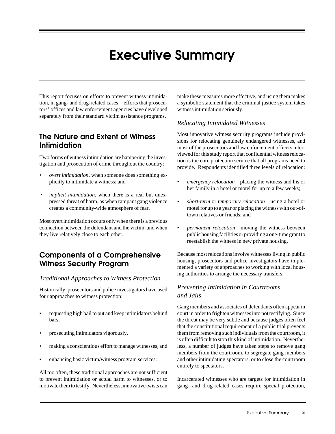## **Executive Summary**

This report focuses on efforts to prevent witness intimidation, in gang- and drug-related cases—efforts that prosecutors' offices and law enforcement agencies have developed separately from their standard victim assistance programs.

### **The Nature and Extent of Witness Intimidation**

Two forms of witness intimidation are hampering the investigation and prosecution of crime throughout the country:

- *overt intimidation*, when someone does something explicitly to intimidate a witness; and
- implicit intimidation, when there is a real but unexpressed threat of harm, as when rampant gang violence creates a community-wide atmosphere of fear.

Most overt intimidation occurs only when there is a previous connection between the defendant and the victim, and when they live relatively close to each other.

### **Components of a Comprehensive Witness Security Program**

#### *Traditional Approaches to Witness Protection*

Historically, prosecutors and police investigators have used four approaches to witness protection:

- requesting high bail to put and keep intimidators behind bars,
- prosecuting intimidators vigorously,
- making a conscientious effort to manage witnesses, and
- enhancing basic victim/witness program services.

All too often, these traditional approaches are not sufficient to prevent intimidation or actual harm to witnesses, or to motivate them to testify. Nevertheless, innovative twists can

make these measures more effective, and using them makes a symbolic statement that the criminal justice system takes witness intimidation seriously.

#### *Relocating Intimidated Witnesses*

Most innovative witness security programs include provisions for relocating genuinely endangered witnesses, and most of the prosecutors and law enforcement officers interviewed for this study report that confidential witness relocation is the core protection service that all programs need to provide. Respondents identified three levels of relocation:

- *emergency relocation*—placing the witness and his or her family in a hotel or motel for up to a few weeks;
- *short-term* or *temporary relocation*—using a hotel or motel for up to a year or placing the witness with out-oftown relatives or friends; and
- *permanent relocation*—moving the witness between public housing facilities or providing a one-time grant to reestablish the witness in new private housing.

Because most relocations involve witnesses living in public housing, prosecutors and police investigators have implemented a variety of approaches to working with local housing authorities to arrange the necessary transfers.

#### *Preventing Intimidation in Courtrooms and Jails*

Gang members and associates of defendants often appear in court in order to frighten witnesses into not testifying. Since the threat may be very subtle and because judges often feel that the constitutional requirement of a public trial prevents them from removing such individuals from the courtroom, it is often difficult to stop this kind of intimidation. Nevertheless, a number of judges have taken steps to remove gang members from the courtroom, to segregate gang members and other intimidating spectators, or to close the courtroom entirely to spectators.

Incarcerated witnesses who are targets for intimidation in gang- and drug-related cases require special protection,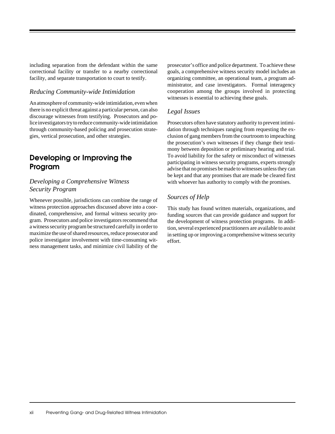including separation from the defendant within the same correctional facility or transfer to a nearby correctional facility, and separate transportation to court to testify.

#### *Reducing Community-wide Intimidation*

An atmosphere of community-wide intimidation, even when there is no explicit threat against a particular person, can also discourage witnesses from testifying. Prosecutors and police investigators try to reduce community-wide intimidation through community-based policing and prosecution strategies, vertical prosecution, and other strategies.

### **Developing or Improving the Program**

#### *Developing a Comprehensive Witness Security Program*

Whenever possible, jurisdictions can combine the range of witness protection approaches discussed above into a coordinated, comprehensive, and formal witness security program. Prosecutors and police investigators recommend that a witness security program be structured carefully in order to maximize the use of shared resources, reduce prosecutor and police investigator involvement with time-consuming witness management tasks, and minimize civil liability of the prosecutor's office and police department. To achieve these goals, a comprehensive witness security model includes an organizing committee, an operational team, a program administrator, and case investigators. Formal interagency cooperation among the groups involved in protecting witnesses is essential to achieving these goals.

#### *Legal Issues*

Prosecutors often have statutory authority to prevent intimidation through techniques ranging from requesting the exclusion of gang members from the courtroom to impeaching the prosecution's own witnesses if they change their testimony between deposition or preliminary hearing and trial. To avoid liability for the safety or misconduct of witnesses participating in witness security programs, experts strongly advise that no promises be made to witnesses unless they can be kept and that any promises that are made be cleared first with whoever has authority to comply with the promises.

#### *Sources of Help*

This study has found written materials, organizations, and funding sources that can provide guidance and support for the development of witness protection programs. In addition, several experienced practitioners are available to assist in setting up or improving a comprehensive witness security effort.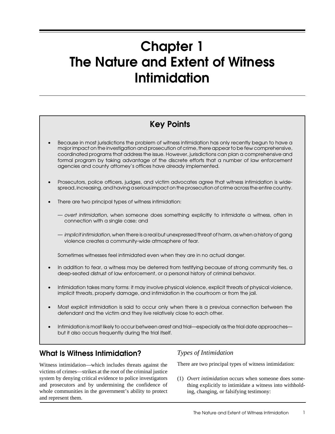## **Chapter 1 The Nature and Extent of Witness Intimidation**

## **Key Points**

- Because in most jurisdictions the problem of witness intimidation has only recently begun to have a major impact on the investigation and prosecution of crime, there appear to be few comprehensive, coordinated programs that address the issue. However, jurisdictions can plan a comprehensive and formal program by taking advantage of the discrete efforts that a number of law enforcement agencies and county attorney's offices have already implemented.
- Prosecutors, police officers, judges, and victim advocates agree that witness intimidation is widespread, increasing, and having a serious impact on the prosecution of crime across the entire country.
- There are two principal types of witness intimidation:
	- overt intimidation, when someone does something explicitly to intimidate a witness, often in connection with a single case; and
	- implicit intimidation, when there is a real but unexpressed threat of harm, as when a history of gang violence creates a community-wide atmosphere of fear.

Sometimes witnesses feel intimidated even when they are in no actual danger.

- In addition to fear, a witness may be deterred from testifying because of strong community ties, a deep-seated distrust of law enforcement, or a personal history of criminal behavior.
- Intimidation takes many forms: it may involve physical violence, explicit threats of physical violence, implicit threats, property damage, and intimidation in the courtroom or from the jail.
- Most explicit intimidation is said to occur only when there is a previous connection between the defendant and the victim and they live relatively close to each other.
- Intimidation is most likely to occur between arrest and trial—especially as the trial date approaches but it also occurs frequently during the trial itself.

### **What Is Witness Intimidation?**

Witness intimidation—which includes threats against the victims of crimes—strikes at the root of the criminal justice system by denying critical evidence to police investigators and prosecutors and by undermining the confidence of whole communities in the government's ability to protect and represent them.

#### *Types of Intimidation*

There are two principal types of witness intimidation:

(1) *Overt intimidation* occurs when someone does something explicitly to intimidate a witness into withholding, changing, or falsifying testimony: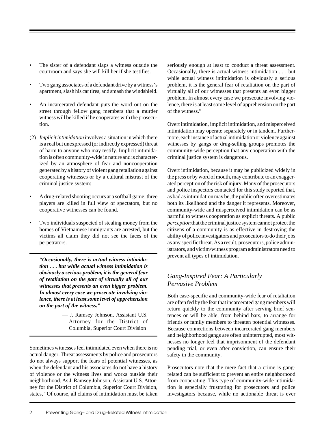- The sister of a defendant slaps a witness outside the courtroom and says she will kill her if she testifies.
- Two gang associates of a defendant drive by a witness's apartment, slash his car tires, and smash the windshield.
- An incarcerated defendant puts the word out on the street through fellow gang members that a murder witness will be killed if he cooperates with the prosecution.
- (2) *Implicit intimidation* involves a situation in which there is a real but unexpressed (or indirectly expressed) threat of harm to anyone who may testify. Implicit intimidation is often community-wide in nature and is characterized by an atmosphere of fear and noncooperation generated by a history of violent gang retaliation against cooperating witnesses or by a cultural mistrust of the criminal justice system:
- A drug-related shooting occurs at a softball game; three players are killed in full view of spectators, but no cooperative witnesses can be found.
- Two individuals suspected of stealing money from the homes of Vietnamese immigrants are arrested, but the victims all claim they did not see the faces of the perpetrators.

*"Occasionally, there is actual witness intimidation . . . but while actual witness intimidation is obviously a serious problem, it is the general fear of retaliation on the part of virtually all of our witnesses that presents an even bigger problem. In almost every case we prosecute involving violence, there is at least some level of apprehension on the part of the witness."*

> — J. Ramsey Johnson, Assistant U.S. Attorney for the District of Columbia, Superior Court Division

Sometimes witnesses feel intimidated even when there is no actual danger. Threat assessments by police and prosecutors do not always support the fears of potential witnesses, as when the defendant and his associates do not have a history of violence or the witness lives and works outside their neighborhood. As J. Ramsey Johnson, Assistant U.S. Attorney for the District of Columbia, Superior Court Division, states, "Of course, all claims of intimidation must be taken seriously enough at least to conduct a threat assessment. Occasionally, there is actual witness intimidation . . . but while actual witness intimidation is obviously a serious problem, it is the general fear of retaliation on the part of virtually all of our witnesses that presents an even bigger problem. In almost every case we prosecute involving violence, there is at least some level of apprehension on the part of the witness."

Overt intimidation, implicit intimidation, and misperceived intimidation may operate separately or in tandem. Furthermore, each instance of actual intimidation or violence against witnesses by gangs or drug-selling groups promotes the community-wide perception that any cooperation with the criminal justice system is dangerous.

Overt intimidation, because it may be publicized widely in the press or by word of mouth, may contribute to an exaggerated perception of the risk of injury. Many of the prosecutors and police inspectors contacted for this study reported that, as bad as intimidation may be, the public often overestimates both its likelihood and the danger it represents. Moreover, community-wide and misperceived intimidation can be as harmful to witness cooperation as explicit threats. A public *perception* that the criminal justice system cannot protect the citizens of a community is as effective in destroying the ability of police investigators and prosecutors to do their jobs as any specific threat. As a result, prosecutors, police administrators, and victim/witness program administrators need to prevent all types of intimidation.

#### *Gang-Inspired Fear: A Particularly Pervasive Problem*

Both case-specific and community-wide fear of retaliation are often fed by the fear that incarcerated gang members will return quickly to the community after serving brief sentences or will be able, from behind bars, to arrange for friends or family members to threaten potential witnesses. Because connections between incarcerated gang members and neighborhood gangs are often uninterrupted, most witnesses no longer feel that imprisonment of the defendant pending trial, or even after conviction, can ensure their safety in the community.

Prosecutors note that the mere fact that a crime is gangrelated can be sufficient to prevent an entire neighborhood from cooperating. This type of community-wide intimidation is especially frustrating for prosecutors and police investigators because, while no actionable threat is ever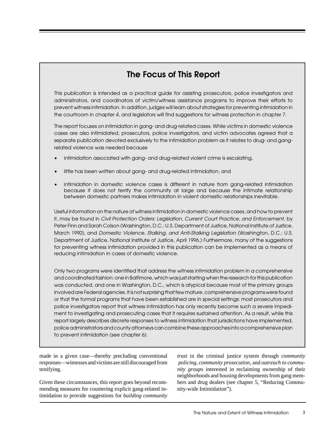## **The Focus of This Report**

This publication is intended as a practical guide for assisting prosecutors, police investigators and administrators, and coordinators of victim/witness assistance programs to improve their efforts to prevent witness intimidation. In addition, judges will learn about strategies for preventing intimidation in the courtroom in chapter 4, and legislators will find suggestions for witness protection in chapter 7.

The report focuses on intimidation in gang- and drug-related cases. While victims in domestic violence cases are also intimidated, prosecutors, police investigators, and victim advocates agreed that a separate publication devoted exclusively to the intimidation problem as it relates to drug- and gangrelated violence was needed because

- intimidation associated with gang- and drug-related violent crime is escalating,
- little has been written about gang- and drug-related intimidation, and
- intimidation in domestic violence cases is different in nature from gang-related intimidation because it does not terrify the community at large and because the intimate relationship between domestic partners makes intimidation in violent domestic relationships inevitable.

Useful information on the nature of witness intimidation in domestic violence cases, and how to prevent it, may be found in Civil Protection Orders: Legislation, Current Court Practice, and Enforcement, by Peter Finn and Sarah Colson (Washington, D.C.: U.S. Department of Justice, National Institute of Justice, March 1990), and Domestic Violence, Stalking, and Anti-Stalking Legislation (Washington, D.C.: U.S. Department of Justice, National Institute of Justice, April 1996.) Furthermore, many of the suggestions for preventing witness intimidation provided in this publication can be implemented as a means of reducing intimidation in cases of domestic violence.

Only two programs were identified that address the witness intimidation problem in a comprehensive and coordinated fashion: one in Baltimore, which was just starting when the research for this publication was conducted, and one in Washington, D.C., which is atypical because most of the primary groups involved are Federal agencies. It is not surprising that few mature, comprehensive programs were found or that the formal programs that have been established are in special settings: most prosecutors and police investigators report that witness intimidation has only recently become such a severe impediment to investigating and prosecuting cases that it requires sustained attention. As a result, while this report largely describes discrete responses to witness intimidation that jurisdictions have implemented, police administrators and county attorneys can combine these approaches into a comprehensive plan to prevent intimidation (see chapter 6).

made in a given case—thereby precluding conventional responses—witnesses and victims are still discouraged from testifying.

Given these circumstances, this report goes beyond recommending measures for countering explicit gang-related intimidation to provide suggestions for *building community* *trust* in the criminal justice system through *community policing, community prosecution*, and *outreach to community groups* interested in reclaiming ownership of their neighborhoods and housing developments from gang members and drug dealers (see chapter 5, "Reducing Community-wide Intimidation").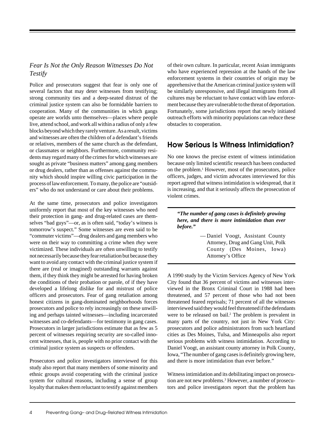#### *Fear Is Not the Only Reason Witnesses Do Not Testify*

Police and prosecutors suggest that fear is only one of several factors that may deter witnesses from testifying; strong community ties and a deep-seated distrust of the criminal justice system can also be formidable barriers to cooperation. Many of the communities in which gangs operate are worlds unto themselves—places where people live, attend school, and work all within a radius of only a few blocks beyond which they rarely venture. As a result, victims and witnesses are often the children of a defendant's friends or relatives, members of the same church as the defendant, or classmates or neighbors. Furthermore, community residents may regard many of the crimes for which witnesses are sought as private "business matters" among gang members or drug dealers, rather than as offenses against the community which should inspire willing civic participation in the process of law enforcement. To many, the police are "outsiders" who do not understand or care about their problems.

At the same time, prosecutors and police investigators uniformly report that most of the key witnesses who need their protection in gang- and drug-related cases are themselves "bad guys"—or, as is often said, "today's witness is tomorrow's suspect." Some witnesses are even said to be "commuter victims"—drug dealers and gang members who were on their way to committing a crime when *they* were victimized. These individuals are often unwilling to testify not necessarily because they fear retaliation but because they want to avoid any contact with the criminal justice system if there are (real or imagined) outstanding warrants against them, if they think they might be arrested for having broken the conditions of their probation or parole, of if they have developed a lifelong dislike for and mistrust of police officers and prosecutors. Fear of gang retaliation among honest citizens in gang-dominated neighborhoods forces prosecutors and police to rely increasingly on these unwilling and perhaps tainted witnesses—including incarcerated witnesses and co-defendants—for testimony in gang cases. Prosecutors in larger jurisdictions estimate that as few as 5 percent of witnesses requiring security are so-called innocent witnesses, that is, people with no prior contact with the criminal justice system as suspects or offenders.

Prosecutors and police investigators interviewed for this study also report that many members of some minority and ethnic groups avoid cooperating with the criminal justice system for cultural reasons, including a sense of group loyalty that makes them reluctant to testify against members of their own culture. In particular, recent Asian immigrants who have experienced repression at the hands of the law enforcement systems in their countries of origin may be apprehensive that the American criminal justice system will be similarly unresponsive, and illegal immigrants from all cultures may be reluctant to have contact with law enforcement because they are vulnerable to the threat of deportation. Fortunately, some jurisdictions report that newly initiated outreach efforts with minority populations can reduce these obstacles to cooperation.

### **How Serious Is Witness Intimidation?**

No one knows the precise extent of witness intimidation because only limited scientific research has been conducted on the problem.1 However, most of the prosecutors, police officers, judges, and victim advocates interviewed for this report agreed that witness intimidation is widespread, that it is increasing, and that it seriously affects the prosecution of violent crimes.

#### *"The number of gang cases is definitely growing here, and there is more intimidation than ever before."*

— Daniel Voogt, Assistant County Attorney, Drug and Gang Unit, Polk County (Des Moines, Iowa) Attorney's Office

A 1990 study by the Victim Services Agency of New York City found that 36 percent of victims and witnesses interviewed in the Bronx Criminal Court in 1988 had been threatened, and 57 percent of those who had not been threatened feared reprisals; 71 percent of all the witnesses interviewed said they would feel threatened if the defendants were to be released on bail.<sup>2</sup> The problem is prevalent in many parts of the country, not just in New York City: prosecutors and police administrators from such heartland cities as Des Moines, Tulsa, and Minneapolis also report serious problems with witness intimidation. According to Daniel Voogt, an assistant county attorney in Polk County, Iowa, "The number of gang cases is definitely growing here, and there is more intimidation than ever before."

Witness intimidation and its debilitating impact on prosecution are not new problems.<sup>3</sup> However, a number of prosecutors and police investigators report that the problem has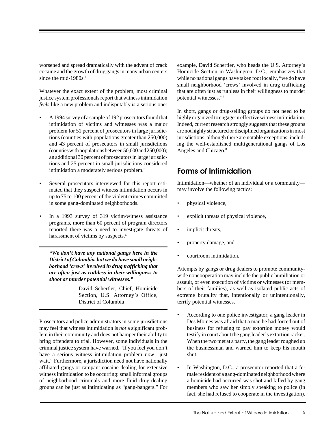worsened and spread dramatically with the advent of crack cocaine and the growth of drug gangs in many urban centers since the mid-1980s.<sup>4</sup>

Whatever the exact extent of the problem, most criminal justice system professionals report that witness intimidation *feels* like a new problem and indisputably *is* a serious one:

- A 1994 survey of a sample of 192 prosecutors found that intimidation of victims and witnesses was a major problem for 51 percent of prosecutors in large jurisdictions (counties with populations greater than 250,000) and 43 percent of prosecutors in small jurisdictions (counties with populations between 50,000 and 250,000); an additional 30 percent of prosecutors in large jurisdictions and 25 percent in small jurisdictions considered intimidation a moderately serious problem.<sup>5</sup>
- Several prosecutors interviewed for this report estimated that they suspect witness intimidation occurs in up to 75 to 100 percent of the violent crimes committed in some gang-dominated neighborhoods.
- In a 1993 survey of 319 victim/witness assistance programs, more than 60 percent of program directors reported there was a need to investigate threats of harassment of victims by suspects.<sup>6</sup>

*"We don't have any national gangs here in the District of Columbia, but we do have small neighborhood 'crews' involved in drug trafficking that are often just as ruthless in their willingness to shoot or murder potential witnesses."*

> — David Schertler, Chief, Homicide Section, U.S. Attorney's Office, District of Columbia

Prosecutors and police administrators in some jurisdictions may feel that witness intimidation is *not* a significant problem in their community and does not hamper their ability to bring offenders to trial. However, some individuals in the criminal justice system have warned, "If you feel you don't have a serious witness intimidation problem *now*—just wait." Furthermore, a jurisdiction need not have nationally affiliated gangs or rampant cocaine dealing for extensive witness intimidation to be occurring: small informal groups of neighborhood criminals and more fluid drug-dealing groups can be just as intimidating as "gang-bangers." For example, David Schertler, who heads the U.S. Attorney's Homicide Section in Washington, D.C., emphasizes that while no national gangs have taken root locally, "we do have small neighborhood 'crews' involved in drug trafficking that are often just as ruthless in their willingness to murder potential witnesses."7

In short, gangs or drug-selling groups do not need to be highly organized to engage in effective witness intimidation. Indeed, current research strongly suggests that these groups are not highly structured or disciplined organizations in most jurisdictions, although there are notable exceptions, including the well-established multigenerational gangs of Los Angeles and Chicago.8

### **Forms of Intimidation**

Intimidation—whether of an individual or a community may involve the following tactics:

- physical violence,
- explicit threats of physical violence,
- implicit threats,
- property damage, and
- courtroom intimidation.

Attempts by gangs or drug dealers to promote communitywide noncooperation may include the public humiliation or assault, or even execution of victims or witnesses (or members of their families), as well as isolated public acts of extreme brutality that, intentionally or unintentionally, terrify potential witnesses.

- According to one police investigator, a gang leader in Des Moines was afraid that a man he had forced out of business for refusing to pay extortion money would testify in court about the gang leader's extortion racket. When the two met at a party, the gang leader roughed up the businessman and warned him to keep his mouth shut.
- In Washington, D.C., a prosecutor reported that a female resident of a gang-dominated neighborhood where a homicide had occurred was shot and killed by gang members who saw her simply speaking to police (in fact, she had refused to cooperate in the investigation).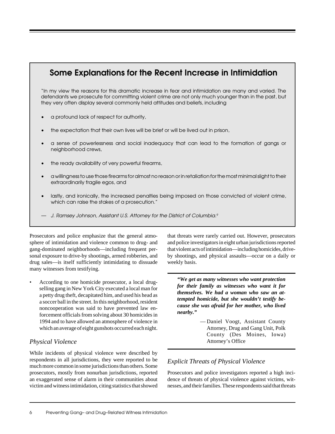## **Some Explanations for the Recent Increase in Intimidation**

"In my view the reasons for this dramatic increase in fear and intimidation are many and varied. The defendants we prosecute for committing violent crime are not only much younger than in the past, but they very often display several commonly held attitudes and beliefs, including

- a profound lack of respect for authority,
- the expectation that their own lives will be brief or will be lived out in prison,
- a sense of powerlessness and social inadequacy that can lead to the formation of gangs or neighborhood crews,
- the ready availability of very powerful firearms,
- a willingness to use those firearms for almost no reason or in retaliation for the most minimal slight to their extraordinarily fragile egos, and
- lastly, and ironically, the increased penalties being imposed on those convicted of violent crime, which can raise the stakes of a prosecution."
- J. Ramsey Johnson, Assistant U.S. Attorney for the District of Columbia.<sup>9</sup>

Prosecutors and police emphasize that the general atmosphere of intimidation and violence common to drug- and gang-dominated neighborhoods—including frequent personal exposure to drive-by shootings, armed robberies, and drug sales—is itself sufficiently intimidating to dissuade many witnesses from testifying.

• According to one homicide prosecutor, a local drugselling gang in New York City executed a local man for a petty drug theft, decapitated him, and used his head as a soccer ball in the street. In this neighborhood, resident noncooperation was said to have prevented law enforcement officials from solving about 30 homicides in 1994 and to have allowed an atmosphere of violence in which an average of eight gunshots occurred each night.

#### *Physical Violence*

While incidents of physical violence were described by respondents in all jurisdictions, they were reported to be much more common in some jurisdictions than others. Some prosecutors, mostly from nonurban jurisdictions, reported an exaggerated sense of alarm in their communities about victim and witness intimidation, citing statistics that showed that threats were rarely carried out. However, prosecutors and police investigators in eight urban jurisdictions reported that violent acts of intimidation—including homicides, driveby shootings, and physical assaults—occur on a daily or weekly basis.

*"We get as many witnesses who want protection for their family as witnesses who want it for themselves. We had a woman who saw an attempted homicide, but she wouldn't testify because she was afraid for her mother, who lived nearby."*

> — Daniel Voogt, Assistant County Attorney, Drug and Gang Unit, Polk County (Des Moines, Iowa) Attorney's Office

#### *Explicit Threats of Physical Violence*

Prosecutors and police investigators reported a high incidence of threats of physical violence against victims, witnesses, and their families. These respondents said that threats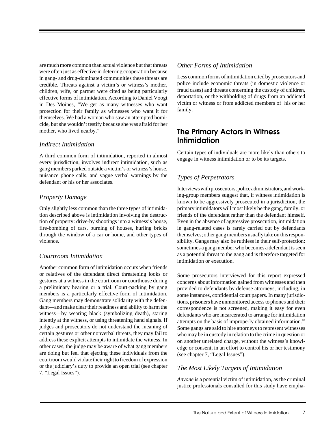are much more common than actual violence but that threats were often just as effective in deterring cooperation because in gang- and drug-dominated communities these threats are credible. Threats against a victim's or witness's mother, children, wife, or partner were cited as being particularly effective forms of intimidation. According to Daniel Voogt in Des Moines, "We get as many witnesses who want protection for their family as witnesses who want it for themselves. We had a woman who saw an attempted homicide, but she wouldn't testify because she was afraid for her mother, who lived nearby."

#### *Indirect Intimidation*

A third common form of intimidation, reported in almost every jurisdiction, involves indirect intimidation, such as gang members parked outside a victim's or witness's house, nuisance phone calls, and vague verbal warnings by the defendant or his or her associates.

#### *Property Damage*

Only slightly less common than the three types of intimidation described above is intimidation involving the destruction of property: drive-by shootings into a witness's house, fire-bombing of cars, burning of houses, hurling bricks through the window of a car or home, and other types of violence.

#### *Courtroom Intimidation*

Another common form of intimidation occurs when friends or relatives of the defendant direct threatening looks or gestures at a witness in the courtroom or courthouse during a preliminary hearing or a trial. Court-packing by gang members is a particularly effective form of intimidation. Gang members may demonstrate solidarity with the defendant—and make clear their readiness and ability to harm the witness—by wearing black (symbolizing death), staring intently at the witness, or using threatening hand signals. If judges and prosecutors do not understand the meaning of certain gestures or other nonverbal threats, they may fail to address these explicit attempts to intimidate the witness. In other cases, the judge may be aware of what gang members are doing but feel that ejecting these individuals from the courtroom would violate their right to freedom of expression or the judiciary's duty to provide an open trial (see chapter 7, "Legal Issues").

#### *Other Forms of Intimidation*

Less common forms of intimidation cited by prosecutors and police include economic threats (in domestic violence or fraud cases) and threats concerning the custody of children, deportation, or the withholding of drugs from an addicted victim or witness or from addicted members of his or her family.

### **The Primary Actors in Witness Intimidation**

Certain types of individuals are more likely than others to engage in witness intimidation or to be its targets.

#### *Types of Perpetrators*

Interviews with prosecutors, police administrators, and working-group members suggest that, if witness intimidation is known to be aggressively prosecuted in a jurisdiction, the primary intimidators will most likely be the gang, family, or friends of the defendant rather than the defendant himself. Even in the absence of aggressive prosecution, intimidation in gang-related cases is rarely carried out by defendants themselves; other gang members usually take on this responsibility. Gangs may also be ruthless in their self-protection: sometimes a gang member who becomes a defendant is seen as a potential threat to the gang and is therefore targeted for intimidation or execution.

Some prosecutors interviewed for this report expressed concerns about information gained from witnesses and then provided to defendants by defense attorneys, including, in some instances, confidential court papers. In many jurisdictions, prisoners have unmonitored access to phones and their correspondence is not screened, making it easy for even defendants who are incarcerated to arrange for intimidation attempts on the basis of improperly obtained information.10 Some gangs are said to hire attorneys to represent witnesses who may be in custody in relation to the crime in question or on another unrelated charge, without the witness's knowledge or consent, in an effort to control his or her testimony (see chapter 7, "Legal Issues").

#### *The Most Likely Targets of Intimidation*

*Anyone* is a potential victim of intimidation, as the criminal justice professionals consulted for this study have empha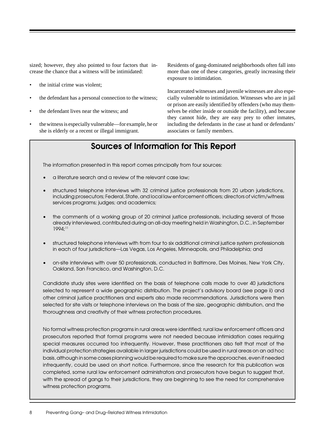sized; however, they also pointed to four factors that increase the chance that a witness will be intimidated:

- the initial crime was violent;
- the defendant has a personal connection to the witness;
- the defendant lives near the witness; and
- the witness is especially vulnerable—for example, he or she is elderly or a recent or illegal immigrant.

Residents of gang-dominated neighborhoods often fall into more than one of these categories, greatly increasing their exposure to intimidation.

Incarcerated witnesses and juvenile witnesses are also especially vulnerable to intimidation. Witnesses who are in jail or prison are easily identified by offenders (who may themselves be either inside or outside the facility), and because they cannot hide, they are easy prey to other inmates, including the defendants in the case at hand or defendants' associates or family members.

## **Sources of Information for This Report**

The information presented in this report comes principally from four sources:

- a literature search and a review of the relevant case law;
- structured telephone interviews with 32 criminal justice professionals from 20 urban jurisdictions, including prosecutors; Federal, State, and local law enforcement officers; directors of victim/witness services programs; judges; and academics;
- the comments of a working group of 20 criminal justice professionals, including several of those already interviewed, contributed during an all-day meeting held in Washington, D.C., in September 1994;11
- structured telephone interviews with from four to six additional criminal justice system professionals in each of four jurisdictions—Las Vegas, Los Angeles, Minneapolis, and Philadelphia; and
- on-site interviews with over 50 professionals, conducted in Baltimore, Des Moines, New York City, Oakland, San Francisco, and Washington, D.C.

Candidate study sites were identified on the basis of telephone calls made to over 40 jurisdictions selected to represent a wide geographic distribution. The project's advisory board (see page ii) and other criminal justice practitioners and experts also made recommendations. Jurisdictions were then selected for site visits or telephone interviews on the basis of the size, geographic distribution, and the thoroughness and creativity of their witness protection procedures.

No formal witness protection programs in rural areas were identified; rural law enforcement officers and prosecutors reported that formal programs were not needed because intimidation cases requiring special measures occurred too infrequently. However, these practitioners also felt that most of the individual protection strategies available in larger jurisdictions could be used in rural areas on an ad hoc basis, although in some cases planning would be required to make sure the approaches, even if needed infrequently, could be used on short notice. Furthermore, since the research for this publication was completed, some rural law enforcement administrators and prosecutors have begun to suggest that, with the spread of gangs to their jurisdictions, they are beginning to see the need for comprehensive witness protection programs.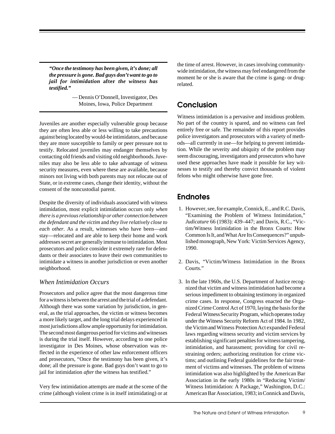*"Once the testimony has been given, it's done; all the pressure is gone. Bad guys don't want to go to jail for intimidation* **after** *the witness has testified."*

> — Dennis O'Donnell, Investigator, Des Moines, Iowa, Police Department

Juveniles are another especially vulnerable group because they are often less able or less willing to take precautions against being located by would-be intimidators, and because they are more susceptible to family or peer pressure not to testify. Relocated juveniles may endanger themselves by contacting old friends and visiting old neighborhoods. Juveniles may also be less able to take advantage of witness security measures, even where these are available, because minors not living with both parents may not relocate out of State, or in extreme cases, change their identity, without the consent of the noncustodial parent.

Despite the diversity of individuals associated with witness intimidation, most explicit intimidation occurs only *when there is a previous relationship or other connection between the defendant and the victim* and *they live relatively close to each other*. As a result, witnesses who have been—and stay—relocated and are able to keep their home and work addresses secret are generally immune to intimidation. Most prosecutors and police consider it extremely rare for defendants or their associates to leave their own communities to intimidate a witness in another jurisdiction or even another neighborhood.

#### *When Intimidation Occurs*

Prosecutors and police agree that the most dangerous time for a witness is between the arrest and the trial of a defendant. Although there was some variation by jurisdiction, in general, as the trial approaches, the victim or witness becomes a more likely target, and the long trial delays experienced in most jurisdictions allow ample opportunity for intimidation. The second most dangerous period for victims and witnesses is during the trial itself. However, according to one police investigator in Des Moines, whose observation was reflected in the experience of other law enforcement officers and prosecutors, "Once the testimony has been given, it's done; all the pressure is gone. Bad guys don't want to go to jail for intimidation *after* the witness has testified."

Very few intimidation attempts are made at the scene of the crime (although violent crime is in itself intimidating) or at the time of arrest. However, in cases involving communitywide intimidation, the witness may feel endangered from the moment he or she is aware that the crime is gang- or drugrelated.

## **Conclusion**

Witness intimidation is a pervasive and insidious problem. No part of the country is spared, and no witness can feel entirely free or safe. The remainder of this report provides police investigators and prosecutors with a variety of methods—all currently in use—for helping to prevent intimidation. While the severity and ubiquity of the problem may seem discouraging, investigators and prosecutors who have used these approaches have made it possible for key witnesses to testify and thereby convict thousands of violent felons who might otherwise have gone free.

## **Endnotes**

- 1. However, see, for example, Connick, E., and R.C. Davis, "Examining the Problem of Witness Intimidation," *Judicature* 66 (1983): 439–447; and Davis, R.C., "Victim/Witness Intimidation in the Bronx Courts: How Common Is It, and What Are Its Consequences?" unpublished monograph, New York: Victim Services Agency, 1990.
- 2. Davis, "Victim/Witness Intimidation in the Bronx Courts."
- 3. In the late 1960s, the U.S. Department of Justice recognized that victim and witness intimidation had become a serious impediment to obtaining testimony in organized crime cases. In response, Congress enacted the Organized Crime Control Act of 1970, laying the basis for the Federal Witness Security Program, which operates today under the Witness Security Reform Act of 1984. In 1982, the Victim and Witness Protection Act expanded Federal laws regarding witness security and victim services by establishing significant penalties for witness tampering, intimidation, and harassment; providing for civil restraining orders; authorizing restitution for crime victims; and outlining Federal guidelines for the fair treatment of victims and witnesses. The problem of witness intimidation was also highlighted by the American Bar Association in the early 1980s in "Reducing Victim/ Witness Intimidation: A Package," Washington, D.C.: American Bar Association, 1983; in Connick and Davis,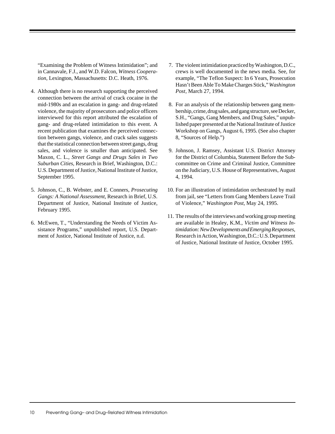"Examining the Problem of Witness Intimidation"; and in Cannavale, F.J., and W.D. Falcon, *Witness Cooperation*, Lexington, Massachusetts: D.C. Heath, 1976.

- 4. Although there is no research supporting the perceived connection between the arrival of crack cocaine in the mid-1980s and an escalation in gang- and drug-related violence, the majority of prosecutors and police officers interviewed for this report attributed the escalation of gang- and drug-related intimidation to this event. A recent publication that examines the perceived connection between gangs, violence, and crack sales suggests that the statistical connection between street gangs, drug sales, and violence is smaller than anticipated. See Maxon, C. L., *Street Gangs and Drugs Sales in Two Suburban Cities*, Research in Brief, Washington, D.C.: U.S. Department of Justice, National Institute of Justice, September 1995.
- 5. Johnson, C., B. Webster, and E. Conners, *Prosecuting Gangs: A National Assessment*, Research in Brief, U.S. Department of Justice, National Institute of Justice, February 1995.
- 6. McEwen, T., "Understanding the Needs of Victim Assistance Programs," unpublished report, U.S. Department of Justice, National Institute of Justice, n.d.
- 7. The violent intimidation practiced by Washington, D.C., crews is well documented in the news media. See, for example, "The Teflon Suspect: In 6 Years, Prosecution Hasn't Been Able To Make Charges Stick," *Washington Post*, March 27, 1994.
- 8. For an analysis of the relationship between gang membership, crime, drug sales, and gang structure, see Decker, S.H., "Gangs, Gang Members, and Drug Sales," unpublished paper presented at the National Institute of Justice Workshop on Gangs, August 6, 1995. (See also chapter 8, "Sources of Help.")
- 9. Johnson, J. Ramsey, Assistant U.S. District Attorney for the District of Columbia, Statement Before the Subcommittee on Crime and Criminal Justice, Committee on the Judiciary, U.S. House of Representatives, August 4, 1994.
- 10. For an illustration of intimidation orchestrated by mail from jail, see "Letters from Gang Members Leave Trail of Violence," *Washington Post*, May 24, 1995.
- 11. The results of the interviews and working group meeting are available in Healey, K.M., *Victim and Witness Intimidation:New Developments and Emerging Responses*, Research in Action, Washington, D.C.: U.S. Department of Justice, National Institute of Justice, October 1995.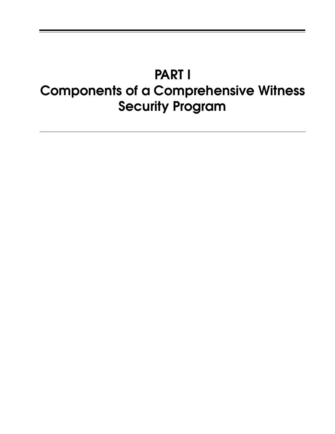## **PART I Components of a Comprehensive Witness Security Program**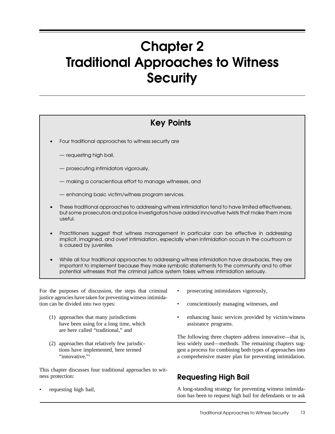## **Chapter 2 Traditional Approaches to Witness Security**

## **Key Points** • Four traditional approaches to witness security are — requesting high bail, — prosecuting intimidators vigorously, — making a conscientious effort to manage witnesses, and — enhancing basic victim/witness program services. • These traditional approaches to addressing witness intimidation tend to have limited effectiveness, but some prosecutors and police investigators have added innovative twists that make them more useful. • Practitioners suggest that witness management in particular can be effective in addressing implicit, imagined, and overt intimidation, especially when intimidation occurs in the courtroom or is caused by juveniles. • While all four traditional approaches to addressing witness intimidation have drawbacks, they are important to implement because they make symbolic statements to the community and to other potential witnesses that the criminal justice system takes witness intimidation seriously.

For the purposes of discussion, the steps that criminal justice agencies have taken for preventing witness intimidation can be divided into two types:

- (1) approaches that many jurisdictions have been using for a long time, which are here called "traditional," and
- (2) approaches that relatively few jurisdictions have implemented, here termed "innovative."<sup>1</sup>

This chapter discusses four traditional approaches to witness protection:

• requesting high bail,

- prosecuting intimidators vigorously,
- conscientiously managing witnesses, and
- enhancing basic services provided by victim/witness assistance programs.

The following three chapters address innovative—that is, less widely used—methods. The remaining chapters suggest a process for combining both types of approaches into a comprehensive master plan for preventing intimidation.

## **Requesting High Bail**

A long-standing strategy for preventing witness intimidation has been to request high bail for defendants or to ask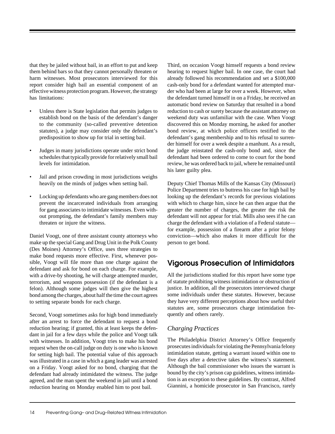that they be jailed without bail, in an effort to put and keep them behind bars so that they cannot personally threaten or harm witnesses. Most prosecutors interviewed for this report consider high bail an essential component of an effective witness protection program. However, the strategy has limitations:

- Unless there is State legislation that permits judges to establish bond on the basis of the defendant's danger to the community (so-called preventive detention statutes), a judge may consider only the defendant's predisposition to show up for trial in setting bail.
- Judges in many jurisdictions operate under strict bond schedules that typically provide for relatively small bail levels for intimidation.
- Jail and prison crowding in most jurisdictions weighs heavily on the minds of judges when setting bail.
- Locking up defendants who are gang members does not prevent the incarcerated individuals from arranging for gang associates to intimidate witnesses. Even without prompting, the defendant's family members may threaten or injure the witness.

Daniel Voogt, one of three assistant county attorneys who make up the special Gang and Drug Unit in the Polk County (Des Moines) Attorney's Office, uses three strategies to make bond requests more effective. First, whenever possible, Voogt will file more than one charge against the defendant and ask for bond on each charge. For example, with a drive-by shooting, he will charge attempted murder, terrorism, and weapons possession (if the defendant is a felon). Although some judges will then give the highest bond among the charges, about half the time the court agrees to setting separate bonds for each charge.

Second, Voogt sometimes asks for high bond immediately after an arrest to force the defendant to request a bond reduction hearing; if granted, this at least keeps the defendant in jail for a few days while the police and Voogt talk with witnesses. In addition, Voogt tries to make his bond request when the on-call judge on duty is one who is known for setting high bail. The potential value of this approach was illustrated in a case in which a gang leader was arrested on a Friday. Voogt asked for no bond, charging that the defendant had already intimidated the witness. The judge agreed, and the man spent the weekend in jail until a bond reduction hearing on Monday enabled him to post bail.

Third, on occasion Voogt himself requests a bond review hearing to request higher bail. In one case, the court had already followed his recommendation and set a \$100,000 cash-only bond for a defendant wanted for attempted murder who had been at large for over a week. However, when the defendant turned himself in on a Friday, he received an automatic bond review on Saturday that resulted in a bond reduction to cash or surety because the assistant attorney on weekend duty was unfamiliar with the case. When Voogt discovered this on Monday morning, he asked for another bond review, at which police officers testified to the defendant's gang membership and to his refusal to surrender himself for over a week despite a manhunt. As a result, the judge reinstated the cash-only bond and, since the defendant had been ordered to come to court for the bond review, he was ordered back to jail, where he remained until his later guilty plea.

Deputy Chief Thomas Mills of the Kansas City (Missouri) Police Department tries to buttress his case for high bail by looking up the defendant's records for previous violations with which to charge him, since he can then argue that the greater the number of charges, the greater the risk the defendant will not appear for trial. Mills also sees if he can charge the defendant with a violation of a Federal statute for example, possession of a firearm after a prior felony conviction—which also makes it more difficult for the person to get bond.

### **Vigorous Prosecution of Intimidators**

All the jurisdictions studied for this report have some type of statute prohibiting witness intimidation or obstruction of justice. In addition, all the prosecutors interviewed charge some individuals under these statutes. However, because they have very different perceptions about how useful their statutes are, some prosecutors charge intimidation frequently and others rarely.

#### *Charging Practices*

The Philadelphia District Attorney's Office frequently prosecutes individuals for violating the Pennsylvania felony intimidation statute, getting a warrant issued within one to five days after a detective takes the witness's statement. Although the bail commissioner who issues the warrant is bound by the city's prison cap guidelines, witness intimidation is an exception to these guidelines. By contrast, Alfred Giannini, a homicide prosecutor in San Francisco, rarely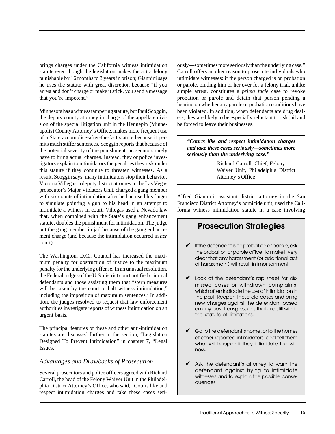brings charges under the California witness intimidation statute even though the legislation makes the act a felony punishable by 16 months to 3 years in prison; Giannini says he uses the statute with great discretion because "if you arrest and don't charge or make it stick, you send a message that you're impotent."

Minnesota has a witness tampering statute, but Paul Scoggin, the deputy county attorney in charge of the appellate division of the special litigation unit in the Hennepin (Minneapolis) County Attorney's Office, makes more frequent use of a State accomplice-after-the-fact statute because it permits much stiffer sentences. Scoggin reports that because of the potential severity of the punishment, prosecutors rarely have to bring actual charges. Instead, they or police investigators explain to intimidators the penalties they risk under this statute if they continue to threaten witnesses. As a result, Scoggin says, many intimidators stop their behavior. Victoria Villegas, a deputy district attorney in the Las Vegas prosecutor's Major Violators Unit, charged a gang member with six counts of intimidation after he had used his finger to simulate pointing a gun to his head in an attempt to intimidate a witness in court. Villegas used a Nevada law that, when combined with the State's gang enhancement statute, doubles the punishment for intimidation. The judge put the gang member in jail because of the gang enhancement charge (and because the intimidation occurred in *her* court).

The Washington, D.C., Council has increased the maximum penalty for obstruction of justice to the maximum penalty for the underlying offense. In an unusual resolution, the Federal judges of the U.S. district court notified criminal defendants and those assisting them that "stern measures will be taken by the court to halt witness intimidation," including the imposition of maximum sentences.<sup>2</sup> In addition, the judges resolved to request that law enforcement authorities investigate reports of witness intimidation on an urgent basis.

The principal features of these and other anti-intimidation statutes are discussed further in the section, "Legislation Designed To Prevent Intimidation" in chapter 7, "Legal Issues."

#### *Advantages and Drawbacks of Prosecution*

Several prosecutors and police officers agreed with Richard Carroll, the head of the Felony Waiver Unit in the Philadelphia District Attorney's Office, who said, "Courts like and respect intimidation charges and take these cases seriously—sometimes more seriously than the underlying case." Carroll offers another reason to prosecute individuals who intimidate witnesses: if the person charged is on probation or parole, binding him or her over for a felony trial, unlike simple arrest, constitutes a *prima facie* case to revoke probation or parole and detain that person pending a hearing on whether any parole or probation conditions have been violated. In addition, when defendants are drug dealers, they are likely to be especially reluctant to risk jail and be forced to leave their businesses.

*"Courts like and respect intimidation charges and take these cases seriously—sometimes more seriously than the underlying case."*

> — Richard Carroll, Chief, Felony Waiver Unit, Philadelphia District Attorney's Office

Alfred Giannini, assistant district attorney in the San Francisco District Attorney's homicide unit, used the California witness intimidation statute in a case involving

## **Prosecution Strategies**

- $\blacktriangleright$  If the defendant is on probation or parole, ask the probation or parole officer to make it very clear that any harassment (or additional act of harassment) will result in imprisonment.
- ✔ Look at the defendant's rap sheet for dismissed cases or withdrawn complaints, which often indicate the use of intimidation in the past. Reopen these old cases and bring new charges against the defendant based on any past transgressions that are still within the statute of limitations.
- $\checkmark$  Go to the defendant's home, or to the homes of other reported intimidators, and tell them what will happen if they intimidate the witness.
- $\blacktriangleright$  Ask the defendant's attorney to warn the defendant against trying to intimidate witnesses and to explain the possible consequences.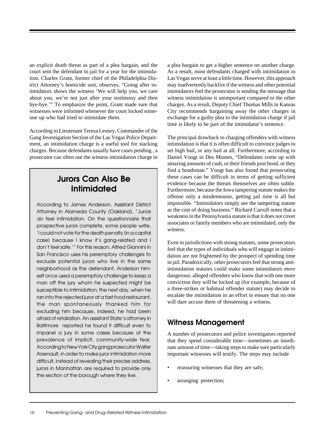an explicit death threat as part of a plea bargain, and the court sent the defendant to jail for a year for the intimidation. Charles Grant, former chief of the Philadelphia District Attorney's homicide unit, observes, "Going after intimidators shows the witness 'We will help you, we care about you, we're not just after your testimony and then bye-bye.'" To emphasize the point, Grant made sure that witnesses were informed whenever the court locked someone up who had tried to intimidate them.

According to Lieutenant Teresa Lesney, Commander of the Gang Investigation Section of the Las Vegas Police Department, an intimidation charge is a useful tool for stacking charges. Because defendants usually have cases pending , a prosecutor can often use the witness intimidation charge in

## **Jurors Can Also Be Intimidated**

According to James Anderson, Assistant District Attorney in Alameda County (Oakland), "Jurors do feel intimidation. On the questionnaire that prospective jurors complete, some people write, 'I could not vote for the death penalty [in a capital case] because I know it's gang-related and I don't feel safe.'" For this reason, Alfred Giannini in San Francisco uses his peremptory challenges to exclude potential jurors who live in the same neighborhood as the defendant. Anderson himself once used a peremptory challenge to keep a man off the jury whom he suspected might be susceptible to intimidation; the next day, when he ran into the rejected juror at a fast food restaurant, the man spontaneously thanked him for excluding him because, indeed, he had been afraid of retaliation. An assistant State's attorney in Baltimore reported he found it difficult even to impanel a jury in some cases because of the prevalence of implicit, community-wide fear. According to New York City gang prosecutor Walter Arsenault, in order to make juror intimidation more difficult, instead of revealing their precise address, jurors in Manhattan are required to provide only the section of the borough where they live.

a plea bargain to get a higher sentence on another charge. As a result, most defendants charged with intimidation in Las Vegas serve at least a little time. However, this approach may inadvertently backfire if the witness and other potential intimidators feel the prosecutor is sending the message that witness intimidation is unimportant compared to the other charges. As a result, Deputy Chief Thomas Mills in Kansas City recommends bargaining away the other charges in exchange for a guilty plea to the intimidation charge if jail time is likely to be part of the intimidator's sentence.

The principal drawback to charging offenders with witness intimidation is that it is often difficult to convince judges to set high bail, or any bail at all. Furthermore, according to Daniel Voogt in Des Moines, "Defendants come up with amazing amounts of cash, or their friends post bond, or they find a bondsman." Voogt has also found that prosecuting these cases can be difficult in terms of getting sufficient evidence because the threats themselves are often subtle. Furthermore, because the Iowa tampering statute makes the offense only a misdemeanor, getting jail time is all but impossible. "Intimidators simply see the tampering statute as the cost of doing business." Richard Carroll notes that a weakness in the Pennsylvania statute is that it does not cover associates or family members who are intimidated, only the witness.

Even in jurisdictions with strong statutes, some prosecutors feel that the types of individuals who will engage in intimidation are not frightened by the prospect of spending time in jail. Paradoxically, other prosecutors feel that strong antiintimidation statutes could make some intimidators *more* dangerous: alleged offenders who know that with one more conviction they will be locked up (for example, because of a three-strikes or habitual offender statute) may decide to escalate the intimidation in an effort to ensure that no one will dare accuse them of threatening a witness.

### **Witness Management**

A number of prosecutors and police investigators reported that they spend considerable time—sometimes an inordinate amount of time—taking steps to make sure particularly important witnesses will testify. The steps may include

- reassuring witnesses that they are safe;
- arranging protection;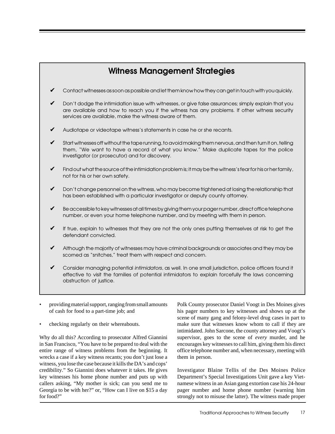## **Witness Management Strategies**

- Contact witnesses as soon as possible and let them know how they can get in touch with you quickly.
- Don't dodge the intimidation issue with witnesses, or give false assurances; simply explain that you are available and how to reach you if the witness has any problems. If other witness security services are available, make the witness aware of them.
- ✔ Audiotape or videotape witness's statements in case he or she recants.
- $\checkmark$  Start witnesses off without the tape running, to avoid making them nervous, and then turn it on, telling them, "We want to have a record of what you know." Make duplicate tapes for the police investigator (or prosecutor) and for discovery.
- Find out what the source of the intimidation problem is; it may be the witness's fear for his or her family, not for his or her own safety.
- $\blacktriangleright$  Don't change personnel on the witness, who may become frightened at losing the relationship that has been established with a particular investigator or deputy county attorney.
- Be accessible to key witnesses at all times by giving them your pager number, direct office telephone number, or even your home telephone number, and by meeting with them in person.
- $\blacktriangleright$  If true, explain to witnesses that they are not the only ones putting themselves at risk to get the defendant convicted.
- $\blacktriangleright$  Although the majority of witnesses may have criminal backgrounds or associates and they may be scorned as "snitches," treat them with respect and concern.
- ✔ Consider managing potential intimidators, as well. In one small jurisdiction, police officers found it effective to visit the families of potential intimidators to explain forcefully the laws concerning obstruction of justice.
- providing material support, ranging from small amounts of cash for food to a part-time job; and
- checking regularly on their whereabouts.

Why do all this? According to prosecutor Alfred Giannini in San Francisco, "You have to be prepared to deal with the entire range of witness problems from the beginning. It wrecks a case if a key witness recants; you don't just lose a witness, you lose the case because it kills the DA's and cops' credibility." So Giannini does whatever it takes. He gives key witnesses his home phone number and puts up with callers asking, "My mother is sick; can you send me to Georgia to be with her?" or, "How can I live on \$15 a day for food?"

Polk County prosecutor Daniel Voogt in Des Moines gives his pager numbers to key witnesses and shows up at the scene of many gang and felony-level drug cases in part to make sure that witnesses know whom to call if they are intimidated. John Sarcone, the county attorney and Voogt's supervisor, goes to the scene of *every* murder, and he encourages key witnesses to call him, giving them his direct office telephone number and, when necessary, meeting with them in person.

Investigator Blaine Tellis of the Des Moines Police Department's Special Investigations Unit gave a key Vietnamese witness in an Asian gang extortion case his 24-hour pager number and home phone number (warning him strongly not to misuse the latter). The witness made proper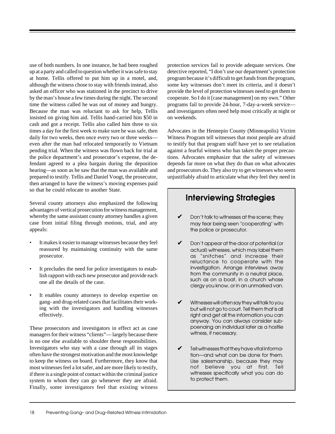use of both numbers. In one instance, he had been roughed up at a party and called to question whether it was safe to stay at home. Tellis offered to put him up in a motel, and, although the witness chose to stay with friends instead, also asked an officer who was stationed in the precinct to drive by the man's house a few times during the night. The second time the witness called he was out of money and hungry. Because the man was reluctant to ask for help, Tellis insisted on giving him aid. Tellis hand-carried him \$50 in cash and got a receipt. Tellis also called him three to six times a day for the first week to make sure he was safe, then daily for two weeks, then once every two or three weeks even after the man had relocated temporarily to Vietnam pending trial. When the witness was flown back for trial at the police department's and prosecutor's expense, the defendant agreed to a plea bargain during the deposition hearing—as soon as he saw that the man was available and prepared to testify. Tellis and Daniel Voogt, the prosecutor, then arranged to have the witness's moving expenses paid so that he could relocate to another State.

Several county attorneys also emphasized the following advantages of vertical prosecution for witness management, whereby the same assistant county attorney handles a given case from initial filing through motions, trial, and any appeals:

- It makes it easier to manage witnesses because they feel reassured by maintaining continuity with the same prosecutor.
- It precludes the need for police investigators to establish rapport with each new prosecutor and provide each one all the details of the case.
- It enables county attorneys to develop expertise on gang- and drug-related cases that facilitates their working with the investigators and handling witnesses effectively.

These prosecutors and investigators in effect act as case managers for their witness "clients"— largely because there is no one else available to shoulder these responsibilities. Investigators who stay with a case through all its stages often have the strongest motivation and the most knowledge to keep the witness on board. Furthermore, they know that most witnesses feel a lot safer, and are more likely to testify, if there is a single point of contact within the criminal justice system to whom they can go whenever they are afraid. Finally, some investigators feel that existing witness protection services fail to provide adequate services. One detective reported, "I don't use our department's protection program because it's difficult to get funds from the program, some key witnesses don't meet its criteria, and it doesn't provide the level of protection witnesses need to get them to cooperate. So I do it [case management] on my own." Other programs fail to provide 24-hour, 7-day-a-week service and investigators often need help most critically at night or on weekends.

Advocates in the Hennepin County (Minneapolis) Victim Witness Program tell witnesses that most people are afraid to testify but that program staff have yet to see retaliation against a fearful witness who has taken the proper precautions. Advocates emphasize that the safety of witnesses depends far more on what they do than on what advocates and prosecutors do. They also try to get witnesses who seem unjustifiably afraid to articulate what *they* feel they need in

## **Interviewing Strategies**

- Don't talk to witnesses at the scene; they may fear being seen "cooperating" with the police or prosecutor.
- ✔ Don't appear at the door of potential (or actual) witnesses, which may label them as "snitches" and increase their reluctance to cooperate with the investigation. Arrange interviews away from the community in a neutral place, such as on a boat, in a church whose clergy you know, or in an unmarked van.
- Witnesses will often say they will talk to you but will not go to court. Tell them that is all right and get all the information you can anyway. You can always consider subpoenaing an individual later as a hostile witness, if necessary.
- Tell witnesses that they have vital information—and what can be done for them. Use salesmanship, because they may not believe you at first. Tell witnesses specifically what you can do to protect them.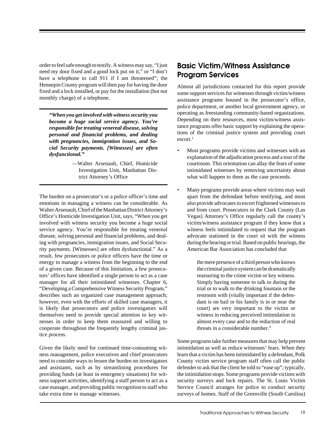order to feel safe enough to testify. A witness may say, "I just need my door fixed and a good lock put on it," or "I don't have a telephone to call 911 if I am threatened"; the Hennepin County program will then pay for having the door fixed and a lock installed, or pay for the installation (but not monthly charge) of a telephone.

*"When you get involved with witness security you become a huge social service agency. You're responsible for treating venereal disease, solving personal and financial problems, and dealing with pregnancies, immigration issues, and Social Security payments. [Witnesses] are often dysfunctional."*

> —Walter Arsenault, Chief, Homicide Investigation Unit, Manhattan District Attorney's Office

The burden on a prosecutor's or a police officer's time and emotions in managing a witness can be considerable. As Walter Arsenault, Chief of the Manhattan District Attorney's Office's Homicide Investigation Unit, says, "When you get involved with witness security you become a huge social service agency. You're responsible for treating venereal disease, solving personal and financial problems, and dealing with pregnancies, immigration issues, and Social Security payments. [Witnesses] are often dysfunctional." As a result, few prosecutors or police officers have the time or energy to manage a witness from the beginning to the end of a given case. Because of this limitation, a few prosecutors' offices have identified a single person to act as a case manager for all their intimidated witnesses. Chapter 6, "Developing a Comprehensive Witness Security Program," describes such an organized case management approach; however, even with the efforts of skilled case managers, it is likely that prosecutors and police investigators will themselves need to provide special attention to key witnesses in order to keep them reassured and willing to cooperate throughout the frequently lengthy criminal justice process.

Given the likely need for continued time-consuming witness management, police executives and chief prosecutors need to consider ways to lessen the burden on investigators and assistants, such as by streamlining procedures for providing funds (at least in emergency situations) for witness support activities, identifying a staff person to act as a case manager, and providing public recognition to staff who take extra time to manage witnesses.

## **Basic Victim/Witness Assistance Program Services**

Almost all jurisdictions contacted for this report provide some support services for witnesses through victim/witness assistance programs housed in the prosecutor's office, police department, or another local government agency, or operating as freestanding community-based organizations. Depending on their resources, most victim/witness assistance programs offer basic support by explaining the operations of the criminal justice system and providing court escort.3

- Most programs provide victims and witnesses with an explanation of the adjudication process and a tour of the courtroom. This orientation can allay the fears of some intimidated witnesses by removing uncertainty about what will happen to them as the case proceeds.
- Many programs provide areas where victims may wait apart from the defendant before testifying, and most also provide advocates to escort frightened witnesses to and from court. Prosecutors in the Clark County (Las Vegas) Attorney's Office regularly call the county's victim/witness assistance program if they know that a witness feels intimidated to request that the program advocate stationed in the court sit with the witness during the hearing or trial. Based on public hearings, the American Bar Association has concluded that

the mere presence of a third person who knows the criminal justice system can be dramatically reassuring to the crime victim or key witness. Simply having someone to talk to during the trial or to walk to the drinking fountain or the restroom with (vitally important if the defendant is on bail or his family is in or near the court) are very important to the victim or witness in reducing perceived intimidation in almost every case and to the reduction of real threats in a considerable number.<sup>4</sup>

Some programs take further measures that may help prevent intimidation as well as reduce witnesses' fears. When they learn that a victim has been intimidated by a defendant, Polk County victim service program staff often call the public defender to ask that the client be told to "ease up"; typically, the intimidation stops. Some programs provide victims with security surveys and lock repairs. The St. Louis Victim Service Council arranges for police to conduct security surveys of homes. Staff of the Greenville (South Carolina)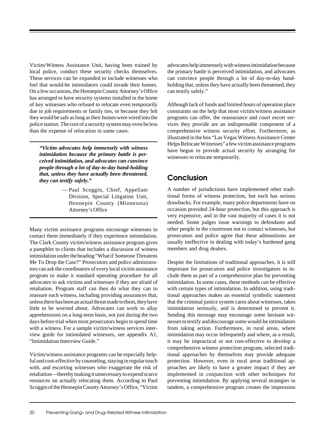Victim/Witness Assistance Unit, having been trained by local police, conduct these security checks themselves. These services can be expanded to include witnesses who feel that would-be intimidators could invade their homes. On a few occasions, the Hennepin County Attorney's Office has arranged to have security systems installed in the home of key witnesses who refused to relocate even temporarily due to job requirements or family ties, or because they felt they would be safe as long as their homes were wired into the police station. The cost of a security system may even be less than the expense of relocation in some cases.

*"Victim advocates help immensely with witness intimidation because the primary battle is perceived intimidation, and advocates can convince people through a lot of day-to-day hand-holding that, unless they have actually been threatened, they can testify safely."*

> — Paul Scoggin, Chief, Appellate Division, Special Litigation Unit, Hennepin County (Minnesota) Attorney's Office

Many victim assistance programs encourage witnesses to contact them immediately if they experience intimidation. The Clark County victim/witness assistance program gives a pamphlet to clients that includes a discussion of witness intimidation under the heading "What if Someone Threatens Me To Drop the Case?" Prosecutors and police administrators can ask the coordinators of every local victim assistance program to make it standard operating procedure for all advocates to ask victims and witnesses if they are afraid of retaliation. Program staff can then do what they can to reassure each witness, including providing assurances that, unless there has been an actual threat made to them, they have little to be worried about. Advocates can work to allay apprehensions on a long-term basis, not just during the two days before trial when most prosecutors begin to spend time with a witness. For a sample victim/witness services interview guide for intimidated witnesses, see appendix A1, "Intimidation Interview Guide."

Victim/witness assistance programs can be especially helpful and cost-effective by counseling, staying in regular touch with, and escorting witnesses who exaggerate the risk of retaliation—thereby making it unnecessary to expend scarce resources on actually relocating them. According to Paul Scoggin of the Hennepin County Attorney's Office, "Victim advocates help immensely with witness intimidation because the primary battle is perceived intimidation, and advocates can convince people through a lot of day-to-day handholding that, unless they have actually been threatened, they can testify safely."

Although lack of funds and limited hours of operation place constraints on the help that most victim/witness assistance programs can offer, the reassurance and court escort services they provide are an indispensable component of a comprehensive witness security effort. Furthermore, as illustrated in the box "Las Vegas Witness Assistance Center Helps Relocate Witnesses" a few victim assistance programs have begun to provide actual security by arranging for witnesses to relocate temporarily.

### **Conclusion**

A number of jurisdictions have implemented other traditional forms of witness protection, but each has serious drawbacks. For example, many police departments have on occasion provided 24-hour protection, but this approach is very expensive, and in the vast majority of cases it is not needed. Some judges issue warnings to defendants and other people in the courtroom not to contact witnesses, but prosecutors and police agree that these admonitions are usually ineffective in dealing with today's hardened gang members and drug dealers.

Despite the limitations of traditional approaches, it is still important for prosecutors and police investigators to include them as part of a comprehensive plan for preventing intimidation. In some cases, these methods *can* be effective with certain types of intimidation. In addition, using traditional approaches makes an essential symbolic statement that the criminal justice system cares about witnesses, takes intimidation seriously, and is determined to prevent it. Sending this message may encourage some hesitant witnesses to testify and discourage some would-be intimidators from taking action. Furthermore, in rural areas, where intimidation may occur infrequently and where, as a result, it may be impractical or not cost-effective to develop a comprehensive witness protection program, selected traditional approaches by themselves may provide adequate protection. However, even in rural areas traditional approaches are likely to have a greater impact if they are implemented in conjunction with other techniques for preventing intimidation. By applying several strategies in tandem, a comprehensive program creates the impression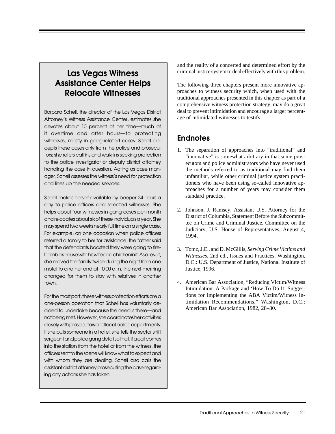## **Las Vegas Witness Assistance Center Helps Relocate Witnesses**

Barbara Schell, the director of the Las Vegas District Attorney's Witness Assistance Center, estimates she devotes about 10 percent of her time—much of it overtime and after hours—to protecting witnesses, mostly in gang-related cases. Schell accepts these cases only from the police and prosecutors; she refers call-ins and walk-ins seeking protection to the police investigator or deputy district attorney handling the case in question. Acting as case manager, Schell assesses the witness's need for protection and lines up the needed services.

Schell makes herself available by beeper 24 hours a day to police officers and selected witnesses. She helps about four witnesses in gang cases per month and relocates about six of these individuals a year. She may spend two weeks nearly full time on a single case. For example, on one occasion when police officers referred a family to her for assistance, the father said that the defendants boasted they were going to firebomb his house with his wife and children in it. As a result, she moved the family twice during the night from one motel to another and at 10:00 a.m. the next morning arranged for them to stay with relatives in another town.

For the most part, these witness protection efforts are a one-person operation that Schell has voluntarily decided to undertake because the need is there—and not being met. However, she coordinates her activities closely with prosecutors and local police departments. If she puts someone in a hotel, she tells the sector shift sergeant and police gang detail so that, if a call comes into the station from the hotel or from the witness, the officers sent to the scene will know what to expect and with whom they are dealing. Schell also calls the assistant district attorney prosecuting the case regarding any actions she has taken.

and the reality of a concerted and determined effort by the criminal justice system to deal effectively with this problem.

The following three chapters present more innovative approaches to witness security which, when used with the traditional approaches presented in this chapter as part of a comprehensive witness protection strategy, may do a great deal to prevent intimidation and encourage a larger percentage of intimidated witnesses to testify.

## **Endnotes**

- 1. The separation of approaches into "traditional" and "innovative" is somewhat arbitrary in that some prosecutors and police administrators who have never used the methods referred to as traditional may find them unfamiliar, while other criminal justice system practitioners who have been using so-called innovative approaches for a number of years may consider them standard practice.
- 2. Johnson, J. Ramsey, Assistant U.S. Attorney for the District of Columbia, Statement Before the Subcommittee on Crime and Criminal Justice, Committee on the Judiciary, U.S. House of Representatives, August 4, 1994.
- 3. Tomz, J.E., and D. McGillis, *Serving Crime Victims and Witnesses*, 2nd ed., Issues and Practices, Washington, D.C.: U.S. Department of Justice, National Institute of Justice, 1996.
- 4. American Bar Association, "Reducing Victim/Witness Intimidation: A Package and 'How To Do It' Suggestions for Implementing the ABA Victim/Witness Intimidation Recommendations," Washington, D.C.: American Bar Association, 1982, 28–30.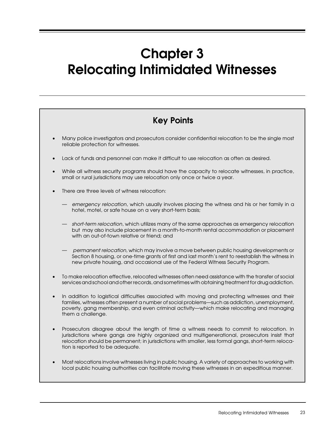## **Chapter 3 Relocating Intimidated Witnesses**

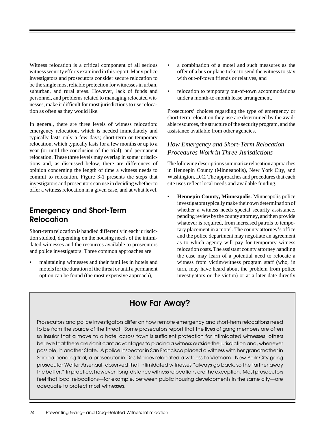Witness relocation is a critical component of all serious witness security efforts examined in this report. Many police investigators and prosecutors consider secure relocation to be the single most reliable protection for witnesses in urban, suburban, and rural areas. However, lack of funds and personnel, and problems related to managing relocated witnesses, make it difficult for most jurisdictions to use relocation as often as they would like.

In general, there are three levels of witness relocation: emergency relocation, which is needed immediately and typically lasts only a few days; short-term or temporary relocation, which typically lasts for a few months or up to a year (or until the conclusion of the trial); and permanent relocation. These three levels may overlap in some jurisdictions and, as discussed below, there are differences of opinion concerning the length of time a witness needs to commit to relocation. Figure 3-1 presents the steps that investigators and prosecutors can use in deciding whether to offer a witness relocation in a given case, and at what level.

### **Emergency and Short-Term Relocation**

Short-term relocation is handled differently in each jurisdiction studied, depending on the housing needs of the intimidated witnesses and the resources available to prosecutors and police investigators. Three common approaches are

maintaining witnesses and their families in hotels and motels for the duration of the threat or until a permanent option can be found (the most expensive approach),

- a combination of a motel and such measures as the offer of a bus or plane ticket to send the witness to stay with out-of-town friends or relatives, and
- relocation to temporary out-of-town accommodations under a month-to-month lease arrangement.

Prosecutors' choices regarding the type of emergency or short-term relocation they use are determined by the available resources, the structure of the security program, and the assistance available from other agencies.

#### *How Emergency and Short-Term Relocation Procedures Work in Three Jurisdictions*

The following descriptions summarize relocation approaches in Hennepin County (Minneapolis), New York City, and Washington, D.C. The approaches and procedures that each site uses reflect local needs and available funding.

• **Hennepin County, Minneapolis.** Minneapolis police investigators typically make their own determination of whether a witness needs special security assistance, pending review by the county attorney, and then provide whatever is required, from increased patrols to temporary placement in a motel. The county attorney's office and the police department may negotiate an agreement as to which agency will pay for temporary witness relocation costs. The assistant county attorney handling the case may learn of a potential need to relocate a witness from victim/witness program staff (who, in turn, may have heard about the problem from police investigators or the victim) or at a later date directly

## **How Far Away?**

Prosecutors and police investigators differ on how remote emergency and short-term relocations need to be from the source of the threat. Some prosecutors report that the lives of gang members are often so insular that a move to a hotel across town is sufficient protection for intimidated witnesses; others believe that there are significant advantages to placing a witness outside the jurisdiction and, whenever possible, in another State. A police inspector in San Francisco placed a witness with her grandmother in Samoa pending trial; a prosecutor in Des Moines relocated a witness to Vietnam. New York City gang prosecutor Walter Arsenault observed that intimidated witnesses "always go back, so the farther away the better." In practice, however, long-distance witness relocations are the exception. Most prosecutors feel that local relocations—for example, between public housing developments in the same city—are adequate to protect most witnesses.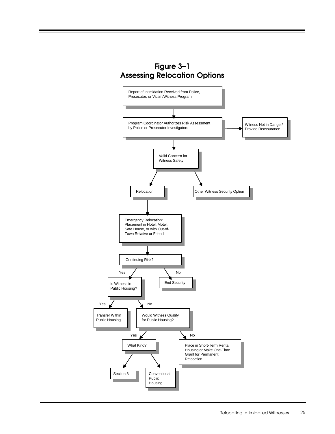

## **Figure 3–1**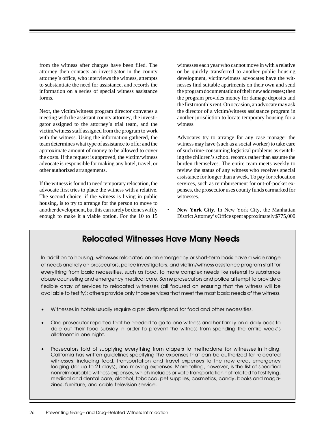from the witness after charges have been filed. The attorney then contacts an investigator in the county attorney's office, who interviews the witness, attempts to substantiate the need for assistance, and records the information on a series of special witness assistance forms.

Next, the victim/witness program director convenes a meeting with the assistant county attorney, the investigator assigned to the attorney's trial team, and the victim/witness staff assigned from the program to work with the witness. Using the information gathered, the team determines what type of assistance to offer and the approximate amount of money to be allowed to cover the costs. If the request is approved, the victim/witness advocate is responsible for making any hotel, travel, or other authorized arrangements.

If the witness is found to need temporary relocation, the advocate first tries to place the witness with a relative. The second choice, if the witness is living in public housing, is to try to arrange for the person to move to another development, but this can rarely be done swiftly enough to make it a viable option. For the 10 to 15 witnesses each year who cannot move in with a relative or be quickly transferred to another public housing development, victim/witness advocates have the witnesses find suitable apartments on their own and send the program documentation of their new addresses; then the program provides money for damage deposits and the first month's rent. On occasion, an advocate may ask the director of a victim/witness assistance program in another jurisdiction to locate temporary housing for a witness.

Advocates try to arrange for any case manager the witness may have (such as a social worker) to take care of such time-consuming logistical problems as switching the children's school records rather than assume the burden themselves. The entire team meets weekly to review the status of any witness who receives special assistance for longer than a week. To pay for relocation services, such as reimbursement for out-of-pocket expenses, the prosecutor uses county funds earmarked for witnesses.

• **New York City.** In New York City, the Manhattan District Attorney's Office spent approximately \$775,000

## **Relocated Witnesses Have Many Needs**

In addition to housing, witnesses relocated on an emergency or short-term basis have a wide range of needs and rely on prosecutors, police investigators, and victim/witness assistance program staff for everything from basic necessities, such as food, to more complex needs like referral to substance abuse counseling and emergency medical care. Some prosecutors and police attempt to provide a flexible array of services to relocated witnesses (all focused on ensuring that the witness will be available to testify); others provide only those services that meet the most basic needs of the witness.

- Witnesses in hotels usually require a per diem stipend for food and other necessities.
- One prosecutor reported that he needed to go to one witness and her family on a daily basis to dole out their food subsidy in order to prevent the witness from spending the entire week's allotment in one night.
- Prosecutors told of supplying everything from diapers to methadone for witnesses in hiding. California has written guidelines specifying the expenses that can be authorized for relocated witnesses, including food, transportation and travel expenses to the new area, emergency lodging (for up to 21 days), and moving expenses. More telling, however, is the list of specified nonreimbursable witness expenses, which includes private transportation not related to testifying, medical and dental care, alcohol, tobacco, pet supplies, cosmetics, candy, books and magazines, furniture, and cable television service.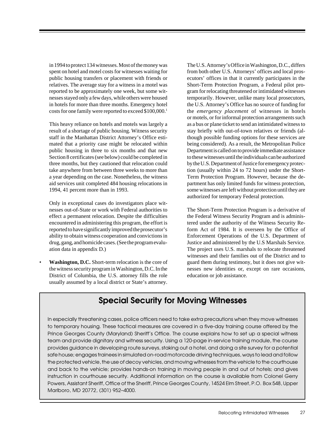in 1994 to protect 134 witnesses. Most of the money was spent on hotel and motel costs for witnesses waiting for public housing transfers or placement with friends or relatives. The average stay for a witness in a motel was reported to be approximately one week, but some witnesses stayed only a few days, while others were housed in hotels for more than three months. Emergency hotel costs for one family were reported to exceed \$100,000.<sup>1</sup>

This heavy reliance on hotels and motels was largely a result of a shortage of public housing. Witness security staff in the Manhattan District Attorney's Office estimated that a priority case might be relocated within public housing in three to six months and that new Section 8 certificates (see below) could be completed in three months, but they cautioned that relocation could take anywhere from between three weeks to more than a year depending on the case. Nonetheless, the witness aid services unit completed 484 housing relocations in 1994, 41 percent more than in 1993.

Only in exceptional cases do investigators place witnesses out-of-State or work with Federal authorities to effect a permanent relocation. Despite the difficulties encountered in administering this program, the effort is reported to have significantly improved the prosecutor's ability to obtain witness cooperation and convictions in drug, gang, and homicide cases. (See the program evaluation data in appendix D.)

• **Washington, D.C.** Short-term relocation is the core of the witness security program in Washington, D.C. In the District of Columbia, the U.S. attorney fills the role usually assumed by a local district or State's attorney.

The U.S. Attorney's Office in Washington, D.C., differs from both other U.S. Attorneys' offices and local prosecutors' offices in that it currently participates in the Short-Term Protection Program, a Federal pilot program for relocating threatened or intimidated witnesses temporarily. However, unlike many local prosecutors, the U.S. Attorney's Office has no source of funding for the *emergency placement* of witnesses in hotels or motels, or for informal protection arrangements such as a bus or plane ticket to send an intimidated witness to stay briefly with out-of-town relatives or friends (although possible funding options for these services are being considered). As a result, the Metropolitan Police Department is called on to provide immediate assistance to these witnesses until the individuals can be authorized by the U.S. Department of Justice for emergency protection (usually within 24 to 72 hours) under the Short-Term Protection Program. However, because the department has only limited funds for witness protection, some witnesses are left without protection until they are authorized for temporary Federal protection.

The Short-Term Protection Program is a derivative of the Federal Witness Security Program and is administered under the authority of the Witness Security Reform Act of 1984. It is overseen by the Office of Enforcement Operations of the U.S. Department of Justice and administered by the U.S Marshals Service. The project uses U.S. marshals to relocate threatened witnesses and their families out of the District and to guard them during testimony, but it does not give witnesses new identities or, except on rare occasions, education or job assistance.

# **Special Security for Moving Witnesses**

In especially threatening cases, police officers need to take extra precautions when they move witnesses to temporary housing. These tactical measures are covered in a five-day training course offered by the Prince Georges County (Maryland) Sheriff's Office. The course explains how to set up a special witness team and provide dignitary and witness security. Using a 120-page in-service training module, the course provides guidance in developing route surveys, staking out a hotel, and doing a site survey for a potential safe house; engages trainees in simulated on-road motorcade driving techniques, ways to lead and follow the protected vehicle, the use of decoy vehicles, and moving witnesses from the vehicle to the courthouse and back to the vehicle; provides hands-on training in moving people in and out of hotels; and gives instruction in courthouse security. Additional information on the course is available from Colonel Gerry Powers, Assistant Sheriff, Office of the Sheriff, Prince Georges County, 14524 Elm Street, P.O. Box 548, Upper Marlboro, MD 20772, (301) 952–4000.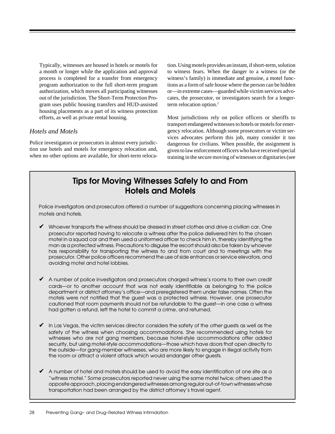Typically, witnesses are housed in hotels or motels for a month or longer while the application and approval process is completed for a transfer from emergency program authorization to the full short-term program authorization, which moves all participating witnesses out of the jurisdiction. The Short-Term Protection Program uses public housing transfers and HUD-assisted housing placements as a part of its witness protection efforts, as well as private rental housing.

### *Hotels and Motels*

Police investigators or prosecutors in almost every jurisdiction use hotels and motels for emergency relocation and, when no other options are available, for short-term relocation. Using motels provides an instant, if short-term, solution to witness fears. When the danger to a witness (or the witness's family) is immediate and genuine, a motel functions as a form of safe house where the person can be hidden or—in extreme cases—guarded while victim services advocates, the prosecutor, or investigators search for a longerterm relocation option.<sup>2</sup>

Most jurisdictions rely on police officers or sheriffs to transport endangered witnesses to hotels or motels for emergency relocation. Although some prosecutors or victim services advocates perform this job, many consider it too dangerous for civilians. When possible, the assignment is given to law enforcement officers who have received special training in the secure moving of witnesses or dignitaries (see

## **Tips for Moving Witnesses Safely to and From Hotels and Motels**

Police investigators and prosecutors offered a number of suggestions concerning placing witnesses in motels and hotels.

- $\blacktriangleright$  Whoever transports the witness should be dressed in street clothes and drive a civilian car. One prosecutor reported having to relocate a witness after the police delivered him to the chosen motel in a squad car and then used a uniformed officer to check him in, thereby identifying the man as a protected witness. Precautions to disguise the escort should also be taken by whoever has responsibility for transporting the witness to and from court and to meetings with the prosecutor. Other police officers recommend the use of side entrances or service elevators, and avoiding motel and hotel lobbies.
- ✔ A number of police investigators and prosecutors charged witness's rooms to their own credit cards—or to another account that was not easily identifiable as belonging to the police department or district attorney's office—and preregistered them under false names. Often the motels were not notified that the guest was a protected witness. However, one prosecutor cautioned that room payments should not be refundable to the guest—in one case a witness had gotten a refund, left the hotel to commit a crime, and returned.
- $\blacktriangleright$  In Las Vegas, the victim services director considers the safety of the *other* guests as well as the safety of the witness when choosing accommodations. She recommended using hotels for witnesses who are not gang members, because hotel-style accommodations offer added security, but using motel-style accommodations—those which have doors that open directly to the outside—for gang-member witnesses, who are more likely to engage in illegal activity from the room or attract a violent attack which would endanger other guests.
- $\blacktriangleright$  A number of hotel and motels should be used to avoid the easy identification of one site as a "witness motel." Some prosecutors reported never using the same motel twice; others used the opposite approach, placing endangered witnesses among regular out-of-town witnesses whose transportation had been arranged by the district attorney's travel agent.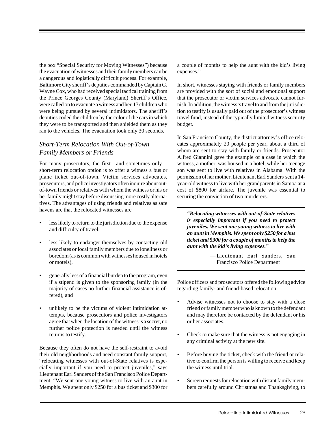the box "Special Security for Moving Witnesses") because the evacuation of witnesses and their family members can be a dangerous and logistically difficult process. For example, Baltimore City sheriff's deputies commanded by Captain G. Wayne Cox, who had received special tactical training from the Prince Georges County (Maryland) Sheriff's Office, were called on to evacuate a witness and her 13 children who were being pursued by several intimidators. The sheriff's deputies coded the children by the color of the cars in which they were to be transported and then shielded them as they ran to the vehicles. The evacuation took only 30 seconds.

#### *Short-Term Relocation With Out-of-Town Family Members or Friends*

For many prosecutors, the first—and sometimes only short-term relocation option is to offer a witness a bus or plane ticket out-of-town. Victim services advocates, prosecutors, and police investigators often inquire about outof-town friends or relatives with whom the witness or his or her family might stay before discussing more costly alternatives. The advantages of using friends and relatives as safe havens are that the relocated witnesses are

- less likely to return to the jurisdiction due to the expense and difficulty of travel,
- less likely to endanger themselves by contacting old associates or local family members due to loneliness or boredom (as is common with witnesses housed in hotels or motels),
- generally less of a financial burden to the program, even if a stipend is given to the sponsoring family (in the majority of cases no further financial assistance is offered), and
- unlikely to be the victims of violent intimidation attempts, because prosecutors and police investigators agree that when the location of the witness is a secret, no further police protection is needed until the witness returns to testify.

Because they often do not have the self-restraint to avoid their old neighborhoods and need constant family support, "relocating witnesses with out-of-State relatives is especially important if you need to protect juveniles," says Lieutenant Earl Sanders of the San Francisco Police Department. "We sent one young witness to live with an aunt in Memphis. We spent only \$250 for a bus ticket and \$300 for

a couple of months to help the aunt with the kid's living expenses."

In short, witnesses staying with friends or family members are provided with the sort of social and emotional support that the prosecutor or victim services advocate cannot furnish. In addition, the witness's travel to and from the jurisdiction to testify is usually paid out of the prosecutor's witness travel fund, instead of the typically limited witness security budget.

In San Francisco County, the district attorney's office relocates approximately 20 people per year, about a third of whom are sent to stay with family or friends. Prosecutor Alfred Giannini gave the example of a case in which the witness, a mother, was housed in a hotel, while her teenage son was sent to live with relatives in Alabama. With the permission of her mother, Lieutenant Earl Sanders sent a 14 year-old witness to live with her grandparents in Samoa at a cost of \$800 for airfare. The juvenile was essential to securing the conviction of two murderers.

*"Relocating witnesses with out-of-State relatives is especially important if you need to protect juveniles. We sent one young witness to live with an aunt in Memphis. We spent only \$250 for a bus ticket and \$300 for a couple of months to help the aunt with the kid's living expenses."*

> — Lieutenant Earl Sanders, San Francisco Police Department

Police officers and prosecutors offered the following advice regarding family- and friend-based relocation:

- Advise witnesses not to choose to stay with a close friend or family member who is known to the defendant and may therefore be contacted by the defendant or his or her associates.
- Check to make sure that the witness is not engaging in any criminal activity at the new site.
- Before buying the ticket, check with the friend or relative to confirm the person is willing to receive and keep the witness until trial.
- Screen requests for relocation with distant family members carefully around Christmas and Thanksgiving, to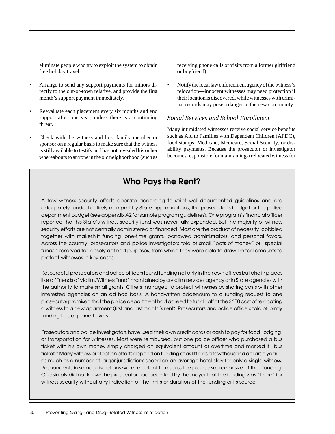eliminate people who try to exploit the system to obtain free holiday travel.

- Arrange to send any support payments for minors directly to the out-of-town relative, and provide the first month's support payment immediately.
- Reevaluate each placement every six months and end support after one year, unless there is a continuing threat.
- Check with the witness and host family member or sponsor on a regular basis to make sure that the witness is still available to testify and has not revealed his or her whereabouts to anyone in the old neighborhood (such as

receiving phone calls or visits from a former girlfriend or boyfriend).

• Notify the local law enforcement agency of the witness's relocation—innocent witnesses may need protection if their location is discovered, while witnesses with criminal records may pose a danger to the new community.

#### *Social Services and School Enrollment*

Many intimidated witnesses receive social service benefits such as Aid to Families with Dependent Children (AFDC), food stamps, Medicaid, Medicare, Social Security, or disability payments. Because the prosecutor or investigator becomes responsible for maintaining a relocated witness for

## **Who Pays the Rent?**

A few witness security efforts operate according to strict well-documented guidelines and are adequately funded entirely or in part by State appropriations, the prosecutor's budget or the police department budget (see appendix A2 for sample program guidelines). One program's financial officer reported that his State's witness security fund was never fully expended. But the majority of witness security efforts are not centrally administered or financed. Most are the product of necessity, cobbled together with makeshift funding, one-time grants, borrowed administrators, and personal favors. Across the country, prosecutors and police investigators told of small "pots of money" or "special funds," reserved for loosely defined purposes, from which they were able to draw limited amounts to protect witnesses in key cases.

Resourceful prosecutors and police officers found funding not only in their own offices but also in places like a "Friends of Victim/Witness Fund" maintained by a victim services agency or in State agencies with the authority to make small grants. Others managed to protect witnesses by sharing costs with other interested agencies on an ad hoc basis. A handwritten addendum to a funding request to one prosecutor promised that the police department had agreed to fund half of the \$600 cost of relocating a witness to a new apartment (first and last month's rent). Prosecutors and police officers told of jointly funding bus or plane tickets.

Prosecutors and police investigators have used their own credit cards or cash to pay for food, lodging, or transportation for witnesses. Most were reimbursed, but one police officer who purchased a bus ticket with his own money simply charged an equivalent amount of overtime and marked it "bus ticket." Many witness protection efforts depend on funding of as little as a few thousand dollars a year as much as a number of larger jurisdictions spend on an average hotel stay for only a single witness. Respondents in some jurisdictions were reluctant to discuss the precise source or size of their funding. One simply did not know: the prosecutor had been told by the mayor that the funding was "there" for witness security without any indication of the limits or duration of the funding or its source.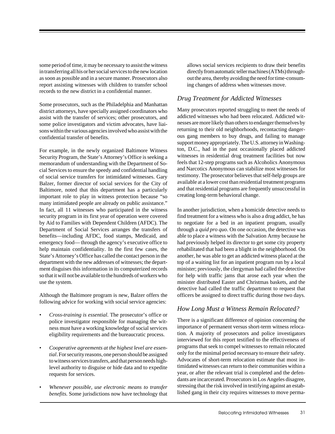some period of time, it may be necessary to assist the witness in transferring all his or her social services to the new location as soon as possible and in a secure manner. Prosecutors also report assisting witnesses with children to transfer school records to the new district in a confidential manner.

Some prosecutors, such as the Philadelphia and Manhattan district attorneys, have specially assigned coordinators who assist with the transfer of services; other prosecutors, and some police investigators and victim advocates, have liaisons within the various agencies involved who assist with the confidential transfer of benefits.

For example, in the newly organized Baltimore Witness Security Program, the State's Attorney's Office is seeking a memorandum of understanding with the Department of Social Services to ensure the speedy and confidential handling of social service transfers for intimidated witnesses. Gary Balzer, former director of social services for the City of Baltimore, noted that this department has a particularly important role to play in witness protection because "so many intimidated people are already on public assistance." In fact, all 11 witnesses who participated in the witness security program in its first year of operation were covered by Aid to Families with Dependent Children (AFDC). The Department of Social Services arranges the transfers of benefits—including AFDC, food stamps, Medicaid, and emergency food— through the agency's executive office to help maintain confidentiality. In the first few cases, the State's Attorney's Office has called the contact person in the department with the new addresses of witnesses; the department disguises this information in its computerized records so that it will not be available to the hundreds of workers who use the system.

Although the Baltimore program is new, Balzer offers the following advice for working with social service agencies:

- *Cross-training is essential*. The prosecutor's office or police investigator responsible for managing the witness must have a working knowledge of social services eligibility requirements and the bureaucratic process.
- *Cooperative agreements at the highest level are essential*. For security reasons, one person should be assigned to witness services transfers, and that person needs highlevel authority to disguise or hide data and to expedite requests for services.
- *Whenever possible, use electronic means to transfer benefits*. Some jurisdictions now have technology that

allows social services recipients to draw their benefits directly from automatic teller machines (ATMs) throughout the area, thereby avoiding the need for time-consuming changes of address when witnesses move.

#### *Drug Treatment for Addicted Witnesses*

Many prosecutors reported struggling to meet the needs of addicted witnesses who had been relocated. Addicted witnesses are more likely than others to endanger themselves by returning to their old neighborhoods, recontacting dangerous gang members to buy drugs, and failing to manage support money appropriately. The U.S. attorney in Washington, D.C., had in the past occasionally placed addicted witnesses in residential drug treatment facilities but now feels that 12-step programs such as Alcoholics Anonymous and Narcotics Anonymous can stabilize most witnesses for testimony. The prosecutor believes that self-help groups are available at a lower cost than residential treatment programs and that residential programs are frequently unsuccessful in creating long-term behavioral change.

In another jurisdiction, when a homicide detective needs to find treatment for a witness who is also a drug addict, he has to negotiate for a bed in an inpatient program, usually through a *quid pro quo*. On one occasion, the detective was able to place a witness with the Salvation Army because he had previously helped its director to get some city property rehabilitated that had been a blight in the neighborhood. On another, he was able to get an addicted witness placed at the top of a waiting list for an inpatient program run by a local minister; previously, the clergyman had called the detective for help with traffic jams that arose each year when the minister distributed Easter and Christmas baskets, and the detective had called the traffic department to request that officers be assigned to direct traffic during those two days.

#### *How Long Must a Witness Remain Relocated?*

There is a significant difference of opinion concerning the importance of permanent versus short-term witness relocation. A majority of prosecutors and police investigators interviewed for this report testified to the effectiveness of programs that seek to compel witnesses to remain relocated only for the minimal period necessary to ensure their safety. Advocates of short-term relocation estimate that most intimidated witnesses can return to their communities within a year, or after the relevant trial is completed and the defendants are incarcerated. Prosecutors in Los Angeles disagree, stressing that the risk involved in testifying against an established gang in their city requires witnesses to move perma-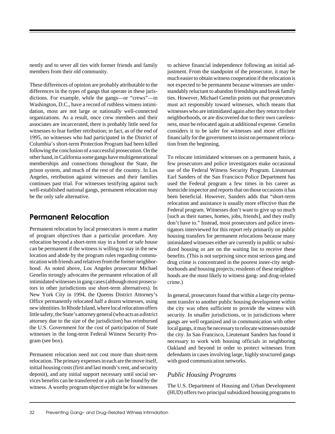nently and to sever all ties with former friends and family members from their old community.

These differences of opinion are probably attributable to the differences in the types of gangs that operate in these jurisdictions. For example, while the gangs—or "crews"—in Washington, D.C., have a record of ruthless witness intimidation, most are not large or nationally well-connected organizations. As a result, once crew members and their associates are incarcerated, there is probably little need for witnesses to fear further retribution; in fact, as of the end of 1995, no witnesses who had participated in the District of Columbia's short-term Protection Program had been killed following the conclusion of a successful prosecution. On the other hand, in California some gangs have multigenerational memberships and connections throughout the State, the prison system, and much of the rest of the country. In Los Angeles, retribution against witnesses and their families continues past trial. For witnesses testifying against such well-established national gangs, permanent relocation may be the only safe alternative.

### **Permanent Relocation**

Permanent relocation by local prosecutors is more a matter of program objectives than a particular procedure. Any relocation beyond a short-term stay in a hotel or safe house can be permanent if the witness is willing to stay in the new location and abide by the program rules regarding communication with friends and relatives from the former neighborhood. As noted above, Los Angeles prosecutor Michael Genelin strongly advocates the permanent relocation of all intimidated witnesses in gang cases (although most prosecutors in other jurisdictions use short-term alternatives). In New York City in 1994, the Queens District Attorney's Office permanently relocated half a dozen witnesses, using new identities. In Rhode Island, where local relocation offers little safety, the State's attorney general (who acts as a district attorney due to the size of the jurisdiction) has reimbursed the U.S. Government for the cost of participation of State witnesses in the long-term Federal Witness Security Program (see box).

Permanent relocation need not cost more than short-term relocation. The primary expenses in each are the move itself, initial housing costs (first and last month's rent, and security deposit), and any initial support necessary until social services benefits can be transferred or a job can be found by the witness. A worthy program objective might be for witnesses

to achieve financial independence following an initial adjustment. From the standpoint of the prosecutor, it may be much easier to obtain witness cooperation if the relocation is not expected to be permanent because witnesses are understandably reluctant to abandon friendships and break family ties. However, Michael Genelin points out that prosecutors must act responsibly toward witnesses, which means that witnesses who are intimidated again after they return to their neighborhoods, or are discovered due to their own carelessness, must be relocated again at additional expense. Genelin considers it to be safer for witnesses and more efficient financially for the government to insist on permanent relocation from the beginning.

To relocate intimidated witnesses on a permanent basis, a few prosecutors and police investigators make occasional use of the Federal Witness Security Program. Lieutenant Earl Sanders of the San Francisco Police Department has used the Federal program a few times in his career as homicide inspector and reports that on those occasions it has been beneficial. However, Sanders adds that "short-term relocation and assistance is usually more effective than the Federal program. Witnesses don't want to give up so much [such as their names, homes, jobs, friends], and they really don't have to." Instead, most prosecutors and police investigators interviewed for this report rely primarily on public housing transfers for permanent relocations because many intimidated witnesses either are currently in public or subsidized housing or are on the waiting list to receive these benefits. (This is not surprising since most serious gang and drug crime is concentrated in the poorest inner-city neighborhoods and housing projects; residents of these neighborhoods are the most likely to witness gang- and drug-related crime.)

In general, prosecutors found that within a large city permanent transfer to another public housing development within the city was often sufficient to provide the witness with security. In smaller jurisdictions, or in jurisdictions where gangs are well organized and in communication with other local gangs, it may be necessary to relocate witnesses outside the city. In San Francisco, Lieutenant Sanders has found it necessary to work with housing officials in neighboring Oakland and beyond in order to protect witnesses from defendants in cases involving large, highly structured gangs with good communication networks.

#### *Public Housing Programs*

The U.S. Department of Housing and Urban Development (HUD) offers two principal subsidized housing programs to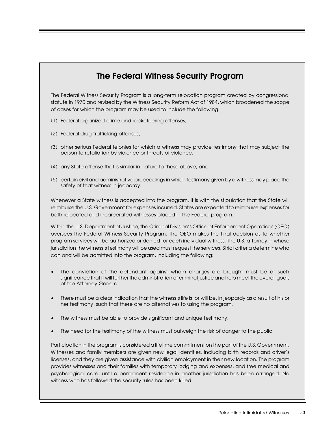# **The Federal Witness Security Program**

The Federal Witness Security Program is a long-term relocation program created by congressional statute in 1970 and revised by the Witness Security Reform Act of 1984, which broadened the scope of cases for which the program may be used to include the following:

- (1) Federal organized crime and racketeering offenses,
- (2) Federal drug trafficking offenses,
- (3) other serious Federal felonies for which a witness may provide testimony that may subject the person to retaliation by violence or threats of violence,
- (4) any State offense that is similar in nature to these above, and
- (5) certain civil and administrative proceedings in which testimony given by a witness may place the safety of that witness in jeopardy.

Whenever a State witness is accepted into the program, it is with the stipulation that the State will reimburse the U.S. Government for expenses incurred. States are expected to reimburse expenses for both relocated and incarcerated witnesses placed in the Federal program.

Within the U.S. Department of Justice, the Criminal Division's Office of Enforcement Operations (OEO) oversees the Federal Witness Security Program. The OEO makes the final decision as to whether program services will be authorized or denied for each individual witness. The U.S. attorney in whose jurisdiction the witness's testimony will be used must request the services. Strict criteria determine who can and will be admitted into the program, including the following:

- The conviction of the defendant against whom charges are brought must be of such significance that it will further the administration of criminal justice and help meet the overall goals of the Attorney General.
- There must be a clear indication that the witness's life is, or will be, in jeopardy as a result of his or her testimony, such that there are no alternatives to using the program.
- The witness must be able to provide significant and unique testimony.
- The need for the testimony of the witness must outweigh the risk of danger to the public.

Participation in the program is considered a lifetime commitment on the part of the U.S. Government. Witnesses and family members are given new legal identities, including birth records and driver's licenses, and they are given assistance with civilian employment in their new location. The program provides witnesses and their families with temporary lodging and expenses, and free medical and psychological care, until a permanent residence in another jurisdiction has been arranged. No witness who has followed the security rules has been killed.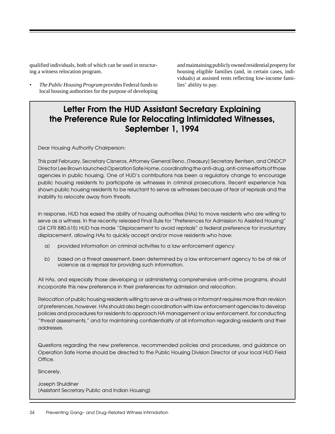qualified individuals, both of which can be used in structuring a witness relocation program.

• *The Public Housing Program* provides Federal funds to local housing authorities for the purpose of developing

and maintaining publicly owned residential property for housing eligible families (and, in certain cases, individuals) at assisted rents reflecting low-income families' ability to pay.

# **Letter From the HUD Assistant Secretary Explaining the Preference Rule for Relocating Intimidated Witnesses, September 1, 1994**

Dear Housing Authority Chairperson:

This past February, Secretary Cisneros, Attorney General Reno, [Treasury] Secretary Bentsen, and ONDCP Director Lee Brown launched Operation Safe Home, coordinating the anti-drug, anti-crime efforts of those agencies in public housing. One of HUD's contributions has been a regulatory change to encourage public housing residents to participate as witnesses in criminal prosecutions. Recent experience has shown public housing residents to be reluctant to serve as witnesses because of fear of reprisals and the inability to relocate away from threats.

In response, HUD has eased the ability of housing authorities (HAs) to move residents who are willing to serve as a witness. In the recently released Final Rule for "Preferences for Admission to Assisted Housing" (24 CFR 880.615) HUD has made "Displacement to avoid reprisals" a federal preference for involuntary displacement, allowing HAs to quickly accept and/or move residents who have:

- a) provided information on criminal activities to a law enforcement agency:
- b) based on a threat assessment, been determined by a law enforcement agency to be at risk of violence as a reprisal for providing such information.

All HAs, and especially those developing or administering comprehensive anti-crime programs, should incorporate this new preference in their preferences for admission and relocation.

Relocation of public housing residents willing to serve as a witness or informant requires more than revision of preferences, however. HAs should also begin coordination with law enforcement agencies to develop policies and procedures for residents to approach HA management or law enforcement, for conducting "threat assessments," and for maintaining confidentiality of all information regarding residents and their addresses.

Questions regarding the new preference, recommended policies and procedures, and guidance on Operation Safe Home should be directed to the Public Housing Division Director at your local HUD Field Office.

Sincerely,

Joseph Shuldiner [Assistant Secretary Public and Indian Housing]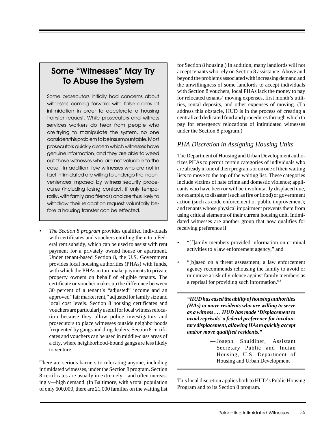# **Some "Witnesses" May Try To Abuse the System**

Some prosecutors initially had concerns about witnesses coming forward with false claims of intimidation in order to accelerate a housing transfer request. While prosecutors and witness services workers do hear from people who are trying to manipulate the system, no one considers this problem to be insurmountable. Most prosecutors quickly discern which witnesses have genuine information, and they are able to weed out those witnesses who are not valuable to the case. In addition, few witnesses who are not in fact intimidated are willing to undergo the inconveniences imposed by witness security procedures (including losing contact, if only temporarily, with family and friends) and are thus likely to withdraw their relocation request voluntarily before a housing transfer can be effected.

• *The Section 8 program* provides qualified individuals with certificates and vouchers entitling them to a Federal rent subsidy, which can be used to assist with rent payment for a privately owned house or apartment. Under tenant-based Section 8, the U.S. Government provides local housing authorities (PHAs) with funds, with which the PHAs in turn make payments to private property owners on behalf of eligible tenants. The certificate or voucher makes up the difference between 30 percent of a tenant's "adjusted" income and an approved "fair market rent," adjusted for family size and local cost levels. Section 8 housing certificates and vouchers are particularly useful for local witness relocation because they allow police investigators and prosecutors to place witnesses outside neighborhoods frequented by gangs and drug dealers; Section 8 certificates and vouchers can be used in middle-class areas of a city, where neighborhood-bound gangs are less likely to venture.

There are serious barriers to relocating anyone, including intimidated witnesses, under the Section 8 program. Section 8 certificates are usually in extremely—and often increasingly—high demand. (In Baltimore, with a total population of only 600,000, there are 21,000 families on the waiting list for Section 8 housing.) In addition, many landlords will not accept tenants who rely on Section 8 assistance. Above and beyond the problems associated with increasing demand and the unwillingness of some landlords to accept individuals with Section 8 vouchers, local PHAs lack the money to pay for relocated tenants' moving expenses, first month's utilities, rental deposits, and other expenses of moving. (To address this obstacle, HUD is in the process of creating a centralized dedicated fund and procedures through which to pay for emergency relocations of intimidated witnesses under the Section 8 program.)

#### *PHA Discretion in Assigning Housing Units*

The Department of Housing and Urban Development authorizes PHAs to permit certain categories of individuals who are already in one of their programs or on one of their waiting lists to move to the top of the waiting list. These categories include victims of hate crime and domestic violence; applicants who have been or will be involuntarily displaced due, for example, to disaster (such as fire or flood) or government action (such as code enforcement or public improvement); and tenants whose physical impairment prevents them from using critical elements of their current housing unit. Intimidated witnesses are another group that now qualifies for receiving preference if

- "[f]amily members provided information on criminal activities to a law enforcement agency," and
- "[b]ased on a threat assessment, a law enforcement agency recommends rehousing the family to avoid or minimize a risk of violence against family members as a reprisal for providing such information."3

*"HUD has eased the ability of housing authorities (HAs) to move residents who are willing to serve as a witness . . . HUD has made 'Displacement to avoid reprisals' a federal preference for involuntary displacement, allowing HAs to quickly accept and/or move qualified residents."*

> — Joseph Shuldiner, Assistant Secretary Public and Indian Housing, U.S. Department of Housing and Urban Development

This local discretion applies both to HUD's Public Housing Program and to its Section 8 program.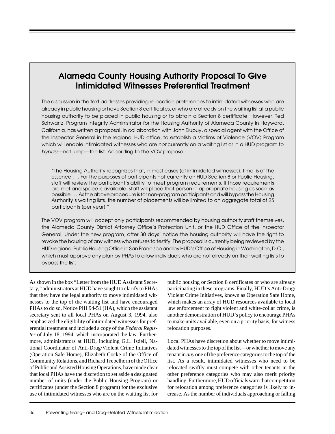# **Alameda County Housing Authority Proposal To Give Intimidated Witnesses Preferential Treatment**

The discussion in the text addresses providing relocation preferences to intimidated witnesses who are already in public housing or have Section 8 certificates, or who are already on the waiting list at a public housing authority to be placed in public housing or to obtain a Section 8 certificate. However, Ted Schwartz, Program Integrity Administrator for the Housing Authority of Alameda County in Hayward, California, has written a proposal, in collaboration with John Dupuy, a special agent with the Office of the Inspector General in the regional HUD office, to establish a Victims of Violence (VOV) Program which will enable intimidated witnesses who are not currently on a waiting list or in a HUD program to bypass—not jump—the list. According to the VOV proposal:

"The Housing Authority recognizes that, in most cases [of intimidated witnesses], time is of the essence . . . For the purposes of participants not currently on HUD Section 8 or Public Housing, staff will review the participant's ability to meet program requirements. If those requirements are met and space is available, staff will place that person in appropriate housing as soon as possible . . . As the above procedure is for non-program participants and will bypass the Housing Authority's waiting lists, the number of placements will be limited to an aggregate total of 25 participants (per year)."

The VOV program will accept only participants recommended by housing authority staff themselves, the Alameda County District Attorney Office's Protection Unit, or the HUD Office of the Inspector General. Under the new program, after 30 days' notice the housing authority will have the right to revoke the housing of any witness who refuses to testify. The proposal is currently being reviewed by the HUD regional Public Housing Office in San Francisco and by HUD's Office of Housing in Washington, D.C., which must approve any plan by PHAs to allow individuals who are not already on their waiting lists to bypass the list.

As shown in the box "Letter from the HUD Assistant Secretary," administrators at HUD have sought to clarify to PHAs that they have the legal authority to move intimidated witnesses to the top of the waiting list and have encouraged PHAs to do so. Notice PIH 94-51 (HA), which the assistant secretary sent to all local PHAs on August 3, 1994, also emphasized the eligibility of intimidated witnesses for preferential treatment and included a copy of the *Federal Register* of July 18, 1994, which incorporated the law. Furthermore, administrators at HUD, including G.L. Isdell, National Coordinator of Anti-Drug/Violent Crime Initiatives (Operation Safe Home), Elizabeth Cocke of the Office of Community Relations, and Richard Trebelhorn of the Office of Public and Assisted Housing Operations, have made clear that local PHAs have the discretion to set aside a designated number of units (under the Public Housing Program) or certificates (under the Section 8 program) for the exclusive use of intimidated witnesses who are on the waiting list for

public housing or Section 8 certificates or who are already participating in these programs. Finally, HUD's Anti-Drug/ Violent Crime Initiatives, known as Operation Safe Home, which makes an array of HUD resources available to local law enforcement to fight violent and white-collar crime, is another demonstration of HUD's policy to encourage PHAs to make units available, even on a priority basis, for witness relocation purposes.

Local PHAs have discretion about whether to move intimidated witnesses to the top of the list—or whether to move any tenant in *any* one of the preference categories to the top of the list. As a result, intimidated witnesses who need to be relocated swiftly must compete with other tenants in the other preference categories who may also merit priority handling. Furthermore, HUD officials warn that competition for relocation among preference categories is likely to increase. As the number of individuals approaching or falling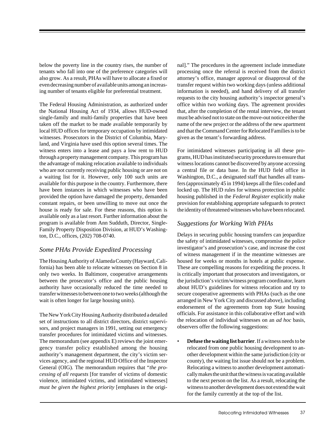below the poverty line in the country rises, the number of tenants who fall into one of the preference categories will also grow. As a result, PHAs will have to allocate a fixed or even decreasing number of available units among an increasing number of tenants eligible for preferential treatment.

The Federal Housing Administration, as authorized under the National Housing Act of 1934, allows HUD-owned single-family and multi-family properties that have been taken off the market to be made available temporarily by local HUD offices for temporary occupation by intimidated witnesses. Prosecutors in the District of Columbia, Maryland, and Virginia have used this option several times. The witness enters into a lease and pays a low rent to HUD through a property management company. This program has the advantage of making relocation available to individuals who are not currently receiving public housing or are not on a waiting list for it. However, only 100 such units are available for this purpose in the country. Furthermore, there have been instances in which witnesses who have been provided the option have damaged the property, demanded constant repairs, or been unwilling to move out once the house is ready for sale. For these reasons, this option is available only as a last resort. Further information about the program is available from Ann Sudduth, Director, Single-Family Property Disposition Division, at HUD's Washington, D.C., offices, (202) 708-0740.

#### *Some PHAs Provide Expedited Processing*

The Housing Authority of Alameda County (Hayward, California) has been able to relocate witnesses on Section 8 in only two weeks. In Baltimore, cooperative arrangements between the prosecutor's office and the public housing authority have occasionally reduced the time needed to transfer witnesses to between one to two weeks (although the wait is often longer for large housing units).

The New York City Housing Authority distributed a detailed set of instructions to all district directors, district supervisors, and project managers in 1991, setting out emergency transfer procedures for intimidated victims and witnesses. The memorandum (see appendix E) reviews the joint emergency transfer policy established among the housing authority's management department, the city's victim services agency, and the regional HUD Office of the Inspector General (OIG). The memorandum requires that "*the processing of all requests* [for transfer of victims of domestic violence, intimidated victims, and intimidated witnesses] *must be given the highest priority* [emphases in the original]." The procedures in the agreement include immediate processing once the referral is received from the district attorney's office, manager approval or disapproval of the transfer request within two working days (unless additional information is needed), and hand delivery of all transfer requests to the city housing authority's inspector general's office within two working days. The agreement provides that, after the completion of the rental interview, the tenant must be advised not to state on the move-out notice either the name of the new project or the address of the new apartment and that the Command Center for Relocated Families is to be given as the tenant's forwarding address.

For intimidated witnesses participating in all these programs, HUD has instituted security procedures to ensure that witness locations cannot be discovered by anyone accessing a central file or data base. In the HUD field office in Washington, D.C., a designated staff that handles all transfers (approximately 45 in 1994) keeps all the files coded and locked up. The HUD rules for witness protection in public housing published in the *Federal Register* explicitly make provision for establishing appropriate safeguards to protect the identity of threatened witnesses who have been relocated.

#### *Suggestions for Working With PHAs*

Delays in securing public housing transfers can jeopardize the safety of intimidated witnesses, compromise the police investigator's and prosecution's case, and increase the cost of witness management if in the meantime witnesses are housed for weeks or months in hotels at public expense. These are compelling reasons for expediting the process. It is critically important that prosecutors and investigators, or the jurisdiction's victim/witness program coordinator, learn about HUD's guidelines for witness relocation and try to secure cooperative agreements with PHAs (such as the one arranged in New York City and discussed above), including endorsement of the agreements from top State housing officials. For assistance in this collaborative effort and with the relocation of individual witnesses on an *ad hoc* basis, observers offer the following suggestions:

• **Defuse the waiting list barrier**. If a witness needs to be relocated from one public housing development to another development within the same jurisdiction (city or county), the waiting list issue should not be a problem. Relocating a witness to another development automatically makes the unit that the witness is vacating available to the next person on the list. As a result, relocating the witness to another development does not extend the wait for the family currently at the top of the list.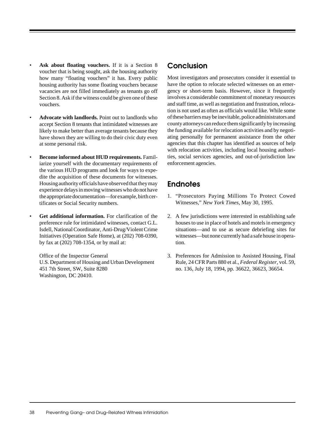- Ask about floating vouchers. If it is a Section 8 voucher that is being sought, ask the housing authority how many "floating vouchers" it has. Every public housing authority has some floating vouchers because vacancies are not filled immediately as tenants go off Section 8. Ask if the witness could be given one of these vouchers.
- **Advocate with landlords.** Point out to landlords who accept Section 8 tenants that intimidated witnesses are likely to make better than average tenants because they have shown they are willing to do their civic duty even at some personal risk.
- **Become informed about HUD requirements.** Familiarize yourself with the documentary requirements of the various HUD programs and look for ways to expedite the acquisition of these documents for witnesses. Housing authority officials have observed that they may experience delays in moving witnesses who do not have the appropriate documentation—for example, birth certificates or Social Security numbers.
- Get additional information. For clarification of the preference rule for intimidated witnesses, contact G.L. Isdell, National Coordinator, Anti-Drug/Violent Crime Initiatives (Operation Safe Home), at (202) 708-0390, by fax at (202) 708-1354, or by mail at:

Office of the Inspector General U.S. Department of Housing and Urban Development 451 7th Street, SW, Suite 8280 Washington, DC 20410.

## **Conclusion**

Most investigators and prosecutors consider it essential to have the option to relocate selected witnesses on an emergency or short-term basis. However, since it frequently involves a considerable commitment of monetary resources and staff time, as well as negotiation and frustration, relocation is not used as often as officials would like. While some of these barriers may be inevitable, police administrators and county attorneys can reduce them significantly by increasing the funding available for relocation activities and by negotiating personally for permanent assistance from the other agencies that this chapter has identified as sources of help with relocation activities, including local housing authorities, social services agencies, and out-of-jurisdiction law enforcement agencies.

## **Endnotes**

- 1. "Prosecutors Paying Millions To Protect Cowed Witnesses," *New York Times*, May 30, 1995.
- 2. A few jurisdictions were interested in establishing safe houses to use in place of hotels and motels in emergency situations—and to use as secure debriefing sites for witnesses—but none currently had a safe house in operation.
- 3. Preferences for Admission to Assisted Housing, Final Rule, 24 CFR Parts 880 et al., *Federal Register*, vol. 59, no. 136, July 18, 1994, pp. 36622, 36623, 36654.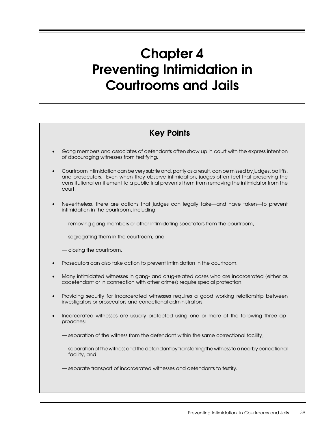# **Chapter 4 Preventing Intimidation in Courtrooms and Jails**

# **Key Points**

- Gang members and associates of defendants often show up in court with the express intention of discouraging witnesses from testifying.
- Courtroom intimidation can be very subtle and, partly as a result, can be missed by judges, bailiffs, and prosecutors. Even when they observe intimidation, judges often feel that preserving the constitutional entitlement to a public trial prevents them from removing the intimidator from the court.
- Nevertheless, there are actions that judges can legally take—and have taken—to prevent intimidation in the courtroom, including
	- removing gang members or other intimidating spectators from the courtroom,
	- segregating them in the courtroom, and
	- closing the courtroom.
- Prosecutors can also take action to prevent intimidation in the courtroom.
- Many intimidated witnesses in gang- and drug-related cases who are incarcerated (either as codefendant or in connection with other crimes) require special protection.
- Providing security for incarcerated witnesses requires a good working relationship between investigators or prosecutors and correctional administrators.
- Incarcerated witnesses are usually protected using one or more of the following three approaches:
	- separation of the witness from the defendant within the same correctional facility,
	- separation of the witness and the defendant by transferring the witness to a nearby correctional facility, and
	- separate transport of incarcerated witnesses and defendants to testify.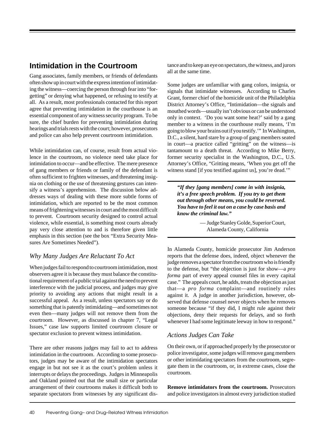## **Intimidation in the Courtroom**

Gang associates, family members, or friends of defendants often show up in court with the express intention of intimidating the witness—coercing the person through fear into "forgetting" or denying what happened, or refusing to testify at all. As a result, most professionals contacted for this report agree that preventing intimidation in the courthouse is an essential component of any witness security program. To be sure, the chief burden for preventing intimidation during hearings and trials rests with the court; however, prosecutors and police can also help prevent courtroom intimidation.

While intimidation can, of course, result from actual violence in the courtroom, no violence need take place for intimidation to occur—and be effective. The mere presence of gang members or friends or family of the defendant is often sufficient to frighten witnesses, and threatening insignia on clothing or the use of threatening gestures can intensify a witness's apprehension. The discussion below addresses ways of dealing with these more subtle forms of intimidation, which are reported to be the most common means of frightening witnesses in court and the most difficult to prevent. Courtroom security designed to control actual violence, while essential, is something most courts already pay very close attention to and is therefore given little emphasis in this section (see the box "Extra Security Measures Are Sometimes Needed").

### *Why Many Judges Are Reluctant To Act*

When judges fail to respond to courtroom intimidation, most observers agree it is because they must balance the constitutional requirement of a public trial against the need to prevent interference with the judicial process, and judges may give priority to avoiding any actions that might result in a successful appeal. As a result, unless spectators say or do something that is patently intimidating—and sometimes not even then—many judges will not remove them from the courtroom. However, as discussed in chapter 7, "Legal Issues," case law supports limited courtroom closure or spectator exclusion to prevent witness intimidation.

There are other reasons judges may fail to act to address intimidation in the courtroom. According to some prosecutors, judges may be aware of the intimidation spectators engage in but not see it as the court's problem unless it interrupts or delays the proceedings. Judges in Minneapolis and Oakland pointed out that the small size or particular arrangement of their courtrooms makes it difficult both to separate spectators from witnesses by any significant distance and to keep an eye on spectators, the witness, and jurors all at the same time.

Some judges are unfamiliar with gang colors, insignia, or signals that intimidate witnesses. According to Charles Grant, former chief of the homicide unit of the Philadelphia District Attorney's Office, "Intimidation—the signals and mouthed words—usually isn't obvious or can be understood only in context. 'Do you want some heat?' said by a gang member to a witness in the courthouse really means, 'I'm going to blow your brains out if you testify.'" In Washington, D.C., a silent, hard stare by a group of gang members seated in court—a practice called "gritting" on the witness—is tantamount to a death threat. According to Mike Berry, former security specialist in the Washington, D.C., U.S. Attorney's Office, "Gritting means, 'When you get off the witness stand [if you testified against us], you're dead.'"

*"If they [gang members] come in with insignia, it's a free speech problem. If you try to get them out through other means, you could be reversed. You have to feel it out on a case by case basis and know the criminal law."*

> — Judge Stanley Golde, Superior Court, Alameda County, California

In Alameda County, homicide prosecutor Jim Anderson reports that the defense does, indeed, object whenever the judge removes a spectator from the courtroom who is friendly to the defense, but "the objection is just for show—a *pro forma* part of every appeal counsel files in every capital case." The appeals court, he adds, treats the objection as just that—a *pro forma* complaint—and routinely rules against it. A judge in another jurisdiction, however, observed that defense counsel never objects when he removes someone because "if they did, I might rule against their objections, deny their requests for delays, and so forth whenever I had some legitimate leeway in how to respond."

### *Actions Judges Can Take*

On their own, or if approached properly by the prosecutor or police investigator, some judges will remove gang members or other intimidating spectators from the courtroom, segregate them in the courtroom, or, in extreme cases, close the courtroom.

**Remove intimidators from the courtroom.** Prosecutors and police investigators in almost every jurisdiction studied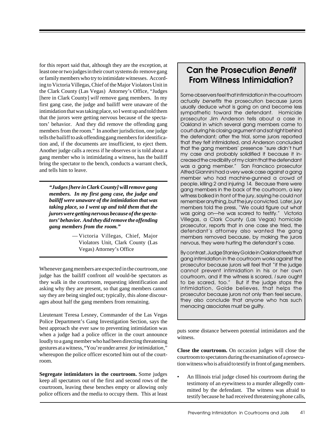for this report said that, although they are the exception, at least one or two judges in their court systems do remove gang or family members who try to intimidate witnesses. According to Victoria Villegas, Chief of the Major Violators Unit in the Clark County (Las Vegas) Attorney's Office, "Judges [here in Clark County] *will* remove gang members. In my first gang case, the judge and bailiff were unaware of the intimidation that was taking place, so I went up and told them that the jurors were getting nervous because of the spectators' behavior. And they did remove the offending gang members from the room." In another jurisdiction, one judge tells the bailiff to ask offending gang members for identification and, if the documents are insufficient, to eject them. Another judge calls a recess if he observes or is told about a gang member who is intimidating a witness, has the bailiff bring the spectator to the bench, conducts a warrant check, and tells him to leave.

*"Judges [here in Clark County]* **will** *remove gang members. In my first gang case, the judge and bailiff were unaware of the intimidation that was taking place, so I went up and told them that the jurors were getting nervous because of the spectators' behavior. And they did remove the offending gang members from the room."*

> — Victoria Villegas, Chief, Major Violators Unit, Clark County (Las Vegas) Attorney's Office

Whenever gang members are expected in the courtroom, one judge has the bailiff confront *all* would-be spectators as they walk in the courtroom, requesting identification and asking why they are present, so that gang members cannot say they are being singled out; typically, this alone discourages about half the gang members from remaining.

Lieutenant Teresa Lesney, Commander of the Las Vegas Police Department's Gang Investigation Section, says the best approach she ever saw to preventing intimidation was when a judge had a police officer in the court announce loudly to a gang member who had been directing threatening gestures at a witness, "You're under arrest *for intimidation*," whereupon the police officer escorted him out of the courtroom.

**Segregate intimidators in the courtroom.** Some judges keep all spectators out of the first and second rows of the courtroom, leaving these benches empty or allowing only police officers and the media to occupy them. This at least

# **Can the Prosecution Benefit From Witness Intimidation?**

Some observers feel that intimidation in the courtroom actually benefits the prosecution because jurors usually deduce what is going on and become less sympathetic toward the defendant. Homicide prosecutor Jim Anderson tells about a case in Oakland in which several gang members came to court during his closing argument and sat right behind the defendant; after the trial, some jurors reported that they felt intimidated, and Anderson concluded that the gang members' presence "sure didn't hurt my case and probably solidified it because it increased the credibility of my claim that the defendant was a gang member." San Francisco prosecutor Alfred Giannini had a very weak case against a gang member who had machine-gunned a crowd of people, killing 2 and injuring 14. Because there were gang members in the back of the courtroom, a key witness balked in front of the jury, saying he could not remember anything, but the jury convicted. Later, jury members told the press, "We could figure out what was going on—he was scared to testify." Victoria Villegas, a Clark County (Las Vegas) homicide prosecutor, reports that in one case she tried, the defendant's attorney also wanted the gang members removed because, by making the jurors nervous, they were hurting the defendant's case.

By contrast, Judge Stanley Golde in Oakland feels that gang intimidation in the courtroom works against the prosecutor because jurors will feel that "if the judge cannot prevent intimidation in his or her own courtroom, and if the witness is scared, I sure ought to be scared, too." But if the judge stops the intimidation, Golde believes, that helps the prosecutor because jurors not only then feel secure, they also conclude that anyone who has such menacing associates must be guilty.

puts some distance between potential intimidators and the witness.

**Close the courtroom.** On occasion judges will close the courtroom to spectators during the examination of a prosecution witness who is afraid to testify in front of gang members.

• An Illinois trial judge closed his courtroom during the testimony of an eyewitness to a murder allegedly committed by the defendant. The witness was afraid to testify because he had received threatening phone calls,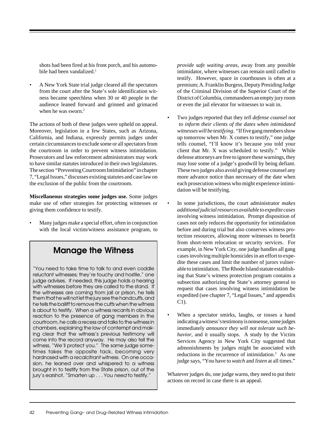shots had been fired at his front porch, and his automobile had been vandalized.<sup>1</sup>

• A New York State trial judge cleared all the spectators from the court after the State's sole identification witness became speechless when 30 or 40 people in the audience leaned forward and grinned and grimaced when he was sworn.<sup>2</sup>

The actions of both of these judges were upheld on appeal. Moreover, legislation in a few States, such as Arizona, California, and Indiana, expressly permits judges under certain circumstances to exclude some or all spectators from the courtroom in order to prevent witness intimidation. Prosecutors and law enforcement administrators may work to have similar statutes introduced in their own legislatures. The section "Preventing Courtroom Intimidation" in chapter 7, "Legal Issues," discusses existing statutes and case law on the exclusion of the public from the courtroom.

**Miscellaneous strategies some judges use.** Some judges make use of other strategies for protecting witnesses or giving them confidence to testify.

• Many judges make a special effort, often in conjunction with the local victim/witness assistance program, to

## **Manage the Witness**

"You need to take time to talk to and even coddle reluctant witnesses; they're touchy and hostile," one judge advises. If needed, this judge holds a hearing with witnesses before they are called to the stand. If the witnesses are coming from jail or prison, he tells them that he will not let the jury see the handcuffs, and he tells the bailiff to remove the cuffs when the witness is about to testify. When a witness recants in obvious reaction to the presence of gang members in the courtroom, he calls a recess and talks to the witness in chambers, explaining the law of contempt and making clear that the witness's previous testimony will come into the record anyway. He may also tell the witness, "We'll protect you." The same judge sometimes takes the opposite tack, becoming very hardnosed with a recalcitrant witness. On one occasion, he leaned over and whispered to a witness brought in to testify from the State prison, out of the jury's earshot, "Smarten up . . . You need to testify."

*provide safe waiting areas*, away from any possible intimidator, where witnesses can remain until called to testify. However, space in courthouses is often at a premium; A. Franklin Burgess, Deputy Presiding Judge of the Criminal Division of the Superior Court of the District of Columbia, commandeers an empty jury room or even the jail elevator for witnesses to wait in.

- Two judges reported that they *tell defense counsel not to inform their clients of the dates when intimidated witnesses will be testifying*. "If five gang members show up tomorrow when Mr. X comes to testify," one judge tells counsel, "I'll know it's because *you* told your client that Mr. X was scheduled to testify." While defense attorneys are free to ignore these warnings, they may lose some of a judge's goodwill by being defiant. These two judges also avoid giving defense counsel any more advance notice than necessary of the date when each prosecution witness who might experience intimidation will be testifying.
- In some jurisdictions, the court administrator *makes additional judicial resources available to expedite cases* involving witness intimidation. Prompt disposition of cases not only reduces the opportunity for intimidation before and during trial but also conserves witness protection resources, allowing more witnesses to benefit from short-term relocation or security services. For example, in New York City, one judge handles all gang cases involving multiple homicides in an effort to expedite these cases and limit the number of jurors vulnerable to intimidation. The Rhode Island statute establishing that State's witness protection program contains a subsection authorizing the State's attorney general to request that cases involving witness intimidation be expedited (see chapter 7, "Legal Issues," and appendix C1).
- When a spectator smirks, laughs, or tosses a hand indicating a witness's testimony is nonsense, some judges immediately *announce they will not tolerate such behavior*, and it usually stops. A study by the Victim Services Agency in New York City suggested that admonishments by judges might be associated with reductions in the recurrence of intimidation.<sup>3</sup> As one judge says, "You have to *watch* and *listen* at all times."

Whatever judges do, one judge warns, they need to put their actions on record in case there is an appeal.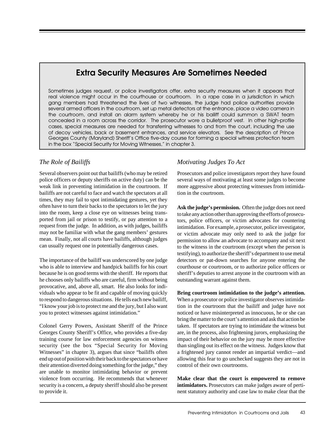# **Extra Security Measures Are Sometimes Needed**

Sometimes judges request, or police investigators offer, extra security measures when it appears that real violence might occur in the courthouse or courtroom. In a rape case in a jurisdiction in which gang members had threatened the lives of two witnesses, the judge had police authorities provide several armed officers in the courtroom, set up metal detectors at the entrance, place a video camera in the courtroom, and install an alarm system whereby he or his bailiff could summon a SWAT team concealed in a room across the corridor. The prosecutor wore a bulletproof vest. In other high-profile cases, special measures are needed for transferring witnesses to and from the court, including the use of decoy vehicles, back or basement entrances, and service elevators. See the description of Prince Georges County (Maryland) Sheriff's Office five-day course for forming a special witness protection team in the box "Special Security for Moving Witnesses," in chapter 3.

#### *The Role of Bailiffs*

Several observers point out that bailiffs (who may be retired police officers or deputy sheriffs on active duty) can be the weak link in preventing intimidation in the courtroom. If bailiffs are not careful to face and watch the spectators at all times, they may fail to spot intimidating gestures, yet they often have to turn their backs to the spectators to let the jury into the room, keep a close eye on witnesses being transported from jail or prison to testify, or pay attention to a request from the judge. In addition, as with judges, bailiffs may not be familiar with what the gang members' gestures mean. Finally, not all courts have bailiffs, although judges can usually request one in potentially dangerous cases.

The importance of the bailiff was underscored by one judge who is able to interview and handpick bailiffs for his court because he is on good terms with the sheriff. He reports that he chooses only bailiffs who are careful, firm without being provocative, and, above all, smart. He also looks for individuals who appear to be fit and capable of moving quickly to respond to dangerous situations. He tells each new bailiff, "I know your job is to protect me and the jury, but I also want you to protect witnesses against intimidation."

Colonel Gerry Powers, Assistant Sheriff of the Prince Georges County Sheriff's Office, who provides a five-day training course for law enforcement agencies on witness security (see the box "Special Security for Moving Witnesses" in chapter 3), argues that since "bailiffs often end up out of position with their back to the spectators or have their attention diverted doing something for the judge," they are unable to monitor intimidating behavior or prevent violence from occurring. He recommends that whenever security is a concern, a deputy sheriff should also be present to provide it.

### *Motivating Judges To Act*

Prosecutors and police investigators report they have found several ways of motivating at least some judges to become more aggressive about protecting witnesses from intimidation in the courtroom.

**Ask the judge's permission.** Often the judge does not need to take any action other than approving the efforts of prosecutors, police officers, or victim advocates for countering intimidation. For example, a prosecutor, police investigator, or victim advocate may only need to ask the judge for permission to allow an advocate to accompany and sit next to the witness in the courtroom (except when the person is testifying), to authorize the sheriff's department to use metal detectors or pat-down searches for anyone entering the courthouse or courtroom, or to authorize police officers or sheriff's deputies to arrest anyone in the courtroom with an outstanding warrant against them.

#### **Bring courtroom intimidation to the judge's attention.** When a prosecutor or police investigator observes intimidation in the courtroom that the bailiff and judge have not noticed or have misinterpreted as innocuous, he or she can bring the matter to the court's attention and ask that action be taken. If spectators are trying to intimidate the witness but are, in the process, also frightening jurors, emphasizing the impact of their behavior on the jury may be more effective than singling out its effect on the witness. Judges know that a frightened jury cannot render an impartial verdict—and allowing this fear to go unchecked suggests they are not in control of their own courtrooms.

**Make clear that the court is empowered to remove intimidators.** Prosecutors can make judges aware of pertinent statutory authority and case law to make clear that the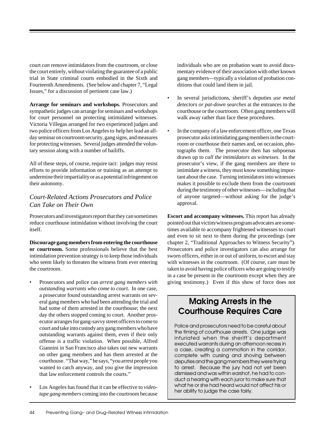court *can* remove intimidators from the courtroom, or close the court entirely, without violating the guarantee of a public trial in State criminal courts embodied in the Sixth and Fourteenth Amendments. (See below and chapter 7, "Legal Issues," for a discussion of pertinent case law.)

**Arrange for seminars and workshops.** Prosecutors and sympathetic judges can arrange for seminars and workshops for court personnel on protecting intimidated witnesses. Victoria Villegas arranged for two experienced judges and two police officers from Los Angeles to help her lead an allday seminar on courtroom security, gang signs, and measures for protecting witnesses. Several judges attended the voluntary session along with a number of bailiffs.

All of these steps, of course, require tact: judges may resist efforts to provide information or training as an attempt to undermine their impartiality or as a potential infringement on their autonomy.

#### *Court-Related Actions Prosecutors and Police Can Take on Their Own*

Prosecutors and investigators report that they can sometimes reduce courthouse intimidation without involving the court itself.

**Discourage gang members from entering the courthouse or courtroom.** Some professionals believe that the best intimidation prevention strategy is to keep those individuals who seem likely to threaten the witness from ever entering the courtroom.

- Prosecutors and police can *arrest gang members with outstanding warrants who come to court*. In one case, a prosecutor found outstanding arrest warrants on several gang members who had been attending the trial and had some of them arrested in the courthouse; the next day the others stopped coming to court. Another prosecutor arranges for gang-savvy street officers to come to court and take into custody any gang members who have outstanding warrants against them, even if their only offense is a traffic violation. When possible, Alfred Giannini in San Francisco also takes out new warrants on other gang members and has them arrested at the courthouse. "That way," he says, "you arrest people you wanted to catch anyway, and you give the impression that law enforcement controls the courts."
- Los Angeles has found that it can be effective to *videotape gang members* coming into the courtroom because

individuals who are on probation want to avoid documentary evidence of their association with other known gang members—typically a violation of probation conditions that could land them in jail.

- In several jurisdictions, sheriff's deputies *use metal detectors or pat-down searches* at the entrances to the courthouse or the courtroom. Often gang members will walk away rather than face these procedures.
- In the company of a law enforcement officer, one Texas prosecutor asks intimidating gang members in the courtroom or courthouse their names and, on occasion, photographs them. The prosecutor then has subpoenas drawn up to *call the intimidators as witnesses*. In the prosecutor's view, if the gang members are there to intimidate a witness, they must know something important about the case. Turning intimidators into witnesses makes it possible to exclude them from the courtroom during the testimony of other witnesses—including that of anyone targeted—without asking for the judge's approval.

**Escort and accompany witnesses.** This report has already pointed out that victim/witness program advocates are sometimes available to accompany frightened witnesses to court and even to sit next to them during the proceedings (see chapter 2, "Traditional Approaches to Witness Security"). Prosecutors and police investigators can also arrange for sworn officers, either in or out of uniform, to escort and stay with witnesses in the courtroom. (Of course, care must be taken to avoid having police officers who are going to testify in a case be present in the courtroom except when they are giving testimony.) Even if this show of force does not

## **Making Arrests in the Courthouse Requires Care**

Police and prosecutors need to be careful about the timing of courthouse arrests. One judge was infuriated when the sheriff's department executed warrants during an afternoon recess in a case, creating a commotion in the corridor, complete with cursing and shoving between deputies and the gang members they were trying to arrest. Because the jury had not yet been dismissed and was within earshot, he had to conduct a hearing with each juror to make sure that what he or she had heard would not affect his or her ability to judge the case fairly.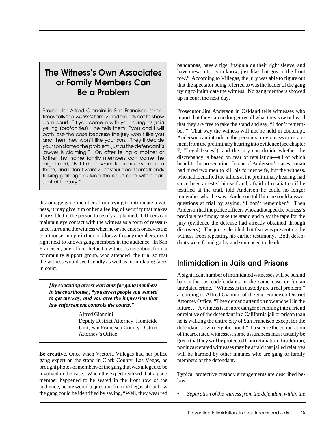# **The Witness's Own Associates or Family Members Can Be a Problem**

Prosecutor Alfred Giannini in San Francisco sometimes tells the victim's family and friends not to show up in court. "If you come in with your gang insignia yelling (profanities)," he tells them, "you and I will both lose the case because the jury won't like you and then they won't like your son. They'll decide your son started the problem, just as the defendant's lawyer is claiming." Or, after telling a mother or father that some family members can come, he might add, "But I don't want to hear a word from them, and I don't want 20 of your dead son's friends talking garbage outside the courtroom within earshot of the jury."

discourage gang members from trying to intimidate a witness, it may give him or her a feeling of security that makes it possible for the person to testify as planned. Officers can maintain eye contact with the witness as a form of reassurance, surround the witness when he or she enters or leaves the courthouse, mingle in the corridors with gang members, or sit right next to known gang members in the audience. In San Francisco, one officer helped a witness's neighbors form a community support group, who attended the trial so that the witness would see friendly as well as intimidating faces in court.

*[By executing arrest warrants for gang members in the courthouse,] "you arrest people you wanted to get anyway, and you give the impression that law enforcement controls the courts."*

> — Alfred Giannini Deputy District Attorney, Homicide Unit, San Francisco County District Attorney's Office

**Be creative.** Once when Victoria Villegas had her police gang expert on the stand in Clark County, Las Vegas, he brought photos of members of the gang that was alleged to be involved in the case. When the expert realized that a gang member happened to be seated in the front row of the audience, he answered a question from Villegas about how the gang could be identified by saying, "Well, they wear red bandannas, have a tiger insignia on their right sleeve, and have crew cuts—you know, just like that guy in the front row." According to Villegas, the jury was able to figure out that the spectator being referred to was the leader of the gang trying to intimidate the witness. No gang members showed up in court the next day.

Prosecutor Jim Anderson in Oakland tells witnesses who report that they can no longer recall what they saw or heard that they are free to take the stand and say, "I don't remember." That way the witness will not be held in contempt, Anderson can introduce the person's previous sworn statement from the preliminary hearing into evidence (see chapter 7, "Legal Issues"), and the jury can decide whether the discrepancy is based on fear of retaliation—all of which benefits the prosecution. In one of Anderson's cases, a man had hired two men to kill his former wife, but the witness, who had identified the killers at the preliminary hearing, had since been arrested himself and, afraid of retaliation if he testified at the trial, told Anderson he could no longer remember what he saw. Anderson told him he could answer questions at trial by saying, "I don't remember." Then Anderson had the police officers who audiotaped the witness's previous testimony take the stand and play the tape for the jury (evidence the defense had already obtained through discovery). The jurors decided that fear was preventing the witness from repeating his earlier testimony. Both defendants were found guilty and sentenced to death.

## **Intimidation in Jails and Prisons**

A significant number of intimidated witnesses will be behind bars either as codefendants in the same case or for an unrelated crime. "Witnesses in custody are a real problem," according to Alfred Giannini of the San Francisco District Attorney Office. "They demand attention now and will in the future ... A witness is in more danger of running into a friend or relative of the defendant in a California jail or prison than he is walking the entire city of San Francisco except for the defendant's own neighborhood." To secure the cooperation of incarcerated witnesses, some assurances must usually be given that they will be protected from retaliation. In addition, nonincarcerated witnesses may be afraid that jailed relatives will be harmed by other inmates who are gang or family members of the defendant.

Typical protective custody arrangements are described below.

• *Separation of the witness from the defendant within the*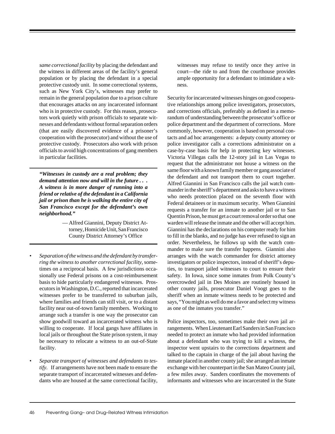*same correctional facility* by placing the defendant and the witness in different areas of the facility's general population or by placing the defendant in a special protective custody unit. In some correctional systems, such as New York City's, witnesses may prefer to remain in the general population due to a prison culture that encourages attacks on any incarcerated informant who is in protective custody. For this reason, prosecutors work quietly with prison officials to separate witnesses and defendants without formal separation orders (that are easily discovered evidence of a prisoner's cooperation with the prosecutor) and without the use of protective custody. Prosecutors also work with prison officials to avoid high concentrations of gang members in particular facilities.

*"Witnesses in custody are a real problem; they demand attention now and will in the future . . . A witness is in more danger of running into a friend or relative of the defendant in a California jail or prison than he is walking the entire city of San Francisco except for the defendant's own neighborhood."*

> — Alfred Giannini, Deputy District Attorney, Homicide Unit, San Francisco County District Attorney's Office

- *Separation of the witness and the defendant by transferring the witness to another correctional facility*, sometimes on a reciprocal basis. A few jurisdictions occasionally use Federal prisons on a cost-reimbursement basis to hide particularly endangered witnesses. Prosecutors in Washington, D.C., reported that incarcerated witnesses prefer to be transferred to suburban jails, where families and friends can still visit, or to a distant facility near out-of-town family members. Working to arrange such a transfer is one way the prosecutor can show goodwill toward an incarcerated witness who is willing to cooperate. If local gangs have affiliates in local jails or throughout the State prison system, it may be necessary to relocate a witness to an out-of-State facility.
- *Separate transport of witnesses and defendants to testify*. If arrangements have not been made to ensure the separate transport of incarcerated witnesses and defendants who are housed at the same correctional facility,

witnesses may refuse to testify once they arrive in court—the ride to and from the courthouse provides ample opportunity for a defendant to intimidate a witness.

Security for incarcerated witnesses hinges on good cooperative relationships among police investigators, prosecutors, and corrections officials, preferably as defined in a memorandum of understanding between the prosecutor's office or police department and the department of corrections. More commonly, however, cooperation is based on personal contacts and ad hoc arrangements: a deputy county attorney or police investigator calls a corrections administrator on a case-by-case basis for help in protecting key witnesses. Victoria Villegas calls the 12-story jail in Las Vegas to request that the administrator not house a witness on the same floor with a known family member or gang associate of the defendant and not transport them to court together. Alfred Giannini in San Francisco calls the jail watch commander in the sheriff's department and asks to have a witness who needs protection placed on the seventh floor with Federal detainees or in maximum security. When Giannini requests a transfer for an inmate to another jail or to San Quentin Prison, he must get a court removal order so that one warden will release the inmate and the other will accept him. Giannini has the declarations on his computer ready for him to fill in the blanks, and no judge has ever refused to sign an order. Nevertheless, he follows up with the watch commander to make sure the transfer happens. Giannini also arranges with the watch commander for district attorney investigators or police inspectors, instead of sheriff's deputies, to transport jailed witnesses to court to ensure their safety. In Iowa, since some inmates from Polk County's overcrowded jail in Des Moines are routinely housed in other county jails, prosecutor Daniel Voogt goes to the sheriff when an inmate witness needs to be protected and says, "You might as well do me a favor and select my witness as one of the inmates you transfer."

Police inspectors, too, sometimes make their own jail arrangements. When Lieutenant Earl Sanders in San Francisco needed to protect an inmate who had provided information about a defendant who was trying to kill a witness, the inspector went upstairs to the corrections department and talked to the captain in charge of the jail about having the inmate placed in another county jail; she arranged an inmate exchange with her counterpart in the San Mateo County jail, a few miles away. Sanders coordinates the movements of informants and witnesses who are incarcerated in the State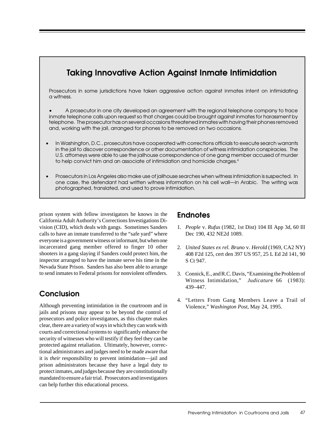# **Taking Innovative Action Against Inmate Intimidation**

Prosecutors in some jurisdictions have taken aggressive action against inmates intent on intimidating a witness.

• A prosecutor in one city developed an agreement with the regional telephone company to trace inmate telephone calls upon request so that charges could be brought against inmates for harassment by telephone. The prosecutor has on several occasions threatened inmates with having their phones removed and, working with the jail, arranged for phones to be removed on two occasions.

- In Washington, D.C., prosecutors have cooperated with corrections officials to execute search warrants in the jail to discover correspondence or other documentation of witness intimidation conspiracies. The U.S. attorneys were able to use the jailhouse correspondence of one gang member accused of murder to help convict him and an associate of intimidation and homicide charges.4
- Prosecutors in Los Angeles also make use of jailhouse searches when witness intimidation is suspected. In one case, the defendant had written witness information on his cell wall—in Arabic. The writing was photographed, translated, and used to prove intimidation.

prison system with fellow investigators he knows in the California Adult Authority's Corrections Investigations Division (CID), which deals with gangs. Sometimes Sanders calls to have an inmate transferred to the "safe yard" where everyone is a government witness or informant, but when one incarcerated gang member offered to finger 10 other shooters in a gang slaying if Sanders could protect him, the inspector arranged to have the inmate serve his time in the Nevada State Prison. Sanders has also been able to arrange to send inmates to Federal prisons for nonviolent offenders.

## **Conclusion**

Although preventing intimidation in the courtroom and in jails and prisons may appear to be beyond the control of prosecutors and police investigators, as this chapter makes clear, there are a variety of ways in which they can work with courts and correctional systems to significantly enhance the security of witnesses who will testify if they feel they can be protected against retaliation. Ultimately, however, correctional administrators and judges need to be made aware that it is *their* responsibility to prevent intimidation—jail and prison administrators because they have a legal duty to protect inmates, and judges because they are constitutionally mandated to ensure a fair trial. Prosecutors and investigators can help further this educational process.

## **Endnotes**

- 1. *People* v. *Rufus* (1982, 1st Dist) 104 Ill App 3d, 60 Ill Dec 190, 432 NE2d 1089.
- 2. *United States ex rel. Bruno* v. *Herold* (1969, CA2 NY) 408 F2d 125, cert den 397 US 957, 25 L Ed 2d 141, 90 S Ct 947.
- 3. Connick, E., and R.C. Davis, "Examining the Problem of Witness Intimidation," *Judicatur*e 66 (1983): 439–447.
- 4. "Letters From Gang Members Leave a Trail of Violence," *Washington Post*, May 24, 1995.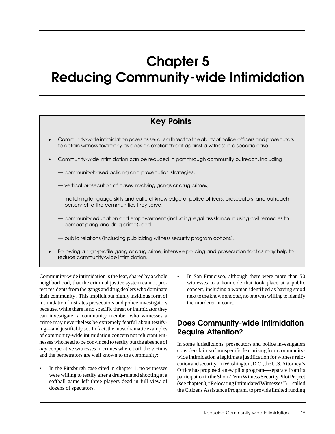# **Chapter 5 Reducing Community-wide Intimidation**

# **Key Points**

- Community-wide intimidation poses as serious a threat to the ability of police officers and prosecutors to obtain witness testimony as does an explicit threat against a witness in a specific case.
- Community-wide intimidation can be reduced in part through community outreach, including
	- community-based policing and prosecution strategies,
	- vertical prosecution of cases involving gangs or drug crimes,
	- matching language skills and cultural knowledge of police officers, prosecutors, and outreach personnel to the communities they serve,
	- community education and empowerment (including legal assistance in using civil remedies to combat gang and drug crime), and
	- public relations (including publicizing witness security program options).
- Following a high-profile gang or drug crime, intensive policing and prosecution tactics may help to reduce community-wide intimidation.

Community-wide intimidation is the fear, shared by a whole neighborhood, that the criminal justice system cannot protect residents from the gangs and drug dealers who dominate their community. This implicit but highly insidious form of intimidation frustrates prosecutors and police investigators because, while there is no specific threat or intimidator they can investigate, a community member who witnesses a crime may nevertheless be extremely fearful about testifying—and justifiably so. In fact, the most dramatic examples of community-wide intimidation concern not reluctant witnesses who need to be convinced to testify but the absence of *any* cooperative witnesses in crimes where both the victims and the perpetrators are well known to the community:

In the Pittsburgh case cited in chapter 1, no witnesses were willing to testify after a drug-related shooting at a softball game left three players dead in full view of dozens of spectators.

In San Francisco, although there were more than 50 witnesses to a homicide that took place at a public concert, including a woman identified as having stood next to the known shooter, no one was willing to identify the murderer in court.

## **Does Community-wide Intimidation Require Attention?**

In some jurisdictions, prosecutors and police investigators consider claims of nonspecific fear arising from communitywide intimidation a legitimate justification for witness relocation and security. In Washington, D.C., the U.S. Attorney's Office has proposed a new pilot program—separate from its participation in the Short-Term Witness Security Pilot Project (see chapter 3, "Relocating Intimidated Witnesses")—called the Citizens Assistance Program, to provide limited funding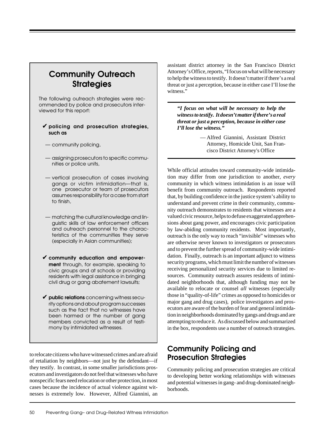# **Community Outreach Strategies**

The following outreach strategies were recommended by police and prosecutors interviewed for this report:

- ✔ **policing and prosecution strategies, such as**
	- community policing,
- assigning prosecutors to specific communities or police units,
- vertical prosecution of cases involving gangs or victim intimidation—that is, one prosecutor or team of prosecutors assumes responsibility for a case from start to finish,
- matching the cultural knowledge and linguistic skills of law enforcement officers and outreach personnel to the characteristics of the communities they serve (especially in Asian communities);
- ✔ **community education and empowerment** through, for example, speaking to civic groups and at schools or providing residents with legal assistance in bringing civil drug or gang abatement lawsuits;
- ✔ **public relations** concerning witness security options and about program successes such as the fact that no witnesses have been harmed or the number of gang members convicted as a result of testimony by intimidated witnesses.

to relocate citizens who have witnessed crimes and are afraid of retaliation by neighbors—not just by the defendant—if they testify. In contrast, in some smaller jurisdictions prosecutors and investigators do not feel that witnesses who have nonspecific fears need relocation or other protection, in most cases because the incidence of actual violence against witnesses is extremely low. However, Alfred Giannini, an assistant district attorney in the San Francisco District Attorney's Office, reports, "I focus on what will be necessary to help the witness to testify. It doesn't matter if there's a real threat or just a perception, because in either case I'll lose the witness."

*"I focus on what will be necessary to help the witness to testify. It doesn't matter if there's a real threat or just a perception, because in either case I'll lose the witness."*

> — Alfred Giannini, Assistant District Attorney, Homicide Unit, San Francisco District Attorney's Office

While official attitudes toward community-wide intimidation may differ from one jurisdiction to another, *every* community in which witness intimidation is an issue will benefit from community outreach. Respondents reported that, by building confidence in the justice system's ability to understand and prevent crime in their community, community outreach demonstrates to residents that witnesses are a valued civic resource, helps to defuse exaggerated apprehensions about gang power, and encourages civic participation by law-abiding community residents. Most importantly, outreach is the only way to reach "invisible" witnesses who are otherwise never known to investigators or prosecutors and to prevent the further spread of community-wide intimidation. Finally, outreach is an important adjunct to witness security programs, which must limit the number of witnesses receiving personalized security services due to limited resources. Community outreach assures residents of intimidated neighborhoods that, although funding may not be available to relocate or counsel *all* witnesses (especially those in "quality-of-life" crimes as opposed to homicides or major gang and drug cases), police investigators and prosecutors are aware of the burden of fear and general intimidation in neighborhoods dominated by gangs and drugs and are attempting to reduce it. As discussed below and summarized in the box, respondents use a number of outreach strategies.

## **Community Policing and Prosecution Strategies**

Community policing and prosecution strategies are critical to developing better working relationships with witnesses and potential witnesses in gang- and drug-dominated neighborhoods.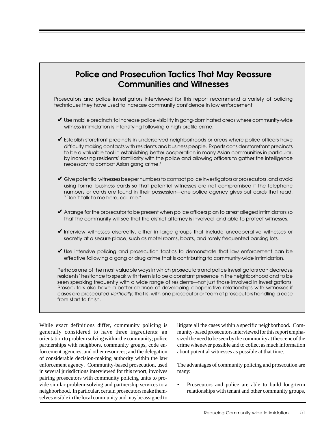| <b>Police and Prosecution Tactics That May Reassure</b><br><b>Communities and Witnesses</b>                                                                                                                                                                                                                                                                                                                                                                                                                                                      |  |  |  |  |  |  |  |
|--------------------------------------------------------------------------------------------------------------------------------------------------------------------------------------------------------------------------------------------------------------------------------------------------------------------------------------------------------------------------------------------------------------------------------------------------------------------------------------------------------------------------------------------------|--|--|--|--|--|--|--|
| Prosecutors and police investigators interviewed for this report recommend a variety of policing<br>techniques they have used to increase community confidence in law enforcement:                                                                                                                                                                                                                                                                                                                                                               |  |  |  |  |  |  |  |
| $\blacktriangleright$ Use mobile precincts to increase police visibility in gang-dominated areas where community-wide<br>witness intimidation is intensifying following a high-profile crime.                                                                                                                                                                                                                                                                                                                                                    |  |  |  |  |  |  |  |
| Establish storefront precincts in underserved neighborhoods or areas where police officers have<br>difficulty making contacts with residents and business people. Experts consider storefront precincts<br>to be a valuable tool in establishing better cooperation in many Asian communities in particular,<br>by increasing residents' familiarity with the police and allowing officers to gather the intelligence<br>necessary to combat Asian gang crime. <sup>1</sup>                                                                      |  |  |  |  |  |  |  |
| $\checkmark$ Give potential witnesses beeper numbers to contact police investigators or prosecutors, and avoid<br>using formal business cards so that potential witnesses are not compromised if the telephone<br>numbers or cards are found in their possession—one police agency gives out cards that read,<br>"Don't talk to me here, call me."                                                                                                                                                                                               |  |  |  |  |  |  |  |
| $\blacktriangleright$ Arrange for the prosecutor to be present when police officers plan to arrest alleged intimidators so<br>that the community will see that the district attorney is involved and able to protect witnesses.                                                                                                                                                                                                                                                                                                                  |  |  |  |  |  |  |  |
| Interview witnesses discreetly, either in large groups that include uncooperative witnesses or<br>secretly at a secure place, such as motel rooms, boats, and rarely frequented parking lots.                                                                                                                                                                                                                                                                                                                                                    |  |  |  |  |  |  |  |
| $\blacktriangleright$ Use intensive policing and prosecution tactics to demonstrate that law enforcement can be<br>effective following a gang or drug crime that is contributing to community-wide intimidation.                                                                                                                                                                                                                                                                                                                                 |  |  |  |  |  |  |  |
| Perhaps one of the most valuable ways in which prosecutors and police investigators can decrease<br>residents' hesitance to speak with them is to be a constant presence in the neighborhood and to be<br>seen speaking frequently with a wide range of residents—not just those involved in investigations.<br>Prosecutors also have a better chance of developing cooperative relationships with witnesses if<br>cases are prosecuted vertically, that is, with one prosecutor or team of prosecutors handling a case<br>from start to finish. |  |  |  |  |  |  |  |

While exact definitions differ, community policing is generally considered to have three ingredients: an orientation to problem solving within the community; police partnerships with neighbors, community groups, code enforcement agencies, and other resources; and the delegation of considerable decision-making authority within the law enforcement agency. Community-based prosecution, used in several jurisdictions interviewed for this report, involves pairing prosecutors with community policing units to provide similar problem-solving and partnership services to a neighborhood. In particular, certain prosecutors make themselves visible in the local community and may be assigned to litigate all the cases within a specific neighborhood. Community-based prosecutors interviewed for this report emphasized the need to be seen by the community at the scene of the crime whenever possible and to collect as much information about potential witnesses as possible at that time.

The advantages of community policing and prosecution are many:

• Prosecutors and police are able to build long-term relationships with tenant and other community groups,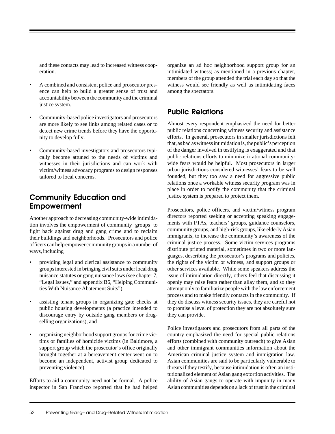and these contacts may lead to increased witness cooperation.

- A combined and consistent police and prosecutor presence can help to build a greater sense of trust and accountability between the community and the criminal justice system.
- Community-based police investigators and prosecutors are more likely to see links among related cases or to detect new crime trends before they have the opportunity to develop fully.
- Community-based investigators and prosecutors typically become attuned to the needs of victims and witnesses in their jurisdictions and can work with victim/witness advocacy programs to design responses tailored to local concerns.

## **Community Education and Empowerment**

Another approach to decreasing community-wide intimidation involves the empowerment of community groups to fight back against drug and gang crime and to reclaim their buildings and neighborhoods. Prosecutors and police officers can help empower community groups in a number of ways, including

- providing legal and clerical assistance to community groups interested in bringing civil suits under local drug nuisance statutes or gang nuisance laws (see chapter 7, "Legal Issues," and appendix B6, "Helping Communities With Nuisance Abatement Suits"),
- assisting tenant groups in organizing gate checks at public housing developments (a practice intended to discourage entry by outside gang members or drugselling organizations), and
- organizing neighborhood support groups for crime victims or families of homicide victims (in Baltimore, a support group which the prosecutor's office originally brought together at a bereavement center went on to become an independent, activist group dedicated to preventing violence).

Efforts to aid a community need not be formal. A police inspector in San Francisco reported that he had helped

organize an ad hoc neighborhood support group for an intimidated witness; as mentioned in a previous chapter, members of the group attended the trial each day so that the witness would see friendly as well as intimidating faces among the spectators.

## **Public Relations**

Almost every respondent emphasized the need for better public relations concerning witness security and assistance efforts. In general, prosecutors in smaller jurisdictions felt that, as bad as witness intimidation is, the public's perception of the danger involved in testifying is exaggerated and that public relations efforts to minimize irrational communitywide fears would be helpful. Most prosecutors in larger urban jurisdictions considered witnesses' fears to be well founded, but they too saw a need for aggressive public relations once a workable witness security program was in place in order to notify the community that the criminal justice system is prepared to protect them.

Prosecutors, police officers, and victim/witness program directors reported seeking or accepting speaking engagements with PTAs, teachers' groups, guidance counselors, community groups, and high-risk groups, like elderly Asian immigrants, to increase the community's awareness of the criminal justice process. Some victim services programs distribute printed material, sometimes in two or more languages, describing the prosecutor's programs and policies, the rights of the victim or witness, and support groups or other services available. While some speakers address the issue of intimidation directly, others feel that discussing it openly may raise fears rather than allay them, and so they attempt only to familiarize people with the law enforcement process and to make friendly contacts in the community. If they do discuss witness security issues, they are careful not to promise a level of protection they are not absolutely sure they can provide.

Police investigators and prosecutors from all parts of the country emphasized the need for special public relations efforts (combined with community outreach) to give Asian and other immigrant communities information about the American criminal justice system and immigration law. Asian communities are said to be particularly vulnerable to threats if they testify, because intimidation is often an institutionalized element of Asian gang extortion activities. The ability of Asian gangs to operate with impunity in many Asian communities depends on a lack of trust in the criminal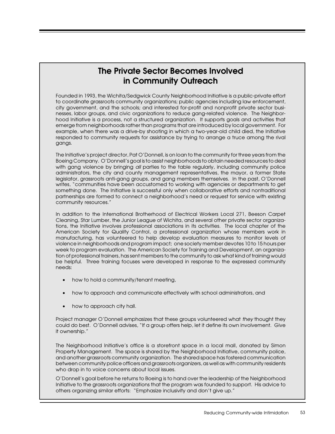# **The Private Sector Becomes Involved in Community Outreach**

Founded in 1993, the Wichita/Sedgwick County Neighborhood Initiative is a public-private effort to coordinate grassroots community organizations; public agencies including law enforcement, city government, and the schools; and interested for-profit and nonprofit private sector businesses, labor groups, and civic organizations to reduce gang-related violence. The Neighborhood Initiative is a process, not a structured organization. It supports goals and activities that emerge from neighborhoods rather than programs that are introduced by local government. For example, when there was a drive-by shooting in which a two-year-old child died, the Initiative responded to community requests for assistance by trying to arrange a truce among the rival gangs.

The Initiative's project director, Pat O'Donnell, is on loan to the community for three years from the Boeing Company. O'Donnell's goal is to assist neighborhoods to obtain needed resources to deal with gang violence by bringing all parties to the table regularly, including community police administrators, the city and county management representatives, the mayor, a former State legislator, grassroots anti-gang groups, and gang members themselves. In the past, O'Donnell writes, "communities have been accustomed to working with agencies or departments to get something done. The Initiative is successful only when collaborative efforts and nontraditional partnerships are formed to connect a neighborhood's need or request for service with existing community resources."

In addition to the International Brotherhood of Electrical Workers Local 271, Beeson Carpet Cleaning, Star Lumber, the Junior League of Wichita, and several other private sector organizations, the Initiative involves professional associations in its activities. The local chapter of the American Society for Quality Control, a professional organization whose members work in manufacturing, has volunteered to help develop evaluation measures to monitor levels of violence in neighborhoods and program impact; one society member devotes 10 to 15 hours per week to program evaluation. The American Society for Training and Development, an organization of professional trainers, has sent members to the community to ask what kind of training would be helpful. Three training focuses were developed in response to the expressed community needs:

- how to hold a community/tenant meeting,
- how to approach and communicate effectively with school administrators, and
- how to approach city hall.

Project manager O'Donnell emphasizes that these groups volunteered what they thought they could do best. O'Donnell advises, "If a group offers help, let it define its own involvement. Give it ownership."

The Neighborhood Initiative's office is a storefront space in a local mall, donated by Simon Property Management. The space is shared by the Neighborhood Initiative, community police, and another grassroots community organization. The shared space has fostered communication between community police officers and grassroots organizers, as well as with community residents who drop in to voice concerns about local issues.

O'Donnell's goal before he returns to Boeing is to hand over the leadership of the Neighborhood Initiative to the grassroots organizations that the program was founded to support. His advice to others organizing similar efforts: "Emphasize inclusivity and don't give up."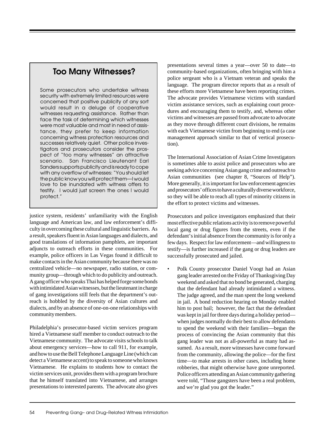# **Too Many Witnesses?**

Some prosecutors who undertake witness security with extremely limited resources were concerned that positive publicity of any sort would result in a deluge of cooperative witnesses requesting assistance. Rather than face the task of determining which witnesses were most valuable and most in need of assistance, they prefer to keep information concerning witness protection resources and successes relatively quiet. Other police investigators and prosecutors consider the prospect of "too many witnesses" an attractive scenario. San Francisco Lieutenant Earl Sanders supports publicity and is ready to cope with any overflow of witnesses: "You should let the public know you will protect them—I would love to be inundated with witness offers to testify. I would just screen the ones I would protect."

justice system, residents' unfamiliarity with the English language and American law, and law enforcement's difficulty in overcoming these cultural and linguistic barriers. As a result, speakers fluent in Asian languages and dialects, and good translations of information pamphlets, are important adjuncts to outreach efforts in these communities. For example, police officers in Las Vegas found it difficult to make contacts in the Asian community because there was no centralized vehicle—no newspaper, radio station, or community group—through which to do publicity and outreach. A gang officer who speaks Thai has helped forge some bonds with intimidated Asian witnesses, but the lieutenant in charge of gang investigations still feels that the department's outreach is hobbled by the diversity of Asian cultures and dialects, and by an absence of one-on-one relationships with community members.

Philadelphia's prosecutor-based victim services program hired a Vietnamese staff member to conduct outreach to the Vietnamese community. The advocate visits schools to talk about emergency services—how to call 911, for example, and how to use the Bell Telephone Language Line (which can detect a Vietnamese accent) to speak to someone who knows Vietnamese. He explains to students how to contact the victim services unit, provides them with a program brochure that he himself translated into Vietnamese, and arranges presentations to interested parents. The advocate also gives presentations several times a year—over 50 to date—to community-based organizations, often bringing with him a police sergeant who is a Vietnam veteran and speaks the language. The program director reports that as a result of these efforts more Vietnamese have been reporting crimes. The advocate provides Vietnamese victims with standard victim assistance services, such as explaining court procedures and encouraging them to testify, and, whereas other victims and witnesses are passed from advocate to advocate as they move through different court divisions, he remains with each Vietnamese victim from beginning to end (a case management approach similar to that of vertical prosecution).

The International Association of Asian Crime Investigators is sometimes able to assist police and prosecutors who are seeking advice concerning Asian gang crime and outreach to Asian communities (see chapter 8, "Sources of Help"). More generally, it is important for law enforcement agencies and prosecutors' offices to have a culturally diverse workforce, so they will be able to reach all types of minority citizens in the effort to protect victims and witnesses.

Prosecutors and police investigators emphasized that their most effective public relations activity is to remove powerful local gang or drug figures from the streets, even if the defendant's initial absence from the community is for only a few days. Respect for law enforcement—and willingness to testify—is further increased if the gang or drug leaders are successfully prosecuted and jailed.

Polk County prosecutor Daniel Voogt had an Asian gang leader arrested on the Friday of Thanksgiving Day weekend and asked that no bond be generated, charging that the defendant had already intimidated a witness. The judge agreed, and the man spent the long weekend in jail. A bond reduction hearing on Monday enabled him to post bail; however, the fact that the defendant was kept in jail for three days during a holiday period when judges normally do their best to allow defendants to spend the weekend with their families—began the process of convincing the Asian community that this gang leader was not as all-powerful as many had assumed. As a result, more witnesses have come forward from the community, allowing the police—for the first time—to make arrests in other cases, including home robberies, that might otherwise have gone unreported. Police officers attending an Asian community gathering were told, "Those gangsters have been a real problem, and we're glad you got the leader."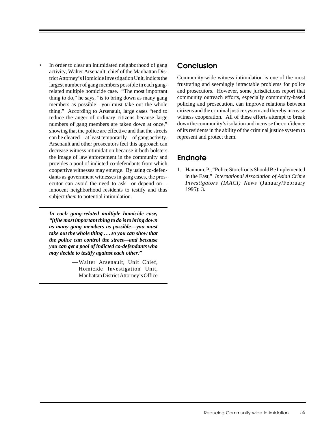In order to clear an intimidated neighborhood of gang activity, Walter Arsenault, chief of the Manhattan District Attorney's Homicide Investigation Unit, indicts the largest number of gang members possible in each gangrelated multiple homicide case. "The most important thing to do," he says, "is to bring down as many gang members as possible—you must take out the whole thing." According to Arsenault, large cases "tend to reduce the anger of ordinary citizens because large numbers of gang members are taken down at once," showing that the police are effective and that the streets can be cleared—at least temporarily—of gang activity. Arsenault and other prosecutors feel this approach can decrease witness intimidation because it both bolsters the image of law enforcement in the community and provides a pool of indicted co-defendants from which coopertive witnesses may emerge. By using co-defendants as government witnesses in gang cases, the prosecutor can avoid the need to ask—or depend on innocent neighborhood residents to testify and thus subject *them* to potential intimidation.

*In each gang-related multiple homicide case, "[t]he most important thing to do is to bring down as many gang members as possible—you must take out the whole thing . . . so you can show that the police can control the street—and because you can get a pool of indicted co-defendants who may decide to testify against each other."*

> — Walter Arsenault, Unit Chief, Homicide Investigation Unit, Manhattan District Attorney's Office

## **Conclusion**

Community-wide witness intimidation is one of the most frustrating and seemingly intractable problems for police and prosecutors. However, some jurisdictions report that community outreach efforts, especially community-based policing and prosecution, can improve relations between citizens and the criminal justice system and thereby increase witness cooperation. All of these efforts attempt to break down the community's isolation and increase the confidence of its residents in the ability of the criminal justice system to represent and protect them.

## **Endnote**

1. Hannum, P., "Police Storefronts Should Be Implemented in the East," *International Association of Asian Crime Investigators (IAACI) News* (January/February 1995): 3.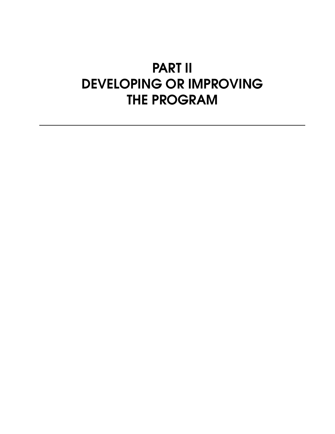# **PART II DEVELOPING OR IMPROVING THE PROGRAM**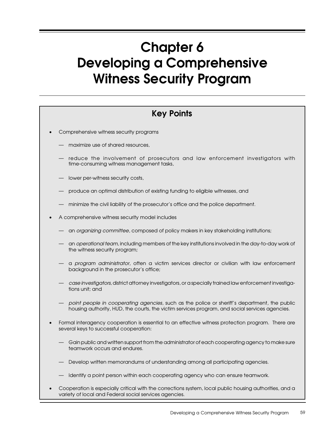# **Chapter 6 Developing a Comprehensive Witness Security Program**

| <b>Key Points</b> |                                                                                                                                                                                                |  |  |  |  |  |  |  |
|-------------------|------------------------------------------------------------------------------------------------------------------------------------------------------------------------------------------------|--|--|--|--|--|--|--|
|                   | Comprehensive witness security programs                                                                                                                                                        |  |  |  |  |  |  |  |
|                   | maximize use of shared resources.                                                                                                                                                              |  |  |  |  |  |  |  |
|                   | - reduce the involvement of prosecutors and law enforcement investigators with<br>time-consuming witness management tasks,                                                                     |  |  |  |  |  |  |  |
|                   | lower per-witness security costs,                                                                                                                                                              |  |  |  |  |  |  |  |
|                   | produce an optimal distribution of existing funding to eligible witnesses, and                                                                                                                 |  |  |  |  |  |  |  |
|                   | minimize the civil liability of the prosecutor's office and the police department.                                                                                                             |  |  |  |  |  |  |  |
|                   | A comprehensive witness security model includes                                                                                                                                                |  |  |  |  |  |  |  |
|                   | an organizing committee, composed of policy makers in key stakeholding institutions;                                                                                                           |  |  |  |  |  |  |  |
|                   | an operational team, including members of the key institutions involved in the day-to-day work of<br>the witness security program;                                                             |  |  |  |  |  |  |  |
|                   | a program administrator, often a victim services director or civilian with law enforcement<br>background in the prosecutor's office;                                                           |  |  |  |  |  |  |  |
|                   | case investigators, district attorney investigators, or a specially trained law enforcement investiga-<br>tions unit; and                                                                      |  |  |  |  |  |  |  |
|                   | point people in cooperating agencies, such as the police or sheriff's department, the public<br>housing authority, HUD, the courts, the victim services program, and social services agencies. |  |  |  |  |  |  |  |
|                   | Formal interagency cooperation is essential to an effective witness protection program. There are<br>several keys to successful cooperation:                                                   |  |  |  |  |  |  |  |
|                   | Gain public and written support from the administrator of each cooperating agency to make sure<br>teamwork occurs and endures.                                                                 |  |  |  |  |  |  |  |
|                   | Develop written memorandums of understanding among all participating agencies.                                                                                                                 |  |  |  |  |  |  |  |
|                   | Identify a point person within each cooperating agency who can ensure teamwork.                                                                                                                |  |  |  |  |  |  |  |
|                   | Cooperation is especially critical with the corrections system, local public housing authorities, and a                                                                                        |  |  |  |  |  |  |  |

variety of local and Federal social services agencies.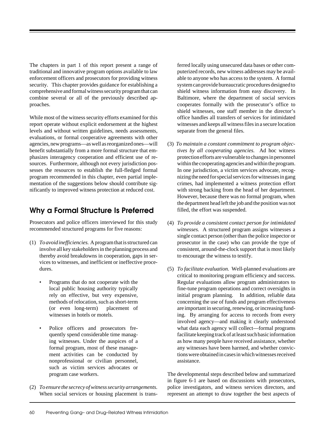The chapters in part 1 of this report present a range of traditional and innovative program options available to law enforcement officers and prosecutors for providing witness security. This chapter provides guidance for establishing a comprehensive and formal witness security program that can combine several or all of the previously described approaches.

While most of the witness security efforts examined for this report operate without explicit endorsement at the highest levels and without written guidelines, needs assessments, evaluations, or formal cooperative agreements with other agencies, new programs—as well as reorganized ones—will benefit substantially from a more formal structure that emphasizes interagency cooperation and efficient use of resources. Furthermore, although not every jurisdiction possesses the resources to establish the full-fledged formal program recommended in this chapter, even partial implementation of the suggestions below should contribute significantly to improved witness protection at reduced cost.

## **Why a Formal Structure Is Preferred**

Prosecutors and police officers interviewed for this study recommended structured programs for five reasons:

- (1) *To avoid inefficiencies.* A program that is structured can involve all key stakeholders in the planning process and thereby avoid breakdowns in cooperation, gaps in services to witnesses, and inefficient or ineffective procedures.
	- Programs that do not cooperate with the local public housing authority typically rely on effective, but very expensive, methods of relocation, such as short-term (or even long-term) placement of witnesses in hotels or motels.
	- Police officers and prosecutors frequently spend considerable time managing witnesses. Under the auspices of a formal program, most of these management activities can be conducted by nonprofessional or civilian personnel, such as victim services advocates or program case workers.
- (2) *To ensure the secrecy of witness security arrangements.* When social services or housing placement is trans-

ferred locally using unsecured data bases or other computerized records, new witness addresses may be available to anyone who has access to the system. A formal system can provide bureaucratic procedures designed to shield witness information from easy discovery. In Baltimore, where the department of social services cooperates formally with the prosecutor's office to shield witnesses, one staff member in the director's office handles all transfers of services for intimidated witnesses and keeps all witness files in a secure location separate from the general files.

- (3) *To maintain a constant commitment to program objectives by all cooperating agencies.* Ad hoc witness protection efforts are vulnerable to changes in personnel within the cooperating agencies and within the program. In one jurisdiction, a victim services advocate, recognizing the need for special services for witnesses in gang crimes, had implemented a witness protection effort with strong backing from the head of her department. However, because there was no formal program, when the department head left the job and the position was not filled, the effort was suspended.
- (4) *To provide a consistent contact person for intimidated witnesses.* A structured program assigns witnesses a single contact person (other than the police inspector or prosecutor in the case) who can provide the type of consistent, around-the-clock support that is most likely to encourage the witness to testify.
- (5) *To facilitate evaluation.* Well-planned evaluations are critical to monitoring program efficiency and success. Regular evaluations allow program administrators to fine-tune program operations and correct oversights in initial program planning. In addition, reliable data concerning the use of funds and program effectiveness are important in securing, renewing, or increasing funding. By arranging for access to records from every involved agency—and making it clearly understood what data each agency will collect—formal programs facilitate keeping track of at least such basic information as how many people have received assistance, whether any witnesses have been harmed, and whether convictions were obtained in cases in which witnesses received assistance.

The developmental steps described below and summarized in figure 6-1 are based on discussions with prosecutors, police investigators, and witness services directors, and represent an attempt to draw together the best aspects of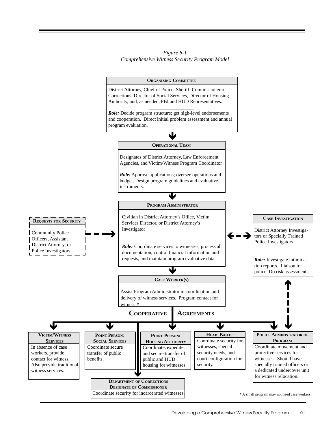*Figure 6-1 Comprehensive Witness Security Program Model*

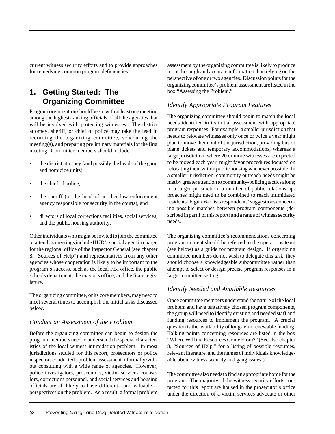current witness security efforts and to provide approaches for remedying common program deficiencies.

## **1. Getting Started: The Organizing Committee**

Program organization should begin with at least one meeting among the highest-ranking officials of all the agencies that will be involved with protecting witnesses. The district attorney, sheriff, or chief of police may take the lead in recruiting the organizing committee, scheduling the meeting(s), and preparing preliminary materials for the first meeting. Committee members should include

- the district attorney (and possibly the heads of the gang and homicide units),
- the chief of police,
- the sheriff (or the head of another law enforcement agency responsible for security in the courts), and
- directors of local corrections facilities, social services, and the public housing authority.

Other individuals who might be invited to join the committee or attend its meetings include HUD's special agent in charge for the regional office of the Inspector General (see chapter 8, "Sources of Help") and representatives from any other agencies whose cooperation is likely to be important to the program's success, such as the local FBI office, the public schools department, the mayor's office, and the State legislature.

The organizing committee, or its core members, may need to meet several times to accomplish the initial tasks discussed below.

#### *Conduct an Assessment of the Problem*

Before the organizing committee can begin to design the program, members need to understand the special characteristics of the local witness intimidation problem. In most jurisdictions studied for this report, prosecutors or police inspectors conducted a problem assessment informally without consulting with a wide range of agencies. However, police investigators, prosecutors, victim services counselors, corrections personnel, and social services and housing officials are all likely to have different—and valuable perspectives on the problem. As a result, a formal problem assessment by the organizing committee is likely to produce more thorough and accurate information than relying on the perspective of one or two agencies. Discussion points for the organizing committee's problem assessment are listed in the box "Assessing the Problem."

#### *Identify Appropriate Program Features*

The organizing committee should begin to match the local needs identified in its initial assessment with appropriate program responses. For example, a smaller jurisdiction that needs to relocate witnesses only once or twice a year might plan to move them out of the jurisdiction, providing bus or plane tickets and temporary accommodations, whereas a large jurisdiction, where 20 or more witnesses are expected to be moved each year, might favor procedures focused on relocating them within public housing whenever possible. In a smaller jurisdiction, community outreach needs might be met by greater attention to community-policing tactics alone; in a larger jurisdiction, a number of public relations approaches might need to be combined to reach intimidated residents. Figure 6-2 lists respondents' suggestions concerning possible matches between program components (described in part 1 of this report) and a range of witness security needs.

The organizing committee's recommendations concerning program content should be referred to the operations team (see below) as a guide for program design. If organizing committee members do not wish to delegate this task, they should choose a knowledgeable subcommittee rather than attempt to select or design precise program responses in a large committee setting.

#### *Identify Needed and Available Resources*

Once committee members understand the nature of the local problem and have tentatively chosen program components, the group will need to identify existing and needed staff and funding resources to implement the program. A crucial question is the availability of long-term renewable funding. Talking points concerning resources are listed in the box "Where Will the Resources Come From?" (See also chapter 8, "Sources of Help," for a listing of possible resources, relevant literature, and the names of individuals knowledgeable about witness security and gang issues.)

The committee also needs to find an appropriate home for the program. The majority of the witness security efforts contacted for this report are housed in the prosecutor's office under the direction of a victim services advocate or other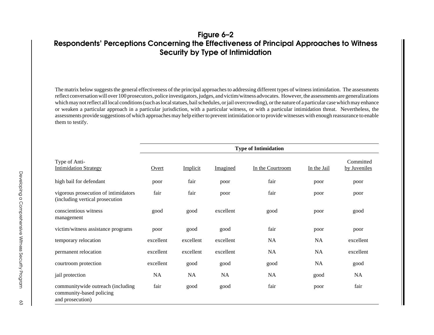## **Figure 6–2 Respondents' Perceptions Concerning the Effectiveness of Principal Approaches to Witness Security by Type of Intimidation**

The matrix below suggests the general effectiveness of the principal approaches to addressing different types of witness intimidation. The assessments reflect conversation will over 100 prosecutors, police investigators, judges, and victim/witness advocates. However, the assessments are generalizations which may not reflect all local conditions (such as local statues, bail schedules, or jail overcrowding), or the nature of a particular case which may enhance or weaken a particular approach in a particular jurisdiction, with a particular witness, or with a particular intimidation threat. Nevertheless, the assessments provide suggestions of which approaches may help either to prevent intimidation or to provide witnesses with enough reassurance to enable them to testify.

|                                                                                   | <b>Type of Intimidation</b> |           |           |                  |             |                           |
|-----------------------------------------------------------------------------------|-----------------------------|-----------|-----------|------------------|-------------|---------------------------|
| Type of Anti-<br><b>Intimidation Strategy</b>                                     | Overt                       | Implicit  | Imagined  | In the Courtroom | In the Jail | Committed<br>by Juveniles |
| high bail for defendant                                                           | poor                        | fair      | poor      | fair             | poor        | poor                      |
| vigorous prosecution of intimidators<br>(including vertical prosecution           | fair                        | fair      | poor      | fair             | poor        | poor                      |
| conscientious witness<br>management                                               | good                        | good      | excellent | good             | poor        | good                      |
| victim/witness assistance programs                                                | poor                        | good      | good      | fair             | poor        | poor                      |
| temporary relocation                                                              | excellent                   | excellent | excellent | NA               | NA          | excellent                 |
| permanent relocation                                                              | excellent                   | excellent | excellent | NA               | <b>NA</b>   | excellent                 |
| courtroom protection                                                              | excellent                   | good      | good      | good             | <b>NA</b>   | good                      |
| jail protection                                                                   | NA                          | <b>NA</b> | NA        | <b>NA</b>        | good        | <b>NA</b>                 |
| communitywide outreach (including<br>community-based policing<br>and prosecution) | fair                        | good      | good      | fair             | poor        | fair                      |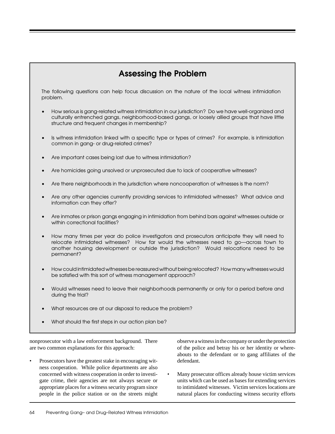# **Assessing the Problem**

The following questions can help focus discussion on the nature of the local witness intimidation problem.

- How serious is gang-related witness intimidation in our jurisdiction? Do we have well-organized and culturally entrenched gangs, neighborhood-based gangs, or loosely allied groups that have little structure and frequent changes in membership?
- Is witness intimidation linked with a specific type or types of crimes? For example, is intimidation common in gang- or drug-related crimes?
- Are important cases being lost due to witness intimidation?
- Are homicides going unsolved or unprosecuted due to lack of cooperative witnesses?
- Are there neighborhoods in the jurisdiction where noncooperation of witnesses is the norm?
- Are any other agencies currently providing services to intimidated witnesses? What advice and information can they offer?
- Are inmates or prison gangs engaging in intimidation from behind bars against witnesses outside or within correctional facilities?
- How many times per year do police investigators and prosecutors anticipate they will need to relocate intimidated witnesses? How far would the witnesses need to go—across town to another housing development or outside the jurisdiction? Would relocations need to be permanent?
- How could intimidated witnesses be reassured without being relocated? How many witnesses would be satisfied with this sort of witness management approach?
- Would witnesses need to leave their neighborhoods permanently or only for a period before and during the trial?
- What resources are at our disposal to reduce the problem?
- What should the first steps in our action plan be?

nonprosecutor with a law enforcement background. There are two common explanations for this approach:

• Prosecutors have the greatest stake in encouraging witness cooperation. While police departments are also concerned with witness cooperation in order to investigate crime, their agencies are not always secure or appropriate places for a witness security program since people in the police station or on the streets might observe a witness in the company or under the protection of the police and betray his or her identity or whereabouts to the defendant or to gang affiliates of the defendant.

• Many prosecutor offices already house victim services units which can be used as bases for extending services to intimidated witnesses. Victim services locations are natural places for conducting witness security efforts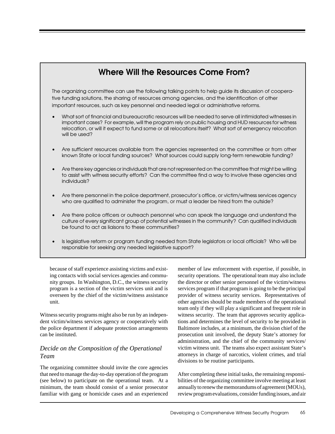# **Where Will the Resources Come From?**

The organizing committee can use the following talking points to help guide its discussion of cooperative funding solutions, the sharing of resources among agencies, and the identification of other important resources, such as key personnel and needed legal or administrative reforms.

- What sort of financial and bureaucratic resources will be needed to serve all intimidated witnesses in important cases? For example, will the program rely on public housing and HUD resources for witness relocation, or will it expect to fund some or all relocations itself? What sort of emergency relocation will be used?
- Are sufficient resources available from the agencies represented on the committee or from other known State or local funding sources? What sources could supply long-term renewable funding?
- Are there key agencies or individuals that are not represented on the committee that might be willing to assist with witness security efforts? Can the committee find a way to involve these agencies and individuals?
- Are there personnel in the police department, prosecutor's office, or victim/witness services agency who are qualified to administer the program, or must a leader be hired from the outside?
- Are there police officers or outreach personnel who can speak the language and understand the culture of every significant group of potential witnesses in the community? Can qualified individuals be found to act as liaisons to these communities?
- Is legislative reform or program funding needed from State legislators or local officials? Who will be responsible for seeking any needed legislative support?

because of staff experience assisting victims and existing contacts with social services agencies and community groups. In Washington, D.C., the witness security program is a section of the victim services unit and is overseen by the chief of the victim/witness assistance unit.

Witness security programs might also be run by an independent victim/witness services agency or cooperatively with the police department if adequate protection arrangements can be instituted.

#### *Decide on the Composition of the Operational Team*

The organizing committee should invite the core agencies that need to manage the day-to-day operation of the program (see below) to participate on the operational team. At a minimum, the team should consist of a senior prosecutor familiar with gang or homicide cases and an experienced member of law enforcement with expertise, if possible, in security operations. The operational team may also include the director or other senior personnel of the victim/witness services program if that program is going to be the principal provider of witness security services. Representatives of other agencies should be made members of the operational team only if they will play a significant and frequent role in witness security. The team that approves security applications and determines the level of security to be provided in Baltimore includes, at a minimum, the division chief of the prosecution unit involved, the deputy State's attorney for administration, and the chief of the community services/ victim witness unit. The teams also expect assistant State's attorneys in charge of narcotics, violent crimes, and trial divisions to be routine participants.

After completing these initial tasks, the remaining responsibilities of the organizing committee involve meeting at least annually to renew the memorandums of agreement (MOUs), review program evaluations, consider funding issues, and air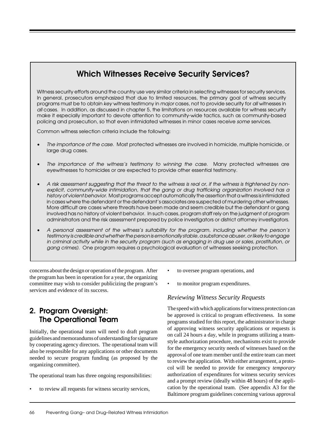### **Which Witnesses Receive Security Services?**

Witness security efforts around the country use very similar criteria in selecting witnesses for security services. In general, prosecutors emphasized that due to limited resources, the primary goal of witness security programs must be to obtain key witness testimony in major cases, not to provide security for all witnesses in all cases. In addition, as discussed in chapter 5, the limitations on resources available for witness security make it especially important to devote attention to community-wide tactics, such as community-based policing and prosecution, so that even intimidated witnesses in minor cases receive some services.

Common witness selection criteria include the following:

- The importance of the case. Most protected witnesses are involved in homicide, multiple homicide, or large drug cases.
- The importance of the witness's testimony to winning the case. Many protected witnesses are eyewitnesses to homicides or are expected to provide other essential testimony.
- A risk assessment suggesting that the threat to the witness is real or, if the witness is frightened by nonexplicit, community-wide intimidation, that the gang or drug trafficking organization involved has a history of violent behavior. Most programs accept automatically the assertion that a witness is intimidated in cases where the defendant or the defendant's associates are suspected of murdering other witnesses. More difficult are cases where threats have been made and seem credible but the defendant or gang involved has no history of violent behavior. In such cases, program staff rely on the judgment of program administrators and the risk assessment prepared by police investigators or district attorney investigators.
- A personal assessment of the witness's suitability for the program, including whether the person's testimony is credible and whether the person is emotionally stable, a substance abuser, or likely to engage in criminal activity while in the security program (such as engaging in drug use or sales, prostitution, or gang crimes). One program requires a psychological evaluation of witnesses seeking protection.

concerns about the design or operation of the program. After the program has been in operation for a year, the organizing committee may wish to consider publicizing the program's services and evidence of its success.

### **2. Program Oversight: The Operational Team**

Initially, the operational team will need to draft program guidelines and memorandums of understanding for signature by cooperating agency directors. The operational team will also be responsible for any applications or other documents needed to secure program funding (as proposed by the organizing committee).

The operational team has three ongoing responsibilities:

to review all requests for witness security services,

- to oversee program operations, and
- to monitor program expenditures.

#### *Reviewing Witness Security Requests*

The speed with which applications for witness protection can be approved is critical to program effectiveness. In some programs studied for this report, the administrator in charge of approving witness security applications or requests is on call 24 hours a day, while in programs utilizing a teamstyle authorization procedure, mechanisms exist to provide for the emergency security needs of witnesses based on the approval of one team member until the entire team can meet to review the application. With either arrangement, a protocol will be needed to provide for emergency *temporary* authorization of expenditures for witness security services and a prompt review (ideally within 48 hours) of the application by the operational team. (See appendix A3 for the Baltimore program guidelines concerning various approval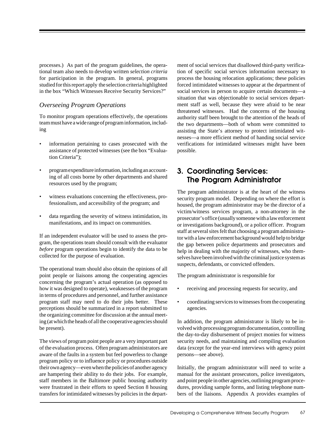processes.) As part of the program guidelines, the operational team also needs to develop written *selection criteria* for participation in the program. In general, programs studied for this report apply the selection criteria highlighted in the box "Which Witnesses Receive Security Services?"

#### *Overseeing Program Operations*

To monitor program operations effectively, the operations team must have a wide range of program information, including

- information pertaining to cases prosecuted with the assistance of protected witnesses (see the box "Evaluation Criteria");
- program expenditure information, including an accounting of all costs borne by other departments and shared resources used by the program;
- witness evaluations concerning the effectiveness, professionalism, and accessibility of the program; and
- data regarding the severity of witness intimidation, its manifestations, and its impact on communities.

If an independent evaluator will be used to assess the program, the operations team should consult with the evaluator *before* program operations begin to identify the data to be collected for the purpose of evaluation.

The operational team should also obtain the opinions of all point people or liaisons among the cooperating agencies concerning the program's actual operation (as opposed to how it was designed to operate), weaknesses of the program in terms of procedures and personnel, and further assistance program staff may need to do their jobs better. These perceptions should be summarized in a report submitted to the organizing committee for discussion at the annual meeting (at which the heads of all the cooperative agencies should be present).

The views of program point people are a very important part of the evaluation process. Often program administrators are aware of the faults in a system but feel powerless to change program policy or to influence policy or procedures outside their own agency—even when the policies of another agency are hampering their ability to do their jobs. For example, staff members in the Baltimore public housing authority were frustrated in their efforts to speed Section 8 housing transfers for intimidated witnesses by policies in the department of social services that disallowed third-party verification of specific social services information necessary to process the housing relocation applications; these policies forced intimidated witnesses to appear at the department of social services in person to acquire certain documents—a situation that was objectionable to social services department staff as well, because they were afraid to be near threatened witnesses. Had the concerns of the housing authority staff been brought to the attention of the heads of the two departments—both of whom were committed to assisting the State's attorney to protect intimidated witnesses—a more efficient method of handing social service verifications for intimidated witnesses might have been possible.

### **3. Coordinating Services: The Program Administrator**

The program administrator is at the heart of the witness security program model. Depending on where the effort is housed, the program administrator may be the director of a victim/witness services program, a non-attorney in the prosecutor's office (usually someone with a law enforcement or investigations background), or a police officer. Program staff at several sites felt that choosing a program administrator with a law enforcement background would help to bridge the gap between police departments and prosecutors and help in dealing with the majority of witnesses, who themselves have been involved with the criminal justice system as suspects, defendants, or convicted offenders.

The program administrator is responsible for

- receiving and processing requests for security, and
- coordinating services to witnesses from the cooperating agencies.

In addition, the program administrator is likely to be involved with processing program documentation, controlling the day-to-day disbursement of project monies for witness security needs, and maintaining and compiling evaluation data (except for the year-end interviews with agency point persons—see above).

Initially, the program administrator will need to write a manual for the assistant prosecutors, police investigators, and point people in other agencies, outlining program procedures, providing sample forms, and listing telephone numbers of the liaisons. Appendix A provides examples of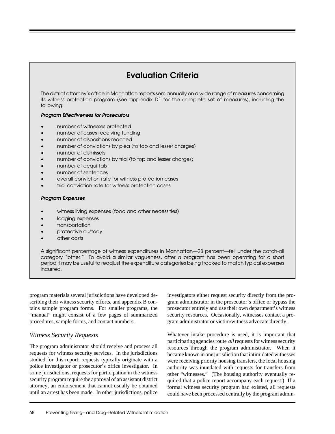### **Evaluation Criteria**

The district attorney's office in Manhattan reports semiannually on a wide range of measures concerning its witness protection program (see appendix D1 for the complete set of measures), including the following:

#### **Program Effectiveness for Prosecutors**

- number of witnesses protected
- number of cases receiving funding
- number of dispositions reached
- number of convictions by plea (to top and lesser charges)
- number of dismissals
- number of convictions by trial (to top and lesser charges)
- number of acquittals
- number of sentences
- overall conviction rate for witness protection cases
- trial conviction rate for witness protection cases

#### **Program Expenses**

- witness living expenses (food and other necessities)
- lodging expenses
- transportation
- protective custody
- other costs

A significant percentage of witness expenditures in Manhattan—23 percent—fell under the catch-all category "other." To avoid a similar vagueness, after a program has been operating for a short period it may be useful to readjust the expenditure categories being tracked to match typical expenses incurred.

program materials several jurisdictions have developed describing their witness security efforts, and appendix B contains sample program forms. For smaller programs, the "manual" might consist of a few pages of summarized procedures, sample forms, and contact numbers.

#### *Witness Security Requests*

The program administrator should receive and process all requests for witness security services. In the jurisdictions studied for this report, requests typically originate with a police investigator or prosecutor's office investigator. In some jurisdictions, requests for participation in the witness security program require the approval of an assistant district attorney, an endorsement that cannot usually be obtained until an arrest has been made. In other jurisdictions, police investigators either request security directly from the program administrator in the prosecutor's office or bypass the prosecutor entirely and use their own department's witness security resources. Occasionally, witnesses contact a program administrator or victim/witness advocate directly.

Whatever intake procedure is used, it is important that participating agencies route *all* requests for witness security resources through the program administrator. When it became known in one jurisdiction that intimidated witnesses were receiving priority housing transfers, the local housing authority was inundated with requests for transfers from other "witnesses." (The housing authority eventually required that a police report accompany each request.) If a formal witness security program had existed, all requests could have been processed centrally by the program admin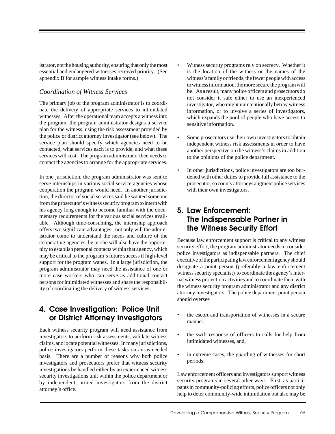istrator, not the housing authority, ensuring that only the most essential and endangered witnesses received priority. (See appendix B for sample witness intake forms.)

#### *Coordination of Witness Services*

The primary job of the program administrator is to coordinate the delivery of appropriate services to intimidated witnesses. After the operational team accepts a witness into the program, the program administrator designs a service plan for the witness, using the risk assessment provided by the police or district attorney investigator (see below). The service plan should specify which agencies need to be contacted, what services each is to provide, and what these services will cost. The program administrator then needs to contact the agencies to arrange for the appropriate services.

In one jurisdiction, the program administrator was sent to serve internships in various social service agencies whose cooperation the program would need. In another jurisdiction, the director of social services said he wanted someone from the prosecutor's witness security program to intern with his agency long enough to become familiar with the documentary requirements for the various social services available. Although time-consuming, the internship approach offers two significant advantages: not only will the administrator come to understand the needs and culture of the cooperating agencies, he or she will also have the opportunity to establish personal contacts within that agency, which may be critical to the program's future success if high-level support for the program wanes. In a large jurisdiction, the program administrator may need the assistance of one or more case workers who can serve as additional contact persons for intimidated witnesses and share the responsibility of coordinating the delivery of witness services.

### **4. Case Investigation: Police Unit or District Attorney Investigators**

Each witness security program will need assistance from investigators to perform risk assessments, validate witness claims, and locate potential witnesses. In many jurisdictions, police investigators perform these tasks on an as-needed basis. There are a number of reasons why both police investigators and prosecutors prefer that witness security investigations be handled either by an experienced witness security investigations unit within the police department or by independent, armed investigators from the district attorney's office.

- Witness security programs rely on secrecy. Whether it is the location of the witness or the names of the witness's family or friends, the fewer people with access to witness information, the more secure the program will be. As a result, many police officers and prosecutors do not consider it safe either to use an inexperienced investigator, who might unintentionally betray witness information, or to involve a series of investigators, which expands the pool of people who have access to sensitive information.
- Some prosecutors use their own investigators to obtain independent witness risk assessments in order to have another perspective on the witness's claims in addition to the opinions of the police department.
- In other jurisdictions, police investigators are too burdened with other duties to provide full assistance to the prosecutor, so county attorneys augment police services with their own investigators.

### **5. Law Enforcement: The Indispensable Partner in the Witness Security Effort**

Because law enforcement support is critical to any witness security effort, the program administrator needs to consider police investigators as indispensable partners. The chief executive of the participating law enforcement agency should designate a point person (preferably a law enforcement witness security specialist) to coordinate the agency's internal witness protection activities and to coordinate them with the witness security program administrator and any district attorney investigators. The police department point person should oversee

- the escort and transportation of witnesses in a secure manner,
- the swift response of officers to calls for help from intimidated witnesses, and,
- in extreme cases, the guarding of witnesses for short periods.

Law enforcement officers and investigators support witness security programs in several other ways. First, as participants in community-policing efforts, police officers not only help to deter community-wide intimidation but also may be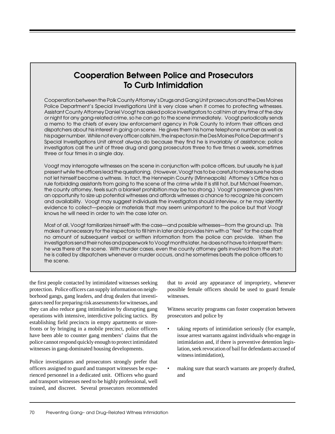### **Cooperation Between Police and Prosecutors To Curb Intimidation**

Cooperation between the Polk County Attorney's Drugs and Gang Unit prosecutors and the Des Moines Police Department's Special Investigations Unit is very close when it comes to protecting witnesses. Assistant County Attorney Daniel Voogt has asked police investigators to call him at any time of the day or night for any gang-related crime, so he can go to the scene immediately. Voogt periodically sends a memo to the chiefs of every law enforcement agency in Polk County to inform their officers and dispatchers about his interest in going on scene. He gives them his home telephone number as well as his pager number. While not every officer calls him, the inspectors in the Des Moines Police Department's Special Investigations Unit almost always do because they find he is invariably of assistance; police investigators call the unit of three drug and gang prosecutors three to five times a week, sometimes three or four times in a single day.

Voogt may interrogate witnesses on the scene in conjunction with police officers, but usually he is just present while the officers lead the questioning. (However, Voogt has to be careful to make sure he does not let himself become a witness. In fact, the Hennepin County [Minneapolis] Attorney's Office has a rule forbidding assistants from going to the scene of the crime while it is still hot, but Michael Freeman, the county attorney, feels such a blanket prohibition may be too strong.) Voogt's presence gives him an opportunity to size up potential witnesses and affords witnesses a chance to recognize his concern and availability. Voogt may suggest individuals the investigators should interview, or he may identify evidence to collect—people or materials that may seem unimportant to the police but that Voogt knows he will need in order to win the case later on.

Most of all, Voogt familiarizes himself with the case—and possible witnesses—from the ground up. This makes it unnecessary for the inspectors to fill him in later and provides him with a "feel" for the case that no amount of subsequent verbal or written information from the police can provide. When the investigators send their notes and paperwork to Voogt months later, he does not have to interpret them: he was there at the scene. With murder cases, even the county attorney gets involved from the start: he is called by dispatchers whenever a murder occurs, and he sometimes beats the police officers to the scene.

the first people contacted by intimidated witnesses seeking protection. Police officers can supply information on neighborhood gangs, gang leaders, and drug dealers that investigators need for preparing risk assessments for witnesses, and they can also reduce gang intimidation by disrupting gang operations with intensive, interdictive policing tactics. By establishing field precincts in empty apartments or storefronts or by bringing in a mobile precinct, police officers have been able to counter gang members' claims that the police cannot respond quickly enough to protect intimidated witnesses in gang-dominated housing developments.

Police investigators and prosecutors strongly prefer that officers assigned to guard and transport witnesses be experienced personnel in a dedicated unit. Officers who guard and transport witnesses need to be highly professional, well trained, and discreet. Several prosecutors recommended that to avoid any appearance of impropriety, whenever possible female officers should be used to guard female witnesses.

Witness security programs can foster cooperation between prosecutors and police by

- taking reports of intimidation seriously (for example, issue arrest warrants against individuals who engage in intimidation and, if there is preventive detention legislation, seek revocation of bail for defendants accused of witness intimidation),
- making sure that search warrants are properly drafted, and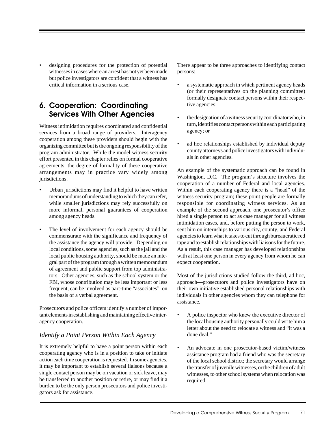designing procedures for the protection of potential witnesses in cases where an arrest has not yet been made but police investigators are confident that a witness has critical information in a serious case.

### **6. Cooperation: Coordinating Services With Other Agencies**

Witness intimidation requires coordinated and confidential services from a broad range of providers. Interagency cooperation among these providers should begin with the organizing committee but is the ongoing responsibility of the program administrator. While the model witness security effort presented in this chapter relies on formal cooperative agreements, the degree of formality of these cooperative arrangements may in practice vary widely among jurisdictions.

- Urban jurisdictions may find it helpful to have written memorandums of understanding to which they can refer, while smaller jurisdictions may rely successfully on more informal, personal guarantees of cooperation among agency heads.
- The level of involvement for each agency should be commensurate with the significance and frequency of the assistance the agency will provide. Depending on local conditions, some agencies, such as the jail and the local public housing authority, should be made an integral part of the program through a written memorandum of agreement and public support from top administrators. Other agencies, such as the school system or the FBI, whose contribution may be less important or less frequent, can be involved as part-time "associates" on the basis of a verbal agreement.

Prosecutors and police officers identify a number of important elements in establishing and maintaining effective interagency cooperation.

#### *Identify a Point Person Within Each Agency*

It is extremely helpful to have a point person within each cooperating agency who is in a position to take or initiate action each time cooperation is requested. In some agencies, it may be important to establish several liaisons because a single contact person may be on vacation or sick leave, may be transferred to another position or retire, or may find it a burden to be the only person prosecutors and police investigators ask for assistance.

There appear to be three approaches to identifying contact persons:

- a systematic approach in which pertinent agency heads (or their representatives on the planning committee) formally designate contact persons within their respective agencies;
- the designation of a witness security coordinator who, in turn, identifies contact persons within each participating agency; or
- ad hoc relationships established by individual deputy county attorneys and police investigators with individuals in other agencies.

An example of the systematic approach can be found in Washington, D.C. The program's structure involves the cooperation of a number of Federal and local agencies. Within each cooperating agency there is a "head" of the witness security program; these point people are formally responsible for coordinating witness services. As an example of the second approach, one prosecutor's office hired a single person to act as case manager for all witness intimidation cases, and, before putting the person to work, sent him on internships to various city, county, and Federal agencies to learn what it takes to cut through bureaucratic red tape and to establish relationships with liaisons for the future. As a result, this case manager has developed relationships with at least one person in every agency from whom he can expect cooperation.

Most of the jurisdictions studied follow the third, ad hoc, approach—prosecutors and police investigators have on their own initiative established personal relationships with individuals in other agencies whom they can telephone for assistance.

- A police inspector who knew the executive director of the local housing authority personally could write him a letter about the need to relocate a witness and "it was a done deal."
- An advocate in one prosecutor-based victim/witness assistance program had a friend who was the secretary of the local school district; the secretary would arrange the transfer of juvenile witnesses, or the children of adult witnesses, to other school systems when relocation was required.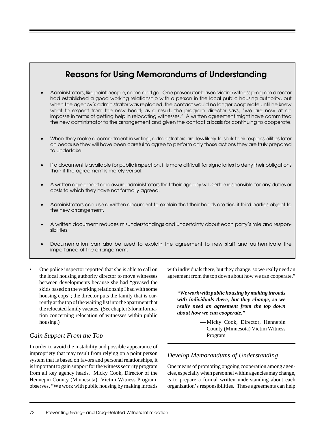### **Reasons for Using Memorandums of Understanding**

- Administrators, like point people, come and go. One prosecutor-based victim/witness program director had established a good working relationship with a person in the local public housing authority, but when the agency's administrator was replaced, the contact would no longer cooperate until he knew what to expect from the new head; as a result, the program director says, "we are now at an impasse in terms of getting help in relocating witnesses." A written agreement might have committed the new administrator to the arrangement and given the contact a basis for continuing to cooperate.
- When they make a commitment in writing, administrators are less likely to shirk their responsibilities later on because they will have been careful to agree to perform only those actions they are truly prepared to undertake.
- If a document is available for public inspection, it is more difficult for signatories to deny their obligations than if the agreement is merely verbal.
- A written agreement can assure administrators that their agency will not be responsible for any duties or costs to which they have not formally agreed.
- Administrators can use a written document to explain that their hands are tied if third parties object to the new arrangement.
- A written document reduces misunderstandings and uncertainty about each party's role and responsibilities.
- Documentation can also be used to explain the agreement to new staff and authenticate the importance of the arrangement.
- One police inspector reported that she is able to call on the local housing authority director to move witnesses between developments because she had "greased the skids based on the working relationship I had with some housing cops"; the director puts the family that is currently at the top of the waiting list into the apartment that the relocated family vacates. (See chapter 3 for information concerning relocation of witnesses within public housing.)

#### *Gain Support From the Top*

In order to avoid the instability and possible appearance of impropriety that may result from relying on a point person system that is based on favors and personal relationships, it is important to gain support for the witness security program from all key agency heads. Micky Cook, Director of the Hennepin County (Minnesota) Victim Witness Program, observes, "We work with public housing by making inroads with individuals there, but they change, so we really need an agreement from the top down about how we can cooperate."

*"We work with public housing by making inroads with individuals there, but they change, so we really need an agreement from the top down about how we can cooperate."*

> — Micky Cook, Director, Hennepin County (Minnesota) Victim Witness Program

#### *Develop Memorandums of Understanding*

One means of promoting ongoing cooperation among agencies, especially when personnel within agencies may change, is to prepare a formal written understanding about each organization's responsibilities. These agreements can help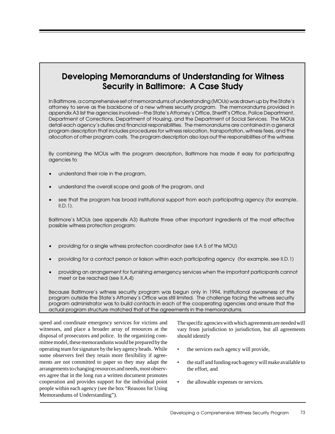### **Developing Memorandums of Understanding for Witness Security in Baltimore: A Case Study**

In Baltimore, a comprehensive set of memorandums of understanding (MOUs) was drawn up by the State's attorney to serve as the backbone of a new witness security program. The memorandums provided in appendix A3 list the agencies involved—the State's Attorney's Office, Sheriff's Office, Police Department, Department of Corrections, Department of Housing, and the Department of Social Services. The MOUs detail each agency's duties and financial responsibilities. The memorandums are contained in a general program description that includes procedures for witness relocation, transportation, witness fees, and the allocation of other program costs. The program description also lays out the responsibilities of the witness.

By combining the MOUs with the program description, Baltimore has made it easy for participating agencies to

- understand their role in the program,
- understand the overall scope and goals of the program, and
- see that the program has broad institutional support from each participating agency (for example,  $II.D.1$ ).

Baltimore's MOUs (see appendix A3) illustrate three other important ingredients of the most effective possible witness protection program:

- providing for a single witness protection coordinator (see II.A 5 of the MOU)
- providing for a contact person or liaison within each participating agency (for example, see II.D.1)
- providing an arrangement for furnishing emergency services when the important participants cannot meet or be reached (see II.A.4)

Because Baltimore's witness security program was begun only in 1994, institutional awareness of the program outside the State's Attorney's Office was still limited. The challenge facing the witness security program administrator was to build contacts in each of the cooperating agencies and ensure that the actual program structure matched that of the agreements in the memorandums.

speed and coordinate emergency services for victims and witnesses, and place a broader array of resources at the disposal of prosecutors and police. In the organizing committee model, these memorandums would be prepared by the operating team for signature by the key agency heads. While some observers feel they retain more flexibility if agreements are not committed to paper so they may adapt the arrangements to changing resources and needs, most observers agree that in the long run a written document promotes cooperation and provides support for the individual point people within each agency (see the box "Reasons for Using Memorandums of Understanding").

The specific agencies with which agreements are needed will vary from jurisdiction to jurisdiction, but all agreements should identify

- the services each agency will provide,
- the staff and funding each agency will make available to the effort, and
- the allowable expenses or services.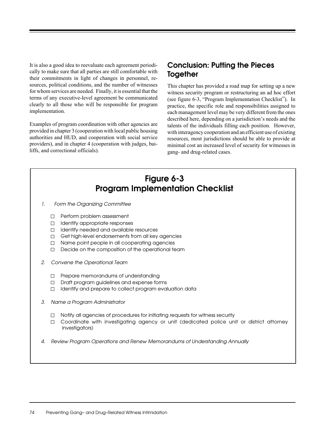It is also a good idea to reevaluate each agreement periodically to make sure that all parties are still comfortable with their commitments in light of changes in personnel, resources, political conditions, and the number of witnesses for whom services are needed. Finally, it is essential that the terms of any executive-level agreement be communicated clearly to all those who will be responsible for program implementation.

Examples of program coordination with other agencies are provided in chapter 3 (cooperation with local public housing authorities and HUD, and cooperation with social service providers), and in chapter 4 (cooperation with judges, bailiffs, and correctional officials).

### **Conclusion: Putting the Pieces Together**

This chapter has provided a road map for setting up a new witness security program or restructuring an ad hoc effort (see figure 6-3, "Program Implementation Checklist"). In practice, the specific role and responsibilities assigned to each management level may be very different from the ones described here, depending on a jurisdiction's needs and the talents of the individuals filling each position. However, with interagency cooperation and an efficient use of existing resources, most jurisdictions should be able to provide at minimal cost an increased level of security for witnesses in gang- and drug-related cases.

### **Figure 6-3 Program Implementation Checklist**

- 1. Form the Organizing Committee
	- D Perform problem assessment
	- Identify appropriate responses
	- Identify needed and available resources
	- $\Box$  Get high-level endorsements from all key agencies
	- □ Name point people in all cooperating agencies
	- $\Box$  Decide on the composition of the operational team
- 2. Convene the Operational Team
	- $\Box$  Prepare memorandums of understanding
	- $\Box$  Draft program guidelines and expense forms
	- Identify and prepare to collect program evaluation data
- 3. Name a Program Administrator
	- $\Box$  Notify all agencies of procedures for initiating requests for witness security
	- $\Box$ Coordinate with investigating agency or unit (dedicated police unit or district attorney investigators)
- 4. Review Program Operations and Renew Memorandums of Understanding Annually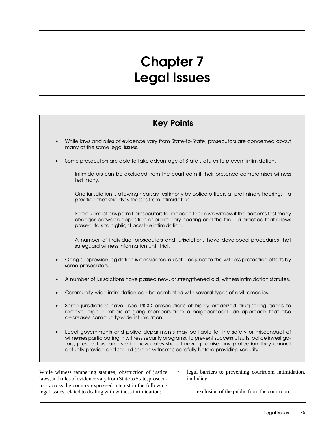# **Chapter 7 Legal Issues**

## **Key Points**

- While laws and rules of evidence vary from State-to-State, prosecutors are concerned about many of the same legal issues.
- Some prosecutors are able to take advantage of State statutes to prevent intimidation.
	- Intimidators can be excluded from the courtroom if their presence compromises witness testimony.
	- One jurisdiction is allowing hearsay testimony by police officers at preliminary hearings—a practice that shields witnesses from intimidation.
	- Some jurisdictions permit prosecutors to impeach their own witness if the person's testimony changes between deposition or preliminary hearing and the trial—a practice that allows prosecutors to highlight possible intimidation.
	- A number of individual prosecutors and jurisdictions have developed procedures that safeguard witness information until trial.
- Gang suppression legislation is considered a useful adjunct to the witness protection efforts by some prosecutors.
- A number of jurisdictions have passed new, or strengthened old, witness intimidation statutes.
- Community-wide intimidation can be combated with several types of civil remedies.
- Some jurisdictions have used RICO prosecutions of highly organized drug-selling gangs to remove large numbers of gang members from a neighborhood—an approach that also decreases community-wide intimidation.
- Local governments and police departments may be liable for the safety or misconduct of witnesses participating in witness security programs. To prevent successful suits, police investigators, prosecutors, and victim advocates should never promise any protection they cannot actually provide and should screen witnesses carefully before providing security.

While witness tampering statutes, obstruction of justice laws, and rules of evidence vary from State to State, prosecutors across the country expressed interest in the following legal issues related to dealing with witness intimidation:

- legal barriers to preventing courtroom intimidation, including
	- exclusion of the public from the courtroom,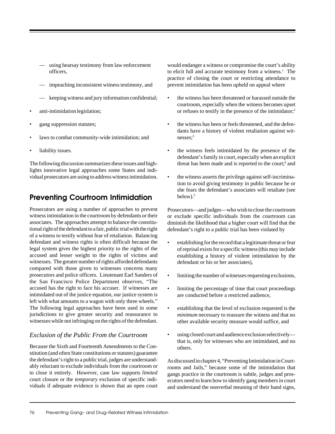- using hearsay testimony from law enforcement officers,
- impeaching inconsistent witness testimony, and
- keeping witness and jury information confidential;
- anti-intimidation legislation;
- gang suppression statutes;
- laws to combat community-wide intimidation; and
- liability issues.

The following discussion summarizes these issues and highlights innovative legal approaches some States and individual prosecutors are using to address witness intimidation.

### **Preventing Courtroom Intimidation**

Prosecutors are using a number of approaches to prevent witness intimidation in the courtroom by defendants or their associates. The approaches attempt to balance the constitutional right of the defendant to a fair, public trial with the right of a witness to testify without fear of retaliation. Balancing defendant and witness rights is often difficult because the legal system gives the highest priority to the rights of the accused and lesser weight to the rights of victims and witnesses. The greater number of rights afforded defendants compared with those given to witnesses concerns many prosecutors and police officers. Lieutenant Earl Sanders of the San Francisco Police Department observes, "The accused has the right to face his accuser. If witnesses are intimidated out of the justice equation, our justice system is left with what amounts to a wagon with only three wheels." The following legal approaches have been used in some jurisdictions to give greater security and reassurance to witnesses while not infringing on the rights of the defendant.

#### *Exclusion of the Public From the Courtroom*

Because the Sixth and Fourteenth Amendments to the Constitution (and often State constitutions or statutes) guarantee the defendant's right to a public trial, judges are understandably reluctant to exclude individuals from the courtroom or to close it entirely. However, case law supports *limited* court closure or the *temporary* exclusion of specific individuals if adequate evidence is shown that an open court

would endanger a witness or compromise the court's ability to elicit full and accurate testimony from a witness.<sup>1</sup> The practice of closing the court or restricting attendance to prevent intimidation has been upheld on appeal where

- the witness has been threatened or harassed outside the courtroom, especially when the witness becomes upset or refuses to testify in the presence of the intimidator;<sup>2</sup>
- the witness has been or feels threatened, and the defendants have a history of violent retaliation against witnesses;<sup>3</sup>
- the witness feels intimidated by the presence of the defendant's family in court, especially when an explicit threat has been made and is reported to the court;<sup>4</sup> and
- the witness asserts the privilege against self-incrimination to avoid giving testimony in public because he or she fears the defendant's associates will retaliate (see below).5

Prosecutors—and judges—who wish to close the courtroom or exclude specific individuals from the courtroom can diminish the likelihood that a higher court will find that the defendant's right to a public trial has been violated by

- establishing for the record that a legitimate threat or fear of reprisal exists for a specific witness (this may include establishing a history of violent intimidation by the defendant or his or her associates),
- limiting the number of witnesses requesting exclusions,
- limiting the percentage of time that court proceedings are conducted before a restricted audience,
- establishing that the level of exclusion requested is the *minimum* necessary to reassure the witness and that no other available security measure would suffice, and
- using closed court and audience exclusion selectively that is, only for witnesses who are intimidated, and no others.

As discussed in chapter 4, "Preventing Intimidation in Courtrooms and Jails," because some of the intimidation that gangs practice in the courtroom is subtle, judges and prosecutors need to learn how to identify gang members in court and understand the nonverbal meaning of their hand signs,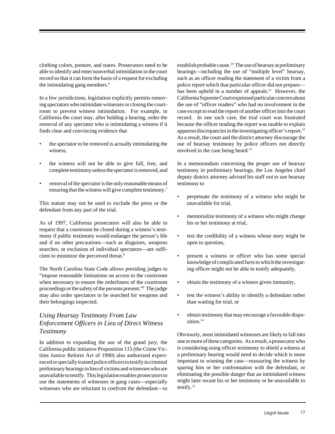clothing colors, posture, and stares. Prosecutors need to be able to identify and enter nonverbal intimidation in the court record so that it can form the basis of a request for excluding the intimidating gang members.<sup>6</sup>

In a few jurisdictions, legislation explicitly permits removing spectators who intimidate witnesses or closing the courtroom to prevent witness intimidation. For example, in California the court may, after holding a hearing, order the removal of any spectator who is intimidating a witness if it finds clear and convincing evidence that

- the spectator to be removed is actually intimidating the witness,
- the witness will not be able to give full, free, and complete testimony unless the spectator is removed, and
- removal of the spectator is the only reasonable means of ensuring that the witness will give complete testimony.<sup>7</sup>

This statute may not be used to exclude the press or the defendant from any part of the trial.

As of 1997, California prosecutors will also be able to request that a courtroom be closed during a witness's testimony if public testimony would endanger the person's life and if no other precautions—such as disguises, weapons searches, or exclusion of individual spectators—are sufficient to minimize the perceived threat.8

The North Carolina State Code allows presiding judges to "impose reasonable limitations on access to the courtroom when necessary to ensure the orderliness of the courtroom proceedings or the safety of the persons present."9 The judge may also order spectators to be searched for weapons and their belongings inspected.

#### *Using Hearsay Testimony From Law Enforcement Officers in Lieu of Direct Witness Testimony*

In addition to expanding the use of the grand jury, the California public initiative Proposition 115 (the Crime Victims Justice Reform Act of 1990) also authorized experienced or specially trained police officers to testify in criminal preliminary hearings in lieu of victims and witnesses who are unavailable to testify. This legislation enables prosecutors to use the statements of witnesses in gang cases—especially witnesses who are reluctant to confront the defendant—to establish probable cause.<sup>10</sup> The use of hearsay at preliminary hearings—including the use of "multiple level" hearsay, such as an officer reading the statement of a victim from a police report which that particular officer did not prepare has been upheld in a number of appeals.<sup>11</sup> However, the California Supreme Court expressed particular concern about the use of "officer readers" who had no involvement in the case except to read the report of another officer into the court record. In one such case, the trial court was frustrated because the officer reading the report was unable to explain apparent discrepancies in the investigating officer's report.<sup>12</sup> As a result, the court and the district attorney discourage the use of hearsay testimony by police officers not directly involved in the case being heard.<sup>13</sup>

In a memorandum concerning the proper use of hearsay testimony in preliminary hearings, the Los Angeles chief deputy district attorney advised his staff *not* to use hearsay testimony to

- perpetuate the testimony of a witness who might be unavailable for trial,
- memorialize testimony of a witness who might change his or her testimony at trial,
- test the credibility of a witness whose story might be open to question,
- present a witness or officer who has some special knowledge of complicated facts to which the investigating officer might not be able to testify adequately,
- obtain the testimony of a witness given immunity,
- test the witness's ability to identify a defendant rather than waiting for trial, or
- obtain testimony that may encourage a favorable disposition.<sup>14</sup>

Obviously, most intimidated witnesses are likely to fall into one or more of these categories. As a result, a prosecutor who is considering using officer testimony to shield a witness at a preliminary hearing would need to decide which is more important to winning the case—reassuring the witness by sparing him or her confrontation with the defendant, or eliminating the possible danger that an intimidated witness might later recant his or her testimony or be unavailable to testify.15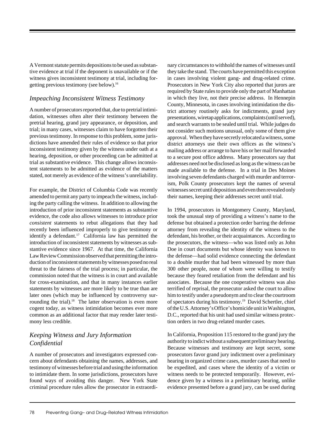A Vermont statute permits depositions to be used as substantive evidence at trial if the deponent is unavailable or if the witness gives inconsistent testimony at trial, including forgetting previous testimony (see below).16

#### *Impeaching Inconsistent Witness Testimony*

A number of prosecutors reported that, due to pretrial intimidation, witnesses often alter their testimony between the pretrial hearing, grand jury appearance, or deposition, and trial; in many cases, witnesses claim to have forgotten their previous testimony. In response to this problem, some jurisdictions have amended their rules of evidence so that prior inconsistent testimony given by the witness under oath at a hearing, deposition, or other proceeding can be admitted at trial as substantive evidence. This change allows inconsistent statements to be admitted as evidence of the matters stated, not merely as evidence of the witness's unreliability.

For example, the District of Columbia Code was recently amended to permit any party to impeach the witness, including the party calling the witness. In addition to allowing the introduction of prior inconsistent statements as substantive evidence, the code also allows witnesses to introduce prior *consistent* statements to rebut allegations that they had recently been influenced improperly to give testimony or identify a defendant.<sup>17</sup> California law has permitted the introduction of inconsistent statements by witnesses as substantive evidence since 1967. At that time, the California Law Review Commission observed that permitting the introduction of inconsistent statements by witnesses posed no real threat to the fairness of the trial process; in particular, the commission noted that the witness is in court and available for cross-examination, and that in many instances earlier statements by witnesses are more likely to be true than are later ones (which may be influenced by controversy surrounding the trial).<sup>18</sup> The latter observation is even more cogent today, as witness intimidation becomes ever more common as an additional factor that may render later testimony less credible.

#### *Keeping Witness and Jury Information Confidential*

A number of prosecutors and investigators expressed concern about defendants obtaining the names, addresses, and testimony of witnesses before trial and using the information to intimidate them. In some jurisdictions, prosecutors have found ways of avoiding this danger. New York State criminal procedure rules allow the prosecutor in extraordinary circumstances to withhold the names of witnesses until they take the stand. The courts have permitted this exception in cases involving violent gang- and drug-related crime. Prosecutors in New York City also reported that jurors are required by State rules to provide only the part of Manhattan in which they live, not their precise address. In Hennepin County, Minnesota, in cases involving intimidation the district attorney routinely asks for indictments, grand jury presentations, wiretap applications, complaints (until served), and search warrants to be sealed until trial. While judges do not consider such motions unusual, only some of them give approval. When they have secretly relocated a witness, some district attorneys use their own offices as the witness's mailing address or arrange to have his or her mail forwarded to a secure post office address. Many prosecutors say that addresses need not be disclosed as long as the witness can be made available to the defense. In a trial in Des Moines involving seven defendants charged with murder and terrorism, Polk County prosecutors kept the names of several witnesses secret until deposition and even then revealed only their names, keeping their addresses secret until trial.

In 1994, prosecutors in Montgomery County, Maryland, took the unusual step of providing a witness's name to the defense but obtained a protection order barring the defense attorney from revealing the identity of the witness to the defendant, his brother, or their acquaintances. According to the prosecutors, the witness—who was listed only as John Doe in court documents but whose identity was known to the defense—had solid evidence connecting the defendant to a double murder that had been witnessed by more than 300 other people, none of whom were willing to testify because they feared retaliation from the defendant and his associates. Because the one cooperative witness was also terrified of reprisal, the prosecutor asked the court to allow him to testify under a pseudonym and to clear the courtroom of spectators during his testimony.19 David Schertler, chief of the U.S. Attorney's Office's homicide unit in Washington, D.C., reported that his unit had used similar witness protection orders in two drug-related murder cases.

In California, Proposition 115 restored to the grand jury the authority to indict without a subsequent preliminary hearing. Because witnesses and testimony are kept secret, some prosecutors favor grand jury indictment over a preliminary hearing in organized crime cases, murder cases that need to be expedited, and cases where the identity of a victim or witness needs to be protected temporarily. However, evidence given by a witness in a preliminary hearing, unlike evidence presented before a grand jury, can be used during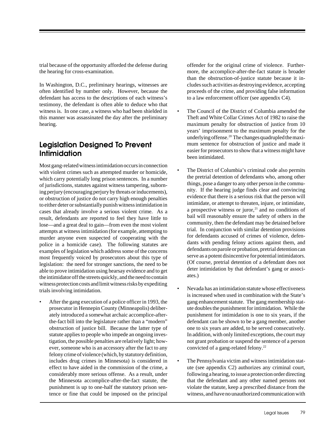trial because of the opportunity afforded the defense during the hearing for cross-examination.

In Washington, D.C., preliminary hearings, witnesses are often identified by number only. However, because the defendant has access to the descriptions of each witness's testimony, the defendant is often able to deduce who that witness is. In one case, a witness who had been shielded in this manner was assassinated the day after the preliminary hearing.

### **Legislation Designed To Prevent Intimidation**

Most gang-related witness intimidation occurs in connection with violent crimes such as attempted murder or homicide, which carry potentially long prison sentences. In a number of jurisdictions, statutes against witness tampering, suborning perjury (encouraging perjury by threats or inducements), or obstruction of justice do not carry high enough penalties to either deter or substantially punish witness intimidation in cases that already involve a serious violent crime. As a result, defendants are reported to feel they have little to lose—and a great deal to gain—from even the most violent attempts at witness intimidation (for example, attempting to murder anyone even suspected of cooperating with the police in a homicide case). The following statutes are examples of legislation which address some of the concerns most frequently voiced by prosecutors about this type of legislation: the need for stronger sanctions, the need to be able to prove intimidation using hearsay evidence and to get the intimidator off the streets quickly, and the need to contain witness protection costs and limit witness risks by expediting trials involving intimidation.

• After the gang execution of a police officer in 1993, the prosecutor in Hennepin County (Minneapolis) deliberately introduced a somewhat archaic accomplice-afterthe-fact bill into the legislature rather than a "modern" obstruction of justice bill. Because the latter type of statute applies to people who impede an ongoing investigation, the possible penalties are relatively light; however, someone who is an accessory after the fact to any felony crime of violence (which, by statutory definition, includes drug crimes in Minnesota) is considered in effect to have aided in the commission of the crime, a considerably more serious offense. As a result, under the Minnesota accomplice-after-the-fact statute, the punishment is up to one-half the statutory prison sentence or fine that could be imposed on the principal offender for the original crime of violence. Furthermore, the accomplice-after-the-fact statute is broader than the obstruction-of-justice statute because it includes such activities as destroying evidence, accepting proceeds of the crime, and providing false information to a law enforcement officer (see appendix C4).

- The Council of the District of Columbia amended the Theft and White Collar Crimes Act of 1982 to raise the maximum penalty for obstruction of justice from 10 years' imprisonment to the maximum penalty for the underlying offense.20 The changes quadrupled the maximum sentence for obstruction of justice and made it easier for prosecutors to show that a witness might have been intimidated.
- The District of Columbia's criminal code also permits the pretrial detention of defendants who, among other things, pose a danger to any other person in the community. If the hearing judge finds clear and convincing evidence that there is a serious risk that the person will intimidate, or attempt to threaten, injure, or intimidate, a prospective witness or juror, $21$  and no conditions of bail will reasonably ensure the safety of others in the community, then the defendant may be detained before trial. In conjunction with similar detention provisions for defendants accused of crimes of violence, defendants with pending felony actions against them, and defendants on parole or probation, pretrial detention can serve as a potent disincentive for potential intimidators. (Of course, pretrial detention of a defendant does not deter intimidation by that defendant's gang or associates.)
- Nevada has an intimidation statute whose effectiveness is increased when used in combination with the State's gang enhancement statute. The gang membership statute doubles the punishment for intimidation. While the punishment for intimidation is one to six years, if the defendant can be shown to be a gang member, another one to six years are added, to be served consecutively. In addition, with only limited exceptions, the court may not grant probation or suspend the sentence of a person convicted of a gang-related felony.<sup>22</sup>
- The Pennsylvania victim and witness intimidation statute (see appendix C2) authorizes any criminal court, following a hearing, to issue a protection order directing that the defendant and any other named persons not violate the statute, keep a prescribed distance from the witness, and have no unauthorized communication with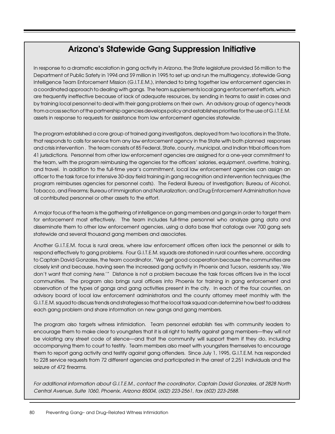### **Arizona's Statewide Gang Suppression Initiative**

In response to a dramatic escalation in gang activity in Arizona, the State legislature provided \$6 million to the Department of Public Safety in 1994 and \$9 million in 1995 to set up and run the multiagency, statewide Gang Intelligence Team Enforcement Mission (G.I.T.E.M.), intended to bring together law enforcement agencies in a coordinated approach to dealing with gangs. The team supplements local gang enforcement efforts, which are frequently ineffective because of lack of adequate resources, by sending in teams to assist in cases and by training local personnel to deal with their gang problems on their own. An advisory group of agency heads from a cross section of the partnership agencies develops policy and establishes priorities for the use of G.I.T.E.M. assets in response to requests for assistance from law enforcement agencies statewide.

The program established a core group of trained gang investigators, deployed from two locations in the State, that responds to calls for service from any law enforcement agency in the State with both planned responses and crisis intervention . The team consists of 85 Federal, State, county, municipal, and Indian tribal officers from 41 jurisdictions. Personnel from other law enforcement agencies are assigned for a one-year commitment to the team, with the program reimbursing the agencies for the officers' salaries, equipment, overtime, training, and travel. In addition to the full-time year's commitment, local law enforcement agencies can assign an officer to the task force for intensive 30-day field training in gang recognition and intervention techniques (the program reimburses agencies for personnel costs). The Federal Bureau of Investigation; Bureau of Alcohol, Tobacco, and Firearms; Bureau of Immigration and Naturalization; and Drug Enforcement Administration have all contributed personnel or other assets to the effort.

A major focus of the team is the gathering of intelligence on gang members and gangs in order to target them for enforcement most effectively. The team includes full-time personnel who analyze gang data and disseminate them to other law enforcement agencies, using a data base that catalogs over 700 gang sets statewide and several thousand gang members and associates.

Another G.I.T.E.M. focus is rural areas, where law enforcement officers often lack the personnel or skills to respond effectively to gang problems. Four G.I.T.E.M. squads are stationed in rural counties where, according to Captain David Gonzales, the team coordinator, "We get good cooperation because the communities are closely knit and because, having seen the increased gang activity in Phoenix and Tucson, residents say,'We don't want that coming here.'" Distance is not a problem because the task forces officers live in the local communities. The program also brings rural officers into Phoenix for training in gang enforcement and observation of the types of gangs and gang activities present in the city. In each of the four counties, an advisory board of local law enforcement administrators and the county attorney meet monthly with the G.I.T.E.M. squad to discuss trends and strategies so that the local task squad can determine how best to address each gang problem and share information on new gangs and gang members.

The program also targets witness intimidation. Team personnel establish ties with community leaders to encourage them to make clear to youngsters that it is all right to testify against gang members—they will not be violating any street code of silence—and that the community will support them if they do, including accompanying them to court to testify. Team members also meet with youngsters themselves to encourage them to report gang activity and testify against gang offenders. Since July 1, 1995, G.I.T.E.M. has responded to 228 service requests from 72 different agencies and participated in the arrest of 2,251 individuals and the seizure of 472 firearms.

For additional information about G.I.T.E.M., contact the coordinator, Captain David Gonzales, at 2828 North Central Avenue, Suite 1060, Phoenix, Arizona 85004, (602) 223-2561, fax (602) 223-2588.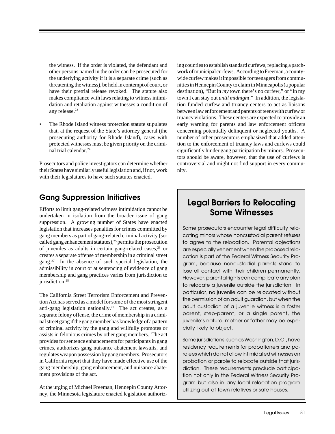the witness. If the order is violated, the defendant and other persons named in the order can be prosecuted for the underlying activity if it is a separate crime (such as threatening the witness), be held in contempt of court, or have their pretrial release revoked. The statute also makes compliance with laws relating to witness intimidation and retaliation against witnesses a condition of any release.<sup>23</sup>

The Rhode Island witness protection statute stipulates that, at the request of the State's attorney general (the prosecuting authority for Rhode Island), cases with protected witnesses must be given priority on the criminal trial calendar.<sup>24</sup>

Prosecutors and police investigators can determine whether their States have similarly useful legislation and, if not, work with their legislatures to have such statutes enacted.

### **Gang Suppression Initiatives**

Efforts to limit gang-related witness intimidation cannot be undertaken in isolation from the broader issue of gang suppression. A growing number of States have enacted legislation that increases penalties for crimes committed by gang members as part of gang-related criminal activity (socalled gang enhancement statutes),25 permits the prosecution of juveniles as adults in certain gang-related cases, <sup>26</sup> or creates a separate offense of membership in a criminal street gang.27 In the absence of such special legislation, the admissibility in court or at sentencing of evidence of gang membership and gang practices varies from jurisdiction to jurisdiction.<sup>28</sup>

The California Street Terrorism Enforcement and Prevention Act has served as a model for some of the most stringent anti-gang legislation nationally.29 The act creates, as a separate felony offense, the crime of membership in a criminal street gang if the gang member has knowledge of a pattern of criminal activity by the gang and willfully promotes or assists in felonious crimes by other gang members. The act provides for sentence enhancements for participants in gang crimes, authorizes gang nuisance abatement lawsuits, and regulates weapon possession by gang members. Prosecutors in California report that they have made effective use of the gang membership, gang enhancement, and nuisance abatement provisions of the act.

At the urging of Michael Freeman, Hennepin County Attorney, the Minnesota legislature enacted legislation authorizing counties to establish standard curfews, replacing a patchwork of municipal curfews. According to Freeman, a countywide curfew makes it impossible for teenagers from communities in Hennepin County to claim in Minneapolis (a popular destination), "But in *my* town there's no curfew," or "In my town I can stay out *until midnight*." In addition, the legislation funded curfew and truancy centers to act as liaisons between law enforcement and parents of teens with curfew or truancy violations. These centers are expected to provide an early warning for parents and law enforcement officers concerning potentially delinquent or neglected youths. A number of other prosecutors emphasized that added attention to the enforcement of truancy laws and curfews could significantly hinder gang participation by minors. Prosecutors should be aware, however, that the use of curfews is controversial and might not find support in every community.

### **Legal Barriers to Relocating Some Witnesses**

Some prosecutors encounter legal difficulty relocating minors whose noncustodial parent refuses to agree to the relocation. Parental objections are especially vehement when the proposed relocation is part of the Federal Witness Security Program, because noncustodial parents stand to lose all contact with their children permanently. However, parental rights can complicate any plan to relocate a juvenile outside the jurisdiction. In particular, no juvenile can be relocated without the permission of an adult guardian, but when the adult custodian of a juvenile witness is a foster parent, step-parent, or a single parent, the juvenile's natural mother or father may be especially likely to object.

Some jurisdictions, such as Washington, D.C., have residency requirements for probationers and parolees which do not allow intimidated witnesses on probation or parole to relocate outside that jurisdiction. These requirements preclude participation not only in the Federal Witness Security Program but also in any local relocation program utilizing out-of-town relatives or safe houses.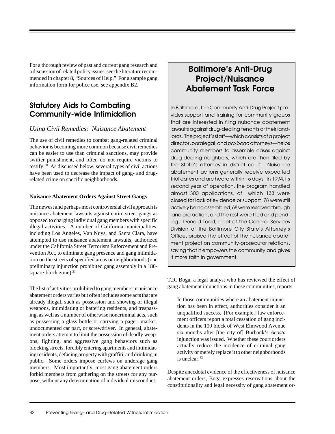For a thorough review of past and current gang research and a discussion of related policy issues, see the literature recommended in chapter 8, "Sources of Help." For a sample gang information form for police use, see appendix B2.

### **Statutory Aids to Combating Community-wide Intimidation**

#### *Using Civil Remedies: Nuisance Abatement*

The use of civil remedies to combat gang-related criminal behavior is becoming more common because civil remedies can be easier to use than criminal sanctions, may provide swifter punishment, and often do not require victims to testify.30 As discussed below, several types of civil actions have been used to decrease the impact of gang- and drugrelated crime on specific neighborhoods.

#### **Nuisance Abatement Orders Against Street Gangs**

The newest and perhaps most controversial civil approach is nuisance abatement lawsuits against entire street gangs as opposed to charging individual gang members with specific illegal activities. A number of California municipalities, including Los Angeles, Van Nuys, and Santa Clara, have attempted to use nuisance abatement lawsuits, authorized under the California Street Terrorism Enforcement and Prevention Act, to eliminate gang presence and gang intimidation on the streets of specified areas or neighborhoods (one preliminary injunction prohibited gang assembly in a 180 square-block zone).<sup>31</sup>

The list of activities prohibited to gang members in nuisance abatement orders varies but often includes some acts that are already illegal, such as possession and showing of illegal weapons, intimidating or battering residents, and trespassing, as well as a number of otherwise noncriminal acts, such as possessing a glass bottle or carrying a pager, marker, undocumented car part, or screwdriver. In general, abatement orders attempt to limit the possession of deadly weapons, fighting, and aggressive gang behaviors such as blocking streets, forcibly entering apartments and intimidating residents, defacing property with graffiti, and drinking in public. Some orders impose curfews on underage gang members. Most importantly, most gang abatement orders forbid members from gathering on the streets for any purpose, without any determination of individual misconduct.

### **Baltimore's Anti-Drug Project/Nuisance Abatement Task Force**

In Baltimore, the Community Anti-Drug Project provides support and training for community groups that are interested in filing nuisance abatement lawsuits against drug-dealing tenants or their landlords. The project's staff—which consists of a project director, paralegal, and pro bono attorneys—helps community members to assemble cases against drug-dealing neighbors, which are then filed by the State's attorney in district court. Nuisance abatement actions generally receive expedited trial dates and are heard within 15 days. In 1994, its second year of operation, the program handled almost 300 applications, of which 133 were closed for lack of evidence or support, 78 were still actively being assembled, 68 were resolved through landlord action, and the rest were filed and pending. Donald Todd, chief of the General Services Division of the Baltimore City State's Attorney's Office, praised the effect of the nuisance abatement project on community-prosecutor relations, saying that it empowers the community and gives it more faith in government.

T.R. Boga, a legal analyst who has reviewed the effect of gang abatement injunctions in these communities, reports,

In those communities where an abatement injunction has been in effect, authorities consider it an unqualified success. [For example,] law enforcement officers report a total cessation of gang incidents in the 100 block of West Elmwood Avenue six months after [the city of] Burbank's *Acosta* injunction was issued. Whether these court orders actually reduce the incidence of criminal gang activity or merely replace it to other neighborhoods is unclear.<sup>32</sup>

Despite anecdotal evidence of the effectiveness of nuisance abatement orders, Boga expresses reservations about the constitutionality and legal necessity of gang abatement or-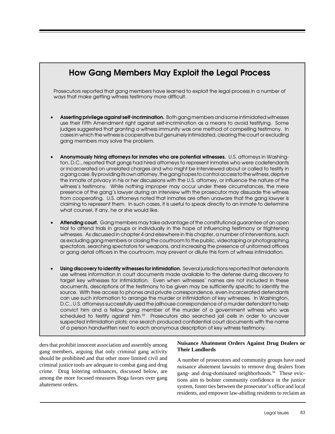### **How Gang Members May Exploit the Legal Process**

Prosecutors reported that gang members have learned to exploit the legal process in a number of ways that make getting witness testimony more difficult.

- **Asserting privilege against self-incrimination.** Both gang members and some intimidated witnesses use their Fifth Amendment right against self-incrimination as a means to avoid testifying. Some judges suggested that granting a witness immunity was one method of compelling testimony. In cases in which the witness is cooperative but genuinely intimidated, clearing the court or excluding gang members may solve the problem.
- **Anonymously hiring attorneys for inmates who are potential witnesses.** U.S. attorneys in Washington, D.C., reported that gangs had hired attorneys to represent inmates who were codefendants or incarcerated on unrelated charges and who might be interviewed about or called to testify in a gang case. By providing its own attorney, the gang hopes to control access to the witness, deprive the inmate of privacy in his or her discussions with the U.S. attorney, or influence the nature of the witness's testimony. While nothing improper may occur under these circumstances, the mere presence of the gang's lawyer during an interview with the prosecutor may dissuade the witness from cooperating. U.S. attorneys noted that inmates are often unaware that the gang lawyer is claiming to represent them. In such cases, it is useful to speak directly to an inmate to determine what counsel, if any, he or she would like.
- **Attending court.** Gang members may take advantage of the constitutional guarantee of an open trial to attend trials in groups or individually in the hope of influencing testimony or frightening witnesses. As discussed in chapter 4 and elsewhere in this chapter, a number of interventions, such as excluding gang members or closing the courtroom to the public, videotaping or photographing spectators, searching spectators for weapons, and increasing the presence of uniformed officers or gang detail officers in the courtroom, may prevent or dilute this form of witness intimidation.
- **Using discovery to identify witnesses for intimidation.** Several jurisdictions reported that defendants use witness information in court documents made available to the defense during discovery to target key witnesses for intimidation. Even when witnesses' names are not included in these documents, descriptions of the testimony to be given may be sufficiently specific to identify the source. With free access to phones and private correspondence, even incarcerated defendants can use such information to arrange the murder or intimidation of key witnesses. In Washington, D.C., U.S. attorneys successfully used the jailhouse correspondence of a murder defendant to help convict him and a fellow gang member of the murder of a government witness who was scheduled to testify against him.<sup>33</sup> Prosecutors also searched jail cells in order to uncover suspected intimidation plots; one search produced confidential court documents with the name of a person handwritten next to each anonymous description of key witness testimony.

ders that prohibit innocent association and assembly among gang members, arguing that only criminal gang activity should be prohibited and that other more limited civil and criminal justice tools are adequate to combat gang and drug crime. Drug loitering ordinances, discussed below, are among the more focused measures Boga favors over gang abatement orders.

#### **Nuisance Abatement Orders Against Drug Dealers or Their Landlords**

A number of prosecutors and community groups have used nuisance abatement lawsuits to remove drug dealers from gang- and drug-dominated neighborhoods.<sup>34</sup> These evictions aim to bolster community confidence in the justice system, foster ties between the prosecutor's office and local residents, and empower law-abiding residents to reclaim an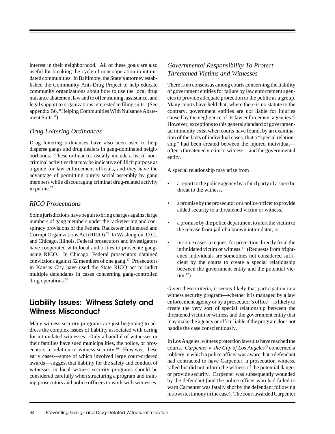interest in their neighborhood. All of these goals are also useful for breaking the cycle of noncooperation in intimidated communities. In Baltimore, the State's attorney established the Community Anti-Drug Project to help educate community organizations about how to use the local drug nuisance abatement law and to offer training, assistance, and legal support to organizations interested in filing suits. (See appendix B6, "Helping Communities With Nuisance Abatement Suits.")

#### *Drug Loitering Ordinances*

Drug loitering ordinances have also been used to help disperse gangs and drug dealers in gang-dominated neighborhoods. These ordinances usually include a list of noncriminal activities that may be indicative of illicit purpose as a guide for law enforcement officials, and they have the advantage of permitting purely social assembly by gang members while discouraging criminal drug-related activity in public.<sup>35</sup>

#### *RICO Prosecutions*

Some jurisdictions have begun to bring charges against large numbers of gang members under the racketeering and conspiracy provisions of the Federal Racketeer Influenced and Corrupt Organizations Act (RICO).<sup>36</sup> In Washington, D.C., and Chicago, Illinois, Federal prosecutors and investigators have cooperated with local authorities to prosecute gangs using RICO. In Chicago, Federal prosecutors obtained convictions against 52 members of one gang. $37$  Prosecutors in Kansas City have used the State RICO act to indict multiple defendants in cases concerning gang-controlled drug operations.<sup>38</sup>

### **Liability Issues: Witness Safety and Witness Misconduct**

Many witness security programs are just beginning to address the complex issues of liability associated with caring for intimidated witnesses. Only a handful of witnesses or their families have sued municipalities, the police, or prosecutors in relation to witness security. $39$  However, these early cases—some of which involved large court-ordered awards—suggest that liability for the safety and conduct of witnesses in local witness security programs should be considered carefully when structuring a program and training prosecutors and police officers to work with witnesses.

#### *Governmental Responsibility To Protect Threatened Victims and Witnesses*

There is no consensus among courts concerning the liability of government entities for failure by law enforcement agencies to provide adequate protection to the public as a group. Many courts have held that, where there is no statute to the contrary, government entities are *not* liable for injuries caused by the negligence of its law enforcement agencies.<sup>40</sup> However, exceptions to this general standard of governmental immunity exist when courts have found, by an examination of the facts of individual cases, that a "special relationship" had been created between the injured individual often a threatened victim or witness—and the governmental entity.

A special relationship may arise from

- a report to the police agency by a third party of a specific threat to the witness,
- a promise by the prosecutor or a police officer to provide added security to a threatened victim or witness,
- a promise by the police department to alert the victim to the release from jail of a known intimidator, or
- in some cases, a request for protection directly from the intimidated victim or witness.<sup>41</sup> (Requests from frightened individuals are sometimes not considered sufficient by the courts to create a special relationship between the government entity and the potential vic $tim.<sup>42</sup>$ )

Given these criteria, it seems likely that participation in a witness security program—whether it is managed by a law enforcement agency or by a prosecutor's office—is likely to create the very sort of special relationship between the threatened victim or witness and the government entity that may make the agency or office liable if the program does not handle the case conscientiously.

In Los Angeles, witness protection lawsuits have reached the courts. *Carpenter* v. *the City of Los Angeles*<sup>43</sup> concerned a robbery in which a police officer was aware that a defendant had contracted to have Carpenter, a prosecution witness, killed but did not inform the witness of the potential danger or provide security. Carpenter was subsequently wounded by the defendant (and the police officer who had failed to warn Carpenter was fatally shot by the defendant following his own testimony in the case). The court awarded Carpenter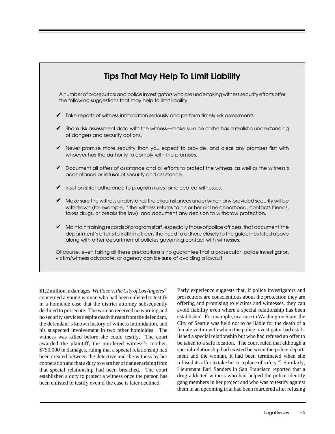

\$1.2 million in damages. *Wallace* v. *the City of Los Angeles*<sup>44</sup> concerned a young woman who had been enlisted to testify in a homicide case that the district attorney subsequently declined to prosecute. The woman received no warning and no security services despite death threats from the defendant, the defendant's known history of witness intimidation, and his suspected involvement in two other homicides. The witness was killed before she could testify. The court awarded the plaintiff, the murdered witness's mother, \$750,000 in damages, ruling that a special relationship had been created between the detective and the witness by her cooperation and that a duty to warn her of danger arising from that special relationship had been breached. The court established a duty to protect a witness once the person has been enlisted to testify even if the case is later declined.

Early experience suggests that, if police investigators and prosecutors are conscientious about the protection they are offering and promising to victims and witnesses, they can avoid liability even where a special relationship has been established. For example, in a case in Washington State, the City of Seattle was held not to be liable for the death of a female victim with whom the police investigator had established a special relationship but who had refused an offer to be taken to a safe location. The court ruled that although a special relationship had existed between the police department and the woman, it had been terminated when she refused its offer to take her to a place of safety.<sup>45</sup> Similarly, Lieutenant Earl Sanders in San Francisco reported that a drug-addicted witness who had helped the police identify gang members in her project and who was to testify against them in an upcoming trial had been murdered after refusing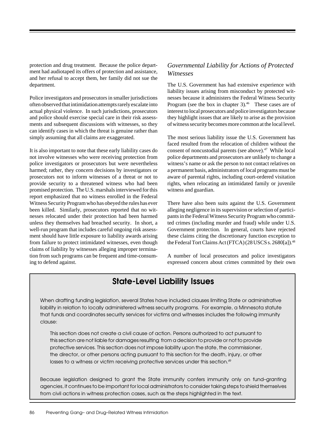protection and drug treatment. Because the police department had audiotaped its offers of protection and assistance, and her refusal to accept them, her family did not sue the department.

Police investigators and prosecutors in smaller jurisdictions often observed that intimidation attempts rarely escalate into actual physical violence. In such jurisdictions, prosecutors and police should exercise special care in their risk assessments and subsequent discussions with witnesses, so they can identify cases in which the threat is genuine rather than simply assuming that all claims are exaggerated.

It is also important to note that these early liability cases do not involve witnesses who were receiving protection from police investigators or prosecutors but were nevertheless harmed; rather, they concern decisions by investigators or prosecutors not to inform witnesses of a threat or not to provide security to a threatened witness who had been promised protection. The U.S. marshals interviewed for this report emphasized that no witness enrolled in the Federal Witness Security Program who has obeyed the rules has ever been killed. Similarly, prosecutors reported that no witnesses relocated under their protection had been harmed unless they themselves had breached security. In short, a well-run program that includes careful ongoing risk assessment should have little exposure to liability awards arising from failure to protect intimidated witnesses, even though claims of liability by witnesses alleging improper termination from such programs can be frequent and time-consuming to defend against.

#### *Governmental Liability for Actions of Protected Witnesses*

The U.S. Government has had extensive experience with liability issues arising from misconduct by protected witnesses because it administers the Federal Witness Security Program (see the box in chapter 3).<sup>46</sup> These cases are of interest to local prosecutors and police investigators because they highlight issues that are likely to arise as the provision of witness security becomes more common at the local level.

The most serious liability issue the U.S. Government has faced resulted from the relocation of children without the consent of noncustodial parents (see above).<sup>47</sup> While local police departments and prosecutors are unlikely to change a witness's name or ask the person to not contact relatives on a permanent basis, administrators of local programs must be aware of parental rights, including court-ordered visitation rights, when relocating an intimidated family or juvenile witness and guardian.

There have also been suits against the U.S. Government alleging negligence in its supervision or selection of participants in the Federal Witness Security Program who committed crimes (including murder and fraud) while under U.S. Government protection. In general, courts have rejected these claims citing the discretionary function exception to the Federal Tort Claims Act (FTCA) (28 USCS s. 2680[a]).48

A number of local prosecutors and police investigators expressed concern about crimes committed by their own

### **State-Level Liability Issues**

When drafting funding legislation, several States have included clauses limiting State or administrative liability in relation to locally administered witness security programs. For example, a Minnesota statute that funds and coordinates security services for victims and witnesses includes the following immunity clause:

This section does not create a civil cause of action. Persons authorized to act pursuant to this section are not liable for damages resulting from a decision to provide or not to provide protective services. This section does not impose liability upon the state, the commissioner, the director, or other persons acting pursuant to this section for the death, injury, or other losses to a witness or victim receiving protective services under this section.<sup>49</sup>

Because legislation designed to grant the State immunity confers immunity only on fund–granting agencies, it continues to be important for local administrators to consider taking steps to shield themselves from civil actions in witness protection cases, such as the steps highlighted in the text.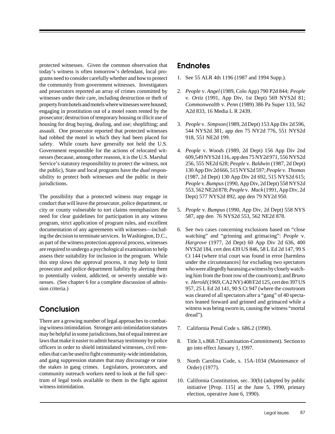protected witnesses. Given the common observation that today's witness is often tomorrow's defendant, local programs need to consider carefully whether and how to protect the community from government witnesses. Investigators and prosecutors reported an array of crimes committed by witnesses under their care, including destruction or theft of property from hotels and motels where witnesses were housed; engaging in prostitution out of a motel room rented by the prosecutor; destruction of temporary housing or illicit use of housing for drug buying, dealing, and use; shoplifting; and assault. One prosecutor reported that protected witnesses had robbed the motel in which they had been placed for safety. While courts have generally not held the U.S. Government responsible for the actions of relocated witnesses (because, among other reasons, it is the U.S. Marshal Service's statutory responsibility to protect the witness, not the public), State and local programs have the *dual* responsibility to protect both witnesses *and* the public in their jurisdictions.

The possibility that a protected witness may engage in conduct that will leave the prosecutor, police department, or city or county vulnerable to tort claims reemphasizes the need for clear guidelines for participation in any witness program, strict application of program rules, and excellent documentation of any agreements with witnesses—including the decision to terminate services. In Washington, D.C., as part of the witness protection approval process, witnesses are required to undergo a psychological examination to help assess their suitability for inclusion in the program. While this step slows the approval process, it may help to limit prosecutor and police department liability by alerting them to potentially violent, addicted, or severely unstable witnesses. (See chapter 6 for a complete discussion of admission criteria.)

### **Conclusion**

There are a growing number of legal approaches to combating witness intimidation. Stronger anti-intimidation statutes may be helpful in some jurisdictions, but of equal interest are laws that make it easier to admit hearsay testimony by police officers in order to shield intimidated witnesses, civil remedies that can be used to fight community-wide intimidation, and gang suppression statutes that may discourage or raise the stakes in gang crimes. Legislators, prosecutors, and community outreach workers need to look at the full spectrum of legal tools available to them in the fight against witness intimidation.

### **Endnotes**

- 1. See 55 ALR 4th 1196 (1987 and 1994 Supp.).
- 2. *People* v. *Angel* (1989, Colo App) 790 P2d 844; *People* v. *Ortiz* (1991, App Div, 1st Dept) 569 NYS2d 81; *Commonwealth* v. *Penn* (1989) 386 Pa Super 133, 562 A2d 833, 16 Media L R 2439.
- 3. *People* v. *Simpson* (1989, 2d Dept) 153 App Div 2d 596, 544 NYS2d 381, app den 75 NY2d 776, 551 NYS2d 918, 551 NE2d 199.
- 4. *People* v. *Woods* (1989, 2d Dept) 156 App Div 2nd 609,549 NYS2d 116, app den 75 NY2d 971, 556 NYS2d 256, 555 NE2d 628; *People* v. *Baldwin* (1987, 2d Dept) 130 App Div 2d 666, 515 NYS2d 597; *People* v. *Thomas* (1987, 2d Dept) 130 App Div 2d 692, 515 NYS2d 615; *People* v. *Bumpus* (1990, App Div, 2d Dept) 558 NYS2d 553, 562 NE2d 878; *People* v. *Mack* (1991, App Div, 2d Dept) 577 NYS2d 892, app den 79 NY2d 950.
- 5. *People* v. *Bumpus* (1990, App Div, 2d Dept) 558 NYS 587, app den 76 NYS2d 553, 562 NE2d 878.
- 6. See two cases concerning exclusions based on "close watching" and "grinning and grimacing": *People* v. *Hargrove* (1977, 2d Dept) 60 App Div 2d 636, 400 NYS2d 184, cert den 439 US 846, 58 L Ed 2d 147, 99 S Ct 144 (where trial court was found in error [harmless under the circumstances] for excluding two spectators who were allegedly harassing a witness by closely watching him from the front row of the courtroom); and *Bruno* v. *Herold* (1969, CA2 NY) 408 F2d 125, cert den 397 US 957, 25 L Ed 2d 141, 90 S Ct 947 (where the courtroom was cleared of all spectators after a "gang" of 40 spectators leaned forward and grinned and grimaced while a witness was being sworn in, causing the witness "mortal dread").
- 7. California Penal Code s. 686.2 (1990).
- 8. Title 3, s.868.7 (Examination-Commitment). Section to go into effect January 1, 1997.
- 9. North Carolina Code, s. 15A-1034 (Maintenance of Order) (1977).
- 10. California Constitution, sec. 30(b) (adopted by public initiative [Prop. 115] at the June 5, 1990, primary election, operative June 6, 1990).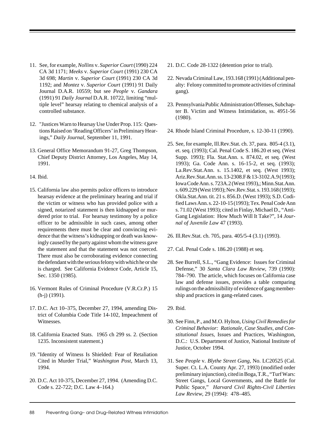- 11. See, for example, *Nollins* v. *Superior Court* (1990) 224 CA 3d 1171; *Meeks* v. *Superior Court* (1991) 230 CA 3d 698; *Martin* v. *Superior Court* (1991) 230 CA 3d 1192; and *Montez* v. *Superior Court* (1991) 91 Daily Journal D.A.R. 10559; but see *People* v. *Gandara* (1991) 91 *Daily Journal* D.A.R. 10722, limiting "multiple level" hearsay relating to chemical analysis of a controlled substance.
- 12. "Justices Warn to Hearsay Use Under Prop. 115: Questions Raised on 'Reading Officers' in Preliminary Hearings," *Daily Journal*, September 11, 1991.
- 13. General Office Memorandum 91-27, Greg Thompson, Chief Deputy District Attorney, Los Angeles, May 14, 1991.
- 14. Ibid.
- 15. California law also permits police officers to introduce hearsay evidence at the preliminary hearing and trial if the victim or witness who has provided police with a signed, notarized statement is then kidnapped or murdered prior to trial. For hearsay testimony by a police officer to be admissible in such cases, among other requirements there must be clear and convincing evidence that the witness's kidnapping or death was knowingly caused by the party against whom the witness gave the statement and that the statement was not coerced. There must also be corroborating evidence connecting the defendant with the serious felony with which he or she is charged. See California Evidence Code, Article 15, Sec. 1350 (1985).
- 16. Vermont Rules of Criminal Procedure (V.R.Cr.P.) 15 (h-j) (1991).
- 17. D.C. Act 10–375, December 27, 1994, amending District of Columbia Code Title 14-102, Impeachment of Witnesses.
- 18. California Enacted Stats. 1965 ch 299 ss. 2. (Section 1235. Inconsistent statement.)
- 19. "Identity of Witness Is Shielded: Fear of Retaliation Cited in Murder Trial," *Washington Post*, March 13, 1994.
- 20. D.C. Act 10-375, December 27, 1994. (Amending D.C. Code s. 22-722; D.C. Law 4–164.)
- 21. D.C. Code 28-1322 (detention prior to trial).
- 22. Nevada Criminal Law, 193.168 (1991) (Additional penalty: Felony committed to promote activities of criminal gang).
- 23. Pennsylvania Public Administration Offenses, Subchapter B. Victim and Witness Intimidation, ss. 4951-56 (1980).
- 24. Rhode Island Criminal Procedure, s. 12-30-11 (1990).
- 25. See, for example, Ill.Rev.Stat. ch. 37, para. 805-4 (3.1), et. seq. (1993); Cal. Penal Code S. 186.20 et seq. (West Supp. 1993); Fla. Stat.Ann. s. 874.02, et seq. (West 1993); Ga. Code Ann. s. 16-15-2, et seq. (1993); La.Rev.Stat.Ann. s. 15.1402, et seq. (West 1993); Ariz.Rev.Stat.Ann. ss. 13-2308.F & 13-3102.A.9 (1993); Iowa Code Ann. s. 723A.2 (West 1993),; Minn.Stat.Ann. s. 609.229 (West 1993); Nev.Rev.Stat. s. 193.168 (1993); Okla.Stat.Ann. tit. 21 s. 856.D. (West 1993); S.D. Codified Laws Ann. s. 22-10-15 (1993); Tex. Penal Code Ann s. 71.02 (West 1993); cited in Finlay, Michael D., "Anti-Gang Legislation: How Much Will It Take?", 14 *Journal of Juvenile Law* 47 (1993).
- 26. Ill.Rev.Stat. ch. 705, para. 405/5-4 (3.1) (1993).
- 27. Cal. Penal Code s. 186.20 (1988) et seq.
- 28. See Burrell, S.L., "Gang Evidence: Issues for Criminal Defense," 30 *Santa Clara Law Review*, 739 (1990): 784–790. The article, which focuses on California case law and defense issues, provides a table comparing rulings on the admissibility of evidence of gang membership and practices in gang-related cases.
- 29. Ibid.
- 30. See Finn, P., and M.O. Hylton, *Using Civil Remedies for Criminal Behavior: Rationale, Case Studies, and Constitutional Issues*, Issues and Practices, Washington, D.C.: U.S. Department of Justice, National Institute of Justice, October 1994.
- 31. See *People* v. *Blythe Street Gang*, No. LC20525 (Cal. Super. Ct. L.A. County Apr. 27, 1993) (modified order preliminary injunction), cited in Boga, T.R., "Turf Wars: Street Gangs, Local Governments, and the Battle for Public Space," *Harvard Civil Rights-Civil Liberties Law Review*, 29 (1994): 478–485.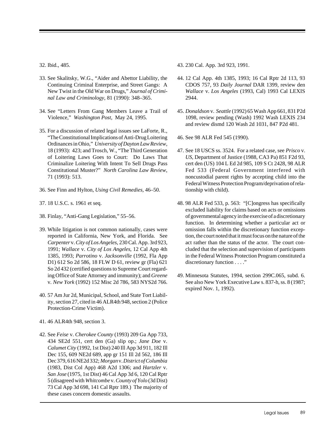32. Ibid., 485.

- 33. See Skalitsky, W.G., "Aider and Abettor Liability, the Continuing Criminal Enterprise, and Street Gangs: A New Twist in the Old War on Drugs," *Journal of Criminal Law and Criminology,* 81 (1990): 348–365.
- 34. See "Letters From Gang Members Leave a Trail of Violence," *Washington Post,* May 24, 1995.
- 35. For a discussion of related legal issues see LaForte, R., "The Constitutional Implications of Anti-Drug Loitering Ordinances in Ohio," *University of Dayton Law Review,* 18 (1993): 423; and Trosch, W., "The Third Generation of Loitering Laws Goes to Court: Do Laws That Criminalize Loitering With Intent To Sell Drugs Pass Constitutional Muster?" *North Carolina Law Review,* 71 (1993): 513.
- 36. See Finn and Hylton, *Using Civil Remedies,* 46–50.
- 37. 18 U.S.C. s. 1961 et seq.
- 38. Finlay, "Anti-Gang Legislation," 55–56.
- 39. While litigation is not common nationally, cases were reported in California, New York, and Florida. See *Carpenter* v. *City of Los Angeles,* 230 Cal. App. 3rd 923, 1991; *Wallace* v. *City of Los Angeles*, 12 Cal App 4th 1385, 1993; *Parrotino* v. *Jacksonville* (1992, Fla App D1) 612 So 2d 586, 18 FLW D 61, review gr (Fla) 621 So 2d 432 (certified questions to Supreme Court regarding Office of State Attorney and immunity); and *Greene* v. *New York* (1992) 152 Misc 2d 786, 583 NYS2d 766.
- 40. 57 Am Jur 2d, Municipal, School, and State Tort Liability, section 27, cited in 46 ALR4th 948, section 2 (Police Protection-Crime Victim).
- 41. 46 ALR4th 948, section 3.
- 42. See *Feise* v. *Cherokee County* (1993) 209 Ga App 733, 434 SE2d 551, cert den (Ga) slip op.; *Jane Doe* v. *Calumet City* (1992, 1st Dist) 240 Ill App 3d 911, 182 Ill Dec 155, 609 NE2d 689, app gr 151 Ill 2d 562, 186 Ill Dec 379, 616 NE2d 332; *Morgan* v. *District of Columbia* (1983, Dist Col App) 468 A2d 1306; and *Hartzler* v. *San Jose* (1975, 1st Dist) 46 Cal App 3d 6, 120 Cal Rptr 5 (disagreed with *Whitcombe* v. *County of Yolo* (3d Dist) 73 Cal App 3d 698, 141 Cal Rptr 189.) The majority of these cases concern domestic assaults.

43. 230 Cal. App. 3rd 923, 1991.

- 44. 12 Cal App. 4th 1385, 1993; 16 Cal Rptr 2d 113, 93 CDOS 757, 93 *Daily Journal* DAR 1399, review den *Wallace* v. *Los Angeles* (1993, Cal) 1993 Cal LEXIS 2944.
- 45. *Donaldson* v. *Seattle* (1992) 65 Wash App 661, 831 P2d 1098, review pending (Wash) 1992 Wash LEXIS 234 and review dismd 120 Wash 2d 1031, 847 P2d 481.
- 46. See 98 ALR Fed 545 (1990).
- 47. See 18 USCS ss. 3524. For a related case, see *Prisco* v. *US*, Department of Justice (1988, CA3 Pa) 851 F2d 93, cert den (US) 104 L Ed 2d 985, 109 S Ct 2428, 98 ALR Fed 533 (Federal Government interfered with noncustodial parent rights by accepting child into the Federal Witness Protection Program/deprivation of relationship with child).
- 48. 98 ALR Fed 533, p. 563: "[C]ongress has specifically excluded liability for claims based on acts or omissions of governmental agency in the exercise of a discretionary function. In determining whether a particular act or omission falls within the discretionary function exception, the court noted that it must focus on the nature of the act rather than the status of the actor. The court concluded that the selection and supervision of participants in the Federal Witness Protection Program constituted a discretionary function . . . ."
- 49. Minnesota Statutes, 1994, section 299C.065, subd. 6. See also New York Executive Law s. 837-h, ss. 8 (1987; expired Nov. 1, 1992).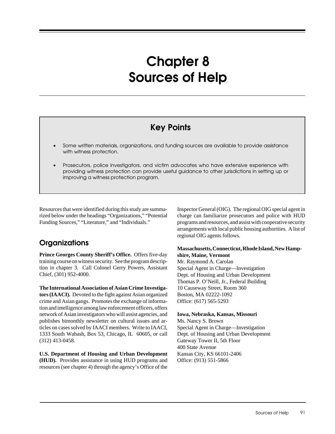## **Chapter 8 Sources of Help**

### **Key Points**

- Some written materials, organizations, and funding sources are available to provide assistance with witness protection.
- Prosecutors, police investigators, and victim advocates who have extensive experience with providing witness protection can provide useful guidance to other jurisdictions in setting up or improving a witness protection program.

Resources that were identified during this study are summarized below under the headings "Organizations," "Potential Funding Sources," "Literature," and "Individuals."

### **Organizations**

**Prince Georges County Sheriff's Office.** Offers five-day training course on witness security. See the program description in chapter 3. Call Colonel Gerry Powers, Assistant Chief, (301) 952-4000.

**The International Association of Asian Crime Investigators (IAACI).** Devoted to the fight against Asian organized crime and Asian gangs. Promotes the exchange of information and intelligence among law enforcement officers, offers network of Asian investigators who will assist agencies, and publishes bimonthly newsletter on cultural issues and articles on cases solved by IAACI members. Write to IAACI, 1333 South Wabash, Box 53, Chicago, IL 60605, or call (312) 413-0458.

**U.S. Department of Housing and Urban Development (HUD).** Provides assistance in using HUD programs and resources (see chapter 4) through the agency's Office of the Inspector General (OIG). The regional OIG special agent in charge can familiarize prosecutors and police with HUD programs and resources, and assist with cooperative security arrangements with local public housing authorities. A list of regional OIG agents follows.

#### **Massachusetts, Connecticut, Rhode Island, New Hampshire, Maine, Vermont**

Mr. Raymond A. Carolan Special Agent in Charge—Investigation Dept. of Housing and Urban Development Thomas P. O'Neill, Jr., Federal Building 10 Causeway Street, Room 360 Boston, MA 02222-1092 Office: (617) 565-5293

#### **Iowa, Nebraska, Kansas, Missouri**

Ms. Nancy S. Brown Special Agent in Charge—Investigation Dept. of Housing and Urban Development Gateway Tower II, 5th Floor 400 State Avenue Kansas City, KS 66101-2406 Office: (913) 551-5866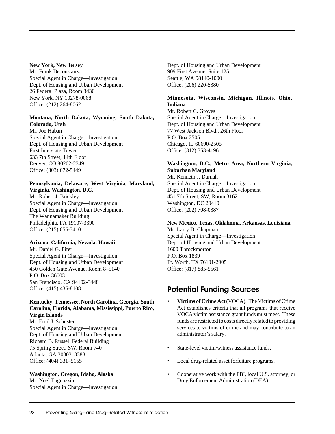#### **New York, New Jersey**

Mr. Frank Deconstanzo Special Agent in Charge—Investigation Dept. of Housing and Urban Development 26 Federal Plaza, Room 3430 New York, NY 10278-0068 Office: (212) 264-8062

#### **Montana, North Dakota, Wyoming, South Dakota, Colorado, Utah**

Mr. Joe Haban Special Agent in Charge—Investigation Dept. of Housing and Urban Development First Interstate Tower 633 7th Street, 14th Floor Denver, CO 80202-2349 Office: (303) 672-5449

#### **Pennsylvania, Delaware, West Virginia, Maryland, Virginia, Washington, D.C.**

Mr. Robert J. Brickley Special Agent in Charge—Investigation Dept. of Housing and Urban Development The Wannamaker Building Philadelphia, PA 19107-3390 Office: (215) 656-3410

#### **Arizona, California, Nevada, Hawaii**

Mr. Daniel G. Pifer Special Agent in Charge—Investigation Dept. of Housing and Urban Development 450 Golden Gate Avenue, Room 8–5140 P.O. Box 36003 San Francisco, CA 94102-3448 Office: (415) 436-8108

#### **Kentucky, Tennessee, North Carolina, Georgia, South Carolina, Florida, Alabama, Mississippi, Puerto Rico, Virgin Islands**

Mr. Emil J. Schuster Special Agent in Charge—Investigation Dept. of Housing and Urban Development Richard B. Russell Federal Building 75 Spring Street, SW, Room 740 Atlanta, GA 30303–3388 Office: (404) 331–5155

#### **Washington, Oregon, Idaho, Alaska**

Mr. Noel Tognazzini Special Agent in Charge—Investigation

Dept. of Housing and Urban Development 909 First Avenue, Suite 125 Seattle, WA 98140-1000 Office: (206) 220-5380

#### **Minnesota, Wisconsin, Michigan, Illinois, Ohio, Indiana**

Mr. Robert C. Groves Special Agent in Charge—Investigation Dept. of Housing and Urban Development 77 West Jackson Blvd., 26th Floor P.O. Box 2505 Chicago, IL 60690-2505 Office: (312) 353-4196

#### **Washington, D.C., Metro Area, Northern Virginia, Suburban Maryland**

Mr. Kenneth J. Darnall Special Agent in Charge—Investigation Dept. of Housing and Urban Development 451 7th Street, SW, Room 3162 Washington, DC 20410 Office: (202) 708-0387

#### **New Mexico, Texas, Oklahoma, Arkansas, Louisiana**

Mr. Larry D. Chapman Special Agent in Charge—Investigation Dept. of Housing and Urban Development 1600 Throckmorton P.O. Box 1839 Ft. Worth, TX 76101-2905 Office: (817) 885-5561

### **Potential Funding Sources**

- **Victims of Crime Act** (VOCA). The Victims of Crime Act establishes criteria that all programs that receive VOCA victim assistance grant funds must meet. These funds are restricted to costs directly related to providing services to victims of crime and may contribute to an administrator's salary.
- State-level victim/witness assistance funds.
- Local drug-related asset forfeiture programs.
- Cooperative work with the FBI, local U.S. attorney, or Drug Enforcement Administration (DEA).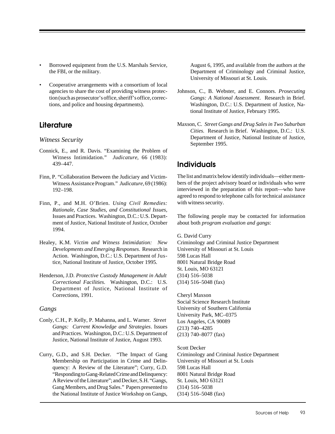- Borrowed equipment from the U.S. Marshals Service, the FBI, or the military.
- Cooperative arrangements with a consortium of local agencies to share the cost of providing witness protection (such as prosecutor's office, sheriff's office, corrections, and police and housing departments).

### **Literature**

#### *Witness Security*

- Connick, E., and R. Davis. "Examining the Problem of Witness Intimidation." *Judicature*, 66 (1983): 439–447.
- Finn, P. "Collaboration Between the Judiciary and Victim-Witness Assistance Program." *Judicature,* 69 (1986): 192–198.
- Finn, P., and M.H. O'Brien. *Using Civil Remedies: Rationale, Case Studies, and Constitutional Issues,* Issues and Practices. Washington, D.C.: U.S. Department of Justice, National Institute of Justice, October 1994.
- Healey, K.M. *Victim and Witness Intimidation: New Developments and Emerging Responses*. Research in Action. Washington, D.C.: U.S. Department of Justice, National Institute of Justice, October 1995.
- Henderson, J.D. *Protective Custody Management in Adult Correctional Facilities*. Washington, D.C.: U.S. Department of Justice, National Institute of Corrections, 1991.

#### *Gangs*

- Conly, C.H., P. Kelly, P. Mahanna, and L. Warner. *Street Gangs: Current Knowledge and Strategies*. Issues and Practices. Washington, D.C.: U.S. Department of Justice, National Institute of Justice, August 1993.
- Curry, G.D., and S.H. Decker. "The Impact of Gang Membership on Participation in Crime and Delinquency: A Review of the Literature"; Curry, G.D. "Responding to Gang-Related Crime and Delinquency: A Review of the Literature"; and Decker, S.H. "Gangs, Gang Members, and Drug Sales." Papers presented to the National Institute of Justice Workshop on Gangs,

August 6, 1995, and available from the authors at the Department of Criminology and Criminal Justice, University of Missouri at St. Louis.

- Johnson, C., B. Webster, and E. Connors. *Prosecuting Gangs: A National Assessment*. Research in Brief. Washington, D.C.: U.S. Department of Justice, National Institute of Justice, February 1995.
- Maxson, C. *Street Gangs and Drug Sales in Two Suburban Cities.* Research in Brief. Washington, D.C.: U.S. Department of Justice, National Institute of Justice, September 1995.

### **Individuals**

The list and matrix below identify individuals—either members of the project advisory board or individuals who were interviewed in the preparation of this report—who have agreed to respond to telephone calls for technical assistance with witness security.

The following people may be contacted for information about both *program evaluation and gangs*:

G. David Curry Criminology and Criminal Justice Department University of Missouri at St. Louis 598 Lucas Hall 8001 Natural Bridge Road St. Louis, MO 63121 (314) 516–5038 (314) 516–5048 (fax)

Cheryl Maxson Social Science Research Institute University of Southern California University Park, MC–0375 Los Angeles, CA 90089 (213) 740–4285 (213) 740–8077 (fax)

Scott Decker Criminology and Criminal Justice Department University of Missouri at St. Louis 598 Lucas Hall 8001 Natural Bridge Road St. Louis, MO 63121 (314) 516–5038 (314) 516–5048 (fax)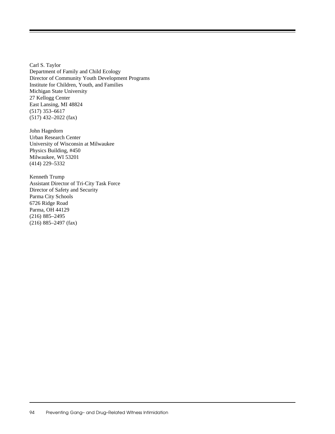Carl S. Taylor Department of Family and Child Ecology Director of Community Youth Development Programs Institute for Children, Youth, and Families Michigan State University 27 Kellogg Center East Lansing, MI 48824 (517) 353–6617 (517) 432–2022 (fax)

John Hagedorn Urban Research Center University of Wisconsin at Milwaukee Physics Building, #450 Milwaukee, WI 53201 (414) 229–5332

Kenneth Trump Assistant Director of Tri-City Task Force Director of Safety and Security Parma City Schools 6726 Ridge Road Parma, OH 44129 (216) 885–2495 (216) 885–2497 (fax)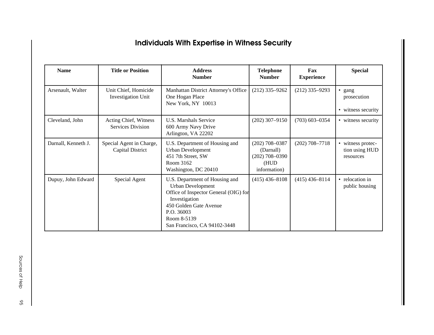### **Individuals With Expertise in Witness Security**

| <b>Name</b>         | <b>Title or Position</b>                          | <b>Address</b><br><b>Number</b>                                                                                                                                                                             | <b>Telephone</b><br><b>Number</b>                                          | Fax<br><b>Experience</b> | <b>Special</b>                                    |
|---------------------|---------------------------------------------------|-------------------------------------------------------------------------------------------------------------------------------------------------------------------------------------------------------------|----------------------------------------------------------------------------|--------------------------|---------------------------------------------------|
| Arsenault, Walter   | Unit Chief, Homicide<br><b>Investigation Unit</b> | Manhattan District Attorney's Office<br>One Hogan Place<br>New York, NY 10013                                                                                                                               | $(212)$ 335-9262                                                           | $(212)$ 335-9293         | $\cdot$ gang<br>prosecution<br>• witness security |
| Cleveland, John     | Acting Chief, Witness<br><b>Services Division</b> | U.S. Marshals Service<br>600 Army Navy Drive<br>Arlington, VA 22202                                                                                                                                         | $(202)$ 307-9150                                                           | $(703)$ 603-0354         | • witness security                                |
| Darnall, Kenneth J. | Special Agent in Charge,<br>Capital District      | U.S. Department of Housing and<br><b>Urban Development</b><br>451 7th Street, SW<br>Room 3162<br>Washington, DC 20410                                                                                       | $(202)$ 708-0387<br>(Darnall)<br>$(202)$ 708-0390<br>(HUD)<br>information) | $(202)$ 708-7718         | • witness protec-<br>tion using HUD<br>resources  |
| Dupuy, John Edward  | Special Agent                                     | U.S. Department of Housing and<br><b>Urban Development</b><br>Office of Inspector General (OIG) for<br>Investigation<br>450 Golden Gate Avenue<br>P.O. 36003<br>Room 8-5139<br>San Francisco, CA 94102-3448 | $(415)$ 436-8108                                                           | $(415)$ 436-8114         | • relocation in<br>public housing                 |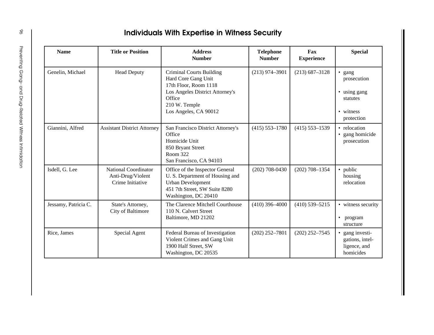| <b>Name</b>          | <b>Title or Position</b>                                             | <b>Address</b><br><b>Number</b>                                                                                                                                        | <b>Telephone</b><br><b>Number</b> | Fax<br><b>Experience</b> | <b>Special</b>                                                                                     |
|----------------------|----------------------------------------------------------------------|------------------------------------------------------------------------------------------------------------------------------------------------------------------------|-----------------------------------|--------------------------|----------------------------------------------------------------------------------------------------|
| Genelin, Michael     | <b>Head Deputy</b>                                                   | <b>Criminal Courts Building</b><br>Hard Core Gang Unit<br>17th Floor, Room 1118<br>Los Angeles District Attorney's<br>Office<br>210 W. Temple<br>Los Angeles, CA 90012 | $(213)$ 974-3901                  | $(213) 687 - 3128$       | $\bullet$<br>gang<br>prosecution<br>using gang<br>$\bullet$<br>statutes<br>• witness<br>protection |
| Giannini, Alfred     | <b>Assistant District Attorney</b>                                   | San Francisco District Attorney's<br>Office<br>Homicide Unit<br>850 Bryant Street<br>Room 322<br>San Francisco, CA 94103                                               | $(415) 553 - 1780$                | $(415) 553 - 1539$       | • relocation<br>• gang homicide<br>prosecution                                                     |
| Isdell, G. Lee       | <b>National Coordinator</b><br>Anti-Drug/Violent<br>Crime Initiative | Office of the Inspector General<br>U. S. Department of Housing and<br><b>Urban Development</b><br>451 7th Street, SW Suite 8280<br>Washington, DC 20410                | $(202)$ 708-0430                  | $(202) 708 - 1354$       | • public<br>housing<br>relocation                                                                  |
| Jessamy, Patricia C. | State's Attorney,<br>City of Baltimore                               | The Clarence Mitchell Courthouse<br>110 N. Calvert Street<br>Baltimore, MD 21202                                                                                       | $(410)$ 396-4000                  | $(410)$ 539-5215         | • witness security<br>program<br>$\bullet$<br>structure                                            |
| Rice, James          | Special Agent                                                        | Federal Bureau of Investigation<br>Violent Crimes and Gang Unit<br>1900 Half Street, SW<br>Washington, DC 20535                                                        | $(202)$ 252-7801                  | $(202)$ 252-7545         | gang investi-<br>gations, intel-<br>ligence, and<br>homicides                                      |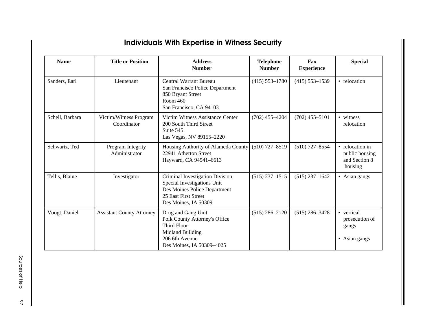## **Individuals With Expertise in Witness Security**

| <b>Name</b>     | <b>Title or Position</b>              | <b>Address</b><br><b>Number</b>                                                                                                                     | <b>Telephone</b><br><b>Number</b> | Fax<br><b>Experience</b> | <b>Special</b>                                                |
|-----------------|---------------------------------------|-----------------------------------------------------------------------------------------------------------------------------------------------------|-----------------------------------|--------------------------|---------------------------------------------------------------|
| Sanders, Earl   | Lieutenant                            | Central Warrant Bureau<br>San Francisco Police Department<br>850 Bryant Street<br>Room 460<br>San Francisco, CA 94103                               | $(415) 553 - 1780$                | $(415) 553 - 1539$       | • relocation                                                  |
| Schell, Barbara | Victim/Witness Program<br>Coordinator | Victim Witness Assistance Center<br>200 South Third Street<br>Suite 545<br>Las Vegas, NV 89155-2220                                                 | $(702)$ 455-4204                  | $(702)$ 455-5101         | • witness<br>relocation                                       |
| Schwartz, Ted   | Program Integrity<br>Administrator    | Housing Authority of Alameda County<br>22941 Atherton Street<br>Hayward, CA 94541-6613                                                              | $(510)$ 727-8519                  | $(510)$ 727-8554         | • relocation in<br>public housing<br>and Section 8<br>housing |
| Tellis, Blaine  | Investigator                          | Criminal Investigation Division<br>Special Investigations Unit<br>Des Moines Police Department<br>25 East First Street<br>Des Moines, IA 50309      | $(515)$ 237-1515                  | $(515)$ 237-1642         | • Asian gangs                                                 |
| Voogt, Daniel   | <b>Assistant County Attorney</b>      | Drug and Gang Unit<br>Polk County Attorney's Office<br><b>Third Floor</b><br><b>Midland Building</b><br>206 6th Avenue<br>Des Moines, IA 50309-4025 | $(515) 286 - 2120$                | $(515)$ 286-3428         | • vertical<br>prosecution of<br>gangs<br>• Asian gangs        |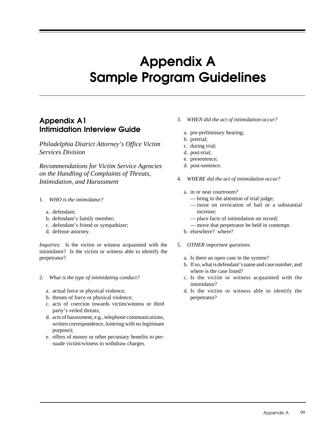## **Appendix A Sample Program Guidelines**

### **Appendix A1 Intimidation Interview Guide**

*Philadelphia District Attorney's Office Victim Services Division*

*Recommendations for Victim Service Agencies on the Handling of Complaints of Threats, Intimidation, and Harassment*

- 1. *WHO is the intimidator?*
	- a. defendant;
	- b. defendant's family member;
	- c. defendant's friend or sympathizer;
	- d. defense attorney.

*Inquiries*: Is the victim or witness acquainted with the intimidator? Is the victim or witness able to identify the perpetrator?

- 2. *What is the type of intimidating conduct?*
	- a. actual force or physical violence;
	- b. threats of force or physical violence;
	- c. acts of coercion towards victim/witness or third party's veiled threats;
	- d. acts of harassment, e.g., telephone communications, written correspondence, loitering with no legitimate purpose);
	- e. offers of money or other pecuniary benefits to persuade victim/witness to withdraw charges.
- 3. *WHEN did the act of intimidation occur?*
	- a. pre-preliminary hearing;
	- b. pretrial;
	- c. during trial;
	- d. post-trial;
	- e. presentence;
	- d. post-sentence.
- 4. *WHERE did the act of intimidation occur?*
	- a. in or near courtroom?
		- bring to the attention of trial judge;
		- insist on revocation of bail or a substantial increase;
		- place facts of intimidation on record;
		- move that perpetrator be held in contempt.
	- b. elsewhere? where?
- 5. *OTHER important questions.*
	- a. Is there an open case in the system?
	- b. If so, what is defendant's name and case number, and where is the case listed?
	- c. Is the victim or witness acquainted with the intimidator?
	- d. Is the victim or witness able to identify the perpetrator?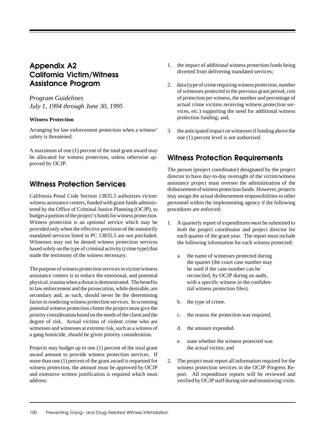### **Appendix A2 California Victim/Witness Assistance Program**

*Program Guidelines July 1, 1994 through June 30, 1995*

#### **Witness Protection**

Arranging for law enforcement protection when a witness' safety is threatened.

A maximum of one (1) percent of the total grant award may be allocated for witness protection, unless otherwise approved by OCJP.

### **Witness Protection Services**

California Penal Code Section 13835.5 authorizes victim/ witness assistance centers, funded with grant funds administered by the Office of Criminal Justice Planning (OCJP), to budget a portion of the project's funds for witness protection. Witness protection is an *optional* service which may be provided only when the effective provision of the statutorily mandated services listed in PC 13835.5 are not precluded. Witnesses may not be denied witness protection services based solely on the type of criminal activity (crime type) that made the testimony of the witness necessary.

The purpose of witness protection services in victim/witness assistance centers is to reduce the emotional, and potential physical, trauma when a threat is demonstrated. The benefits to law enforcement and the prosecution, while desirable, are secondary and, as such, should never be the determining factor in rendering witness protection services. In screening potential witness protection clients the project must give the priority consideration based on the needs of the client and the degree of risk. Actual victims of violent crime who are witnesses and witnesses at extreme risk, such as a witness of a gang homicide, should be given priority consideration.

Projects may budget up to one (1) percent of the total grant award amount to provide witness protection services. If more than one (1) percent of the grant award is requested for witness protection, the amount must be approved by OCJP and extensive written justification is required which must address:

- 1. the impact of additional witness protection funds being diverted from delivering mandated services;
- 2. data (type of crime requiring witness protection, number of witnesses protected in the previous grant period, cost of protection per witness, the number and percentage of actual crime victims receiving witness protection services, etc.) supporting the need for additional witness protection funding; and,
- 3. the anticipated impact on witnesses if funding above the one (1) percent level is not authorized.

### **Witness Protection Requirements**

The person (project coordinator) designated by the project director to have day-to-day oversight of the victim/witness assistance project must oversee the administration of the disbursement of witness protection funds. However, projects may assign the actual disbursement responsibilities to other personnel within the implementing agency if the following procedures are enforced:

- 1. A quarterly report of expenditures *must* be submitted to *both* the project coordinator and project director for each quarter of the grant year. The report must include the following information for each witness protected:
	- a. the name of witnesses protected during the quarter (the court case number may be used if the case number can be reconciled, by OCJP during an audit, with a specific witness in the confidential witness protection files).
	- b. the type of crime.
	- c. the reason the protection was required.
	- d. the amount expended.
	- e. state whether the witness protected was the actual victim; and
- 2. The project must report all information required for the witness protection services in the OCJP Progress Report. All expenditure reports will be reviewed and verified by OCJP staff during site and monitoring visits.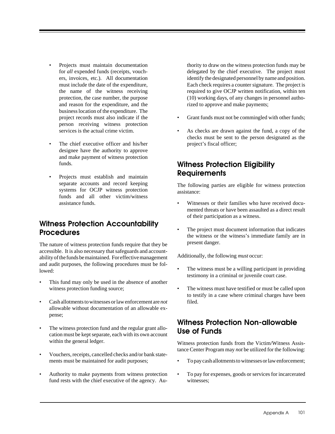- Projects must maintain documentation for *all* expended funds (receipts, vouchers, invoices, etc.). All documentation must include the date of the expenditure, the name of the witness receiving protection, the case number, the purpose and reason for the expenditure, and the business location of the expenditure. The project records must also indicate if the person receiving witness protection services is the actual crime victim.
- The chief executive officer and his/her designee have the authority to approve and make payment of witness protection funds.
- Projects must establish and maintain separate accounts and record keeping systems for OCJP witness protection funds and all other victim/witness assistance funds.

### **Witness Protection Accountability Procedures**

The nature of witness protection funds require that they be accessible. It is also necessary that safeguards and accountability of the funds be maintained. For effective management and audit purposes, the following procedures must be followed:

- This fund may only be used in the absence of another witness protection funding source;
- Cash allotments to witnesses or law enforcement are *not* allowable without documentation of an allowable expense;
- The witness protection fund and the regular grant allocation must be kept separate, each with its own account within the general ledger.
- Vouchers, receipts, cancelled checks and/or bank statements must be maintained for audit purposes;
- Authority to make payments from witness protection fund rests with the chief executive of the agency. Au-

thority to draw on the witness protection funds may be delegated by the chief executive. The project must identify the designated personnel by name and position. Each check requires a counter signature. The project is required to give OCJP written notification, within ten (10) working days, of any changes in personnel authorized to approve and make payments;

- Grant funds must not be commingled with other funds;
- As checks are drawn against the fund, a copy of the checks must be sent to the person designated as the project's fiscal officer;

### **Witness Protection Eligibility Requirements**

The following parties are eligible for witness protection assistance:

- Witnesses or their families who have received documented threats or have been assaulted as a direct result of their participation as a witness.
- The project must document information that indicates the witness or the witness's immediate family are in present danger.

Additionally, the following *must* occur:

- The witness must be a willing participant in providing testimony in a criminal or juvenile court case.
- The witness must have testified or must be called upon to testify in a case where criminal charges have been filed.

### **Witness Protection Non-allowable Use of Funds**

Witness protection funds from the Victim/Witness Assistance Center Program may *not* be utilized for the following:

- To pay cash allotments to witnesses or law enforcement;
- To pay for expenses, goods or services for incarcerated witnesses;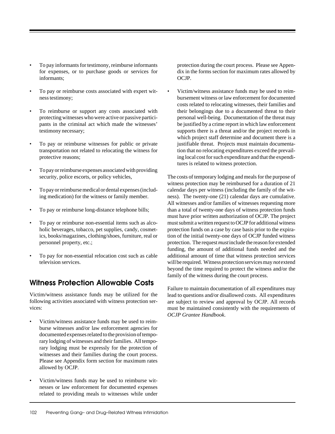- To pay informants for testimony, reimburse informants for expenses, or to purchase goods or services for informants;
- To pay or reimburse costs associated with expert witness testimony;
- To reimburse or support any costs associated with protecting witnesses who were active or passive participants in the criminal act which made the witnesses' testimony necessary;
- To pay or reimburse witnesses for public or private transportation not related to relocating the witness for protective reasons;
- To pay or reimburse expenses associated with providing security, police escorts, or policy vehicles,
- To pay or reimburse medical or dental expenses (including medication) for the witness or family member.
- To pay or reimburse long-distance telephone bills;
- To pay or reimburse non-essential items such as alcoholic beverages, tobacco, pet supplies, candy, cosmetics, books/magazines, clothing/shoes, furniture, real or personnel property, etc.;
- To pay for non-essential relocation cost such as cable television services.

### **Witness Protection Allowable Costs**

Victim/witness assistance funds may be utilized for the following activities associated with witness protection services:

- Victim/witness assistance funds may be used to reimburse witnesses and/or law enforcement agencies for documented expenses related to the provision of temporary lodging of witnesses and their families. All temporary lodging must be expressly for the protection of witnesses and their families during the court process. Please see Appendix form section for maximum rates allowed by OCJP.
- Victim/witness funds may be used to reimburse witnesses or law enforcement for documented expenses related to providing meals to witnesses while under

protection during the court process. Please see Appendix in the forms section for maximum rates allowed by OCJP.

• Victim/witness assistance funds may be used to reimbursement witness or law enforcement for documented costs related to relocating witnesses, their families and their belongings due to a documented threat to their personal well-being. Documentation of the threat may be justified by a crime report in which law enforcement supports there is a threat and/or the project records in which project staff determine and document there is a justifiable threat. Projects must maintain documentation that no relocating expenditures exceed the prevailing local cost for such expenditure and that the expenditures is related to witness protection.

The costs of temporary lodging and meals for the purpose of witness protection may be reimbursed for a duration of 21 calendar days per witness (including the family of the witness). The twenty-one (21) calendar days are cumulative. All witnesses and/or families of witnesses requesting more than a total of twenty-one days of witness protection funds must have prior written authorization of OCJP. The project must submit a written request to OCJP for additional witness protection funds on a case by case basis prior to the expiration of the initial twenty-one days of OCJP funded witness protection. The request *must* include the reason for extended funding, the amount of additional funds needed and the additional amount of time that witness protection services will be required. Witness protection services may *not* extend beyond the time required to protect the witness and/or the family of the witness during the court process.

Failure to maintain documentation of all expenditures may lead to questions and/or disallowed costs. All expenditures are subject to review and approval by OCJP. All records must be maintained consistently with the requirements of *OCJP Grantee Handbook*.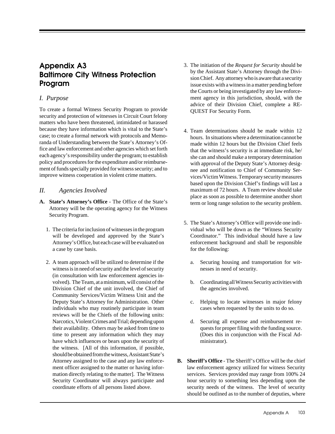### **Appendix A3 Baltimore City Witness Protection Program**

#### *I. Purpose*

To create a formal Witness Security Program to provide security and protection of witnesses in Circuit Court felony matters who have been threatened, intimidated or harassed because they have information which is vital to the State's case; to create a formal network with protocols and Memoranda of Understanding between the State's Attorney's Office and law enforcement and other agencies which set forth each agency's responsibility under the program; to establish policy and procedures for the expenditure and/or reimbursement of funds specially provided for witness security; and to improve witness cooperation in violent crime matters.

#### *II. Agencies Involved*

- **A. State's Attorney's Office** The Office of the State's Attorney will be the operating agency for the Witness Security Program.
	- 1. The criteria for inclusion of witnesses in the program will be developed and approved by the State's Attorney's Office, but each case will be evaluated on a case by case basis.
	- 2. A team approach will be utilized to determine if the witness is in need of security and the level of security (in consultation with law enforcement agencies involved). The Team, at a minimum, will consist of the Division Chief of the unit involved, the Chief of Community Services/Victim Witness Unit and the Deputy State's Attorney for Administration. Other individuals who may routinely participate in team reviews will be the Chiefs of the following units: Narcotics, Violent Crimes and Trial; depending upon their availability. Others may be asked from time to time to present any information which they may have which influences or bears upon the security of the witness. [All of this information, if possible, should be obtained from the witness, Assistant State's Attorney assigned to the case and any law enforcement officer assigned to the matter or having information directly relating to the matter]. The Witness Security Coordinator will always participate and coordinate efforts of all persons listed above.
- 3. The initiation of the *Request for Security* should be by the Assistant State's Attorney through the Division Chief. Any attorney who is aware that a security issue exists with a witness in a matter pending before the Courts or being investigated by any law enforcement agency in this jurisdiction, should, with the advice of their Division Chief, complete a RE-QUEST For Security Form.
- 4. Team determinations should be made within 12 hours. In situations where a determination cannot be made within 12 hours but the Division Chief feels that the witness's security is at immediate risk, he/ she can and should make a temporary determination with approval of the Deputy State's Attorney designee and notification to Chief of Community Services/Victim Witness. Temporary security measures based upon the Division Chief's findings will last a maximum of 72 hours. A Team review should take place as soon as possible to determine another short term or long range solution to the security problem.
- 5. The State's Attorney's Office will provide one individual who will be down as the "Witness Security Coordinator." This individual should have a law enforcement background and shall be responsible for the following:
	- a. Securing housing and transportation for witnesses in need of security.
	- b. Coordinating all Witness Security activities with the agencies involved.
	- c. Helping to locate witnesses in major felony cases when requested by the units to do so.
	- d. Securing all expense and reimbursement requests for proper filing with the funding source. (Does this in conjunction with the Fiscal Administrator).
- **B. Sheriff's Office** The Sheriff's Office will be the chief law enforcement agency utilized for witness Security services. Services provided may range from 100% 24 hour security to something less depending upon the security needs of the witness. The level of security should be outlined as to the number of deputies, where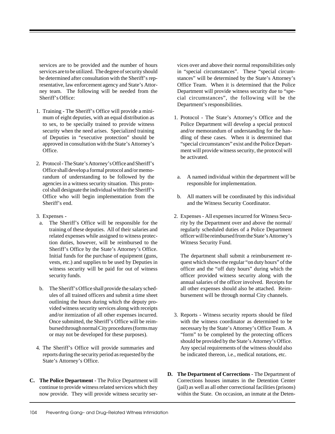services are to be provided and the number of hours services are to be utilized. The degree of security should be determined after consultation with the Sheriff's representative, law enforcement agency and State's Attorney team. The following will be needed from the Sheriff's Office:

- 1. Training The Sheriff's Office will provide a minimum of eight deputies, with an equal distribution as to sex, to be specially trained to provide witness security when the need arises. Specialized training of Deputies in "executive protection" should be approved in consultation with the State's Attorney's Office.
- 2. Protocol The State's Attorney's Office and Sheriff's Office shall develop a formal protocol and/or memorandum of understanding to be followed by the agencies in a witness security situation. This protocol shall designate the individual within the Sheriff's Office who will begin implementation from the Sheriff's end.
- 3. Expenses -
- a. The Sheriff's Office will be responsible for the training of these deputies. All of their salaries and related expenses while assigned to witness protection duties, however, will be reimbursed to the Sheriff's Office by the State's Attorney's Office. Initial funds for the purchase of equipment (guns, vests, etc.) and supplies to be used by Deputies in witness security will be paid for out of witness security funds.
- b. The Sheriff's Office shall provide the salary schedules of all trained officers and submit a time sheet outlining the hours during which the deputy provided witness security services along with receipts and/or itemization of all other expenses incurred. Once submitted, the Sheriff's Office will be reimbursed through normal City procedures (forms may or may not be developed for these purposes).
- 4. The Sheriff's Office will provide summaries and reports during the security period as requested by the State's Attorney's Office.
- **C. The Police Department** The Police Department will continue to provide witness related services which they now provide. They will provide witness security ser-

vices over and above their normal responsibilities only in "special circumstances". These "special circumstances" will be determined by the State's Attorney's Office Team. When it is determined that the Police Department will provide witness security due to "special circumstances", the following will be the Department's responsibilities.

- 1. Protocol The State's Attorney's Office and the Police Department will develop a special protocol and/or memorandum of understanding for the handling of these cases. When it is determined that "special circumstances" exist and the Police Department will provide witness security, the protocol will be activated.
- a. A named individual within the department will be responsible for implementation.
- b. All matters will be coordinated by this individual and the Witness Security Coordinator.
- 2. Expenses All expenses incurred for Witness Security by the Department over and above the normal/ regularly scheduled duties of a Police Department officer will be reimbursed from the State's Attorney's Witness Security Fund.

The department shall submit a reimbursement request which shows the regular "on duty hours" of the officer and the "off duty hours" during which the officer provided witness security along with the annual salaries of the officer involved. Receipts for all other expenses should also be attached. Reimbursement will be through normal City channels.

- 3. Reports Witness security reports should be filed with the witness coordinator as determined to be necessary by the State's Attorney's Office Team. A "form" to be completed by the protecting officers should be provided by the State's Attorney's Office. Any special requirements of the witness should also be indicated thereon, i.e., medical notations, etc.
- **D. The Department of Corrections** The Department of Corrections houses inmates in the Detention Center (jail) as well as all other correctional facilities (prisons) within the State. On occasion, an inmate at the Deten-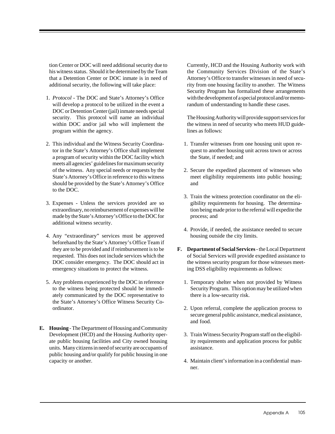tion Center or DOC will need additional security due to his witness status. Should it be determined by the Team that a Detention Center or DOC inmate is in need of additional security, the following will take place:

- 1. *Protocol* The DOC and State's Attorney's Office will develop a protocol to be utilized in the event a DOC or Detention Center (jail) inmate needs special security. This protocol will name an individual within DOC and/or jail who will implement the program within the agency.
- 2. This individual and the Witness Security Coordinator in the State's Attorney's Office shall implement a program of security within the DOC facility which meets all agencies' guidelines for maximum security of the witness. Any special needs or requests by the State's Attorney's Office in reference to this witness should be provided by the State's Attorney's Office to the DOC.
- 3. Expenses Unless the services provided are so extraordinary, no reimbursement of expenses will be made by the State's Attorney's Office to the DOC for additional witness security.
- 4. Any "extraordinary" services must be approved beforehand by the State's Attorney's Office Team if they are to be provided and if reimbursement is to be requested. This does not include services which the DOC consider emergency. The DOC should act in emergency situations to protect the witness.
- 5. Any problems experienced by the DOC in reference to the witness being protected should be immediately communicated by the DOC representative to the State's Attorney's Office Witness Security Coordinator.
- **E. Housing** The Department of Housing and Community Development (HCD) and the Housing Authority operate public housing facilities and City owned housing units. Many citizens in need of security are occupants of public housing and/or qualify for public housing in one capacity or another.

Currently, HCD and the Housing Authority work with the Community Services Division of the State's Attorney's Office to transfer witnesses in need of security from one housing facility to another. The Witness Security Program has formalized these arrangements with the development of a special protocol and/or memorandum of understanding to handle these cases.

The Housing Authority will provide support services for the witness in need of security who meets HUD guidelines as follows:

- 1. Transfer witnesses from one housing unit upon request to another housing unit across town or across the State, if needed; and
- 2. Secure the expedited placement of witnesses who meet eligibility requirements into public housing; and
- 3. Train the witness protection coordinator on the eligibility requirements for housing. The determination being made prior to the referral will expedite the process; and
- 4. Provide, if needed, the assistance needed to secure housing outside the city limits.
- **F. Department of Social Services** the Local Department of Social Services will provide expedited assistance to the witness security program for those witnesses meeting DSS eligibility requirements as follows:
	- 1. Temporary shelter when not provided by Witness Security Program. This option may be utilized when there is a low-security risk.
	- 2. Upon referral, complete the application process to secure general public assistance, medical assistance, and food.
	- 3. Train Witness Security Program staff on the eligibility requirements and application process for public assistance.
	- 4. Maintain client's information in a confidential manner.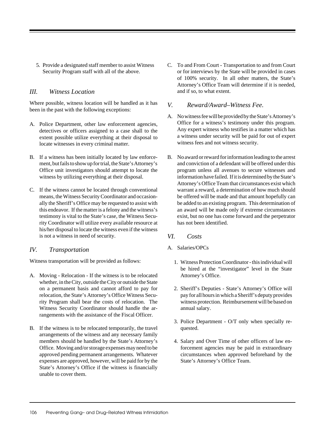5. Provide a designated staff member to assist Witness Security Program staff with all of the above.

#### *III. Witness Location*

Where possible, witness location will be handled as it has been in the past with the following exceptions:

- A. Police Department, other law enforcement agencies, detectives or officers assigned to a case shall to the extent possible utilize everything at their disposal to locate witnesses in every criminal matter.
- B. If a witness has been initially located by law enforcement, but fails to show up for trial, the State's Attorney's Office unit investigators should attempt to locate the witness by utilizing everything at their disposal.
- C. If the witness cannot be located through conventional means, the Witness Security Coordinator and occasionally the Sheriff's Office may be requested to assist with this endeavor. If the matter is a felony and the witness's testimony is vital to the State's case, the Witness Security Coordinator will utilize every available resource at his/her disposal to locate the witness even if the witness is not a witness in need of security.

#### *IV. Transportation*

Witness transportation will be provided as follows:

- A. Moving Relocation If the witness is to be relocated whether, in the City, outside the City or outside the State on a permanent basis and cannot afford to pay for relocation, the State's Attorney's Office Witness Security Program shall bear the costs of relocation. The Witness Security Coordinator should handle the arrangements with the assistance of the Fiscal Officer.
- B. If the witness is to be relocated temporarily, the travel arrangements of the witness and any necessary family members should be handled by the State's Attorney's Office. Moving and/or storage expenses may need to be approved pending permanent arrangements. Whatever expenses are approved, however, will be paid for by the State's Attorney's Office if the witness is financially unable to cover them.

C. To and From Court - Transportation to and from Court or for interviews by the State will be provided in cases of 100% security. In all other matters, the State's Attorney's Office Team will determine if it is needed, and if so, to what extent.

#### *V. Reward/Award–Witness Fee.*

- A. No witness fee will be provided by the State's Attorney's Office for a witness's testimony under this program. Any expert witness who testifies in a matter which has a witness under security will be paid for out of expert witness fees and not witness security.
- B. No award or reward for information leading to the arrest and conviction of a defendant will be offered under this program unless all avenues to secure witnesses and information have failed. If it is determined by the State's Attorney's Office Team that circumstances exist which warrant a reward, a determination of how much should be offered will be made and that amount hopefully can be added to an existing program. This determination of an award will be made only if extreme circumstances exist, but no one has come forward and the perpetrator has not been identified.
- *VI. Costs*
- A. Salaries/OPCs
	- 1. Witness Protection Coordinator this individual will be hired at the "investigator" level in the State Attorney's Office.
	- 2. Sheriff's Deputies State's Attorney's Office will pay for all hours in which a Sheriff's deputy provides witness protection. Reimbursement will be based on annual salary.
	- 3. Police Department O/T only when specially requested.
	- 4. Salary and Over Time of other officers of law enforcement agencies may be paid in extraordinary circumstances when approved beforehand by the State's Attorney's Office Team.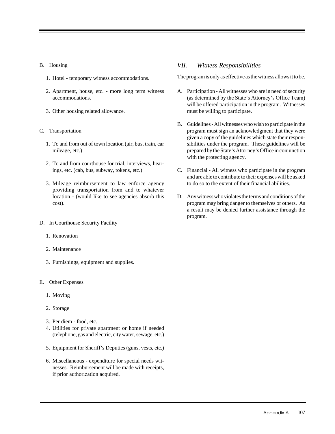#### B. Housing

- 1. Hotel temporary witness accommodations.
- 2. Apartment, house, etc. more long term witness accommodations.
- 3. Other housing related allowance.

#### C. Transportation

- 1. To and from out of town location (air, bus, train, car mileage, etc.)
- 2. To and from courthouse for trial, interviews, hearings, etc. (cab, bus, subway, tokens, etc.)
- 3. Mileage reimbursement to law enforce agency providing transportation from and to whatever location - (would like to see agencies absorb this cost).

#### D. In Courthouse Security Facility

- 1. Renovation
- 2. Maintenance
- 3. Furnishings, equipment and supplies.

#### E. Other Expenses

- 1. Moving
- 2. Storage
- 3. Per diem food, etc.
- 4. Utilities for private apartment or home if needed (telephone, gas and electric, city water, sewage, etc.)
- 5. Equipment for Sheriff's Deputies (guns, vests, etc.)
- 6. Miscellaneous expenditure for special needs witnesses. Reimbursement will be made with receipts, if prior authorization acquired.

#### *VII. Witness Responsibilities*

The program is only as effective as the witness allows it to be.

- A. Participation All witnesses who are in need of security (as determined by the State's Attorney's Office Team) will be offered participation in the program. Witnesses must be willing to participate.
- B. Guidelines All witnesses who wish to participate in the program must sign an acknowledgment that they were given a copy of the guidelines which state their responsibilities under the program. These guidelines will be prepared by the State's Attorney's Office in conjunction with the protecting agency.
- C. Financial All witness who participate in the program and are able to contribute to their expenses will be asked to do so to the extent of their financial abilities.
- D. Any witness who violates the terms and conditions of the program may bring danger to themselves or others. As a result may be denied further assistance through the program.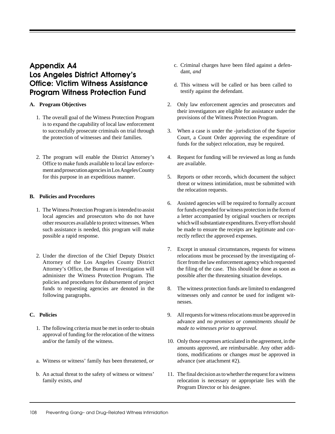## **Appendix A4 Los Angeles District Attorney's Office: VIctim Witness Assistance Program Witness Protection Fund**

#### **A. Program Objectives**

- 1. The overall goal of the Witness Protection Program is to expand the capability of local law enforcement to successfully prosecute criminals on trial through the protection of witnesses and their families.
- 2. The program will enable the District Attorney's Office to make funds available to local law enforcement and prosecution agencies in Los Angeles County for this purpose in an expeditious manner.

#### **B. Policies and Procedures**

- 1. The Witness Protection Program is intended to assist local agencies and prosecutors who do not have other resources available to protect witnesses. When such assistance is needed, this program will make possible a rapid response.
- 2. Under the direction of the Chief Deputy District Attorney of the Los Angeles County District Attorney's Office, the Bureau of Investigation will administer the Witness Protection Program. The policies and procedures for disbursement of project funds to requesting agencies are denoted in the following paragraphs.

#### **C. Policies**

- 1. The following criteria must be met in order to obtain approval of funding for the relocation of the witness and/or the family of the witness.
- a. Witness or witness' family *has* been threatened, *or*
- b. An actual threat to the safety of witness or witness' family exists, *and*
- c. Criminal charges have been filed against a defendant, *and*
- d. This witness will be called or has been called to testify against the defendant.
- 2. Only law enforcement agencies and prosecutors and their investigators are eligible for assistance under the provisions of the Witness Protection Program.
- 3. When a case is under the -jurisdiction of the Superior Court, a Count Order approving the expenditure of funds for the subject relocation, may be required.
- 4. Request for funding will be reviewed as long as funds are available.
- 5. Reports or other records, which document the subject threat or witness intimidation, must be submitted with the relocation requests.
- 6. Assisted agencies will be required to formally account for funds expended for witness protection in the form of a letter accompanied by original vouchers or receipts which will substantiate expenditures. Every effort should be made to ensure the receipts are legitimate and correctly reflect the approved expenses.
- 7. Except in unusual circumstances, requests for witness relocations must be processed by the investigating officer from the law enforcement agency which requested the filing of the case. This should be done as soon as possible after the threatening situation develops.
- 8. The witness protection funds are limited to endangered witnesses only and *cannot* be used for indigent witnesses.
- 9. All requests for witness relocations must be approved in advance and *no promises or commitments should be made to witnesses prior to approval.*
- 10. Only those expenses articulated in the agreement, in the amounts approved, are reimbursable. Any other additions, modifications or changes *must* be approved in advance (see attachment #2).
- 11. The final decision as to whether the request for a witness relocation is necessary or appropriate lies with the Program Director or his designee.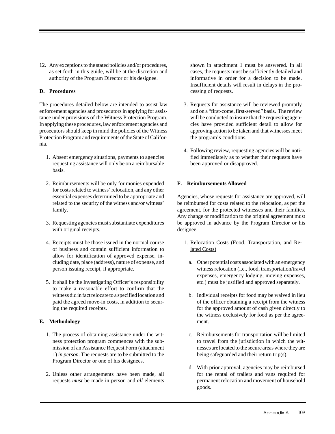12. Any exceptions to the stated policies and/or procedures, as set forth in this guide, will be at the discretion and authority of the Program Director or his designee.

#### **D. Procedures**

The procedures detailed below are intended to assist law enforcement agencies and prosecutors in applying for assistance under provisions of the Witness Protection Program. In applying these procedures, law enforcement agencies and prosecutors should keep in mind the policies of the Witness Protection Program and requirements of the State of California.

- 1. Absent emergency situations, payments to agencies requesting assistance will only be on a reimbursable basis.
- 2. Reimbursements will be only for monies expended for costs related to witness' relocation, and any other essential expenses determined to be appropriate and related to the security of the witness and/or witness' family.
- 3. Requesting agencies must substantiate expenditures with original receipts.
- 4. Receipts must be those issued in the normal course of business and contain sufficient information to allow for identification of approved expense, including date, place (address), nature of expense, and person issuing receipt, if appropriate.
- 5. It shall be the Investigating Officer's responsibility to make a reasonable effort to confirm that the witness did in fact relocate to a specified location and paid the agreed move-in costs, in addition to securing the required receipts.

#### **E. Methodology**

- 1. The process of obtaining assistance under the witness protection program commences with the submission of an Assistance Request Form (attachment 1) *in person*. The requests are to be submitted to the Program Director or one of his designees.
- 2. Unless other arrangements have been made, all requests *must* be made in person and *all* elements

shown in attachment 1 must be answered. In all cases, the requests must be sufficiently detailed and informative in order for a decision to be made. Insufficient details will result in delays in the processing of requests.

- 3. Requests for assistance will be reviewed promptly and on a "first-come, first-served" basis. The review will be conducted to insure that the requesting agencies have provided sufficient detail to allow for approving action to be taken and that witnesses meet the program's conditions.
- 4. Following review, requesting agencies will be notified immediately as to whether their requests have been approved or disapproved.

#### **F. Reimbursements Allowed**

Agencies, whose requests for assistance are approved, will be reimbursed for costs related to the relocation, as per the agreement, for the protected witnesses and their families. Any change or modification to the original agreement must be approved in advance by the Program Director or his designee.

- 1. Relocation Costs (Food. Transportation, and Related Costs)
	- a. Other potential costs associated with an emergency witness relocation (i.e., food, transportation/travel expenses, emergency lodging, moving expenses, etc.) must be justified and approved separately.
	- b. Individual receipts for food may be waived in lieu of the officer obtaining a receipt from the witness for the approved amount of cash given directly to the witness exclusively for food as per the agreement.
	- c. Reimbursements for transportation will be limited to travel from the jurisdiction in which the witnesses are located to the secure areas where they are being safeguarded and their return trip(s).
	- d. With prior approval, agencies may be reimbursed for the rental of trailers and vans required for permanent relocation and movement of household goods.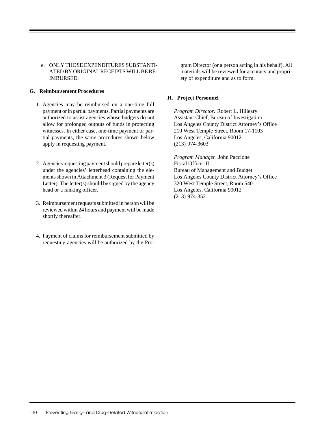e. ONLY THOSE EXPENDITURES SUBSTANTI-ATED BY ORIGINAL RECEIPTS WILL BE RE-IMBURSED.

#### **G. Reimbursement Procedures**

- 1. Agencies may be reimbursed on a one-time full payment or in partial payments. Partial payments are authorized to assist agencies whose budgets do not allow for prolonged outputs of funds in protecting witnesses. In either case, one-time payment or partial payments, the same procedures shown below apply in requesting payment.
- 2. Agencies requesting payment should prepare letter(s) under the agencies' letterhead containing the elements shown in Attachment 3 (Request for Payment Letter). The letter(s) should be signed by the agency head or a ranking officer.
- 3. Reimbursement requests submitted in person will be reviewed within 24 hours and payment will be made shortly thereafter.
- 4. Payment of claims for reimbursement submitted by requesting agencies will be authorized by the Pro-

gram Director (or a person acting in his behalf). All materials will be reviewed for accuracy and propriety of expenditure and as to form.

#### **H. Project Personnel**

*Program Director:* Robert L. Hilleary Assistant Chief, Bureau of Investigation Los Angeles County District Attorney's Office 210 West Temple Street, Room 17-1103 Los Angeles, California 90012 (213) 974-3603

*Program Manager*: John Paccione Fiscal Officer II Bureau of Management and Budget Los Angeles County District Attorney's Office 320 West Temple Street, Room 540 Los Angeles, California 90012 (213) 974-3521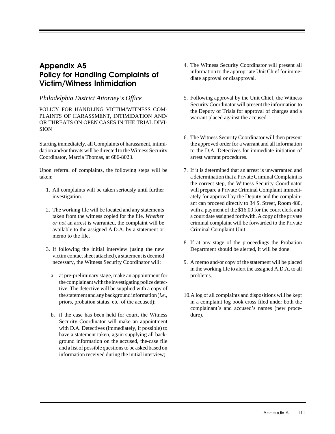## **Appendix A5 Policy for Handling Complaints of Victim/Witness Intimidation**

### *Philadelphia District Attorney's Office*

POLICY FOR HANDLING VICTIM/WITNESS COM-PLAINTS OF HARASSMENT, INTIMIDATION AND/ OR THREATS ON OPEN CASES IN THE TRIAL DIVI-SION

Starting immediately, all Complaints of harassment, intimidation and/or threats will be directed to the Witness Security Coordinator, Marcia Thomas, at 686-8023.

Upon referral of complaints, the following steps will be taken:

- 1. All complaints will be taken seriously until further investigation.
- 2. The working file will be located and any statements taken from the witness copied for the file. *Whether or not* an arrest is warranted, the complaint will be available to the assigned A.D.A. by a statement or memo to the file.
- 3. If following the initial interview (using the new victim contact sheet attached), a statement is deemed necessary, the Witness Security Coordinator will:
	- a. at pre-preliminary stage, make an appointment for the complainant with the investigating police detective. The detective will be supplied with a copy of the statement and any background information (*i.e.*, priors, probation status, etc. of the accused);
	- b. if the case has been held for court, the Witness Security Coordinator will make an appointment with D.A. Detectives (immediately, if possible) to have a statement taken, again supplying all background information on the accused, the-case file and a list of possible questions to be asked based on information received during the initial interview;
- 4. The Witness Security Coordinator will present all information to the appropriate Unit Chief for immediate approval or disapproval.
- 5. Following approval by the Unit Chief, the Witness Security Coordinator will present the information to the Deputy of Trials for approval of charges and a warrant placed against the accused.
- 6. The Witness Security Coordinator will then present the approved order for a warrant and all information to the D.A. Detectives for immediate initiation of arrest warrant procedures.
- 7. If it is determined that an arrest is unwarranted and a determination that a Private Criminal Complaint is the correct step, the Witness Security Coordinator will prepare a Private Criminal Complaint immediately for approval by the Deputy and the complainant can proceed directly to 34 S. Street, Room 480, with a payment of the \$16.00 for the court clerk and a court date assigned forthwith. A copy of the private criminal complaint will be forwarded to the Private Criminal Complaint Unit.
- 8. If at any stage of the proceedings the Probation Department should be alerted, it will be done.
- 9. A memo and/or copy of the statement will be placed in the working file to alert the assigned A.D.A. to all problems.
- 10.A log of all complaints and dispositions will be kept in a complaint log book cross filed under both the complainant's and accused's names (new procedure).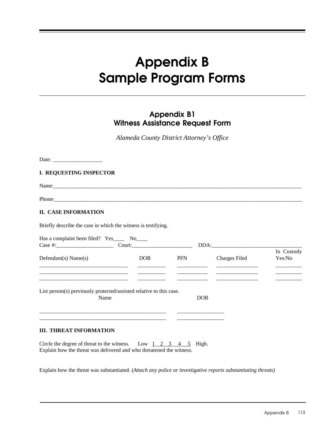# **Appendix B Sample Program Forms**

## **Appendix B1 Witness Assistance Request Form**

*Alameda County District Attorney's Office*

| I. REQUESTING INSPECTOR                                                                                                                                                                                                              |                  |            |                                                                                                                                     |                      |                      |
|--------------------------------------------------------------------------------------------------------------------------------------------------------------------------------------------------------------------------------------|------------------|------------|-------------------------------------------------------------------------------------------------------------------------------------|----------------------|----------------------|
|                                                                                                                                                                                                                                      |                  |            |                                                                                                                                     |                      |                      |
| Phone: <u>contract the contract of the contract of the contract of the contract of the contract of the contract of the contract of the contract of the contract of the contract of the contract of the contract of the contract </u> |                  |            |                                                                                                                                     |                      |                      |
| <b>II. CASE INFORMATION</b>                                                                                                                                                                                                          |                  |            |                                                                                                                                     |                      |                      |
| Briefly describe the case in which the witness is testifying.                                                                                                                                                                        |                  |            |                                                                                                                                     |                      |                      |
| Has a complaint been filed? Yes_______ No_____                                                                                                                                                                                       |                  |            |                                                                                                                                     |                      |                      |
| Defendant(s) Name(s)                                                                                                                                                                                                                 | DOB <sub>2</sub> | <b>PFN</b> |                                                                                                                                     | <b>Charges Filed</b> | In Custody<br>Yes/No |
| List person(s) previously protected/assisted relative to this case.<br>Name                                                                                                                                                          |                  |            | <u> 1989 - Johann Harry Barn, mars and de Branch and de Branch and de Branch and de Branch and de Branch and de B</u><br><b>DOB</b> |                      |                      |
| <u> 1999 - Jan James James, Amerikaansk politiker (d. 1989)</u>                                                                                                                                                                      |                  |            |                                                                                                                                     |                      |                      |

#### **III. THREAT INFORMATION**

Circle the degree of threat to the witness. Low  $1 \quad 2 \quad 3 \quad 4 \quad 5$  High. Explain how the threat was delivered and who threatened the witness.

Explain how the threat was substantiated. (*Attach any police or investigative reports substantiating threats)*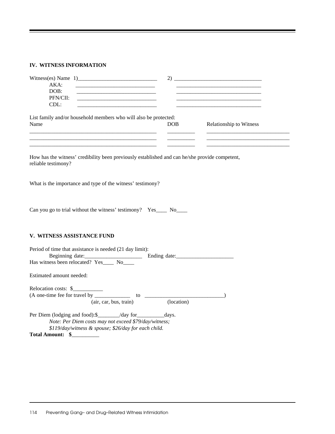#### **IV. WITNESS INFORMATION**

| AKA:<br>DOB:<br>PFN/CII:<br><u> 1989 - Jan James James Jan James James Jan James James Jan James James Jan Jan James James Jan Jan Jan Jan Ja</u><br>CDL:                                                                                                      |            |                                |
|----------------------------------------------------------------------------------------------------------------------------------------------------------------------------------------------------------------------------------------------------------------|------------|--------------------------------|
| List family and/or household members who will also be protected:<br>Name<br><u> 1980 - Jan Barbarat, martin amerikan basar dan berasal dalam pengaran basar dalam pengaran basar dalam penga</u><br><u> 1989 - John Stein, Amerikaansk politiker (</u> † 1920) | DOB        | <b>Relationship to Witness</b> |
| How has the witness' credibility been previously established and can he/she provide competent,<br>reliable testimony?                                                                                                                                          |            |                                |
| What is the importance and type of the witness' testimony?                                                                                                                                                                                                     |            |                                |
| Can you go to trial without the witness' testimony? Yes____ No____                                                                                                                                                                                             |            |                                |
| V. WITNESS ASSISTANCE FUND                                                                                                                                                                                                                                     |            |                                |
| Period of time that assistance is needed (21 day limit):<br>Has witness been relocated? Yes____ No____                                                                                                                                                         |            |                                |
| Estimated amount needed:                                                                                                                                                                                                                                       |            |                                |
| Relocation costs: \$<br>(air, car, bus, train)                                                                                                                                                                                                                 | (location) |                                |
| Per Diem (lodging and food):\$_______/day for____________days.<br>Note: Per Diem costs may not exceed \$79/day/witness;<br>\$119/day/witness & spouse; \$26/day for each child.<br>Total Amount: \$                                                            |            |                                |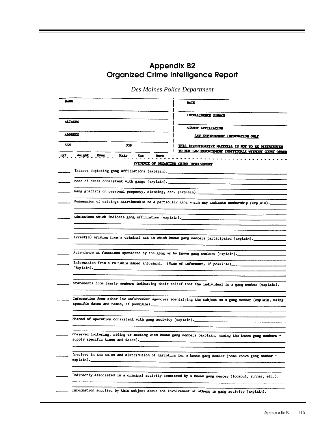## **Appendix B2 Organized Crime Intelligence Report**

*Des Moines Police Department*

| <b>NAMIK</b> |                                                                                                  | <b>DATK</b>                                                                                                    |
|--------------|--------------------------------------------------------------------------------------------------|----------------------------------------------------------------------------------------------------------------|
|              | <b>ALLASIES</b>                                                                                  | <b>INTELLIGENCE SOURCE</b>                                                                                     |
|              |                                                                                                  | <b>AGENCY AFFILIATION</b>                                                                                      |
|              | <b>ADDRESS</b>                                                                                   | LAW ENFORCEMENT INFORMATION ONLY                                                                               |
| <b>SSN</b>   | <b>DOB</b>                                                                                       | THIS INVESTIGATIVE MATERIAL IS NOT TO BE DISTRIBUTED<br>TO NON-LAW ENPORCEMENT INDIVIDUALS WITHOUT COURT ORDER |
| <b>Hgt</b>   | Wnight Eyes<br>Hair<br>Sex<br>Race                                                               |                                                                                                                |
|              |                                                                                                  | EVIDENCE OF ORGANIZED CRIME INVOLVEMENT                                                                        |
|              | Tattoos depicting gang affiliations (explain).                                                   |                                                                                                                |
|              | Mode of dress consistent with gangs (explain).                                                   |                                                                                                                |
|              | Gang graffiti on personal property, clothing, etc. (explain).                                    |                                                                                                                |
|              |                                                                                                  |                                                                                                                |
|              |                                                                                                  | Possession of writings attributable to a particular gang which may indicate membership (explain).              |
|              | Admissions which indicate gang affiliation (explain).                                            |                                                                                                                |
|              |                                                                                                  |                                                                                                                |
|              |                                                                                                  |                                                                                                                |
|              |                                                                                                  | Arrest(s) arising from a criminal act in which known gang members participated (explain).                      |
|              |                                                                                                  |                                                                                                                |
|              | Attendance at functions sponsored by the gang or by known gang members (explain).                |                                                                                                                |
|              | Information from a reliable named informant. (Name of informant, if possible)_________           |                                                                                                                |
|              | (Explain).                                                                                       |                                                                                                                |
|              |                                                                                                  |                                                                                                                |
|              |                                                                                                  | Statements from family members indicating their belief that the individual is a gang member (explain).         |
|              |                                                                                                  | Information from other law enforcement agencies identifying the subject as a gang member (explain, using       |
|              |                                                                                                  |                                                                                                                |
|              |                                                                                                  |                                                                                                                |
|              | Method of operation consistent with gang activity (explain).                                     |                                                                                                                |
|              |                                                                                                  |                                                                                                                |
|              | supply specific times and dates).                                                                | Observed loitering, riding or meeting with known gang members (explain, naming the known gang members -        |
|              |                                                                                                  |                                                                                                                |
|              | explain)._                                                                                       | Involved in the sales and distribution of narcotics for a known gang member (name known gang member -          |
|              |                                                                                                  |                                                                                                                |
|              |                                                                                                  | Indirectly associated in a criminal activity committed by a known gang member (lookout, runner, etc.).         |
|              |                                                                                                  |                                                                                                                |
|              | Information supplied by this subject about the involvement of others in gang activity (explain). |                                                                                                                |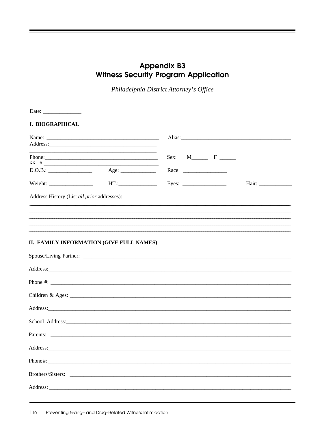# **Appendix B3 Witness Security Program Application**

Philadelphia District Attorney's Office

| Date:                                                                                                                                                                                                                                                                                                                                                                                                        |                                                                                                                                                                      |  |  |
|--------------------------------------------------------------------------------------------------------------------------------------------------------------------------------------------------------------------------------------------------------------------------------------------------------------------------------------------------------------------------------------------------------------|----------------------------------------------------------------------------------------------------------------------------------------------------------------------|--|--|
| I. BIOGRAPHICAL                                                                                                                                                                                                                                                                                                                                                                                              |                                                                                                                                                                      |  |  |
|                                                                                                                                                                                                                                                                                                                                                                                                              |                                                                                                                                                                      |  |  |
|                                                                                                                                                                                                                                                                                                                                                                                                              |                                                                                                                                                                      |  |  |
|                                                                                                                                                                                                                                                                                                                                                                                                              |                                                                                                                                                                      |  |  |
|                                                                                                                                                                                                                                                                                                                                                                                                              | $SS$ #:                                                                                                                                                              |  |  |
|                                                                                                                                                                                                                                                                                                                                                                                                              |                                                                                                                                                                      |  |  |
| Weight: $\frac{1}{\sqrt{1-\frac{1}{2}}\sqrt{1-\frac{1}{2}}\sqrt{1-\frac{1}{2}}\sqrt{1-\frac{1}{2}}\sqrt{1-\frac{1}{2}}\sqrt{1-\frac{1}{2}}\sqrt{1-\frac{1}{2}}\sqrt{1-\frac{1}{2}}\sqrt{1-\frac{1}{2}}\sqrt{1-\frac{1}{2}}\sqrt{1-\frac{1}{2}}\sqrt{1-\frac{1}{2}}\sqrt{1-\frac{1}{2}}\sqrt{1-\frac{1}{2}}\sqrt{1-\frac{1}{2}}\sqrt{1-\frac{1}{2}}\sqrt{1-\frac{1}{2}}\sqrt{1-\frac{1}{2}}\sqrt{1-\frac{1}{$ | HT.:                                                                                                                                                                 |  |  |
| Address History (List all prior addresses):                                                                                                                                                                                                                                                                                                                                                                  |                                                                                                                                                                      |  |  |
|                                                                                                                                                                                                                                                                                                                                                                                                              | ,我们也不能在这里,我们也不能在这里,我们也不能不能不能不能不能不能不能不能不能不能不能不能不能。""我们,我们也不能不能不能不能不能不能不能不能不能不能不能不<br>,我们也不会有什么?""我们的人,我们也不会有什么?""我们的人,我们也不会有什么?""我们的人,我们也不会有什么?""我们的人,我们也不会有什么?""我们的人 |  |  |
|                                                                                                                                                                                                                                                                                                                                                                                                              | ,我们也不会有什么。""我们的人,我们也不会有什么?""我们的人,我们也不会有什么?""我们的人,我们也不会有什么?""我们的人,我们也不会有什么?""我们的人                                                                                     |  |  |
|                                                                                                                                                                                                                                                                                                                                                                                                              |                                                                                                                                                                      |  |  |
|                                                                                                                                                                                                                                                                                                                                                                                                              | II. FAMILY INFORMATION (GIVE FULL NAMES)                                                                                                                             |  |  |
|                                                                                                                                                                                                                                                                                                                                                                                                              |                                                                                                                                                                      |  |  |
|                                                                                                                                                                                                                                                                                                                                                                                                              |                                                                                                                                                                      |  |  |
|                                                                                                                                                                                                                                                                                                                                                                                                              | Phone $\#$ :                                                                                                                                                         |  |  |
|                                                                                                                                                                                                                                                                                                                                                                                                              |                                                                                                                                                                      |  |  |
|                                                                                                                                                                                                                                                                                                                                                                                                              |                                                                                                                                                                      |  |  |
|                                                                                                                                                                                                                                                                                                                                                                                                              |                                                                                                                                                                      |  |  |
|                                                                                                                                                                                                                                                                                                                                                                                                              | Parents: <u>International Communication</u>                                                                                                                          |  |  |
|                                                                                                                                                                                                                                                                                                                                                                                                              |                                                                                                                                                                      |  |  |
|                                                                                                                                                                                                                                                                                                                                                                                                              | Phone#:                                                                                                                                                              |  |  |
| Brothers/Sisters:                                                                                                                                                                                                                                                                                                                                                                                            | <u> 1980 - Jan James James James James James James James James James James James James James James James James Ja</u>                                                |  |  |
|                                                                                                                                                                                                                                                                                                                                                                                                              |                                                                                                                                                                      |  |  |
|                                                                                                                                                                                                                                                                                                                                                                                                              |                                                                                                                                                                      |  |  |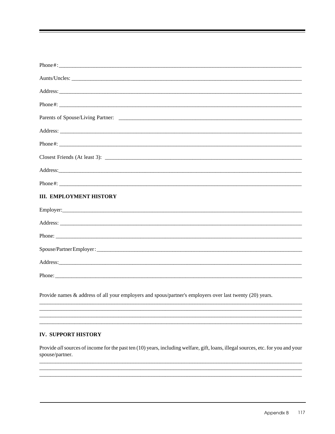| $Phone \#:$                                                                                                                                                                                                                                                                                            |
|--------------------------------------------------------------------------------------------------------------------------------------------------------------------------------------------------------------------------------------------------------------------------------------------------------|
|                                                                                                                                                                                                                                                                                                        |
|                                                                                                                                                                                                                                                                                                        |
|                                                                                                                                                                                                                                                                                                        |
|                                                                                                                                                                                                                                                                                                        |
|                                                                                                                                                                                                                                                                                                        |
| Phone #: $\angle$                                                                                                                                                                                                                                                                                      |
|                                                                                                                                                                                                                                                                                                        |
|                                                                                                                                                                                                                                                                                                        |
| Phone #: $\frac{1}{2}$ = $\frac{1}{2}$ = $\frac{1}{2}$ = $\frac{1}{2}$ = $\frac{1}{2}$ = $\frac{1}{2}$ = $\frac{1}{2}$ = $\frac{1}{2}$ = $\frac{1}{2}$ = $\frac{1}{2}$ = $\frac{1}{2}$ = $\frac{1}{2}$ = $\frac{1}{2}$ = $\frac{1}{2}$ = $\frac{1}{2}$ = $\frac{1}{2}$ = $\frac{1}{2}$ = $\frac{1}{2}$ |
| <b>III. EMPLOYMENT HISTORY</b>                                                                                                                                                                                                                                                                         |
|                                                                                                                                                                                                                                                                                                        |
|                                                                                                                                                                                                                                                                                                        |
|                                                                                                                                                                                                                                                                                                        |
|                                                                                                                                                                                                                                                                                                        |
|                                                                                                                                                                                                                                                                                                        |
|                                                                                                                                                                                                                                                                                                        |
| Provide names & address of all your employers and spous/partner's employers over last twenty (20) years.                                                                                                                                                                                               |

#### IV. SUPPORT HISTORY

Provide all sources of income for the past ten (10) years, including welfare, gift, loans, illegal sources, etc. for you and your spouse/partner.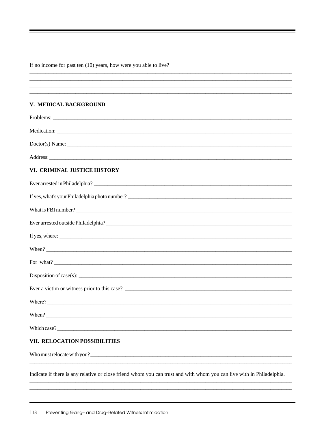If no income for past ten  $(10)$  years, how were you able to live?

#### V. MEDICAL BACKGROUND

| Address: <u>Address</u> : Address: Address: Address: Address: Address: Address: Address: Address: Address: Address: Address: Address: Address: Address: Address: Address: Address: Address: Address: Address: Address: Address: Addr                                                                                                                                                                          |
|---------------------------------------------------------------------------------------------------------------------------------------------------------------------------------------------------------------------------------------------------------------------------------------------------------------------------------------------------------------------------------------------------------------|
| VI. CRIMINAL JUSTICE HISTORY                                                                                                                                                                                                                                                                                                                                                                                  |
|                                                                                                                                                                                                                                                                                                                                                                                                               |
|                                                                                                                                                                                                                                                                                                                                                                                                               |
|                                                                                                                                                                                                                                                                                                                                                                                                               |
|                                                                                                                                                                                                                                                                                                                                                                                                               |
|                                                                                                                                                                                                                                                                                                                                                                                                               |
| When? $\frac{1}{\sqrt{1-\frac{1}{2}}\sqrt{1-\frac{1}{2}}\sqrt{1-\frac{1}{2}}\sqrt{1-\frac{1}{2}}\sqrt{1-\frac{1}{2}}\sqrt{1-\frac{1}{2}}\sqrt{1-\frac{1}{2}}\sqrt{1-\frac{1}{2}}\sqrt{1-\frac{1}{2}}\sqrt{1-\frac{1}{2}}\sqrt{1-\frac{1}{2}}\sqrt{1-\frac{1}{2}}\sqrt{1-\frac{1}{2}}\sqrt{1-\frac{1}{2}}\sqrt{1-\frac{1}{2}}\sqrt{1-\frac{1}{2}}\sqrt{1-\frac{1}{2}}\sqrt{1-\frac{1}{2}}\sqrt{1-\frac{1}{2}}$ |
|                                                                                                                                                                                                                                                                                                                                                                                                               |
| Disposition of case(s):                                                                                                                                                                                                                                                                                                                                                                                       |
|                                                                                                                                                                                                                                                                                                                                                                                                               |
| Where?                                                                                                                                                                                                                                                                                                                                                                                                        |
| When? $\frac{1}{2}$ $\frac{1}{2}$ $\frac{1}{2}$ $\frac{1}{2}$ $\frac{1}{2}$ $\frac{1}{2}$ $\frac{1}{2}$ $\frac{1}{2}$ $\frac{1}{2}$ $\frac{1}{2}$ $\frac{1}{2}$ $\frac{1}{2}$ $\frac{1}{2}$ $\frac{1}{2}$ $\frac{1}{2}$ $\frac{1}{2}$ $\frac{1}{2}$ $\frac{1}{2}$ $\frac{1}{2}$ $\frac{1}{2}$ $\frac{1}{2}$ $\frac{1$                                                                                         |
|                                                                                                                                                                                                                                                                                                                                                                                                               |
| VII. RELOCATION POSSIBILITIES                                                                                                                                                                                                                                                                                                                                                                                 |
| Who must relocate with you?                                                                                                                                                                                                                                                                                                                                                                                   |
|                                                                                                                                                                                                                                                                                                                                                                                                               |

Indicate if there is any relative or close friend whom you can trust and with whom you can live with in Philadelphia.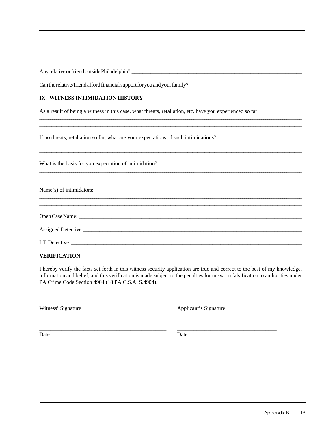| Any relative or friend outside Philadelphia? |  |
|----------------------------------------------|--|
|                                              |  |

Can the relative/friend afford financial support for you and your family?\_\_\_\_\_\_\_\_\_\_\_\_\_\_\_\_\_\_\_\_\_\_\_\_\_\_\_\_\_\_\_\_\_\_\_\_\_\_\_\_\_\_

#### **IX. WITNESS INTIMIDATION HISTORY**

As a result of being a witness in this case, what threats, retaliation, etc. have you experienced so far:

\_\_\_\_\_\_\_\_\_\_\_\_\_\_\_\_\_\_\_\_\_\_\_\_\_\_\_\_\_\_\_\_\_\_\_\_\_\_\_\_\_\_\_\_\_\_\_\_\_\_\_\_\_\_\_\_\_\_\_\_\_\_\_\_\_\_\_\_\_\_\_\_\_\_\_\_\_\_\_\_\_\_\_\_\_\_\_\_\_\_\_\_\_\_\_\_\_\_\_\_\_\_\_\_\_\_\_\_\_\_\_\_\_\_\_\_\_\_\_\_\_\_\_\_ \_\_\_\_\_\_\_\_\_\_\_\_\_\_\_\_\_\_\_\_\_\_\_\_\_\_\_\_\_\_\_\_\_\_\_\_\_\_\_\_\_\_\_\_\_\_\_\_\_\_\_\_\_\_\_\_\_\_\_\_\_\_\_\_\_\_\_\_\_\_\_\_\_\_\_\_\_\_\_\_\_\_\_\_\_\_\_\_\_\_\_\_\_\_\_\_\_\_\_\_\_\_\_\_\_\_\_\_

\_\_\_\_\_\_\_\_\_\_\_\_\_\_\_\_\_\_\_\_\_\_\_\_\_\_\_\_\_\_\_\_\_\_\_\_\_\_\_\_\_\_\_\_\_\_\_\_\_\_\_\_\_\_\_\_\_\_\_\_\_\_\_\_\_\_\_\_\_\_\_\_\_\_\_\_\_\_\_\_\_\_\_\_\_\_\_\_\_\_\_\_\_\_\_\_\_\_\_\_\_\_\_\_\_\_\_\_\_\_\_\_\_\_\_\_\_\_\_\_\_\_\_\_ \_\_\_\_\_\_\_\_\_\_\_\_\_\_\_\_\_\_\_\_\_\_\_\_\_\_\_\_\_\_\_\_\_\_\_\_\_\_\_\_\_\_\_\_\_\_\_\_\_\_\_\_\_\_\_\_\_\_\_\_\_\_\_\_\_\_\_\_\_\_\_\_\_\_\_\_\_\_\_\_\_\_\_\_\_\_\_\_\_\_\_\_\_\_\_\_\_\_\_\_\_\_\_\_\_\_\_\_

\_\_\_\_\_\_\_\_\_\_\_\_\_\_\_\_\_\_\_\_\_\_\_\_\_\_\_\_\_\_\_\_\_\_\_\_\_\_\_\_\_\_\_\_\_\_\_\_\_\_\_\_\_\_\_\_\_\_\_\_\_\_\_\_\_\_\_\_\_\_\_\_\_\_\_\_\_\_\_\_\_\_\_\_\_\_\_\_\_\_\_\_\_\_\_\_\_\_\_\_\_\_\_\_\_\_\_\_\_\_\_\_\_\_\_\_\_\_\_\_\_\_\_\_ \_\_\_\_\_\_\_\_\_\_\_\_\_\_\_\_\_\_\_\_\_\_\_\_\_\_\_\_\_\_\_\_\_\_\_\_\_\_\_\_\_\_\_\_\_\_\_\_\_\_\_\_\_\_\_\_\_\_\_\_\_\_\_\_\_\_\_\_\_\_\_\_\_\_\_\_\_\_\_\_\_\_\_\_\_\_\_\_\_\_\_\_\_\_\_\_\_\_\_\_\_\_\_\_\_\_\_\_

\_\_\_\_\_\_\_\_\_\_\_\_\_\_\_\_\_\_\_\_\_\_\_\_\_\_\_\_\_\_\_\_\_\_\_\_\_\_\_\_\_\_\_\_\_\_\_\_\_\_\_\_\_\_\_\_\_\_\_\_\_\_\_\_\_\_\_\_\_\_\_\_\_\_\_\_\_\_\_\_\_\_\_\_\_\_\_\_\_\_\_\_\_\_\_\_\_\_\_\_\_\_\_\_\_\_\_\_\_\_\_\_\_\_\_\_\_\_\_\_\_\_\_\_

If no threats, retaliation so far, what are your expectations of such intimidations?

What is the basis for you expectation of intimidation?

Name(s) of intimidators:

\_\_\_\_\_\_\_\_\_\_\_\_\_\_\_\_\_\_\_\_\_\_\_\_\_\_\_\_\_\_\_\_\_\_\_\_\_\_\_\_\_\_\_\_\_\_\_\_\_\_\_\_\_\_\_\_\_\_\_\_\_\_\_\_\_\_\_\_\_\_\_\_\_\_\_\_\_\_\_\_\_\_\_\_\_\_\_\_\_\_\_\_\_\_\_\_\_\_\_\_\_\_\_\_\_\_\_\_ Open Case Name: \_\_\_\_\_\_\_\_\_\_\_\_\_\_\_\_\_\_\_\_\_\_\_\_\_\_\_\_\_\_\_\_\_\_\_\_\_\_\_\_\_\_\_\_\_\_\_\_\_\_\_\_\_\_\_\_\_\_\_\_\_\_\_\_\_\_\_\_\_\_\_\_\_\_\_\_\_\_\_\_\_\_ Assigned Detective:\_\_\_\_\_\_\_\_\_\_\_\_\_\_\_\_\_\_\_\_\_\_\_\_\_\_\_\_\_\_\_\_\_\_\_\_\_\_\_\_\_\_\_\_\_\_\_\_\_\_\_\_\_\_\_\_\_\_\_\_\_\_\_\_\_\_\_\_\_\_\_\_\_\_\_\_\_\_\_\_

LT. Detective: \_\_\_\_\_\_\_\_\_\_\_\_\_\_\_\_\_\_\_\_\_\_\_\_\_\_\_\_\_\_\_\_\_\_\_\_\_\_\_\_\_\_\_\_\_\_\_\_\_\_\_\_\_\_\_\_\_\_\_\_\_\_\_\_\_\_\_\_\_\_\_\_\_\_\_\_\_\_\_\_\_\_\_\_\_

#### **VERIFICATION**

I hereby verify the facts set forth in this witness security application are true and correct to the best of my knowledge, information and belief, and this verification is made subject to the penalties for unsworn falsification to authorities under PA Crime Code Section 4904 (18 PA C.S.A. S.4904).

\_\_\_\_\_\_\_\_\_\_\_\_\_\_\_\_\_\_\_\_\_\_\_\_\_\_\_\_\_\_\_\_\_\_\_\_\_\_\_\_\_\_\_\_\_\_ \_\_\_\_\_\_\_\_\_\_\_\_\_\_\_\_\_\_\_\_\_\_\_\_\_\_\_\_\_\_\_\_\_\_\_\_

\_\_\_\_\_\_\_\_\_\_\_\_\_\_\_\_\_\_\_\_\_\_\_\_\_\_\_\_\_\_\_\_\_\_\_\_\_\_\_\_\_\_\_\_\_\_ \_\_\_\_\_\_\_\_\_\_\_\_\_\_\_\_\_\_\_\_\_\_\_\_\_\_\_\_\_\_\_\_\_\_\_\_

Witness' Signature Applicant's Signature

Date Date Date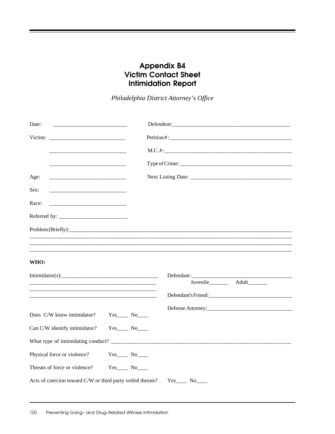## **Appendix B4** Victim Contact Sheet **Intimidation Report**

Philadelphia District Attorney's Office

| Date:<br><u> 1980 - Jan James James Barnett, fransk politik (d. 1980)</u>                                             |               |                     |                |  |
|-----------------------------------------------------------------------------------------------------------------------|---------------|---------------------|----------------|--|
|                                                                                                                       |               |                     |                |  |
| <u> 1989 - Johann John Stone, meilich aus der Stone und der Stone und der Stone und der Stone und der Stone und d</u> |               |                     |                |  |
|                                                                                                                       |               |                     |                |  |
| Age:                                                                                                                  |               |                     |                |  |
| Sex:                                                                                                                  |               |                     |                |  |
| Race:                                                                                                                 |               |                     |                |  |
|                                                                                                                       |               |                     |                |  |
|                                                                                                                       |               |                     |                |  |
|                                                                                                                       |               |                     |                |  |
|                                                                                                                       |               |                     |                |  |
| WHO:                                                                                                                  |               |                     |                |  |
| Intimidator(s):                                                                                                       |               | Defendant:          |                |  |
|                                                                                                                       |               |                     | Juvenile Adult |  |
|                                                                                                                       |               | Defendant's Friend: |                |  |
| Does C/W know intimidator?                                                                                            |               |                     |                |  |
| Can C/W identify intimidator?                                                                                         | $Yes$ No $No$ |                     |                |  |
| What type of intimidating conduct?                                                                                    |               |                     |                |  |
| Physical force or violence?                                                                                           | $Yes$ No $N$  |                     |                |  |
| Threats of force or violence?                                                                                         | Yes No        |                     |                |  |
| Acts of coercion toward C/W or third party veiled threats?                                                            |               | Yes No              |                |  |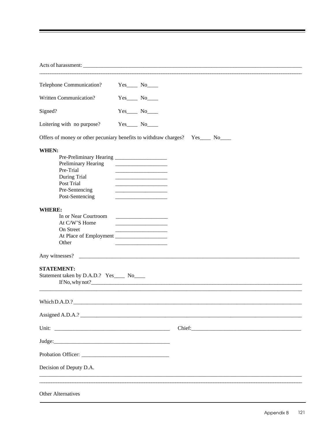| Telephone Communication?                                                                                                                                                                     | $Yes$ No $No$ |  |
|----------------------------------------------------------------------------------------------------------------------------------------------------------------------------------------------|---------------|--|
| Written Communication?                                                                                                                                                                       |               |  |
| Signed?                                                                                                                                                                                      |               |  |
| Loitering with no purpose?                                                                                                                                                                   | $Yes$ No $No$ |  |
| Offers of money or other pecuniary benefits to withdraw charges? Yes____ No___                                                                                                               |               |  |
| WHEN:<br>Preliminary Hearing<br>Pre-Trial<br>During Trial<br>Post Trial<br>Pre-Sentencing<br>Post-Sentencing<br><b>WHERE:</b><br>In or Near Courtroom<br>At C/W'S Home<br>On Street<br>Other |               |  |
| <b>STATEMENT:</b><br>Statement taken by D.A.D.? Yes____ No____<br>Which D.A.D.?                                                                                                              |               |  |
|                                                                                                                                                                                              |               |  |
|                                                                                                                                                                                              |               |  |
|                                                                                                                                                                                              |               |  |
| Decision of Deputy D.A.<br><u> 1989 - Johann Stoff, deutscher Stoff, der Stoff, der Stoff, der Stoff, der Stoff, der Stoff, der Stoff, der S</u>                                             |               |  |
| <b>Other Alternatives</b>                                                                                                                                                                    |               |  |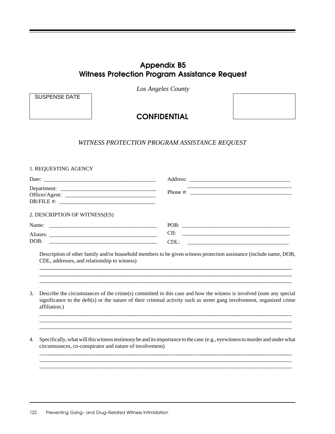# **Appendix B5 Witness Protection Program Assistance Request**

*Los Angeles County*

**CONFIDENTIAL**

### *WITNESS PROTECTION PROGRAM ASSISTANCE REQUEST*

#### 1. REQUESTING AGENCY

| DR/FILE #: $\frac{1}{2}$ = $\frac{1}{2}$ = $\frac{1}{2}$ = $\frac{1}{2}$ = $\frac{1}{2}$ = $\frac{1}{2}$ = $\frac{1}{2}$ = $\frac{1}{2}$ = $\frac{1}{2}$ = $\frac{1}{2}$ = $\frac{1}{2}$ = $\frac{1}{2}$ = $\frac{1}{2}$ = $\frac{1}{2}$ = $\frac{1}{2}$ = $\frac{1}{2}$ = $\frac{1}{2}$ = $\frac{1}{$ | Phone #: $\frac{1}{2}$ $\frac{1}{2}$ $\frac{1}{2}$ $\frac{1}{2}$ $\frac{1}{2}$ $\frac{1}{2}$ $\frac{1}{2}$ $\frac{1}{2}$ $\frac{1}{2}$ $\frac{1}{2}$ $\frac{1}{2}$ $\frac{1}{2}$ $\frac{1}{2}$ $\frac{1}{2}$ $\frac{1}{2}$ $\frac{1}{2}$ $\frac{1}{2}$ $\frac{1}{2}$ $\frac{1}{2}$ $\frac{1}{2}$ $\frac{1}{2}$ $\$ |
|--------------------------------------------------------------------------------------------------------------------------------------------------------------------------------------------------------------------------------------------------------------------------------------------------------|--------------------------------------------------------------------------------------------------------------------------------------------------------------------------------------------------------------------------------------------------------------------------------------------------------------------|
| 2. DESCRIPTION OF WITNESS(ES)                                                                                                                                                                                                                                                                          |                                                                                                                                                                                                                                                                                                                    |
|                                                                                                                                                                                                                                                                                                        |                                                                                                                                                                                                                                                                                                                    |
|                                                                                                                                                                                                                                                                                                        | CII:                                                                                                                                                                                                                                                                                                               |
| DOB:                                                                                                                                                                                                                                                                                                   | CDL:                                                                                                                                                                                                                                                                                                               |

Description of other family and/or household members to be given witness protection assistance (include name, DOB, CDL, addresses, and relationship to witness)

\_\_\_\_\_\_\_\_\_\_\_\_\_\_\_\_\_\_\_\_\_\_\_\_\_\_\_\_\_\_\_\_\_\_\_\_\_\_\_\_\_\_\_\_\_\_\_\_\_\_\_\_\_\_\_\_\_\_\_\_\_\_\_\_\_\_\_\_\_\_\_\_\_\_\_\_\_\_\_\_\_\_\_\_\_\_\_\_\_\_\_\_\_\_\_\_\_\_\_\_\_\_\_\_\_\_\_\_\_\_\_\_\_\_\_\_\_\_\_\_\_\_\_\_\_\_\_\_\_\_\_\_\_\_\_

\_\_\_\_\_\_\_\_\_\_\_\_\_\_\_\_\_\_\_\_\_\_\_\_\_\_\_\_\_\_\_\_\_\_\_\_\_\_\_\_\_\_\_\_\_\_\_\_\_\_\_\_\_\_\_\_\_\_\_\_\_\_\_\_\_\_\_\_\_\_\_\_\_\_\_\_\_\_\_\_\_\_\_\_\_\_\_\_\_\_\_\_\_\_\_\_\_\_\_\_\_\_\_\_\_

3. Describe the circumstances of the crime(s) committed in this case and how the witness is involved (note any special significance to the deft(s) or the nature of their criminal activity such as street gang involvement, organized crime affiliation.)

 $\ldots \ldots \ldots \ldots \ldots$  $\Box$ \_\_\_\_\_\_\_\_\_\_\_\_\_\_\_\_\_\_\_\_\_\_\_\_\_\_\_\_\_\_\_\_\_\_\_\_\_\_\_\_\_\_\_\_\_\_\_\_\_\_\_\_\_\_\_\_\_\_\_\_\_\_\_\_\_\_\_\_\_\_\_\_\_\_\_\_\_\_\_\_\_\_\_\_\_\_\_\_\_\_\_\_\_\_\_\_\_

4. Specifically, what will this witness testimony be and its importance to the case (e.g., eyewitness to murder and under what circumstances, co-conspirator and nature of involvement)

 $\ldots \ldots \ldots \ldots \ldots$ 

\_\_\_\_\_\_\_\_\_\_\_\_\_\_\_\_\_\_\_\_\_\_\_\_\_\_\_\_\_\_\_\_\_\_\_\_\_\_\_\_\_\_\_\_\_\_\_\_\_\_\_\_\_\_\_\_\_\_\_\_\_\_\_\_\_\_\_\_\_\_\_\_\_\_\_\_\_\_\_\_\_\_\_\_\_\_\_\_\_\_\_\_\_\_\_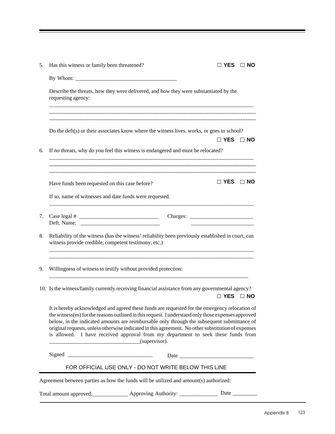| 5. | Has this witness or family been threatened?                                                                                                                                                                                                                                                                                                                                                                                                                                                                                              | $\sqcap$ YES         | $\Box$ No |  |  |  |
|----|------------------------------------------------------------------------------------------------------------------------------------------------------------------------------------------------------------------------------------------------------------------------------------------------------------------------------------------------------------------------------------------------------------------------------------------------------------------------------------------------------------------------------------------|----------------------|-----------|--|--|--|
|    |                                                                                                                                                                                                                                                                                                                                                                                                                                                                                                                                          |                      |           |  |  |  |
|    | Describe the threats, how they were delivered, and how they were substantiated by the<br>requesting agency:                                                                                                                                                                                                                                                                                                                                                                                                                              |                      |           |  |  |  |
|    | Do the deft(s) or their associates know where the witness lives, works, or goes to school?                                                                                                                                                                                                                                                                                                                                                                                                                                               | $\Box$ YES           | $\Box$ No |  |  |  |
| 6. | If no threats, why do you feel this witness is endangered and must be relocated?                                                                                                                                                                                                                                                                                                                                                                                                                                                         |                      |           |  |  |  |
|    | Have funds been requested on this case before?                                                                                                                                                                                                                                                                                                                                                                                                                                                                                           | $\Box$ YES $\Box$ NO |           |  |  |  |
|    | If so, name of witnesses and date funds were requested.                                                                                                                                                                                                                                                                                                                                                                                                                                                                                  |                      |           |  |  |  |
| 7. | $Charges: \_\_\_\_\_\_\_\_\_\_\_\_\_\_\_\_\_\_\_\_\_\_\_\_\_\_\_\_\_$                                                                                                                                                                                                                                                                                                                                                                                                                                                                    |                      |           |  |  |  |
| 8. | Reliability of the witness (has the witness' reliability been previously established in court, can<br>witness provide credible, competent testimony, etc.)                                                                                                                                                                                                                                                                                                                                                                               |                      |           |  |  |  |
| 9. | Willingness of witness to testify without provided protection:                                                                                                                                                                                                                                                                                                                                                                                                                                                                           |                      |           |  |  |  |
|    | 10. Is the witness/family currently receiving financial assistance from any governmental agency?                                                                                                                                                                                                                                                                                                                                                                                                                                         | $\Box$ YES           | $\Box$ NO |  |  |  |
|    | It is hereby acknowledged and agreed these funds are requested for the emergency relocation of<br>the witness(es) for the reasons outlined in this request. I understand only those expenses approved<br>below, in the indicated amounts are reimbursable only through the subsequent submittance of<br>original requests, unless otherwise indicated in this agreement. No other substitution of expenses<br>is allowed. I have received approval from my department to seek these funds from<br>$\overline{\phantom{a}}$ (supervisor). |                      |           |  |  |  |
|    |                                                                                                                                                                                                                                                                                                                                                                                                                                                                                                                                          |                      |           |  |  |  |
|    | FOR OFFICIAL USE ONLY - DO NOT WRITE BELOW THIS LINE                                                                                                                                                                                                                                                                                                                                                                                                                                                                                     |                      |           |  |  |  |
|    | Agreement between parties as how the funds will be utilized and amount(s) authorized:                                                                                                                                                                                                                                                                                                                                                                                                                                                    |                      |           |  |  |  |
|    |                                                                                                                                                                                                                                                                                                                                                                                                                                                                                                                                          |                      |           |  |  |  |

Total amount approved: \_\_\_\_\_\_\_\_\_\_\_\_\_\_ Approving Authority: \_\_\_\_\_\_\_\_\_\_\_\_\_\_\_\_ Date \_\_\_\_\_\_\_\_\_\_\_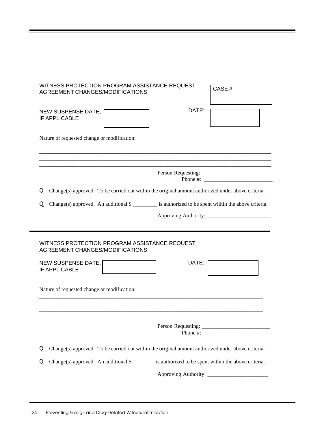| WITNESS PROTECTION PROGRAM ASSISTANCE REQUEST<br>AGREEMENT CHANGES/MODIFICATIONS | CASE#                                                                                                |  |
|----------------------------------------------------------------------------------|------------------------------------------------------------------------------------------------------|--|
| NEW SUSPENSE DATE,<br>IF APPLICABLE                                              | DATE:                                                                                                |  |
| Nature of requested change or modification:                                      |                                                                                                      |  |
|                                                                                  |                                                                                                      |  |
| Q                                                                                | Change(s) approved. To be carried out within the original amount authorized under above criteria.    |  |
| Q                                                                                | Change(s) approved. An additional \$                                                                 |  |
|                                                                                  |                                                                                                      |  |
| WITNESS PROTECTION PROGRAM ASSISTANCE REQUEST<br>AGREEMENT CHANGES/MODIFICATIONS |                                                                                                      |  |
| NEW SUSPENSE DATE,<br>IF APPLICABLE                                              | DATE:                                                                                                |  |
|                                                                                  |                                                                                                      |  |
| Nature of requested change or modification:                                      |                                                                                                      |  |
|                                                                                  |                                                                                                      |  |
| Q                                                                                | Change(s) approved. To be carried out within the original amount authorized under above criteria.    |  |
| Q                                                                                | Change(s) approved. An additional $\frac{1}{2}$ is authorized to be spent within the above criteria. |  |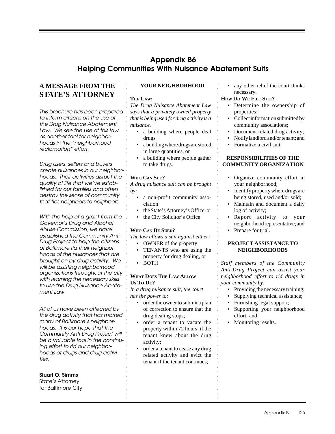## **Appendix B6 Helping Communities With Nuisance Abatement Suits**

## **A MESSAGE FROM THE STATE'S ATTORNEY**

This brochure has been prepared to inform citizens on the use of the Drug Nuisance Abatement Law. We see the use of this law as another tool for neighborhoods in the "neighborhood reclamation" effort.

Drug users, sellers and buyers create nuisances in our neighborhoods. Their activities disrupt the quality of life that we've established for our families and often destroy the sense of community that ties neighbors to neighbors.

With the help of a grant from the Governor's Drug and Alcohol Abuse Commission, we have established the Community Anti-Drug Project to help the citizens of Baltimore rid their neighborhoods of the nuisances that are brought on by drug activity. We will be assisting neighborhood organizations throughout the city with learning the necessary skills to use the Drug Nuisance Abatement Law.

All of us have been affected by the drug activity that has marred many of Baltimore's neighborhoods. It is our hope that the Community Anti-Drug Project will be a valuable tool in the continuing effort to rid our neighborhoods of drugs and drug activities.

#### **Stuart O. Simms**

State's Attorney for Baltimore City

#### **YOUR NEIGHBORHOOD**

#### **THE LAW:**

. . . . . . . . . .

*The Drug Nuisance Abatement Law says that a privately owned property that is being used for drug activity is a nuisance.*

- a building where people deal drugs
- a building where drugs are stored in large quantities, or
- a building where people gather to take drugs.

#### **WHO CAN SUE?**

*A drug nuisance suit can be brought by:*

- a non-profit community association
- the State's Attorney's Office, or
- the City Solicitor's Office

#### **WHO CAN BE SUED?**

*The law allows a suit against either:*

- OWNER of the property
- TENANTS who are using the property for drug dealing, or • BOTH
- 

aaaaaaaaaaaaaaaaaaaaaaaaaaaaaaaaaaaaaaaaaaaaaaaaaaaaaaaaaaaaa

#### **WHAT DOES THE LAW ALLOW US TO DO?**

*In a drug nuisance suit, the court has the power to:*

- order the owner to submit a plan of correction to ensure that the drug dealing stops;
- order a tenant to vacate the property within 72 hours, if the tenant knew about the drug activity;
- order a tenant to cease any drug related activity and evict the tenant if the tenant continues;
- any other relief the court thinks necessary.
- **HOW DO WE FILE SUIT?**

. . . . . . . . . .

aaaaaaaaaaaaaaaaaaaaaaaaaaaaaaaaaaaaaaaaaaaaaaaaaaaaaaaaaaaaa

- Determine the ownership of properties;
- Collect information submitted by community associations;
- Document related drug activity;
- Notify landlord and/or tenant; and
- Formalize a civil suit.

#### **RESPONSIBILITIES OF THE COMMUNITY ORGANIZATION**

- Organize community effort in your neighborhood;
- Identify property where drugs are being stored, used and/or sold;
- Maintain and document a daily log of activity;
- Report activity to your neighborhood representative; and
- Prepare for trial.

#### **PROJECT ASSISTANCE TO NEIGHBORHOODS**

*Staff members of the Community Anti-Drug Project can assist your neighborhood effort to rid drugs in your community by:*

- Providing the necessary training;
- Supplying technical assistance;
- Furnishing legal support;
- Supporting your neighborhood effort; and
- Monitoring results.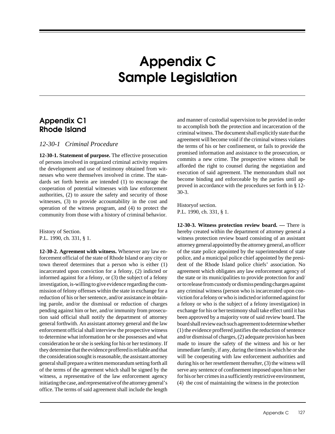# **Appendix C Sample Legislation**

## **Appendix C1 Rhode Island**

*12-30-1 Criminal Procedure*

**12-30-1. Statement of purpose.** The effective prosecution of persons involved in organized criminal activity requires the development and use of testimony obtained from witnesses who were themselves involved in crime. The standards set forth herein are intended (1) to encourage the cooperation of potential witnesses with law enforcement authorities, (2) to assure the safety and security of those witnesses, (3) to provide accountability in the cost and operation of the witness program, and (4) to protect the community from those with a history of criminal behavior.

History of Section. P.L. 1990, ch. 331, § 1.

**12-30-2. Agreement with witness.** Whenever any law enforcement official of the state of Rhode Island or any city or town thereof determines that a person who is either (1) incarcerated upon conviction for a felony, (2) indicted or informed against for a felony, or (3) the subject of a felony investigation, is-willing to give evidence regarding the commission of felony offenses within the state in exchange for a reduction of his or her sentence, and/or assistance in obtaining parole, and/or the dismissal or reduction of charges pending against him or her, and/or immunity from prosecution said official shall notify the department of attorney general forthwith. An assistant attorney general and the law enforcement official shall interview the prospective witness to determine what information he or she possesses and what consideration he or she is seeking for his or her testimony. If they determine that the evidence proffered is reliable and that the consideration sought is reasonable, the assistant attorney general shall prepare a written memorandum setting forth all of the terms of the agreement which shall be signed by the witness, a representative of the law enforcement agency initiating the case, and representative of the attorney general's office. The terms of said agreement shall include the length and manner of custodial supervision to be provided in order to accomplish both the protection and incarceration of the criminal witness. The document shall explicitly state that the agreement will become void if the criminal witness violates the terms of his or her confinement, or fails to provide the promised information and assistance to the prosecution, or commits a new crime. The prospective witness shall be afforded the right to counsel during the negotiation and execution of said agreement. The memorandum shall not become binding and enforceable by the parties until approved in accordance with the procedures set forth in § 12- 30-3.

Historyof section. P.L. 1990, ch. 331, § 1.

**12-30-3. Witness protection review board. —** There is hereby created within the department of attorney general a witness protection review board consisting of an assistant attorney general appointed by the attorney general, an officer of the state police appointed by the superintendent of state police, and a municipal police chief appointed by the president of the Rhode Island police chiefs' association. No agreement which obligates any law enforcement agency of the state or its municipalities to provide protection for and/ or to release from custody or dismiss pending charges against any criminal witness (person who is incarcerated upon conviction for a felony or who is indicted or informed against for a felony or who is the subject of a felony investigation) in exchange for his or her testimony shall take effect until it has been approved by a majority vote of said review board. The board shall review each such agreement to determine whether (1) the evidence proffered justifies the reduction of sentence and/or dismissal of charges, (2) adequate provision has been made to insure the safety of the witness and his or her immediate family, if any, during the times in which he or she will be cooperating with law enforcement authorities and during his or her resettlement thereafter, (3) the witness will serve any sentence of confinement imposed upon him or her for his or her crimes in a sufficiently restrictive environment, (4) the cost of maintaining the witness in the protection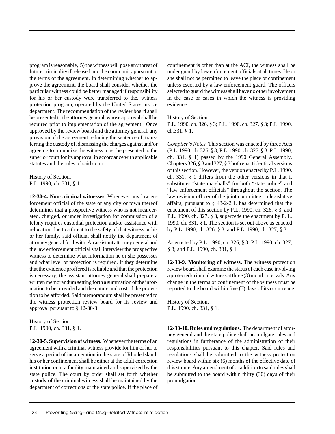program is reasonable, 5) the witness will pose any threat of future criminality if released into the community pursuant to the terms of the agreement. In determining whether to approve the agreement, the board shall consider whether the particular witness could be better managed if responsibility for his or her custody were transferred to the, witness protection program, operated by the United States justice department. The recommendation of the review board shall be presented to the attorney general, whose approval shall be required prior to implementation of the agreement. Once approved by the review board and the attorney general, any provision of the agreement reducing the sentence of, transferring the custody of, dismissing the charges against and/or agreeing to immunize the witness must be presented to the superior court for its approval in accordance with applicable statutes and the rules of said court.

History of Section. P.L. 1990, ch. 331, § 1.

**12-30-4. Non-criminal witnesses.** Whenever any law enforcement official of the state or any city or town thereof determines that a prospective witness who is not incarcerated, charged, or under investigation for commission of a felony requires custodial protection and/or assistance with relocation due to a threat to the safety of that witness or his or her family, said official shall notify the department of attorney general forthwith. An assistant attorney general and the law enforcement official shall interview the prospective witness to determine what information he or she possesses and what level of protection is required. If they determine that the evidence proffered is reliable and that the protection is necessary, the assistant attorney general shall prepare a written memorandum setting forth a summation of the information to be provided and the nature and cost of the protection to be afforded. Said memorandum shall be presented to the witness protection review board for its review and approval pursuant to § 12-30-3.

History of Section. P.L. 1990, ch. 331, § 1.

**12-30-5. Supervision of witness.** Whenever the terms of an agreement with a criminal witness provide for him or her to serve a period of incarceration in the state of Rhode Island, his or her confinement shall be either at the adult correction institution or at a facility maintained and supervised by the state police. The court by order shall set forth whether custody of the criminal witness shall be maintained by the department of corrections or the state police. If the place of confinement is other than at the ACI, the witness shall be under guard by law enforcement officials at all times. He or she shall not be permitted to leave the place of confinement unless escorted by a law enforcement guard. The officers selected to guard the witness shall have no other involvement in the case or cases in which the witness is providing evidence.

History of Section.

P.L. 1990, ch. 326, § 3; P.L. 1990, ch. 327, § 3; P.L. 1990, ch.331, § 1.

*Compiler's Notes.* This section was enacted by three Acts (P.L. 1990, ch. 326, § 3; P.L. 1990, ch. 327, § 3; P.L. 1990, ch. 331, § 1) passed by the 1990 General Assembly. Chapters 326, § 3 and 327, § 3 both enact identical versions of this section. However, the version enacted by P.L. 1990, ch. 331, § 1 differs from the other versions in that it substitutes "state marshalls" for both "state police" and "law enforcement officials" throughout the section. The law revision officer of the joint committee on legislative affairs, pursuant to § 43-2-2.1, has determined that the enactment of this section by P.L. 1990, ch. 326, § 3, and P.L. 1990, ch. 327, § 3, supercede the enactment by P. L. 1990, ch. 331, § 1. The section is set out above as enacted by P.L. 1990, ch. 326, § 3, and P.L. 1990, ch. 327, § 3.

As enacted by P.L. 1990, ch. 326, § 3; P.L. 1990, ch. 327, § 3; and P.L. 1990, ch. 331, § 1

**12-30-9. Monitoring of witness.** The witness protection review board shall examine the status of each case involving a protected criminal witness at three (3) month intervals. Any change in the terms of confinement of the witness must be reported to the board within five (5) days of its occurrence.

History of Section. P.L. 1990, ch. 331, § 1.

**12-30-10. Rules and regulations.** The department of attorney general and the state police shall promulgate rules and regulations in furtherance of the administration of their responsibilities pursuant to this chapter. Said rules and regulations shall be submitted to the witness protection review board within six (6) months of the effective date of this statute. Any amendment of or addition to said rules shall be submitted to the board within thirty (30) days of their promulgation.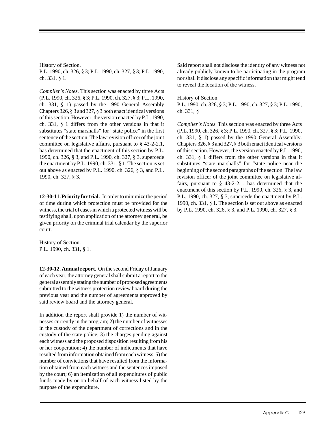History of Section. P.L. 1990, ch. 326, § 3; P.L. 1990, ch. 327, § 3; P.L. 1990, ch. 331, § 1.

*Compiler's Notes.* This section was enacted by three Acts (P.L. 1990, ch. 326, § 3; P.L. 1990, ch. 327, § 3; P.L. 1990, ch. 331, § 1) passed by the 1990 General Assembly Chapters 326, § 3 and 327, § 3 both enact identical versions of this section. However, the version enacted by P.L. 1990, ch. 331, § 1 differs from the other versions in that it substitutes "state marshalls" for "state police" in the first sentence of the section. The law revision officer of the joint committee on legislative affairs, pursuant to § 43-2-2.1, has determined that the enactment of this section by P.L. 1990, ch. 326, § 3, and P.L. 1990, ch. 327, § 3, supercede the enactment by P.L. 1990, ch. 331, § 1. The section is set out above as enacted by P.L. 1990, ch. 326, § 3, and P.L. 1990, ch. 327, § 3.

**12-30-11. Priority for trial.** In order to minimize the period of time during which protection must be provided for the witness, the trial of cases in which a protected witness will be testifying shall, upon application of the attorney general, be given priority on the criminal trial calendar by the superior court.

History of Section. P.L. 1990, ch. 331, § 1.

**12-30-12. Annual report.** On the second Friday of January of each year, the attorney general shall submit a report to the general assembly stating the number of proposed agreements submitted to the witness protection review board during the previous year and the number of agreements approved by said review board and the attorney general.

In addition the report shall provide 1) the number of witnesses currently in the program; 2) the number of witnesses in the custody of the department of corrections and in the custody of the state police; 3) the charges pending against each witness and the proposed disposition resulting from his or her cooperation; 4) the number of indictments that have resulted from information obtained from each witness; 5) the number of convictions that have resulted from the information obtained from each witness and the sentences imposed by the court; 6) an itemization of all expenditures of public funds made by or on behalf of each witness listed by the purpose of the expenditure.

Said report shall not disclose the identity of any witness not already publicly known to be participating in the program nor shall it disclose any specific information that might tend to reveal the location of the witness.

#### History of Section.

P.L. 1990, ch. 326, § 3; P.L. 1990, ch. 327, § 3; P.L. 1990, ch. 331, §

*Compiler's Notes.* This section was enacted by three Acts (P.L. 1990, ch. 326, § 3; P.L. 1990, ch. 327, § 3; P.L. 1990, ch. 331, § 1) passed by the 1990 General Assembly. Chapters 326, § 3 and 327, § 3 both enact identical versions of this section. However, the version enacted by P.L. 1990, ch. 331, § 1 differs from the other versions in that it substitutes "state marshalls" for "state police near the beginning of the second paragraphs of the section. The law revision officer of the joint committee on legislative affairs, pursuant to § 43-2-2.1, has determined that the enactment of this section by P.L. 1990, ch. 326, § 3, and P.L. 1990, ch. 327, § 3, supercede the enactment by P.L. 1990, ch. 331, § 1. The section is set out above as enacted by P.L. 1990, ch. 326, § 3, and P.L. 1990, ch. 327, § 3.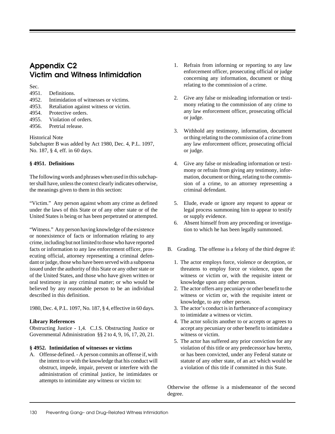## **Appendix C2 Victim and Witness Intimidation**

Sec.

| ----- |                                              |
|-------|----------------------------------------------|
|       | 4951. Definitions.                           |
|       | 4952. Intimidation of witnesses or victims.  |
|       | 4953. Retaliation against witness or victim. |

- 4954. Protective orders.
- 4955. Violation of orders.
- 4956. Pretrial release.

Historical Note

Subchapter B was added by Act 1980, Dec. 4, P.L. 1097, No. 187, § 4, eff. in 60 days.

#### **§ 4951. Definitions**

The following words and phrases when used in this subchapter shall have, unless the context clearly indicates otherwise, the meanings given to them in this section:

"Victim." Any person against whom any crime as defined under the laws of this State or of any other state or of the United States is being or has been perpetrated or attempted.

"Witness." Any person having knowledge of the existence or nonexistence of facts or information relating to any crime, including but not limited to those who have reported facts or information to any law enforcement officer, prosecuting official, attorney representing a criminal defendant or judge, those who have been served with a subpoena issued under the authority of this State or any other state or of the United States, and those who have given written or oral testimony in any criminal matter; or who would be believed by any reasonable person to be an individual described in this definition.

1980, Dec. 4, P.L. 1097, No. 187, § 4, effective in 60 days.

#### **Library References**

Obstructing Justice - 1,4. C.J.S. Obstructing Justice or Governmental Administration §§ 2 to 4, 9, 16, 17, 20, 21.

#### **§ 4952. Intimidation of witnesses or victims**

A. Offense defined. - A person commits an offense if, with the intent to or with the knowledge that his conduct will obstruct, impede, impair, prevent or interfere with the administration of criminal justice, he intimidates or attempts to intimidate any witness or victim to:

- 1. Refrain from informing or reporting to any law enforcement officer, prosecuting official or judge concerning any information, document or thing relating to the commission of a crime.
- 2. Give any false or misleading information or testimony relating to the commission of any crime to any law enforcement officer, prosecuting official or judge.
- 3. Withhold any testimony, information, document or thing relating to the commission of a crime from any law enforcement officer, prosecuting official or judge.
- 4. Give any false or misleading information or testimony or refrain from giving any testimony, information, document or thing, relating to the commission of a crime, to an attorney representing a criminal defendant.
- 5. Elude, evade or ignore any request to appear or legal process summoning him to appear to testify or supply evidence.
- 6. Absent himself from any proceeding or investigation to which he has been legally summoned.
- B. Grading. The offense is a felony of the third degree if:
	- 1. The actor employs force, violence or deception, or threatens to employ force or violence, upon the witness or victim or, with the requisite intent or knowledge upon any other person.
	- 2. The actor offers any pecuniary or other benefit to the witness or victim or, with the requisite intent or knowledge, to any other person.
	- 3. The actor's conduct is in furtherance of a conspiracy to intimidate a witness or victim.
	- 4. The actor solicits another to or accepts or agrees to accept any pecuniary or other benefit to intimidate a witness or victim.
	- 5. The actor has suffered any prior conviction for any violation of this title or any predecessor haw hereto, or has been convicted, under any Federal statute or statute of any other state, of an act which would be a violation of this title if committed in this State.

Otherwise the offense is a misdemeanor of the second degree.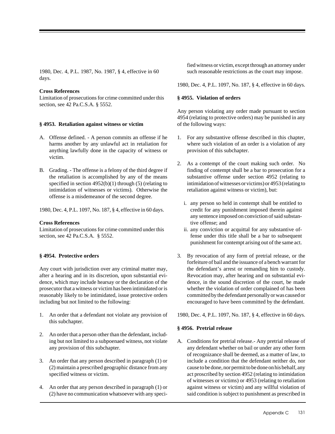1980, Dec. 4, P.L. 1987, No. 1987, § 4, effective in 60 days.

#### **Cross References**

Limitation of prosecutions for crime committed under this section, see 42 Pa.C.S.A. § 5552.

#### **§ 4953. Retaliation against witness or victim**

- A. Offense defined. A person commits an offense if he harms another by any unlawful act in retaliation for anything lawfully done in the capacity of witness or victim.
- B. Grading. The offense is a felony of the third degree if the retaliation is accomplished by any of the means specified in section 4952(b)(1) through (5) (relating to intimidation of witnesses or victims). Otherwise the offense is a misdemeanor of the second degree.

1980, Dec. 4, P.L. 1097, No. 187, § 4, effective in 60 days.

#### **Cross References**

Limitation of prosecutions for crime committed under this section, see 42 Pa.C.S.A. § 5552.

#### **§ 4954. Protective orders**

Any court with jurisdiction over any criminal matter may, after a hearing and in its discretion, upon substantial evidence, which may include hearsay or the declaration of the prosecutor that a witness or victim has been intimidated or is reasonably likely to be intimidated, issue protective orders including but not limited to the following:

- 1. An order that a defendant not violate any provision of this subchapter.
- 2. An order that a person other than the defendant, including but not limited to a subpoenaed witness, not violate any provision of this subchapter.
- 3. An order that any person described in paragraph (1) or (2) maintain a prescribed geographic distance from any specified witness or victim.
- 4. An order that any person described in paragraph (1) or (2) have no communication whatsoever with any speci-

fied witness or victim, except through an attorney under such reasonable restrictions as the court may impose.

1980, Dec. 4, P.L. 1097, No. 187, § 4, effective in 60 days.

#### **§ 4955. Violation of orders**

Any person violating any order made pursuant to section 4954 (relating to protective orders) may be punished in any of the following ways:

- 1. For any substantive offense described in this chapter, where such violation of an order is a violation of any provision of this subchapter.
- 2. As a contempt of the court making such order. No finding of contempt shall be a bar to prosecution for a substantive offense under section 4952 (relating to intimidation of witnesses or victims) or 4953 (relating to retaliation against witness or victim), but:
	- i. any person so held in contempt shall be entitled to credit for any punishment imposed therein against any sentence imposed on conviction of said substantive offense; and
	- ii. any conviction or acquittal for any substantive offense under this title shall be a bar to subsequent punishment for contempt arising out of the same act.
- 3. By revocation of any form of pretrial release, or the forfeiture of bail and the issuance of a bench warrant for the defendant's arrest or remanding him to custody. Revocation may, after hearing and on substantial evidence, in the sound discretion of the court, be made whether the violation of order complained of has been committed by the defendant personally or was caused or encouraged to have been committed by the defendant.

1980, Dec. 4, P.L. 1097, No. 187, § 4, effective in 60 days.

#### **§ 4956. Pretrial release**

A. Conditions for pretrial release.- Any pretrial release of any defendant whether on bail or under any other form of recognizance shall be deemed, as a matter of law, to include a condition that the defendant neither do, nor cause to be done, nor permit to be done on his behalf, any act proscribed by section 4952 (relating to intimidation of witnesses or victims) or 4953 (relating to retaliation against witness or victim) and any willful violation of said condition is subject to punishment as prescribed in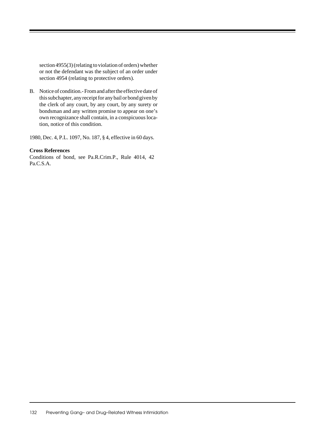section 4955(3) (relating to violation of orders) whether or not the defendant was the subject of an order under section 4954 (relating to protective orders).

B. Notice of condition.- From and after the effective date of this subchapter, any receipt for any bail or bond given by the clerk of any court, by any court, by any surety or bondsman and any written promise to appear on one's own recognizance shall contain, in a conspicuous location, notice of this condition.

1980, Dec. 4, P.L. 1097, No. 187, § 4, effective in 60 days.

#### **Cross References**

Conditions of bond, see Pa.R.Crim.P., Rule 4014, 42 Pa.C.S.A.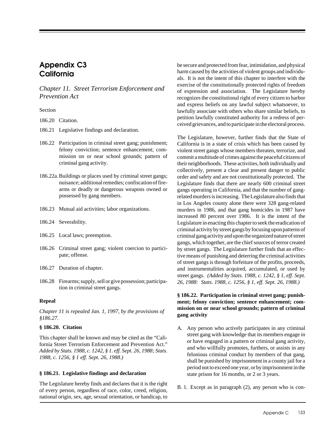## **Appendix C3 California**

*Chapter 11. Street Terrorism Enforcement and Prevention Act*

#### Section

- 186.20 Citation.
- 186.21 Legislative findings and declaration.
- 186.22 Participation in criminal street gang; punishment; felony conviction; sentence enhancement; commission on or near school grounds; pattern of criminal gang activity.
- 186.22a. Buildings or places used by criminal street gangs; nuisance; additional remedies; confiscation of firearms or deadly or dangerous weapons owned or possessed by gang members.
- 186.23 Mutual aid activities; labor organizations.
- 186.24 Severability.
- 186.25 Local laws; preemption.
- 186.26 Criminal street gang; violent coercion to participate; offense.
- 186.27 Duration of chapter.
- 186.28 Firearms; supply, sell or give possession; participation in criminal street gangs.

#### **Repeal**

*Chapter 11 is repealed Jan. 1, 1997, by the provisions of §186.27.*

#### **§ 186.20. Citation**

This chapter shall be known and may be cited as the "California Street Terrorism Enforcement and Prevention Act." *Added by Stats. 1988, c. 1242, § 1. eff. Sept. 26, 1988; Stats. 1988, c. 1256, § 1 eff. Sept. 26, 1988.)*

#### **§ 186.21. Legislative findings and declaration**

The Legislature hereby finds and declares that it is the right of every person, regardless of race, color, creed, religion, national origin, sex, age, sexual orientation, or handicap, to be secure and protected from fear, intimidation, and physical harm caused by the activities of violent groups and individuals. It is not the intent of this chapter to interfere with the exercise of the constitutionally protected rights of freedom of expression and association. The Legislature hereby recognizes the constitutional right of every citizen to harbor and express beliefs on any lawful subject whatsoever, to lawfully associate with others who share similar beliefs, to petition lawfully constituted authority for a redress of perceived grievances, and to participate in the electoral process.

The Legislature, however, further finds that the State of California is in a state of crisis which has been caused by violent street gangs whose members threaten, terrorize, and commit a multitude of crimes against the peaceful citizens of their neighborhoods. These activities, both individually and collectively, present a clear and present danger to public order and safety and are not constitutionally protected. The Legislature finds that there are nearly 600 criminal street gangs operating in California, and that the number of gangrelated murders is increasing. The Legislature also finds that in Los Angeles county alone there were 328 gang-related murders in 1986, and that gang homicides in 1987 have increased 80 percent over 1986. It is the intent of the Legislature in enacting this chapter to seek the eradication of criminal activity by street gangs by focusing upon patterns of criminal gang activity and upon the organized nature of street gangs, which together, are the chief sources of terror created by street gangs. The Legislature further finds that an effective means of punishing and deterring the criminal activities of street gangs is through forfeiture of the profits, proceeds, and instrumentalities acquired, accumulated, or used by street gangs. *(Added by Stats. 1988, c. 1242, § 1, eff. Sept. 26, 1988: Stats. 1988, c. 1256, § 1, eff. Sept. 26, 1988.)*

#### **§ 186.22. Participation in criminal street gang; punishment; felony conviction; sentence enhancement; commission on or near school grounds; pattern of criminal gang activity**

- A. Any person who actively participates in any criminal street gang with knowledge that its members engage in or have engaged in a pattern or criminal gang activity, and who willfully promotes, furthers, or assists in any felonious criminal conduct by members of that gang, shall be punished by imprisonment in a county jail for a period not to exceed one year, or by imprisonment in the state prison for 16 months, or 2 or 3 years.
- B. 1. Except as in paragraph (2), any person who is con-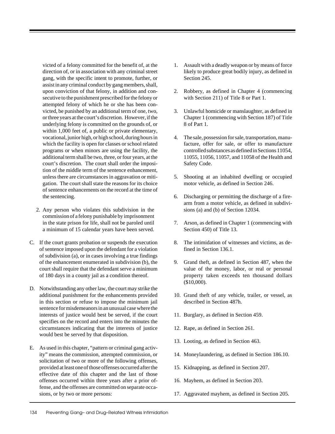victed of a felony committed for the benefit of, at the direction of, or in association with any criminal street gang, with the specific intent to promote, further, or assist in any criminal conduct by gang members, shall, upon conviction of that felony, in addition and consecutive to the punishment prescribed for the felony or attempted felony of which he or she has been convicted, be punished by an additional term of one, two, or three years at the court's discretion. However, if the underlying felony is committed on the grounds of, or within 1,000 feet of, a public or private elementary, vocational, junior high, or high school, during hours in which the facility is open for classes or school related programs or when minors are using the facility, the additional term shall be two, three, or four years, at the court's discretion. The court shall order the imposition of the middle term of the sentence enhancement, unless there are circumstances in aggravation or mitigation. The court shall state the reasons for its choice of sentence enhancements on the record at the time of the sentencing.

- 2. Any person who violates this subdivision in the commission of a felony punishable by imprisonment in the state prison for life, shall not be paroled until a minimum of 15 calendar years have been served.
- C. If the court grants probation or suspends the execution of sentence imposed upon the defendant for a violation of subdivision (a), or in cases involving a true findings of the enhancement enumerated in subdivision (b), the court shall require that the defendant serve a minimum of 180 days in a county jail as a condition thereof.
- D. Notwithstanding any other law, the court may strike the additional punishment for the enhancements provided in this section or refuse to impose the minimum jail sentence for misdemeanors in an unusual case where the interests of justice would best be served, if the court specifies on the record and enters into the minutes the circumstances indicating that the interests of justice would best be served by that disposition.
- E. As used in this chapter, "pattern or criminal gang activity" means the commission, attempted commission, or solicitation of two or more of the following offenses, provided at least one of those offenses occurred after the effective date of this chapter and the last of those offenses occurred within three years after a prior offense, and the offenses are committed on separate occasions, or by two or more persons:
- 1. Assault with a deadly weapon or by means of force likely to produce great bodily injury, as defined in Section 245.
- 2. Robbery, as defined in Chapter 4 (commencing with Section 211) of Title 8 or Part 1.
- 3. Unlawful homicide or manslaughter, as defined in Chapter 1 (commencing with Section 187) of Title 8 of Part 1.
- 4. The sale, possession for sale, transportation, manufacture, offer for sale, or offer to manufacture controlled substances as defined in Sections 11054, 11055, 11056, 11057, and 11058 of the Health and Safety Code.
- 5. Shooting at an inhabited dwelling or occupied motor vehicle, as defined in Section 246.
- 6. Discharging or permitting the discharge of a firearm from a motor vehicle, as defined in subdivisions (a) and (b) of Section 12034.
- 7. Arson, as defined in Chapter 1 (commencing with Section 450) of Title 13.
- 8. The intimidation of witnesses and victims, as defined in Section 136.1.
- 9. Grand theft, as defined in Section 487, when the value of the money, labor, or real or personal property taken exceeds ten thousand dollars (\$10,000).
- 10. Grand theft of any vehicle, trailer, or vessel, as described in Section 487h.
- 11. Burglary, as defined in Section 459.
- 12. Rape, as defined in Section 261.
- 13. Looting, as defined in Section 463.
- 14. Moneylaundering, as defined in Section 186.10.
- 15. Kidnapping, as defined in Section 207.
- 16. Mayhem, as defined in Section 203.
- 17. Aggravated mayhem, as defined in Section 205.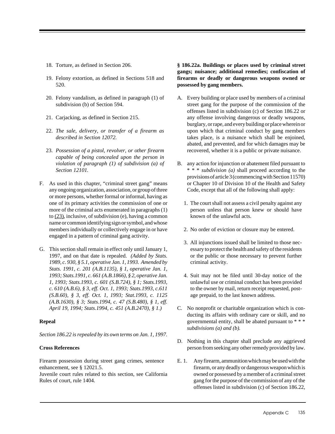- 18. Torture, as defined in Section 206.
- 19. Felony extortion, as defined in Sections 518 and 520.
- 20. Felony vandalism, as defined in paragraph (1) of subdivision (b) of Section 594.
- 21. Carjacking, as defined in Section 215.
- 22. *The sale, delivery, or transfer of a firearm as described in Section 12072.*
- 23. *Possession of a pistol, revolver, or other firearm capable of being concealed upon the person in violation of paragraph (1) of subdivision (a) of Section 12101.*
- F. As used in this chapter, "criminal street gang" means any ongoing organization, association, or group of three or more persons, whether formal or informal, having as one of its primary activities the commission of one or more of the criminal acts enumerated in paragraphs (1) to (23), inclusive, of subdivision (e), having a common name or common identifying sign or symbol, and whose members individually or collectively engage in or have engaged in a pattern of criminal gang activity.
- G. This section shall remain in effect only until January 1, 1997, and on that date is repealed. *(Added by Stats. 1989, c. 930, § 5.1, operative Jan. 1, 1993. Amended by Stats. 1991, c. 201 (A.B.1135), § 1, operative Jan. 1, 1993; Stats.1991, c. 661 (A.B.1866), § 2, operative Jan. 1, 1993; Stats.1993, c. 601 (S.B.724), § 1; Stats.1993, c. 610 (A.B.6), § 3, eff. Oct. 1, 1993; Stats.1993, c.611 (S.B.60), § 3, eff. Oct. 1, 1993; Stat.1993, c. 1125 (A.B.1630), § 3; Stats.1994, c. 47 (S.B.480), § 1, eff. April 19, 1994; Stats.1994, c. 451 (A.B.2470), § 1.)*

#### **Repeal**

*Section 186.22 is repealed by its own terms on Jan. 1, 1997.*

#### **Cross References**

Firearm possession during street gang crimes, sentence enhancement, see § 12021.5.

Juvenile court rules related to this section, see California Rules of court, rule 1404.

**§ 186.22a. Buildings or places used by criminal street gangs; nuisance; additional remedies; confiscation of firearms or deadly or dangerous weapons owned or possessed by gang members.**

- A. Every building or place used by members of a criminal street gang for the purpose of the commission of the offenses listed in subdivision (c) of Section 186.22 or any offense involving dangerous or deadly weapons, burglary, or rape, and every building or place wherein or upon which that criminal conduct by gang members takes place, is a nuisance which shall be enjoined, abated, and prevented, and for which damages may be recovered, whether it is a public or private nuisance.
- B. any action for injunction or abatement filed pursuant to \* \* \* *subdivision (a)* shall proceed according to the provisions of article 3 (commencing with Section 11570) or Chapter 10 of Division 10 of the Health and Safety Code, except that all of the following shall apply:
	- 1. The court shall not assess a civil penalty against any person unless that person knew or should have known of the unlawful acts.
	- 2. No order of eviction or closure may be entered.
	- 3. All injunctions issued shall be limited to those necessary to protect the health and safety of the residents or the public or those necessary to prevent further criminal activity.
	- 4. Suit may not be filed until 30-day notice of the unlawful use or criminal conduct has been provided to the owner by mail, return receipt requested, postage prepaid, to the last known address.
- C. No nonprofit or charitable organization which is conducting its affairs with ordinary care or skill, and no governmental entity, shall be abated pursuant to \* \* \* *subdivisions (a) and (b).*
- D. Nothing in this chapter shall preclude any aggrieved person from seeking any other remedy provided by law.
- E. 1. Any firearm, ammunition which may be used with the firearm, or any deadly or dangerous weapon which is owned or possessed by a member of a criminal street gang for the purpose of the commission of any of the offenses listed in subdivision (c) of Section 186.22,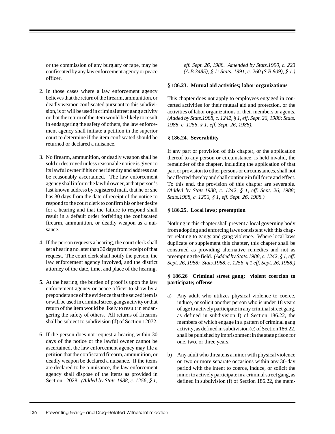or the commission of any burglary or rape, may be confiscated by any law enforcement agency or peace officer.

- 2. In those cases where a law enforcement agency believes that the return of the firearm, ammunition, or deadly weapon confiscated pursuant to this subdivision, is or will be used in criminal street gang activity or that the return of the item would be likely to result in endangering the safety of others, the law enforcement agency shall initiate a petition in the superior court to determine if the item confiscated should be returned or declared a nuisance.
- 3. No firearm, ammunition, or deadly weapon shall be sold or destroyed unless reasonable notice is given to its lawful owner if his or her identity and address can be reasonably ascertained. The law enforcement agency shall inform the lawful owner, at that person's last known address by registered mail, that he or she has 30 days from the date of receipt of the notice to respond to the court clerk to confirm his or her desire for a hearing and that the failure to respond shall result in a default order forfeiting the confiscated firearm, ammunition, or deadly weapon as a nuisance.
- 4. If the person requests a hearing, the court clerk shall set a hearing no later than 30 days from receipt of that request. The court clerk shall notify the person, the law enforcement agency involved, and the district attorney of the date, time, and place of the hearing.
- 5. At the hearing, the burden of proof is upon the law enforcement agency or peace officer to show by a preponderance of the evidence that the seized item is or will be used in criminal street gangs activity or that return of the item would be likely to result in endangering the safety of others. All returns of firearms shall be subject to subdivision (d) of Section 12072.
- 6. If the person does not request a hearing within 30 days of the notice or the lawful owner cannot be ascertained, the law enforcement agency may file a petition that the confiscated firearm, ammunition, or deadly weapon be declared a nuisance. If the items are declared to be a nuisance, the law enforcement agency shall dispose of the items as provided in Section 12028. *(Added by Stats.1988, c. 1256, § 1,*

*eff. Sept. 26, 1988. Amended by Stats.1990, c. 223 (A.B.3485), § 1; Stats. 1991, c. 260 (S.B.809), § 1.)*

#### **§ 186.23. Mutual aid activities; labor organizations**

This chapter does not apply to employees engaged in concerted activities for their mutual aid and protection, or the activities of labor organizations or their members or agents. *(Added by Stats.1988, c. 1242, § 1, eff. Sept. 26, 1988; Stats. 1988, c. 1256, § 1, eff. Sept. 26, 1988).*

#### **§ 186.24. Severability**

If any part or provision of this chapter, or the application thereof to any person or circumstance, is held invalid, the remainder of the chapter, including the application of that part or provision to other persons or circumstances, shall not be affected thereby and shall continue in full force and effect. To this end, the provision of this chapter are severable. *(Added by Stats.1988, c. 1242, § 1, eff. Sept. 26, 1988; Stats.1988, c. 1256, § 1, eff. Sept. 26, 1988.)*

#### **§ 186.25. Local laws; preemption**

Nothing in this chapter shall prevent a local governing body from adopting and enforcing laws consistent with this chapter relating to gangs and gang violence. Where local laws duplicate or supplement this chapter, this chapter shall be construed as providing alternative remedies and not as preempting the field. *(Added by Stats.1988, c. 1242, § 1, eff. Sept. 26, 1988: Stats.1988, c. 1256, § 1 eff. Sept. 26, 1988.)*

#### **§ 186.26 Criminal street gang; violent coercion to participate; offense**

- a) Any adult who utilizes physical violence to coerce, induce, or solicit another person who is under 18 years of age to actively participate in any criminal street gang, as defined in subdivision f) of Section 186.22, the members of which engage in a pattern of criminal gang activity, as defined in subdivision (c) of Section 186.22, shall be punished by imprisonment in the state prison for one, two, or three years.
- b) Any adult who threatens a minor with physical violence on two or more separate occasions within any 30-day period with the intent to coerce, induce, or solicit the minor to actively participate in a criminal street gang, as defined in subdivision (f) of Section 186.22, the mem-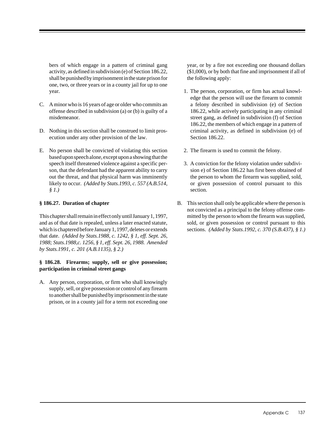bers of which engage in a pattern of criminal gang activity, as defined in subdivision (e) of Section 186.22, shall be punished by imprisonment in the state prison for one, two, or three years or in a county jail for up to one year.

- C. A minor who is 16 years of age or older who commits an offense described in subdivision (a) or (b) is guilty of a misdemeanor.
- D. Nothing in this section shall be construed to limit prosecution under any other provision of the law.
- E. No person shall be convicted of violating this section based upon speech alone, except upon a showing that the speech itself threatened violence against a specific person, that the defendant had the apparent ability to carry out the threat, and that physical harm was imminently likely to occur. *(Added by Stats.1993, c. 557 (A.B.514, § 1.)*

#### **§ 186.27. Duration of chapter**

This chapter shall remain in effect only until January 1, 1997, and as of that date is repealed, unless a later enacted statute, which is chaptered before January 1, 1997, deletes or extends that date. *(Added by Stats.1988, c. 1242, § 1, eff. Sept. 26, 1988; Stats.1988,c. 1256, § 1, eff. Sept. 26, 1988. Amended by Stats.1991, c. 201 (A.B.1135), § 2.)*

#### **§ 186.28. Firearms; supply, sell or give possession; participation in criminal street gangs**

A. Any person, corporation, or firm who shall knowingly supply, sell, or give possession or control of any firearm to another shall be punished by imprisonment in the state prison, or in a county jail for a term not exceeding one year, or by a fire not exceeding one thousand dollars (\$1,000), or by both that fine and imprisonment if all of the following apply:

- 1. The person, corporation, or firm has actual knowledge that the person will use the firearm to commit a felony described in subdivision (e) of Section 186.22, while actively participating in any criminal street gang, as defined in subdivision (f) of Section 186.22, the members of which engage in a pattern of criminal activity, as defined in subdivision (e) of Section 186.22.
- 2. The firearm is used to commit the felony.
- 3. A conviction for the felony violation under subdivision e) of Section 186.22 has first been obtained of the person to whom the firearm was supplied, sold, or given possession of control pursuant to this section.
- B. This section shall only be applicable where the person is not convicted as a principal to the felony offense committed by the person to whom the firearm was supplied, sold, or given possession or control pursuant to this sections. *(Added by Stats.1992, c. 370 (S.B.437), § 1.)*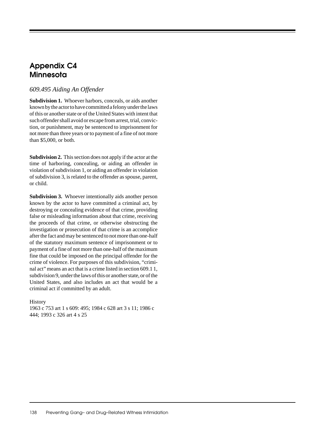## **Appendix C4 Minnesota**

*609.495 Aiding An Offender*

**Subdivision 1.** Whoever harbors, conceals, or aids another known by the actor to have committed a felony under the laws of this or another state or of the United States with intent that such offender shall avoid or escape from arrest, trial, conviction, or punishment, may be sentenced to imprisonment for not more than three years or to payment of a fine of not more than \$5,000, or both.

**Subdivision 2.** This section does not apply if the actor at the time of harboring, concealing, or aiding an offender in violation of subdivision 1, or aiding an offender in violation of subdivision 3, is related to the offender as spouse, parent, or child.

**Subdivision 3.** Whoever intentionally aids another person known by the actor to have committed a criminal act, by destroying or concealing evidence of that crime, providing false or misleading information about that crime, receiving the proceeds of that crime, or otherwise obstructing the investigation or prosecution of that crime is an accomplice after the fact and may be sentenced to not more than one-half of the statutory maximum sentence of imprisonment or to payment of a fine of not more than one-half of the maximum fine that could be imposed on the principal offender for the crime of violence. For purposes of this subdivision, "criminal act" means an act that is a crime listed in section 609.1 1, subdivision 9, under the laws of this or another state, or of the United States, and also includes an act that would be a criminal act if committed by an adult.

History

1963 c 753 art 1 s 609: 495; 1984 c 628 art 3 s 11; 1986 c 444; 1993 c 326 art 4 s 25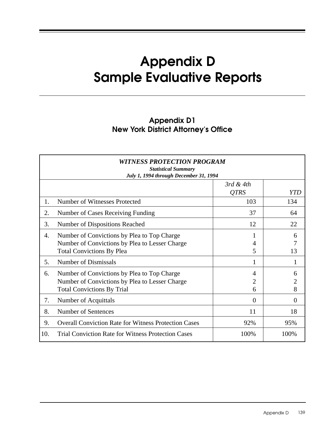# **Appendix D Sample Evaluative Reports**

# **Appendix D1 New York District Attorney's Office**

| WITNESS PROTECTION PROGRAM<br><b>Statistical Summary</b><br>July 1, 1994 through December 31, 1994 |                                                                                                                                    |                          |          |
|----------------------------------------------------------------------------------------------------|------------------------------------------------------------------------------------------------------------------------------------|--------------------------|----------|
|                                                                                                    |                                                                                                                                    | 3rd & 4th<br><b>QTRS</b> | YTD      |
| 1.                                                                                                 | Number of Witnesses Protected                                                                                                      | 103                      | 134      |
| 2.                                                                                                 | Number of Cases Receiving Funding                                                                                                  | 37                       | 64       |
| 3.                                                                                                 | Number of Dispositions Reached                                                                                                     | 12                       | 22       |
| 4.                                                                                                 | Number of Convictions by Plea to Top Charge<br>Number of Convictions by Plea to Lesser Charge<br><b>Total Convictions By Plea</b>  | 4<br>5                   | 6<br>13  |
| 5.                                                                                                 | <b>Number of Dismissals</b>                                                                                                        |                          |          |
| 6.                                                                                                 | Number of Convictions by Plea to Top Charge<br>Number of Convictions by Plea to Lesser Charge<br><b>Total Convictions By Trial</b> | 4<br>2<br>6              | 6<br>8   |
| 7.                                                                                                 | Number of Acquittals                                                                                                               | $\Omega$                 | $\Omega$ |
| 8.                                                                                                 | <b>Number of Sentences</b>                                                                                                         | 11                       | 18       |
| 9.                                                                                                 | <b>Overall Conviction Rate for Witness Protection Cases</b>                                                                        | 92%                      | 95%      |
| 10.                                                                                                | <b>Trial Conviction Rate for Witness Protection Cases</b>                                                                          | 100%                     | 100%     |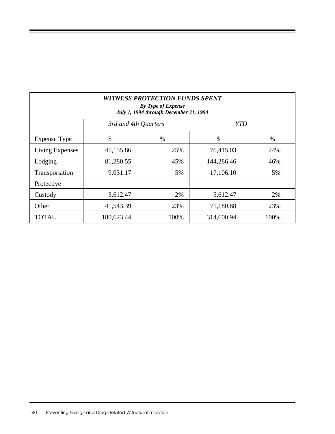| <b>WITNESS PROTECTION FUNDS SPENT</b><br><b>By Type of Expense</b><br>July 1, 1994 through December 31, 1994 |            |                      |            |      |  |  |
|--------------------------------------------------------------------------------------------------------------|------------|----------------------|------------|------|--|--|
|                                                                                                              |            | 3rd and 4th Quarters |            | YTD  |  |  |
| <b>Expense Type</b>                                                                                          | \$         | %                    | \$         | %    |  |  |
| Living Expenses                                                                                              | 45,155.86  | 25%                  | 76,415.03  | 24%  |  |  |
| Lodging                                                                                                      | 81,280.55  | 45%                  | 144,286.46 | 46%  |  |  |
| Transportation                                                                                               | 9,031.17   | 5%                   | 17,106.10  | 5%   |  |  |
| Protective                                                                                                   |            |                      |            |      |  |  |
| Custody                                                                                                      | 3,612.47   | 2%                   | 5,612.47   | 2%   |  |  |
| Other                                                                                                        | 41,543.39  | 23%                  | 71,180.88  | 23%  |  |  |
| <b>TOTAL</b>                                                                                                 | 180,623.44 | 100%                 | 314,600.94 | 100% |  |  |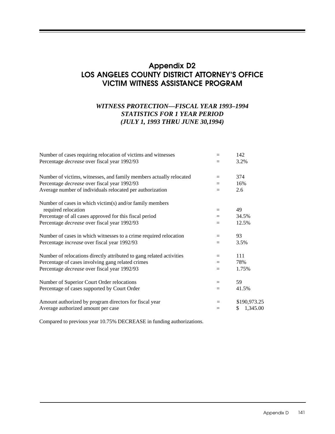## **Appendix D2 LOS ANGELES COUNTY DISTRICT ATTORNEY'S OFFICE VICTIM WITNESS ASSISTANCE PROGRAM**

### *WITNESS PROTECTION—FISCAL YEAR 1993–1994 STATISTICS FOR 1 YEAR PERIOD (JULY 1, 1993 THRU JUNE 30,1994)*

| Number of cases requiring relocation of victims and witnesses        | $=$      | 142            |
|----------------------------------------------------------------------|----------|----------------|
| Percentage <i>decrease</i> over fiscal year 1992/93                  | $=$      | 3.2%           |
| Number of victims, witnesses, and family members actually relocated  | $=$      | 374            |
| Percentage <i>decrease</i> over fiscal year 1992/93                  | $=$      | 16%            |
| Average number of individuals relocated per authorization            | $=$      | 2.6            |
| Number of cases in which victim(s) and/or family members             |          |                |
| required relocation                                                  | $=$      | 49             |
| Percentage of all cases approved for this fiscal period              | $=$      | 34.5%          |
| Percentage <i>decrease</i> over fiscal year 1992/93                  | $=$      | 12.5%          |
| Number of cases in which witnesses to a crime required relocation    | $\equiv$ | 93             |
| Percentage <i>increase</i> over fiscal year 1992/93                  | $=$      | 3.5%           |
| Number of relocations directly attributed to gang related activities | $=$      | 111            |
| Percentage of cases involving gang related crimes                    | $=$      | 78%            |
| Percentage <i>decrease</i> over fiscal year 1992/93                  | $=$      | 1.75%          |
| Number of Superior Court Order relocations                           | $=$      | 59             |
| Percentage of cases supported by Court Order                         | $=$      | 41.5%          |
| Amount authorized by program directors for fiscal year               | $=$      | \$190,973.25   |
| Average authorized amount per case                                   | $=$      | 1,345.00<br>S. |

Compared to previous year 10.75% DECREASE in funding authorizations.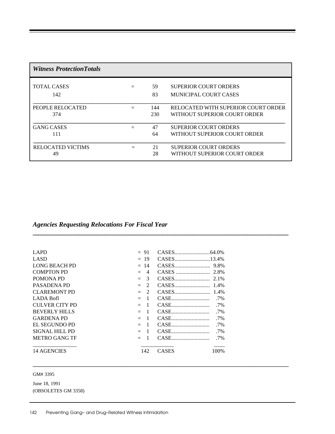| <b>Witness Protection Totals</b> |     |                                     |
|----------------------------------|-----|-------------------------------------|
| <b>TOTAL CASES</b>               | 59  | SUPERIOR COURT ORDERS               |
| 142                              | 83  | MUNICIPAL COURT CASES               |
| PEOPLE RELOCATED                 | 144 | RELOCATED WITH SUPERIOR COURT ORDER |
| 374                              | 230 | WITHOUT SUPERIOR COURT ORDER        |
| <b>GANG CASES</b>                | 47  | SUPERIOR COURT ORDERS               |
| 111                              | 64  | WITHOUT SUPERIOR COURT ORDER        |
| <b>RELOCATED VICTIMS</b>         | 21  | SUPERIOR COURT ORDERS               |
| 49                               | 28  | WITHOUT SUPERIOR COURT ORDER        |

**\_\_\_\_\_\_\_\_\_\_\_\_\_\_\_\_\_\_\_\_\_\_\_\_\_\_\_\_\_\_\_\_\_\_\_\_\_\_\_\_\_\_\_\_\_\_\_\_\_\_\_\_\_\_\_\_\_\_\_\_\_\_\_\_\_\_\_\_\_\_\_\_\_\_\_\_\_\_\_\_\_\_\_\_\_\_\_\_\_\_\_\_\_**

# *Agencies Requesting Relocations For Fiscal Year*

| <b>LAPD</b>          | $= 91$                |                      |
|----------------------|-----------------------|----------------------|
| <b>LASD</b>          | $= 19$                |                      |
| LONG BEACH PD        | 14<br>$=$             |                      |
| <b>COMPTON PD</b>    | $\overline{4}$<br>$=$ |                      |
| POMONA PD            | $\mathcal{E}$<br>$=$  |                      |
| PASADENA PD          | 2<br>$=$              |                      |
| <b>CLAREMONT PD</b>  | $\mathcal{L}$<br>$=$  |                      |
| LADA Bofl            | -1<br>$=$             | $.7\%$               |
| CULVER CITY PD       | $\overline{1}$<br>$=$ | .7%                  |
| <b>BEVERLY HILLS</b> | $\overline{1}$<br>$=$ | $.7\%$               |
| <b>GARDENA PD</b>    | $\overline{1}$<br>$=$ | $.7\%$               |
| EL SEGUNDO PD        | $\overline{1}$<br>$=$ | .7%                  |
| SIGNAL HILL PD       | $\overline{1}$<br>$=$ | $.7\%$               |
| <b>METRO GANG TF</b> | $=$                   | .7%                  |
|                      |                       |                      |
| 14 AGENCIES          | 142                   | 100%<br><b>CASES</b> |
|                      |                       |                      |
|                      |                       |                      |

GM# 3395

June 18, 1991 (OBSOLETES GM 3358)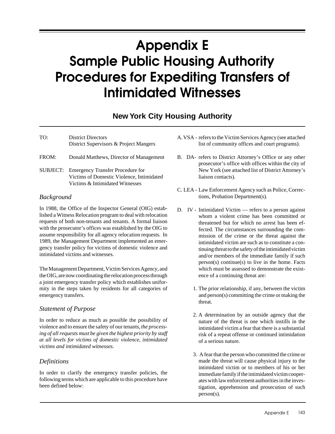# **Appendix E Sample Public Housing Authority Procedures for Expediting Transfers of Intimidated Witnesses**

# **New York City Housing Authority**

| T()   | <b>District Directors</b><br>District Supervisors & Project Mangers                                                              |
|-------|----------------------------------------------------------------------------------------------------------------------------------|
| FROM: | Donald Matthews, Director of Management                                                                                          |
|       | <b>SUBJECT:</b> Emergency Transfer Procedure for<br>Victims of Domestic Violence, Intimidated<br>Victims & Intimidated Witnesses |

# *Background*

In 1988, the Office of the Inspector General (OIG) established a Witness Relocation program to deal with relocation requests of both non-tenants and tenants. A formal liaison with the prosecutor's offices was established by the OIG to assume responsibility for all agency relocation requests. In 1989, the Management Department implemented an emergency transfer policy for victims of domestic violence and intimidated victims and witnesses.

The Management Department, Victim Services Agency, and the OIG, are now coordinating the relocation process through a joint emergency transfer policy which establishes uniformity in the steps taken by residents for all categories of emergency transfers.

# *Statement of Purpose*

In order to reduce as much as possible the possibility of violence and to ensure the safety of our tenants, *the processing of all requests must be given the highest priority by staff at all levels for victims of domestic violence, intimidated victims and intimidated witnesses*.

# *Definitions*

In order to clarify the emergency transfer policies, the following terms which are applicable to this procedure have been defined below:

- A. VSA refers to the Victim Services Agency (see attached list of community offices and court programs).
- B. DA- refers to District Attorney's Office or any other prosecutor's office with offices within the city of New York (see attached list of District Attorney's liaison contacts).
- C. LEA Law Enforcement Agency such as Police, Corrections, Probation Department(s).
- D. IV Intimidated Victim refers to a person against whom a violent crime has been committed or threatened but for which no arrest has been effected. The circumstances surrounding the commission of the crime or the threat against the intimidated victim are such as to constitute a continuing threat to the safety of the intimidated victim and/or members of the immediate family if such person(s) continue(s) to live in the home. Facts which must be assessed to demonstrate the existence of a continuing threat are:
	- 1. The prior relationship, if any, between the victim and person(s) committing the crime or making the threat.
	- 2. A determination by an outside agency that the nature of the threat is one which instills in the intimidated victim a fear that there is a substantial risk of a repeat offense or continued intimidation of a serious nature.
	- 3. A fear that the person who committed the crime or made the threat will cause physical injury to the intimidated victim or to members of his or her immediate family if the intimidated victim cooperates with law enforcement authorities in the investigation, apprehension and prosecution of such person(s).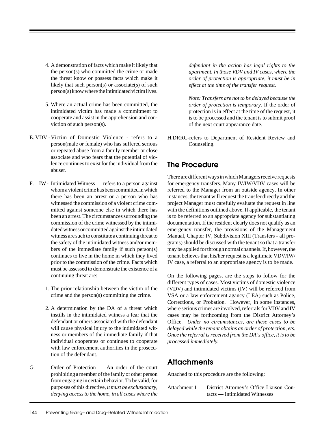- 4. A demonstration of facts which make it likely that the person(s) who committed the crime or made the threat know or possess facts which make it likely that such person(s) or associate(s) of such person(s) know where the intimidated victim lives.
- 5. Where an actual crime has been committed, the intimidated victim has made a commitment to cooperate and assist in the apprehension and conviction of such person(s).
- E. VDV -Victim of Domestic Violence refers to a person(male or female) who has suffered serious or repeated abuse from a family member or close associate and who fears that the potential of violence continues to exist for the individual from the abuser.
- F. IW- Intimidated Witness refers to a person against whom a violent crime has been committed in which there has been an arrest or a person who has witnessed the commission of a violent crime committed against someone else in which there has been an arrest. The circumstances surrounding the commission of the crime witnessed by the intimidated witness or committed against the intimidated witness are such to constitute a continuing threat to the safety of the intimidated witness and/or members of the immediate family if such person(s) continues to live in the home in which they lived prior to the commission of the crime. Facts which must be assessed to demonstrate the existence of a continuing threat are:
	- 1. The prior relationship between the victim of the crime and the person(s) committing the crime.
	- 2. A determination by the DA of a threat which instills in the intimidated witness a fear that the defendant or others associated with the defendant will cause physical injury to the intimidated witness or members of the immediate family if that individual cooperates or continues to cooperate with law enforcement authorities in the prosecution of the defendant.
- G. Order of Protection An order of the court prohibiting a member of the family or other person from engaging in certain behavior. To be valid, for purposes of this directive, *it must be exclusionary, denying access to the home, in all cases where the*

*defendant in the action has legal rights to the apartment. In those VDV and IV cases, where the order of protection is appropriate, it must be in effect at the time of the transfer request.*

*Note: Transfers are not to be delayed because the order of protection is temporary.* If the order of protection is in effect at the time of the request, it is to be processed and the tenant is to submit proof of the next court appearance date.

H.DRRC-refers to Department of Resident Review and Counseling.

# **The Procedure**

There are different ways in which Managers receive requests for emergency transfers. Many IV/IW/VDV cases will be referred to the Manager from an outside agency. In other instances, the tenant will request the transfer directly and the project Manager must carefully evaluate the request in line with the definitions outlined above. If applicable, the tenant is to be referred to an appropriate agency for substantiating documentation. If the resident clearly does not qualify as an emergency transfer, the provisions of the Management Manual, Chapter IV, Subdivision XIII (Transfers - all programs) should be discussed with the tenant so that a transfer may be applied for through normal channels. If, however, the tenant believes that his/her request is a legitimate VDV/IW/ IV case, a referral to an appropriate agency is to be made.

On the following pages, are the steps to follow for the different types of cases. Most victims of domestic violence (VDV) and intimidated victims (IV) will be referred from VSA or a law enforcement agancy (LEA) such as Police, Corrections, or Probation. However, in some instances, where serious crimes are involved, referrals for VDV and IV cases may be forthcoming from the District Attorney's Office. *Under no circumstances, are these cases to be delayed while the tenant obtains an order of protection, ets. Once the referral is received from the DA's office, it is to be processed immediately.*

# **Attachments**

Attached to this procedure are the following:

Attachment 1 — District Attorney's Office Liaison Contacts — Intimidated Witnesses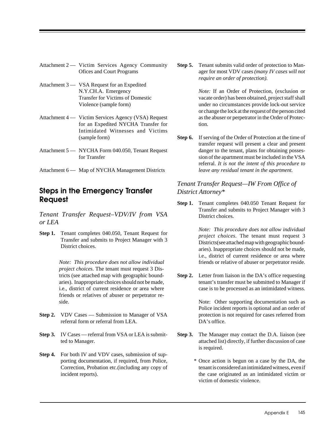- Attachment 2 Victim Services Agency Community Ofices and Court Programs
- Attachment 3 VSA Request for an Expedited N.Y.CH.A. Emergency Transfer for Victims of Domestic Violence (sample form)
- Attachment 4 Victim Services Agency (VSA) Request for an Expedited NYCHA Transfer for Intimidated Witnesses and Victims (sample form)
- Attachment 5 NYCHA Form 040.050, Tenant Request for Transfer
- Attachment 6 Map of NYCHA Management Districts

# **Steps in the Emergency Transfer Request**

*Tenant Transfer Request–VDV/IV from VSA or LEA*

**Step 1.** Tenant completes 040.050, Tenant Request for Transfer and submits to Project Manager with 3 District choices.

> *Note: This procedure does not allow individual project choices.* The tenant must request 3 Districts (see attached map with geographic boundaries). Inappropriate choices should not be made, i.e., district of current residence or area where friends or relatives of abuser or perpetrator reside.

- **Step 2.** VDV Cases Submission to Manager of VSA referral form or referral from LEA.
- Step 3. IV Cases referral from VSA or LEA is submitted to Manager.
- **Step 4.** For both IV and VDV cases, submission of supporting documentation, if required, from Police, Correction, Probation etc.(including any copy of incident reports).

**Step 5.** Tenant submits valid order of protection to Manager for most VDV cases *(many IV cases will not require an order of protection).*

> *Note:* If an Order of Protection, (exclusion or vacate order) has been obtained, project staff shall under no circumstances provide lock-out service or change the lock at the request of the person cited as the abuser or perpetrator in the Order of Protection.

**Step 6.** If serving of the Order of Protection at the time of transfer request will present a clear and present danger to the tenant, plans for obtaining possession of the apartment must be included in the VSA referral. *It is not the intent of this procedure to leave any residual tenant in the apartment.*

*Tenant Transfer Request—IW From Office of District Attorney\**

**Step 1.** Tenant completes 040.050 Tenant Request for Transfer and submits to Project Manager with 3 District choices.

> *Note: This procedure does not allow individual project choices.* The tenant must request 3 Districts(see attached map with geographic boundaries). Inappropriate choices should not be made, i.e., district of current residence or area where friends or relative of abuser or perpetrator reside.

**Step 2.** Letter from liaison in the DA's office requesting tenant's transfer must be submitted to Manager if case is to be processed as an intimidated witness.

> Note: Other supporting documentation such as Police incident reports is optional and an order of protection is not required for cases referred from DA's office.

- **Step 3.** The Manager may contact the D.A. liaison (see attached list) directly, if further discussion of case is required.
	- \* Once action is begun on a case by the DA, the tenant is considered an intimidated witness, even if the case originated as an intimidated victim or victim of domestic violence.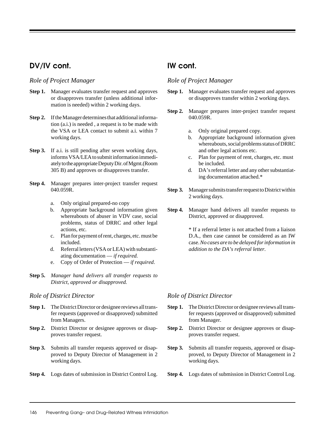# **DV/IV cont.**

# *Role of Project Manager*

- **Step 1.** Manager evaluates transfer request and approves or disapproves transfer (unless additional information is needed) within 2 working days.
- **Step 2.** If the Manager determines that additional information (a.i.) is needed , a request is to be made with the VSA or LEA contact to submit a.i. within 7 working days.
- **Step 3.** If a.i. is still pending after seven working days, informs VSA/LEA to submit information immediately to the appropriate Deputy Dir. of Mgmt.(Room 305 B) and approves or disapproves transfer.
- **Step 4.** Manager prepares inter-project transfer request 040.059R.
	- a. Only original prepared-no copy
	- b. Appropriate background information given whereabouts of abuser in VDV case, social problems, status of DRRC and other legal actions, etc.
	- c. Plan for payment of rent, charges, etc. must be included.
	- d. Referral letters (VSA or LEA) with substantiating documentation — *if required*.
	- e. Copy of Order of Protection *if required*.
- **Step 5.** *Manager hand delivers all transfer requests to District, approved or disapproved.*

# *Role of District Director*

- **Step 1.** The District Director or designee reviews all transfer requests (approved or disapproved) submitted from Managers.
- **Step 2.** District Director or designee approves or disapproves transfer request.
- **Step 3.** Submits all transfer requests approved or disapproved to Deputy Director of Management in 2 working days.
- **Step 4.** Logs dates of submission in District Control Log.

# **IW cont.**

# *Role of Project Manager*

- **Step 1.** Manager evaluates transfer request and approves or disapproves transfer within 2 working days.
- **Step 2.** Manager prepares inter-project transfer request 040.059R.
	- a. Only original prepared copy.
	- b. Appropriate background information given whereabouts, social problems status of DRRC and other legal actions etc.
	- c. Plan for payment of rent, charges, etc. must be included.
	- d. DA's referral letter and any other substantiating documentation attached.\*
- **Step 3.** Manager submits transfer request to District within 2 working days.
- **Step 4.** Manager hand delivers all transfer requests to District, approved or disapproved.

\* If a referral letter is not attached from a liaison D.A., then case cannot be considered as an IW case. *No cases are to be delayed for information in addition to the DA's referral letter.*

# *Role of District Director*

- **Step 1.** The District Director or designee reviews all transfer requests (approved or disapproved) submitted from Manager.
- **Step 2.** District Director or designee approves or disapproves transfer request.
- **Step 3.** Submits all transfer requests, approved or disapproved, to Deputy Director of Management in 2 working days.
- **Step 4.** Logs dates of submission in District Control Log.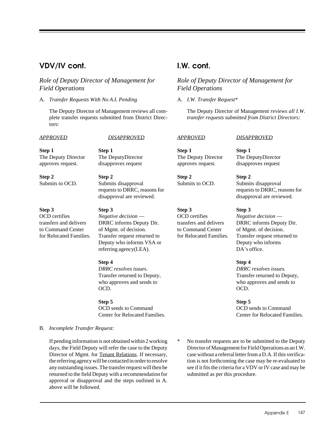# **VDV/IV cont.**

# *Role of Deputy Director of Management for Field Operations*

A. *Transfer Requests With No A.I. Pending*

The Deputy Director of Management reviews all complete transfer requests submitted from District Directors:

### *APPROVED DISAPPROVED*

Step 1 Step 1 The Deputy Director The DeputyDirector approves request. disapproves request

**Step 2 Step 2** Submits to OCD. Submits disapproval

# **Step 3 Step 3**

OCD certifies *Negative decision*  to Command Center of Mgmt. of decision.

# transfers and delivers DRRC informs Deputy Dir. for Relocated Families. Transfer request returned to Deputy who informs VSA or referring agency(LEA).

requests to DRRC, reasons for disapproval are reviewed.

# **Step 4**

*DRRC resolves issues*. Transfer returned to Deputy, who approves and sends to OCD.

### **Step 5**

OCD sends to Command Center for Relocated Families.

### B. *Incomplete Transfer Request:*

If pending information is not obtained within 2 working days, the Field Deputy will refer the case to the Deputy Director of Mgmt. for Tenant Relations. If necessary, the referring agency will be contacted in order to resolve any outstanding issues. The transfer request will then be returned to the field Deputy with a recommendation for approval or disapproval and the steps outlined in A. above will be followed.

**I.W. cont.**

# *Role of Deputy Director of Management for Field Operations*

A. *I.W. Transfer Request\**

The Deputy Director of Management *reviews all I.W. transfer requests submitted from District Directors:*

### *APPROVED DISAPPROVED*

**Step 1 Step 1** The Deputy Director The DeputyDirector approves request. disapproves request

**Step 2 Step 2**

**Step 3 Step 3** OCD certifies *Negative decision*  to Command Center of Mgmt. of decision.

Submits to OCD. Submits disapproval requests to DRRC, reasons for disapproval are reviewed.

transfers and delivers DRRC informs Deputy Dir. for Relocated Families. Transfer request returned to Deputy who informs DA's office.

**Step 4**

*DRRC resolves issues.* Transfer returned to Deputy, who approves and sends to OCD.

### **Step 5**

OCD sends to Command Center for Relocated Families.

No transfer requests are to be submitted to the Deputy Director of Management for Field Operations as an I.W. case without a referral letter from a D.A. If this verification is not forthcoming the case may be re-evaluated to see if it fits the criteria for a VDV or IV case and may be submitted as per this procedure.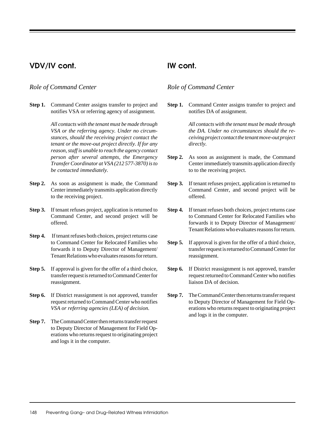# **VDV/IV cont.**

# *Role of Command Center*

**Step 1.** Command Center assigns transfer to project and notifies VSA or referring agency of assignment.

> *All contacts with the tenant must be made through VSA or the referring agency. Under no circumstances, should the receiving project contact the tenant or the move-out project directly. If for any reason, staff is unable to reach the agency contact person after several attempts, the Emergency Transfer Coordinator at VSA (212 577-3870) is to be contacted immediately.*

- **Step 2.** As soon as assignment is made, the Command Center immediately transmits application directly to the receiving project.
- **Step 3.** If tenant refuses project, application is returned to Command Center, and second project will be offered.
- **Step 4.** If tenant refuses both choices, project returns case to Command Center for Relocated Families who forwards it to Deputy Director of Management/ Tenant Relations who evaluates reasons for return.
- **Step 5.** If approval is given for the offer of a third choice, transfer request is returned to Command Center for reassignment.
- **Step 6.** If District reassignment is not approved, transfer request returned to Command Center who notifies *VSA or referring agencies (LEA) of decision.*
- **Step 7.** The Command Center then returns transfer request to Deputy Director of Management for Field Operations who returns request to originating project and logs it in the computer.

# **IW cont.**

# *Role of Command Center*

**Step 1.** Command Center assigns transfer to project and notifies DA of assignment.

> *All contacts with the tenant must be made through the DA. Under no circumstances should the receiving project contact the tenant move-out project directly.*

- **Step 2.** As soon as assignment is made, the Command Center immediately transmits application directly to to the receiving project.
- **Step 3.** If tenant refuses project, application is returned to Command Center, and second project will be offered.
- **Step 4.** If tenant refuses both choices, project returns case to Command Center for Relocated Families who forwards it to Deputy Director of Management/ Tenant Relations who evaluates reasons for return.
- **Step 5.** If approval is given for the offer of a third choice, transfer request is returned to Command Center for reassignment.
- **Step 6.** If District reassignment is not approved, transfer request returned to Command Center who notifies liaison DA of decision.
- **Step 7.** The Command Center then returns transfer request to Deputy Director of Management for Field Operations who returns request to originating project and logs it in the computer.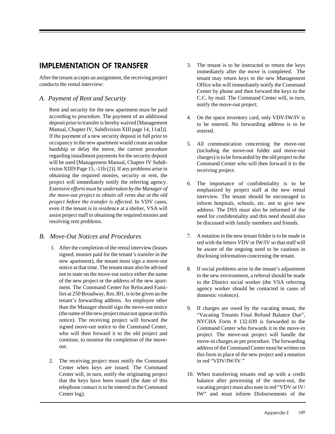# **IMPLEMENTATION OF TRANSFER**

After the tenant accepts an assignment, the receiving project conducts the rental interview:

# *A. Payment of Rent and Security*

Rent and security for the new apartment must be paid according to procedure. The payment of an additional deposit prior to transfer is hereby waived [Management Manual, Chapter IV, Subdivision XIII page 14, 11a(l)]. If the payment of a new security deposit in full prior to occupancy in the new apartment would create an undue hardship or delay the move, the current procedure regarding installment payments for the security deposit will be used [Management Manual, Chapter IV Subdivision XIII9 Page 15, -11b (2)]. If any problems arise in obtaining the required monies, security or rent, the project will immediately notify the referring agency. *Extensive efforts must be undertaken by the Manager of the move-out project to obtain all rents due at the old project before the transfer is effected.* In VDV cases, even if the tenant is in residence at a shelter, VSA will assist project staff in obtaining the required monies and resolving rent problems.

# *B. Move-Out Notices and Procedures*

- 1. After the completion of the rental interview (leases signed, monies paid for the tenant's transfer in the new apartment), the tenant must sign a move-out notice at that time. The tenant must also be advised not to state on the move-out notice either the name of the new project or the address of the new apartment. The Command Center for Relocated Families at 250 Broadway, Rm.301, is to be given an the tenant's forwarding address. An employee other than the Manager should sign the move-out notice (the name of the new project must not appear on this notice). The receiving project will forward the signed move-out notice to the Command Center, who will then forward it to the old project and continue, to monitor the completion of the moveout.
- 2. The receiving project must notify the Command Center when keys are issued. The Command Center will, in turn, notify the originating project that the keys have been issued (the date of this telephone contact is to be entered in the Command Center log).
- 3. The tenant is to be instructed to return the keys immediately after the move is completed. The tenant may return keys to the new Management Office who will immediately notify the Command Center by phone and then forward the keys to the C.C. by mail. The Command Center will, in turn, notify the move-out project.
- 4. On the space inventory card, only VDV/IW/IV is to be entered. No forwarding address is to be entered.
- 5. All communication concerning the move-out (including the move-out folder and move-out charges) is to be forwarded by the old project to the Command Center who will then forward it to the receiving project.
- 6. The importance of confidentiality is to be emphasized by project staff at the new rental interview. The tenant should be encouraged to inform hospitals, schools, etc. not to give new address. The DSS must also be informed of the need for confidentiality and this need should also be discussed with family members and friends.
- 7. A notation in the new tenant folder is to be made in red with the letters VDV or IW/IV so that staff will be aware of the ongoing need to be cautious in disclosing information concerning the tenant.
- 8. If social problems arise in the tenant's adjustment to the new environment, a referral should be made to the District social worker (the VSA referring agency worker should be contacted in cases of domestic violence).
- 9. If charges are owed by the vacating tenant, the "Vacating Tenants Final Refund Balance Due", NYCHA Form # 132.039 is forwarded to the Command Center who forwards it to the move-in project. The move-out project will handle the move-in charges as per procedure. The forwarding address of the Command Center must be written on this form in place of the new project and a notation in red "VDV/IW/IV."
- 10. When transferring tenants end up with a credit balance after processing of the move-out, the vacating project must also note in red "VDV or IV/ IW" and must inform Disbursements of the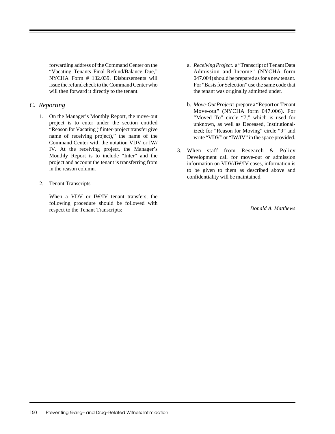forwarding address of the Command Center on the "Vacating Tenants Final Refund/Balance Due," NYCHA Form # 132.039. Disbursements will issue the refund check to the Command Center who will then forward it directly to the tenant.

# *C. Reporting*

- 1. On the Manager's Monthly Report, the move-out project is to enter under the section entitled "Reason for Vacating (if inter-project transfer give name of receiving project)," the name of the Command Center with the notation VDV or IW/ IV. At the receiving project, the Manager's Monthly Report is to include "Inter" and the project and account the tenant is transferring from in the reason column.
- 2. Tenant Transcripts

When a VDV or IW/IV tenant transfers, the following procedure should be followed with respect to the Tenant Transcripts:

- a. *Receiving Project:* a "Transcript of Tenant Data Admission and Income" (NYCHA form 047.004) should be prepared as for a new tenant. For "Basis for Selection" use the same code that the tenant was originally admitted under.
- b. *Move-Out Project:* prepare a "Report on Tenant Move-out" (NYCHA form 047.006). For "Moved To" circle "7," which is used for unknown, as well as Deceased, Institutionalized; for "Reason for Moving" circle "9" and write "VDV" or "IW/IV" in the space provided.
- 3. When staff from Research & Policy Development call for move-out or admission information on VDV/IW/IV cases, information is to be given to them as described above and confidentiality will be maintained.

*Donald A. Matthews*

*\_\_\_\_\_\_\_\_\_\_\_\_\_\_\_\_\_\_\_\_\_\_\_\_\_\_\_\_\_*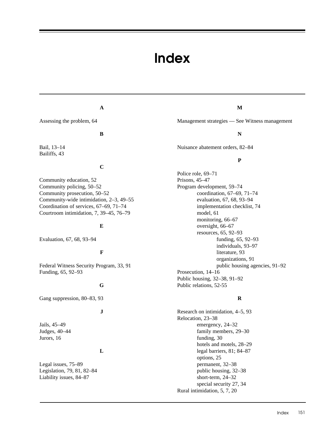# **Index**

### **A**

Assessing the problem, 64

**B**

Bail, 13–14 Bailiffs, 43

### **C**

Community education, 52 Community policing, 50–52 Community prosecution, 50–52 Community-wide intimidation, 2–3, 49–55 Coordination of services, 67–69, 71–74 Courtroom intimidation, 7, 39–45, 76–79

# **E**

Evaluation, 67, 68, 93–94

# **F**

Federal Witness Security Program, 33, 91 Funding, 65, 92–93

# **G**

Gang suppression, 80–83, 93

# **J**

Jails, 45–49 Judges, 40–44 Jurors, 16

# **L**

Legal issues, 75–89 Legislation, 79, 81, 82–84 Liability issues, 84–87

### **M**

Management strategies — See Witness management

# **N**

Nuisance abatement orders, 82–84

# **P**

Police role, 69–71 Prisons, 45–47 Program development, 59–74 coordination, 67–69, 71–74 evaluation, 67, 68, 93–94 implementation checklist, 74 model, 61 monitoring, 66–67 oversight, 66–67 resources, 65, 92–93 funding, 65, 92–93 individuals, 93–97 literature, 93 organizations, 91 public housing agencies, 91–92 Prosecution, 14–16 Public housing, 32–38, 91–92 Public relations, 52-55

# **R**

Research on intimidation, 4–5, 93 Relocation, 23–38 emergency, 24–32 family members, 29–30 funding, 30 hotels and motels, 28–29 legal barriers, 81; 84–87 options, 25 permanent, 32–38 public housing, 32–38 short-term, 24–32 special security 27, 34 Rural intimidation, 5, 7, 20